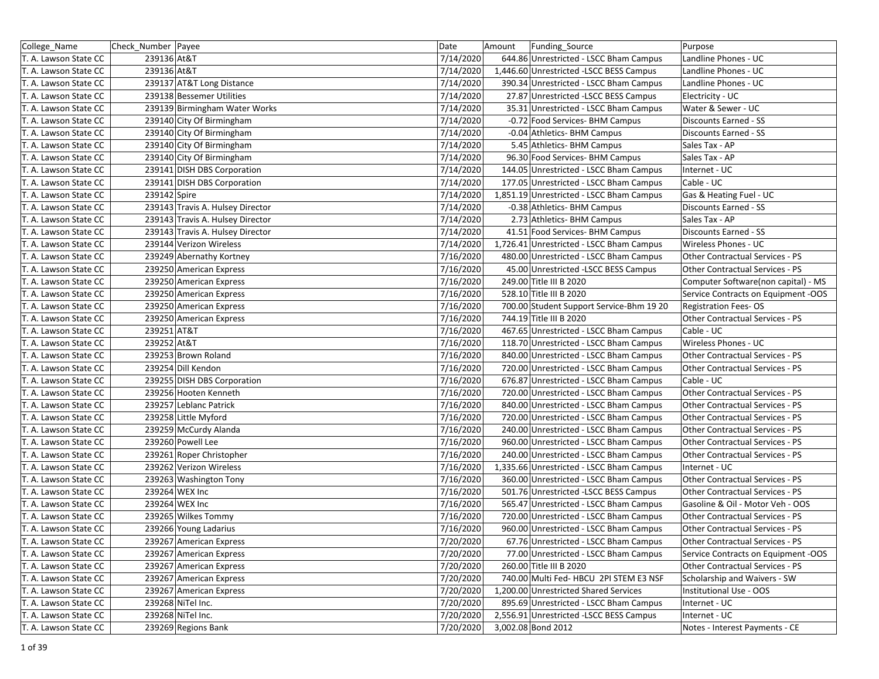| College_Name          | Check Number Payee |                                  | Date      | Amount<br><b>Funding Source</b>          | Purpose                                |
|-----------------------|--------------------|----------------------------------|-----------|------------------------------------------|----------------------------------------|
| T. A. Lawson State CC | 239136 At&T        |                                  | 7/14/2020 | 644.86 Unrestricted - LSCC Bham Campus   | Landline Phones - UC                   |
| T. A. Lawson State CC | 239136 At&T        |                                  | 7/14/2020 | 1,446.60 Unrestricted -LSCC BESS Campus  | Landline Phones - UC                   |
| T. A. Lawson State CC |                    | 239137 AT&T Long Distance        | 7/14/2020 | 390.34 Unrestricted - LSCC Bham Campus   | Landline Phones - UC                   |
| T. A. Lawson State CC |                    | 239138 Bessemer Utilities        | 7/14/2020 | 27.87 Unrestricted -LSCC BESS Campus     | Electricity - UC                       |
| T. A. Lawson State CC |                    | 239139 Birmingham Water Works    | 7/14/2020 | 35.31 Unrestricted - LSCC Bham Campus    | Water & Sewer - UC                     |
| T. A. Lawson State CC |                    | 239140 City Of Birmingham        | 7/14/2020 | -0.72 Food Services- BHM Campus          | <b>Discounts Earned - SS</b>           |
| T. A. Lawson State CC |                    | 239140 City Of Birmingham        | 7/14/2020 | -0.04 Athletics- BHM Campus              | <b>Discounts Earned - SS</b>           |
| T. A. Lawson State CC |                    | 239140 City Of Birmingham        | 7/14/2020 | 5.45 Athletics- BHM Campus               | Sales Tax - AP                         |
| T. A. Lawson State CC |                    | 239140 City Of Birmingham        | 7/14/2020 | 96.30 Food Services- BHM Campus          | Sales Tax - AP                         |
| T. A. Lawson State CC |                    | 239141 DISH DBS Corporation      | 7/14/2020 | 144.05 Unrestricted - LSCC Bham Campus   | Internet - UC                          |
| T. A. Lawson State CC |                    | 239141 DISH DBS Corporation      | 7/14/2020 | 177.05 Unrestricted - LSCC Bham Campus   | Cable - UC                             |
| T. A. Lawson State CC | 239142 Spire       |                                  | 7/14/2020 | 1,851.19 Unrestricted - LSCC Bham Campus | Gas & Heating Fuel - UC                |
| T. A. Lawson State CC |                    | 239143 Travis A. Hulsey Director | 7/14/2020 | -0.38 Athletics- BHM Campus              | Discounts Earned - SS                  |
| T. A. Lawson State CC |                    | 239143 Travis A. Hulsey Director | 7/14/2020 | 2.73 Athletics- BHM Campus               | Sales Tax - AP                         |
| T. A. Lawson State CC |                    | 239143 Travis A. Hulsey Director | 7/14/2020 | 41.51 Food Services- BHM Campus          | Discounts Earned - SS                  |
| T. A. Lawson State CC |                    | 239144 Verizon Wireless          | 7/14/2020 | 1,726.41 Unrestricted - LSCC Bham Campus | Wireless Phones - UC                   |
| T. A. Lawson State CC |                    | 239249 Abernathy Kortney         | 7/16/2020 | 480.00 Unrestricted - LSCC Bham Campus   | Other Contractual Services - PS        |
| T. A. Lawson State CC |                    | 239250 American Express          | 7/16/2020 | 45.00 Unrestricted -LSCC BESS Campus     | <b>Other Contractual Services - PS</b> |
| T. A. Lawson State CC |                    | 239250 American Express          | 7/16/2020 | 249.00 Title III B 2020                  | Computer Software(non capital) - MS    |
| T. A. Lawson State CC |                    | 239250 American Express          | 7/16/2020 | 528.10 Title III B 2020                  | Service Contracts on Equipment -OOS    |
| T. A. Lawson State CC |                    | 239250 American Express          | 7/16/2020 | 700.00 Student Support Service-Bhm 19 20 | <b>Registration Fees-OS</b>            |
| T. A. Lawson State CC |                    | 239250 American Express          | 7/16/2020 | 744.19 Title III B 2020                  | <b>Other Contractual Services - PS</b> |
| T. A. Lawson State CC | 239251 AT&T        |                                  | 7/16/2020 | 467.65 Unrestricted - LSCC Bham Campus   | Cable - UC                             |
| T. A. Lawson State CC | 239252 At&T        |                                  | 7/16/2020 | 118.70 Unrestricted - LSCC Bham Campus   | Wireless Phones - UC                   |
| T. A. Lawson State CC |                    | 239253 Brown Roland              | 7/16/2020 | 840.00 Unrestricted - LSCC Bham Campus   | Other Contractual Services - PS        |
| T. A. Lawson State CC |                    | 239254 Dill Kendon               | 7/16/2020 | 720.00 Unrestricted - LSCC Bham Campus   | Other Contractual Services - PS        |
| T. A. Lawson State CC |                    | 239255 DISH DBS Corporation      | 7/16/2020 | 676.87 Unrestricted - LSCC Bham Campus   | Cable - UC                             |
| T. A. Lawson State CC |                    | 239256 Hooten Kenneth            | 7/16/2020 | 720.00 Unrestricted - LSCC Bham Campus   | Other Contractual Services - PS        |
| T. A. Lawson State CC |                    | 239257 Leblanc Patrick           | 7/16/2020 | 840.00 Unrestricted - LSCC Bham Campus   | Other Contractual Services - PS        |
| T. A. Lawson State CC |                    | 239258 Little Myford             | 7/16/2020 | 720.00 Unrestricted - LSCC Bham Campus   | Other Contractual Services - PS        |
| T. A. Lawson State CC |                    | 239259 McCurdy Alanda            | 7/16/2020 | 240.00 Unrestricted - LSCC Bham Campus   | Other Contractual Services - PS        |
| T. A. Lawson State CC |                    | 239260 Powell Lee                | 7/16/2020 | 960.00 Unrestricted - LSCC Bham Campus   | Other Contractual Services - PS        |
| T. A. Lawson State CC |                    | 239261 Roper Christopher         | 7/16/2020 | 240.00 Unrestricted - LSCC Bham Campus   | Other Contractual Services - PS        |
| T. A. Lawson State CC |                    | 239262 Verizon Wireless          | 7/16/2020 | 1,335.66 Unrestricted - LSCC Bham Campus | Internet - UC                          |
| T. A. Lawson State CC |                    | 239263 Washington Tony           | 7/16/2020 | 360.00 Unrestricted - LSCC Bham Campus   | <b>Other Contractual Services - PS</b> |
| T. A. Lawson State CC |                    | 239264 WEX Inc                   | 7/16/2020 | 501.76 Unrestricted - LSCC BESS Campus   | Other Contractual Services - PS        |
| T. A. Lawson State CC |                    | 239264 WEX Inc                   | 7/16/2020 | 565.47 Unrestricted - LSCC Bham Campus   | Gasoline & Oil - Motor Veh - OOS       |
| T. A. Lawson State CC |                    | 239265 Wilkes Tommy              | 7/16/2020 | 720.00 Unrestricted - LSCC Bham Campus   | Other Contractual Services - PS        |
| T. A. Lawson State CC |                    | 239266 Young Ladarius            | 7/16/2020 | 960.00 Unrestricted - LSCC Bham Campus   | <b>Other Contractual Services - PS</b> |
| T. A. Lawson State CC |                    | 239267 American Express          | 7/20/2020 | 67.76 Unrestricted - LSCC Bham Campus    | Other Contractual Services - PS        |
| T. A. Lawson State CC |                    | 239267 American Express          | 7/20/2020 | 77.00 Unrestricted - LSCC Bham Campus    | Service Contracts on Equipment -OOS    |
| T. A. Lawson State CC |                    | 239267 American Express          | 7/20/2020 | 260.00 Title III B 2020                  | Other Contractual Services - PS        |
| T. A. Lawson State CC |                    | 239267 American Express          | 7/20/2020 | 740.00 Multi Fed- HBCU 2PI STEM E3 NSF   | Scholarship and Waivers - SW           |
| T. A. Lawson State CC |                    | 239267 American Express          | 7/20/2020 | 1,200.00 Unrestricted Shared Services    | Institutional Use - OOS                |
| T. A. Lawson State CC |                    | 239268 NiTel Inc.                | 7/20/2020 | 895.69 Unrestricted - LSCC Bham Campus   | Internet - UC                          |
| T. A. Lawson State CC |                    | 239268 NiTel Inc.                | 7/20/2020 | 2,556.91 Unrestricted -LSCC BESS Campus  | Internet - UC                          |
| T. A. Lawson State CC |                    | 239269 Regions Bank              | 7/20/2020 | 3,002.08 Bond 2012                       | Notes - Interest Payments - CE         |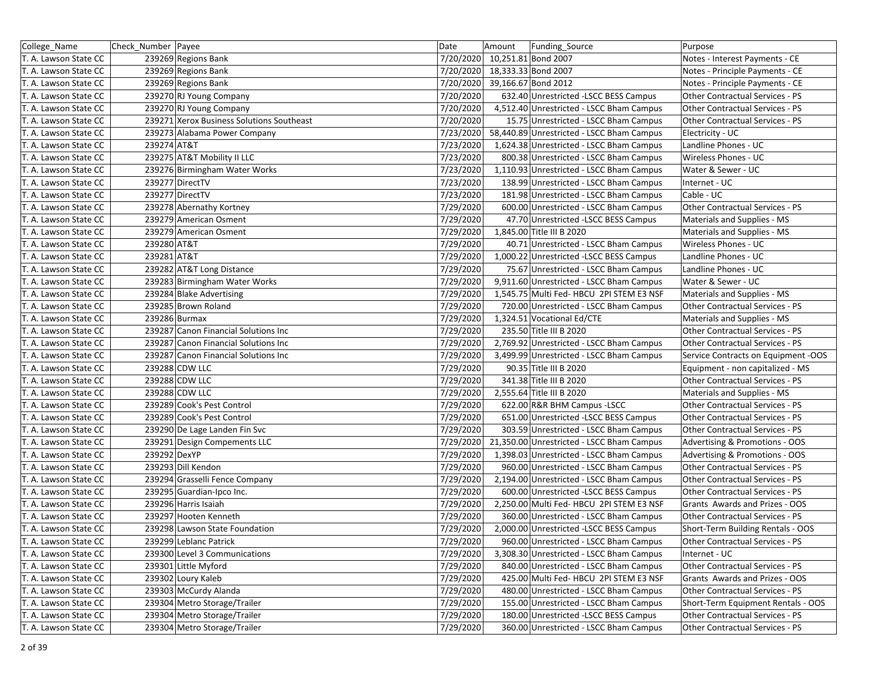| College_Name          | Check Number Payee |                                           | Date      | Amount | Funding Source                            | Purpose                                |
|-----------------------|--------------------|-------------------------------------------|-----------|--------|-------------------------------------------|----------------------------------------|
| T. A. Lawson State CC |                    | 239269 Regions Bank                       | 7/20/2020 |        | 10,251.81 Bond 2007                       | Notes - Interest Payments - CE         |
| T. A. Lawson State CC |                    | 239269 Regions Bank                       | 7/20/2020 |        | 18,333.33 Bond 2007                       | Notes - Principle Payments - CE        |
| T. A. Lawson State CC |                    | 239269 Regions Bank                       | 7/20/2020 |        | 39,166.67 Bond 2012                       | Notes - Principle Payments - CE        |
| T. A. Lawson State CC |                    | 239270 RJ Young Company                   | 7/20/2020 |        | 632.40 Unrestricted -LSCC BESS Campus     | Other Contractual Services - PS        |
| T. A. Lawson State CC |                    | 239270 RJ Young Company                   | 7/20/2020 |        | 4,512.40 Unrestricted - LSCC Bham Campus  | <b>Other Contractual Services - PS</b> |
| T. A. Lawson State CC |                    | 239271 Xerox Business Solutions Southeast | 7/20/2020 |        | 15.75 Unrestricted - LSCC Bham Campus     | <b>Other Contractual Services - PS</b> |
| T. A. Lawson State CC |                    | 239273 Alabama Power Company              | 7/23/2020 |        | 58,440.89 Unrestricted - LSCC Bham Campus | Electricity - UC                       |
| T. A. Lawson State CC | 239274 AT&T        |                                           | 7/23/2020 |        | 1,624.38 Unrestricted - LSCC Bham Campus  | Landline Phones - UC                   |
| T. A. Lawson State CC |                    | 239275 AT&T Mobility II LLC               | 7/23/2020 |        | 800.38 Unrestricted - LSCC Bham Campus    | Wireless Phones - UC                   |
| T. A. Lawson State CC |                    | 239276 Birmingham Water Works             | 7/23/2020 |        | 1,110.93 Unrestricted - LSCC Bham Campus  | Water & Sewer - UC                     |
| T. A. Lawson State CC |                    | 239277 DirectTV                           | 7/23/2020 |        | 138.99 Unrestricted - LSCC Bham Campus    | Internet - UC                          |
| T. A. Lawson State CC |                    | 239277 DirectTV                           | 7/23/2020 |        | 181.98 Unrestricted - LSCC Bham Campus    | Cable - UC                             |
| T. A. Lawson State CC |                    | 239278 Abernathy Kortney                  | 7/29/2020 |        | 600.00 Unrestricted - LSCC Bham Campus    | Other Contractual Services - PS        |
| T. A. Lawson State CC |                    | 239279 American Osment                    | 7/29/2020 |        | 47.70 Unrestricted -LSCC BESS Campus      | Materials and Supplies - MS            |
| T. A. Lawson State CC |                    | 239279 American Osment                    | 7/29/2020 |        | 1,845.00 Title III B 2020                 | Materials and Supplies - MS            |
| T. A. Lawson State CC | 239280 AT&T        |                                           | 7/29/2020 |        | 40.71 Unrestricted - LSCC Bham Campus     | Wireless Phones - UC                   |
| T. A. Lawson State CC | 239281 AT&T        |                                           | 7/29/2020 |        | 1,000.22 Unrestricted -LSCC BESS Campus   | Landline Phones - UC                   |
| T. A. Lawson State CC |                    | 239282 AT&T Long Distance                 | 7/29/2020 |        | 75.67 Unrestricted - LSCC Bham Campus     | Landline Phones - UC                   |
| T. A. Lawson State CC |                    | 239283 Birmingham Water Works             | 7/29/2020 |        | 9,911.60 Unrestricted - LSCC Bham Campus  | Water & Sewer - UC                     |
| T. A. Lawson State CC |                    | 239284 Blake Advertising                  | 7/29/2020 |        | 1,545.75 Multi Fed- HBCU 2PI STEM E3 NSF  | Materials and Supplies - MS            |
| T. A. Lawson State CC |                    | 239285 Brown Roland                       | 7/29/2020 |        | 720.00 Unrestricted - LSCC Bham Campus    | Other Contractual Services - PS        |
| T. A. Lawson State CC |                    | 239286 Burmax                             | 7/29/2020 |        | 1,324.51 Vocational Ed/CTE                | Materials and Supplies - MS            |
| T. A. Lawson State CC |                    | 239287 Canon Financial Solutions Inc      | 7/29/2020 |        | 235.50 Title III B 2020                   | <b>Other Contractual Services - PS</b> |
| T. A. Lawson State CC |                    | 239287 Canon Financial Solutions Inc      | 7/29/2020 |        | 2,769.92 Unrestricted - LSCC Bham Campus  | <b>Other Contractual Services - PS</b> |
| T. A. Lawson State CC |                    | 239287 Canon Financial Solutions Inc      | 7/29/2020 |        | 3,499.99 Unrestricted - LSCC Bham Campus  | Service Contracts on Equipment -OOS    |
| T. A. Lawson State CC |                    | 239288 CDW LLC                            | 7/29/2020 |        | 90.35 Title III B 2020                    | Equipment - non capitalized - MS       |
| T. A. Lawson State CC |                    | 239288 CDW LLC                            | 7/29/2020 |        | 341.38 Title III B 2020                   | <b>Other Contractual Services - PS</b> |
| T. A. Lawson State CC |                    | 239288 CDW LLC                            | 7/29/2020 |        | 2,555.64 Title III B 2020                 | Materials and Supplies - MS            |
| T. A. Lawson State CC |                    | 239289 Cook's Pest Control                | 7/29/2020 |        | 622.00 R&R BHM Campus - LSCC              | Other Contractual Services - PS        |
| T. A. Lawson State CC |                    | 239289 Cook's Pest Control                | 7/29/2020 |        | 651.00 Unrestricted -LSCC BESS Campus     | <b>Other Contractual Services - PS</b> |
| T. A. Lawson State CC |                    | 239290 De Lage Landen Fin Svc             | 7/29/2020 |        | 303.59 Unrestricted - LSCC Bham Campus    | Other Contractual Services - PS        |
| T. A. Lawson State CC |                    | 239291 Design Compements LLC              | 7/29/2020 |        | 21,350.00 Unrestricted - LSCC Bham Campus | Advertising & Promotions - OOS         |
| T. A. Lawson State CC | 239292 DexYP       |                                           | 7/29/2020 |        | 1,398.03 Unrestricted - LSCC Bham Campus  | Advertising & Promotions - OOS         |
| T. A. Lawson State CC |                    | 239293 Dill Kendon                        | 7/29/2020 |        | 960.00 Unrestricted - LSCC Bham Campus    | Other Contractual Services - PS        |
| T. A. Lawson State CC |                    | 239294 Grasselli Fence Company            | 7/29/2020 |        | 2,194.00 Unrestricted - LSCC Bham Campus  | <b>Other Contractual Services - PS</b> |
| T. A. Lawson State CC |                    | 239295 Guardian-Ipco Inc.                 | 7/29/2020 |        | 600.00 Unrestricted -LSCC BESS Campus     | Other Contractual Services - PS        |
| T. A. Lawson State CC |                    | 239296 Harris Isaiah                      | 7/29/2020 |        | 2,250.00 Multi Fed- HBCU 2PI STEM E3 NSF  | Grants Awards and Prizes - OOS         |
| T. A. Lawson State CC |                    | 239297 Hooten Kenneth                     | 7/29/2020 |        | 360.00 Unrestricted - LSCC Bham Campus    | Other Contractual Services - PS        |
| T. A. Lawson State CC |                    | 239298 Lawson State Foundation            | 7/29/2020 |        | 2,000.00 Unrestricted -LSCC BESS Campus   | Short-Term Building Rentals - OOS      |
| T. A. Lawson State CC |                    | 239299 Leblanc Patrick                    | 7/29/2020 |        | 960.00 Unrestricted - LSCC Bham Campus    | <b>Other Contractual Services - PS</b> |
| T. A. Lawson State CC |                    | 239300 Level 3 Communications             | 7/29/2020 |        | 3,308.30 Unrestricted - LSCC Bham Campus  | Internet - UC                          |
| T. A. Lawson State CC |                    | 239301 Little Myford                      | 7/29/2020 |        | 840.00 Unrestricted - LSCC Bham Campus    | Other Contractual Services - PS        |
| T. A. Lawson State CC |                    | 239302 Loury Kaleb                        | 7/29/2020 |        | 425.00 Multi Fed- HBCU 2PI STEM E3 NSF    | Grants Awards and Prizes - OOS         |
| T. A. Lawson State CC |                    | 239303 McCurdy Alanda                     | 7/29/2020 |        | 480.00 Unrestricted - LSCC Bham Campus    | Other Contractual Services - PS        |
| T. A. Lawson State CC |                    | 239304 Metro Storage/Trailer              | 7/29/2020 |        | 155.00 Unrestricted - LSCC Bham Campus    | Short-Term Equipment Rentals - OOS     |
| T. A. Lawson State CC |                    | 239304 Metro Storage/Trailer              | 7/29/2020 |        | 180.00 Unrestricted - LSCC BESS Campus    | Other Contractual Services - PS        |
| T. A. Lawson State CC |                    | 239304 Metro Storage/Trailer              | 7/29/2020 |        | 360.00 Unrestricted - LSCC Bham Campus    | Other Contractual Services - PS        |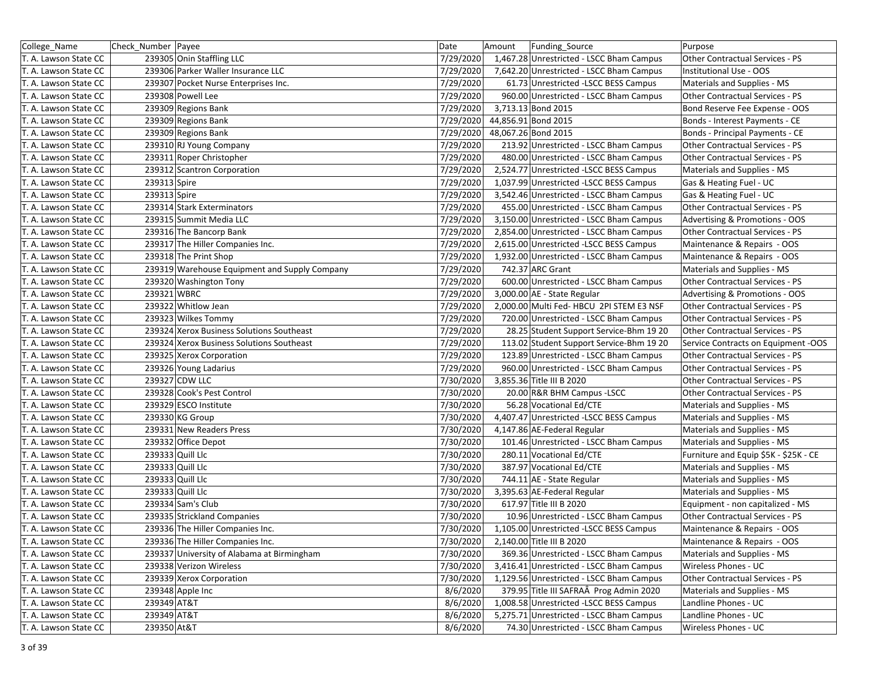| College_Name          | Check Number Payee |                                               | Date      | Amount | <b>Funding Source</b>                    | Purpose                                |
|-----------------------|--------------------|-----------------------------------------------|-----------|--------|------------------------------------------|----------------------------------------|
| T. A. Lawson State CC |                    | 239305 Onin Staffling LLC                     | 7/29/2020 |        | 1,467.28 Unrestricted - LSCC Bham Campus | Other Contractual Services - PS        |
| T. A. Lawson State CC |                    | 239306 Parker Waller Insurance LLC            | 7/29/2020 |        | 7,642.20 Unrestricted - LSCC Bham Campus | Institutional Use - OOS                |
| T. A. Lawson State CC |                    | 239307 Pocket Nurse Enterprises Inc.          | 7/29/2020 |        | 61.73 Unrestricted -LSCC BESS Campus     | Materials and Supplies - MS            |
| T. A. Lawson State CC |                    | 239308 Powell Lee                             | 7/29/2020 |        | 960.00 Unrestricted - LSCC Bham Campus   | Other Contractual Services - PS        |
| T. A. Lawson State CC |                    | 239309 Regions Bank                           | 7/29/2020 |        | 3,713.13 Bond 2015                       | Bond Reserve Fee Expense - OOS         |
| T. A. Lawson State CC |                    | 239309 Regions Bank                           | 7/29/2020 |        | 44,856.91 Bond 2015                      | Bonds - Interest Payments - CE         |
| T. A. Lawson State CC |                    | 239309 Regions Bank                           | 7/29/2020 |        | 48,067.26 Bond 2015                      | Bonds - Principal Payments - CE        |
| T. A. Lawson State CC |                    | 239310 RJ Young Company                       | 7/29/2020 |        | 213.92 Unrestricted - LSCC Bham Campus   | Other Contractual Services - PS        |
| T. A. Lawson State CC |                    | 239311 Roper Christopher                      | 7/29/2020 |        | 480.00 Unrestricted - LSCC Bham Campus   | Other Contractual Services - PS        |
| T. A. Lawson State CC |                    | 239312 Scantron Corporation                   | 7/29/2020 |        | 2,524.77 Unrestricted -LSCC BESS Campus  | Materials and Supplies - MS            |
| T. A. Lawson State CC | 239313 Spire       |                                               | 7/29/2020 |        | 1,037.99 Unrestricted -LSCC BESS Campus  | Gas & Heating Fuel - UC                |
| T. A. Lawson State CC | 239313 Spire       |                                               | 7/29/2020 |        | 3,542.46 Unrestricted - LSCC Bham Campus | Gas & Heating Fuel - UC                |
| T. A. Lawson State CC |                    | 239314 Stark Exterminators                    | 7/29/2020 |        | 455.00 Unrestricted - LSCC Bham Campus   | Other Contractual Services - PS        |
| T. A. Lawson State CC |                    | 239315 Summit Media LLC                       | 7/29/2020 |        | 3,150.00 Unrestricted - LSCC Bham Campus | Advertising & Promotions - OOS         |
| T. A. Lawson State CC |                    | 239316 The Bancorp Bank                       | 7/29/2020 |        | 2,854.00 Unrestricted - LSCC Bham Campus | Other Contractual Services - PS        |
| T. A. Lawson State CC |                    | 239317 The Hiller Companies Inc.              | 7/29/2020 |        | 2,615.00 Unrestricted -LSCC BESS Campus  | Maintenance & Repairs - OOS            |
| T. A. Lawson State CC |                    | 239318 The Print Shop                         | 7/29/2020 |        | 1,932.00 Unrestricted - LSCC Bham Campus | Maintenance & Repairs - OOS            |
| T. A. Lawson State CC |                    | 239319 Warehouse Equipment and Supply Company | 7/29/2020 |        | 742.37 ARC Grant                         | Materials and Supplies - MS            |
| T. A. Lawson State CC |                    | 239320 Washington Tony                        | 7/29/2020 |        | 600.00 Unrestricted - LSCC Bham Campus   | Other Contractual Services - PS        |
| T. A. Lawson State CC | 239321 WBRC        |                                               | 7/29/2020 |        | 3,000.00 AE - State Regular              | Advertising & Promotions - OOS         |
| T. A. Lawson State CC |                    | 239322 Whitlow Jean                           | 7/29/2020 |        | 2,000.00 Multi Fed- HBCU 2PI STEM E3 NSF | Other Contractual Services - PS        |
| T. A. Lawson State CC |                    | 239323 Wilkes Tommy                           | 7/29/2020 |        | 720.00 Unrestricted - LSCC Bham Campus   | Other Contractual Services - PS        |
| T. A. Lawson State CC |                    | 239324 Xerox Business Solutions Southeast     | 7/29/2020 |        | 28.25 Student Support Service-Bhm 19 20  | <b>Other Contractual Services - PS</b> |
| T. A. Lawson State CC |                    | 239324 Xerox Business Solutions Southeast     | 7/29/2020 |        | 113.02 Student Support Service-Bhm 19 20 | Service Contracts on Equipment -OOS    |
| T. A. Lawson State CC |                    | 239325 Xerox Corporation                      | 7/29/2020 |        | 123.89 Unrestricted - LSCC Bham Campus   | Other Contractual Services - PS        |
| T. A. Lawson State CC |                    | 239326 Young Ladarius                         | 7/29/2020 |        | 960.00 Unrestricted - LSCC Bham Campus   | Other Contractual Services - PS        |
| T. A. Lawson State CC |                    | 239327 CDW LLC                                | 7/30/2020 |        | 3,855.36 Title III B 2020                | Other Contractual Services - PS        |
| T. A. Lawson State CC |                    | 239328 Cook's Pest Control                    | 7/30/2020 |        | 20.00 R&R BHM Campus - LSCC              | Other Contractual Services - PS        |
| T. A. Lawson State CC |                    | 239329 ESCO Institute                         | 7/30/2020 |        | 56.28 Vocational Ed/CTE                  | Materials and Supplies - MS            |
| T. A. Lawson State CC |                    | 239330 KG Group                               | 7/30/2020 |        | 4,407.47 Unrestricted -LSCC BESS Campus  | Materials and Supplies - MS            |
| T. A. Lawson State CC |                    | 239331 New Readers Press                      | 7/30/2020 |        | 4,147.86 AE-Federal Regular              | Materials and Supplies - MS            |
| T. A. Lawson State CC |                    | 239332 Office Depot                           | 7/30/2020 |        | 101.46 Unrestricted - LSCC Bham Campus   | Materials and Supplies - MS            |
| T. A. Lawson State CC |                    | 239333 Quill Llc                              | 7/30/2020 |        | 280.11 Vocational Ed/CTE                 | Furniture and Equip \$5K - \$25K - CE  |
| T. A. Lawson State CC |                    | 239333 Quill Llc                              | 7/30/2020 |        | 387.97 Vocational Ed/CTE                 | Materials and Supplies - MS            |
| T. A. Lawson State CC |                    | 239333 Quill Llc                              | 7/30/2020 |        | 744.11 AE - State Regular                | Materials and Supplies - MS            |
| T. A. Lawson State CC |                    | 239333 Quill Llc                              | 7/30/2020 |        | 3,395.63 AE-Federal Regular              | Materials and Supplies - MS            |
| T. A. Lawson State CC |                    | 239334 Sam's Club                             | 7/30/2020 |        | 617.97 Title III B 2020                  | Equipment - non capitalized - MS       |
| T. A. Lawson State CC |                    | 239335 Strickland Companies                   | 7/30/2020 |        | 10.96 Unrestricted - LSCC Bham Campus    | <b>Other Contractual Services - PS</b> |
| T. A. Lawson State CC |                    | 239336 The Hiller Companies Inc.              | 7/30/2020 |        | 1,105.00 Unrestricted -LSCC BESS Campus  | Maintenance & Repairs - OOS            |
| T. A. Lawson State CC |                    | 239336 The Hiller Companies Inc.              | 7/30/2020 |        | 2,140.00 Title III B 2020                | Maintenance & Repairs - OOS            |
| T. A. Lawson State CC |                    | 239337 University of Alabama at Birmingham    | 7/30/2020 |        | 369.36 Unrestricted - LSCC Bham Campus   | Materials and Supplies - MS            |
| T. A. Lawson State CC |                    | 239338 Verizon Wireless                       | 7/30/2020 |        | 3,416.41 Unrestricted - LSCC Bham Campus | Wireless Phones - UC                   |
| T. A. Lawson State CC |                    | 239339 Xerox Corporation                      | 7/30/2020 |        | 1,129.56 Unrestricted - LSCC Bham Campus | Other Contractual Services - PS        |
| T. A. Lawson State CC |                    | 239348 Apple Inc                              | 8/6/2020  |        | 379.95 Title III SAFRAÂ Prog Admin 2020  | Materials and Supplies - MS            |
| T. A. Lawson State CC | 239349 AT&T        |                                               | 8/6/2020  |        | 1,008.58 Unrestricted -LSCC BESS Campus  | Landline Phones - UC                   |
| T. A. Lawson State CC | 239349 AT&T        |                                               | 8/6/2020  |        | 5,275.71 Unrestricted - LSCC Bham Campus | Landline Phones - UC                   |
| T. A. Lawson State CC | 239350 At&T        |                                               | 8/6/2020  |        | 74.30 Unrestricted - LSCC Bham Campus    | Wireless Phones - UC                   |
|                       |                    |                                               |           |        |                                          |                                        |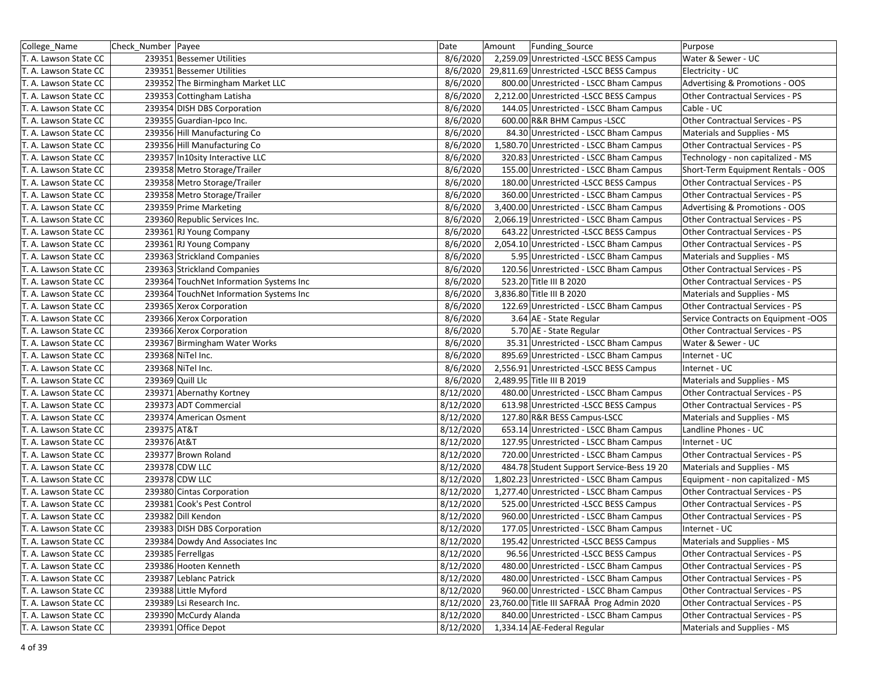| College_Name          | Check Number Payee                      | Date      | Amount | Funding Source                             | Purpose                                |
|-----------------------|-----------------------------------------|-----------|--------|--------------------------------------------|----------------------------------------|
| T. A. Lawson State CC | 239351 Bessemer Utilities               | 8/6/2020  |        | 2,259.09 Unrestricted -LSCC BESS Campus    | Water & Sewer - UC                     |
| T. A. Lawson State CC | 239351 Bessemer Utilities               | 8/6/2020  |        | 29,811.69 Unrestricted -LSCC BESS Campus   | Electricity - UC                       |
| T. A. Lawson State CC | 239352 The Birmingham Market LLC        | 8/6/2020  |        | 800.00 Unrestricted - LSCC Bham Campus     | Advertising & Promotions - OOS         |
| T. A. Lawson State CC | 239353 Cottingham Latisha               | 8/6/2020  |        | 2,212.00 Unrestricted -LSCC BESS Campus    | <b>Other Contractual Services - PS</b> |
| T. A. Lawson State CC | 239354 DISH DBS Corporation             | 8/6/2020  |        | 144.05 Unrestricted - LSCC Bham Campus     | Cable - UC                             |
| T. A. Lawson State CC | 239355 Guardian-Ipco Inc.               | 8/6/2020  |        | 600.00 R&R BHM Campus -LSCC                | <b>Other Contractual Services - PS</b> |
| T. A. Lawson State CC | 239356 Hill Manufacturing Co            | 8/6/2020  |        | 84.30 Unrestricted - LSCC Bham Campus      | Materials and Supplies - MS            |
| T. A. Lawson State CC | 239356 Hill Manufacturing Co            | 8/6/2020  |        | 1,580.70 Unrestricted - LSCC Bham Campus   | <b>Other Contractual Services - PS</b> |
| T. A. Lawson State CC | 239357 In10sity Interactive LLC         | 8/6/2020  |        | 320.83 Unrestricted - LSCC Bham Campus     | Technology - non capitalized - MS      |
| T. A. Lawson State CC | 239358 Metro Storage/Trailer            | 8/6/2020  |        | 155.00 Unrestricted - LSCC Bham Campus     | Short-Term Equipment Rentals - OOS     |
| T. A. Lawson State CC | 239358 Metro Storage/Trailer            | 8/6/2020  |        | 180.00 Unrestricted -LSCC BESS Campus      | Other Contractual Services - PS        |
| T. A. Lawson State CC | 239358 Metro Storage/Trailer            | 8/6/2020  |        | 360.00 Unrestricted - LSCC Bham Campus     | Other Contractual Services - PS        |
| T. A. Lawson State CC | 239359 Prime Marketing                  | 8/6/2020  |        | 3,400.00 Unrestricted - LSCC Bham Campus   | Advertising & Promotions - OOS         |
| T. A. Lawson State CC | 239360 Republic Services Inc.           | 8/6/2020  |        | 2,066.19 Unrestricted - LSCC Bham Campus   | <b>Other Contractual Services - PS</b> |
| T. A. Lawson State CC | 239361 RJ Young Company                 | 8/6/2020  |        | 643.22 Unrestricted -LSCC BESS Campus      | Other Contractual Services - PS        |
| T. A. Lawson State CC | 239361 RJ Young Company                 | 8/6/2020  |        | 2,054.10 Unrestricted - LSCC Bham Campus   | Other Contractual Services - PS        |
| T. A. Lawson State CC | 239363 Strickland Companies             | 8/6/2020  |        | 5.95 Unrestricted - LSCC Bham Campus       | Materials and Supplies - MS            |
| T. A. Lawson State CC | 239363 Strickland Companies             | 8/6/2020  |        | 120.56 Unrestricted - LSCC Bham Campus     | Other Contractual Services - PS        |
| T. A. Lawson State CC | 239364 TouchNet Information Systems Inc | 8/6/2020  |        | 523.20 Title III B 2020                    | <b>Other Contractual Services - PS</b> |
| T. A. Lawson State CC | 239364 TouchNet Information Systems Inc | 8/6/2020  |        | 3,836.80 Title III B 2020                  | Materials and Supplies - MS            |
| T. A. Lawson State CC | 239365 Xerox Corporation                | 8/6/2020  |        | 122.69 Unrestricted - LSCC Bham Campus     | Other Contractual Services - PS        |
| T. A. Lawson State CC | 239366 Xerox Corporation                | 8/6/2020  |        | 3.64 AE - State Regular                    | Service Contracts on Equipment -OOS    |
| T. A. Lawson State CC | 239366 Xerox Corporation                | 8/6/2020  |        | 5.70 AE - State Regular                    | <b>Other Contractual Services - PS</b> |
| T. A. Lawson State CC | 239367 Birmingham Water Works           | 8/6/2020  |        | 35.31 Unrestricted - LSCC Bham Campus      | Water & Sewer - UC                     |
| T. A. Lawson State CC | 239368 NiTel Inc.                       | 8/6/2020  |        | 895.69 Unrestricted - LSCC Bham Campus     | Internet - UC                          |
| T. A. Lawson State CC | 239368 NiTel Inc.                       | 8/6/2020  |        | 2,556.91 Unrestricted -LSCC BESS Campus    | Internet - UC                          |
| T. A. Lawson State CC | 239369 Quill Llc                        | 8/6/2020  |        | 2,489.95 Title III B 2019                  | Materials and Supplies - MS            |
| T. A. Lawson State CC | 239371 Abernathy Kortney                | 8/12/2020 |        | 480.00 Unrestricted - LSCC Bham Campus     | Other Contractual Services - PS        |
| T. A. Lawson State CC | 239373 ADT Commercial                   | 8/12/2020 |        | 613.98 Unrestricted -LSCC BESS Campus      | Other Contractual Services - PS        |
| T. A. Lawson State CC | 239374 American Osment                  | 8/12/2020 |        | 127.80 R&R BESS Campus-LSCC                | Materials and Supplies - MS            |
| T. A. Lawson State CC | 239375 AT&T                             | 8/12/2020 |        | 653.14 Unrestricted - LSCC Bham Campus     | Landline Phones - UC                   |
| T. A. Lawson State CC | 239376 At&T                             | 8/12/2020 |        | 127.95 Unrestricted - LSCC Bham Campus     | Internet - UC                          |
| T. A. Lawson State CC | 239377 Brown Roland                     | 8/12/2020 |        | 720.00 Unrestricted - LSCC Bham Campus     | Other Contractual Services - PS        |
| T. A. Lawson State CC | 239378 CDW LLC                          | 8/12/2020 |        | 484.78 Student Support Service-Bess 19 20  | Materials and Supplies - MS            |
| T. A. Lawson State CC | 239378 CDW LLC                          | 8/12/2020 |        | 1,802.23 Unrestricted - LSCC Bham Campus   | Equipment - non capitalized - MS       |
| T. A. Lawson State CC | 239380 Cintas Corporation               | 8/12/2020 |        | 1,277.40 Unrestricted - LSCC Bham Campus   | <b>Other Contractual Services - PS</b> |
| T. A. Lawson State CC | 239381 Cook's Pest Control              | 8/12/2020 |        | 525.00 Unrestricted - LSCC BESS Campus     | <b>Other Contractual Services - PS</b> |
| T. A. Lawson State CC | 239382 Dill Kendon                      | 8/12/2020 |        | 960.00 Unrestricted - LSCC Bham Campus     | <b>Other Contractual Services - PS</b> |
| T. A. Lawson State CC | 239383 DISH DBS Corporation             | 8/12/2020 |        | 177.05 Unrestricted - LSCC Bham Campus     | Internet - UC                          |
| T. A. Lawson State CC | 239384 Dowdy And Associates Inc         | 8/12/2020 |        | 195.42 Unrestricted - LSCC BESS Campus     | Materials and Supplies - MS            |
| T. A. Lawson State CC | 239385 Ferrellgas                       | 8/12/2020 |        | 96.56 Unrestricted -LSCC BESS Campus       | Other Contractual Services - PS        |
| T. A. Lawson State CC | 239386 Hooten Kenneth                   | 8/12/2020 |        | 480.00 Unrestricted - LSCC Bham Campus     | Other Contractual Services - PS        |
| T. A. Lawson State CC | 239387 Leblanc Patrick                  | 8/12/2020 |        | 480.00 Unrestricted - LSCC Bham Campus     | Other Contractual Services - PS        |
| T. A. Lawson State CC | 239388 Little Myford                    | 8/12/2020 |        | 960.00 Unrestricted - LSCC Bham Campus     | Other Contractual Services - PS        |
| T. A. Lawson State CC | 239389 Lsi Research Inc.                | 8/12/2020 |        | 23,760.00 Title III SAFRAÂ Prog Admin 2020 | Other Contractual Services - PS        |
| T. A. Lawson State CC | 239390 McCurdy Alanda                   | 8/12/2020 |        | 840.00 Unrestricted - LSCC Bham Campus     | Other Contractual Services - PS        |
| T. A. Lawson State CC | 239391 Office Depot                     | 8/12/2020 |        | 1,334.14 AE-Federal Regular                | Materials and Supplies - MS            |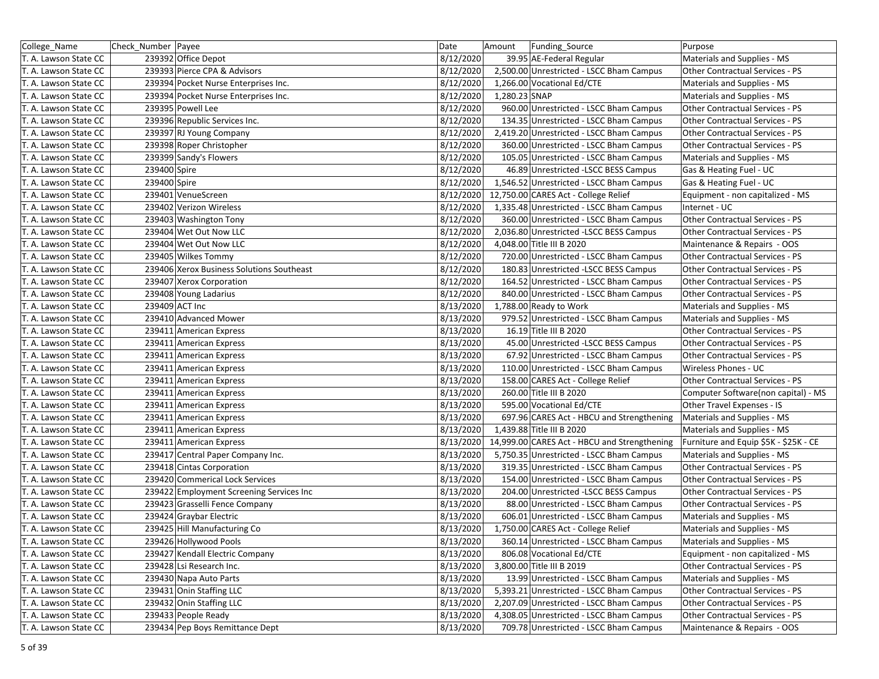| College_Name          | Check Number Payee |                                           | Date      | Amount        | Funding Source                               | Purpose                                |
|-----------------------|--------------------|-------------------------------------------|-----------|---------------|----------------------------------------------|----------------------------------------|
| T. A. Lawson State CC |                    | 239392 Office Depot                       | 8/12/2020 |               | 39.95 AE-Federal Regular                     | Materials and Supplies - MS            |
| T. A. Lawson State CC |                    | 239393 Pierce CPA & Advisors              | 8/12/2020 |               | 2,500.00 Unrestricted - LSCC Bham Campus     | Other Contractual Services - PS        |
| T. A. Lawson State CC |                    | 239394 Pocket Nurse Enterprises Inc.      | 8/12/2020 |               | 1,266.00 Vocational Ed/CTE                   | Materials and Supplies - MS            |
| T. A. Lawson State CC |                    | 239394 Pocket Nurse Enterprises Inc.      | 8/12/2020 | 1,280.23 SNAP |                                              | Materials and Supplies - MS            |
| T. A. Lawson State CC |                    | 239395 Powell Lee                         | 8/12/2020 |               | 960.00 Unrestricted - LSCC Bham Campus       | <b>Other Contractual Services - PS</b> |
| T. A. Lawson State CC |                    | 239396 Republic Services Inc.             | 8/12/2020 |               | 134.35 Unrestricted - LSCC Bham Campus       | <b>Other Contractual Services - PS</b> |
| T. A. Lawson State CC |                    | 239397 RJ Young Company                   | 8/12/2020 |               | 2,419.20 Unrestricted - LSCC Bham Campus     | Other Contractual Services - PS        |
| T. A. Lawson State CC |                    | 239398 Roper Christopher                  | 8/12/2020 |               | 360.00 Unrestricted - LSCC Bham Campus       | <b>Other Contractual Services - PS</b> |
| T. A. Lawson State CC |                    | 239399 Sandy's Flowers                    | 8/12/2020 |               | 105.05 Unrestricted - LSCC Bham Campus       | Materials and Supplies - MS            |
| T. A. Lawson State CC | 239400 Spire       |                                           | 8/12/2020 |               | 46.89 Unrestricted -LSCC BESS Campus         | Gas & Heating Fuel - UC                |
| T. A. Lawson State CC | 239400 Spire       |                                           | 8/12/2020 |               | 1,546.52 Unrestricted - LSCC Bham Campus     | Gas & Heating Fuel - UC                |
| T. A. Lawson State CC |                    | 239401 VenueScreen                        | 8/12/2020 |               | 12,750.00 CARES Act - College Relief         | Equipment - non capitalized - MS       |
| T. A. Lawson State CC |                    | 239402 Verizon Wireless                   | 8/12/2020 |               | 1,335.48 Unrestricted - LSCC Bham Campus     | Internet - UC                          |
| T. A. Lawson State CC |                    | 239403 Washington Tony                    | 8/12/2020 |               | 360.00 Unrestricted - LSCC Bham Campus       | Other Contractual Services - PS        |
| T. A. Lawson State CC |                    | 239404 Wet Out Now LLC                    | 8/12/2020 |               | 2,036.80 Unrestricted - LSCC BESS Campus     | Other Contractual Services - PS        |
| T. A. Lawson State CC |                    | 239404 Wet Out Now LLC                    | 8/12/2020 |               | 4,048.00 Title III B 2020                    | Maintenance & Repairs - OOS            |
| T. A. Lawson State CC |                    | 239405 Wilkes Tommy                       | 8/12/2020 |               | 720.00 Unrestricted - LSCC Bham Campus       | <b>Other Contractual Services - PS</b> |
| T. A. Lawson State CC |                    | 239406 Xerox Business Solutions Southeast | 8/12/2020 |               | 180.83 Unrestricted -LSCC BESS Campus        | Other Contractual Services - PS        |
| T. A. Lawson State CC |                    | 239407 Xerox Corporation                  | 8/12/2020 |               | 164.52 Unrestricted - LSCC Bham Campus       | Other Contractual Services - PS        |
| T. A. Lawson State CC |                    | 239408 Young Ladarius                     | 8/12/2020 |               | 840.00 Unrestricted - LSCC Bham Campus       | Other Contractual Services - PS        |
| T. A. Lawson State CC |                    | 239409 ACT Inc                            | 8/13/2020 |               | 1,788.00 Ready to Work                       | Materials and Supplies - MS            |
| T. A. Lawson State CC |                    | 239410 Advanced Mower                     | 8/13/2020 |               | 979.52 Unrestricted - LSCC Bham Campus       | Materials and Supplies - MS            |
| T. A. Lawson State CC |                    | 239411 American Express                   | 8/13/2020 |               | 16.19 Title III B 2020                       | <b>Other Contractual Services - PS</b> |
| T. A. Lawson State CC |                    | 239411 American Express                   | 8/13/2020 |               | 45.00 Unrestricted -LSCC BESS Campus         | <b>Other Contractual Services - PS</b> |
| T. A. Lawson State CC |                    | 239411 American Express                   | 8/13/2020 |               | 67.92 Unrestricted - LSCC Bham Campus        | <b>Other Contractual Services - PS</b> |
| T. A. Lawson State CC |                    | 239411 American Express                   | 8/13/2020 |               | 110.00 Unrestricted - LSCC Bham Campus       | Wireless Phones - UC                   |
| T. A. Lawson State CC |                    | 239411 American Express                   | 8/13/2020 |               | 158.00 CARES Act - College Relief            | Other Contractual Services - PS        |
| T. A. Lawson State CC |                    | 239411 American Express                   | 8/13/2020 |               | 260.00 Title III B 2020                      | Computer Software(non capital) - MS    |
| T. A. Lawson State CC |                    | 239411 American Express                   | 8/13/2020 |               | 595.00 Vocational Ed/CTE                     | Other Travel Expenses - IS             |
| T. A. Lawson State CC |                    | 239411 American Express                   | 8/13/2020 |               | 697.96 CARES Act - HBCU and Strengthening    | Materials and Supplies - MS            |
| T. A. Lawson State CC |                    | 239411 American Express                   | 8/13/2020 |               | 1,439.88 Title III B 2020                    | Materials and Supplies - MS            |
| T. A. Lawson State CC |                    | 239411 American Express                   | 8/13/2020 |               | 14,999.00 CARES Act - HBCU and Strengthening | Furniture and Equip \$5K - \$25K - CE  |
| T. A. Lawson State CC |                    | 239417 Central Paper Company Inc.         | 8/13/2020 |               | 5,750.35 Unrestricted - LSCC Bham Campus     | Materials and Supplies - MS            |
| T. A. Lawson State CC |                    | 239418 Cintas Corporation                 | 8/13/2020 |               | 319.35 Unrestricted - LSCC Bham Campus       | Other Contractual Services - PS        |
| T. A. Lawson State CC |                    | 239420 Commerical Lock Services           | 8/13/2020 |               | 154.00 Unrestricted - LSCC Bham Campus       | <b>Other Contractual Services - PS</b> |
| T. A. Lawson State CC |                    | 239422 Employment Screening Services Inc  | 8/13/2020 |               | 204.00 Unrestricted -LSCC BESS Campus        | Other Contractual Services - PS        |
| T. A. Lawson State CC |                    | 239423 Grasselli Fence Company            | 8/13/2020 |               | 88.00 Unrestricted - LSCC Bham Campus        | <b>Other Contractual Services - PS</b> |
| T. A. Lawson State CC |                    | 239424 Graybar Electric                   | 8/13/2020 |               | 606.01 Unrestricted - LSCC Bham Campus       | Materials and Supplies - MS            |
| T. A. Lawson State CC |                    | 239425 Hill Manufacturing Co              | 8/13/2020 |               | 1,750.00 CARES Act - College Relief          | Materials and Supplies - MS            |
| T. A. Lawson State CC |                    | 239426 Hollywood Pools                    | 8/13/2020 |               | 360.14 Unrestricted - LSCC Bham Campus       | Materials and Supplies - MS            |
| T. A. Lawson State CC |                    | 239427 Kendall Electric Company           | 8/13/2020 |               | 806.08 Vocational Ed/CTE                     | Equipment - non capitalized - MS       |
| T. A. Lawson State CC |                    | 239428 Lsi Research Inc.                  | 8/13/2020 |               | 3,800.00 Title III B 2019                    | Other Contractual Services - PS        |
| T. A. Lawson State CC |                    | 239430 Napa Auto Parts                    | 8/13/2020 |               | 13.99 Unrestricted - LSCC Bham Campus        | Materials and Supplies - MS            |
| T. A. Lawson State CC |                    | 239431 Onin Staffing LLC                  | 8/13/2020 |               | 5,393.21 Unrestricted - LSCC Bham Campus     | <b>Other Contractual Services - PS</b> |
| T. A. Lawson State CC |                    | 239432 Onin Staffing LLC                  | 8/13/2020 |               | 2,207.09 Unrestricted - LSCC Bham Campus     | Other Contractual Services - PS        |
| T. A. Lawson State CC |                    | 239433 People Ready                       | 8/13/2020 |               | 4,308.05 Unrestricted - LSCC Bham Campus     | Other Contractual Services - PS        |
| T. A. Lawson State CC |                    | 239434 Pep Boys Remittance Dept           | 8/13/2020 |               | 709.78 Unrestricted - LSCC Bham Campus       | Maintenance & Repairs - OOS            |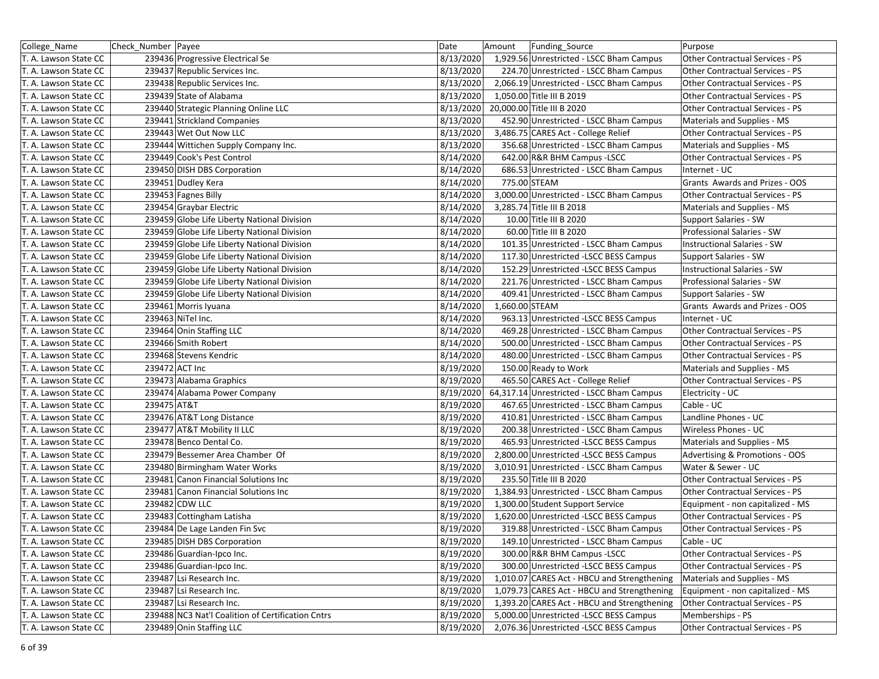| College_Name          | Check Number Payee                                | Date      | Amount         | Funding Source                              | Purpose                                |
|-----------------------|---------------------------------------------------|-----------|----------------|---------------------------------------------|----------------------------------------|
| T. A. Lawson State CC | 239436 Progressive Electrical Se                  | 8/13/2020 |                | 1,929.56 Unrestricted - LSCC Bham Campus    | <b>Other Contractual Services - PS</b> |
| T. A. Lawson State CC | 239437 Republic Services Inc.                     | 8/13/2020 |                | 224.70 Unrestricted - LSCC Bham Campus      | <b>Other Contractual Services - PS</b> |
| T. A. Lawson State CC | 239438 Republic Services Inc.                     | 8/13/2020 |                | 2,066.19 Unrestricted - LSCC Bham Campus    | Other Contractual Services - PS        |
| T. A. Lawson State CC | 239439 State of Alabama                           | 8/13/2020 |                | 1.050.00 Title III B 2019                   | <b>Other Contractual Services - PS</b> |
| T. A. Lawson State CC | 239440 Strategic Planning Online LLC              | 8/13/2020 |                | 20,000.00 Title III B 2020                  | Other Contractual Services - PS        |
| T. A. Lawson State CC | 239441 Strickland Companies                       | 8/13/2020 |                | 452.90 Unrestricted - LSCC Bham Campus      | Materials and Supplies - MS            |
| T. A. Lawson State CC | 239443 Wet Out Now LLC                            | 8/13/2020 |                | 3,486.75 CARES Act - College Relief         | <b>Other Contractual Services - PS</b> |
| T. A. Lawson State CC | 239444 Wittichen Supply Company Inc.              | 8/13/2020 |                | 356.68 Unrestricted - LSCC Bham Campus      | Materials and Supplies - MS            |
| T. A. Lawson State CC | 239449 Cook's Pest Control                        | 8/14/2020 |                | 642.00 R&R BHM Campus - LSCC                | <b>Other Contractual Services - PS</b> |
| T. A. Lawson State CC | 239450 DISH DBS Corporation                       | 8/14/2020 |                | 686.53 Unrestricted - LSCC Bham Campus      | Internet - UC                          |
| T. A. Lawson State CC | 239451 Dudley Kera                                | 8/14/2020 |                | 775.00 STEAM                                | Grants Awards and Prizes - OOS         |
| T. A. Lawson State CC | 239453 Fagnes Billy                               | 8/14/2020 |                | 3,000.00 Unrestricted - LSCC Bham Campus    | <b>Other Contractual Services - PS</b> |
| T. A. Lawson State CC | 239454 Graybar Electric                           | 8/14/2020 |                | 3,285.74 Title III B 2018                   | Materials and Supplies - MS            |
| T. A. Lawson State CC | 239459 Globe Life Liberty National Division       | 8/14/2020 |                | 10.00 Title III B 2020                      | Support Salaries - SW                  |
| T. A. Lawson State CC | 239459 Globe Life Liberty National Division       | 8/14/2020 |                | 60.00 Title III B 2020                      | Professional Salaries - SW             |
| T. A. Lawson State CC | 239459 Globe Life Liberty National Division       | 8/14/2020 |                | 101.35 Unrestricted - LSCC Bham Campus      | <b>Instructional Salaries - SW</b>     |
| T. A. Lawson State CC | 239459 Globe Life Liberty National Division       | 8/14/2020 |                | 117.30 Unrestricted -LSCC BESS Campus       | Support Salaries - SW                  |
| T. A. Lawson State CC | 239459 Globe Life Liberty National Division       | 8/14/2020 |                | 152.29 Unrestricted -LSCC BESS Campus       | <b>Instructional Salaries - SW</b>     |
| T. A. Lawson State CC | 239459 Globe Life Liberty National Division       | 8/14/2020 |                | 221.76 Unrestricted - LSCC Bham Campus      | Professional Salaries - SW             |
| T. A. Lawson State CC | 239459 Globe Life Liberty National Division       | 8/14/2020 |                | 409.41 Unrestricted - LSCC Bham Campus      | Support Salaries - SW                  |
| T. A. Lawson State CC | 239461 Morris Iyuana                              | 8/14/2020 | 1,660.00 STEAM |                                             | Grants Awards and Prizes - OOS         |
| T. A. Lawson State CC | 239463 NiTel Inc.                                 | 8/14/2020 |                | 963.13 Unrestricted -LSCC BESS Campus       | Internet - UC                          |
| T. A. Lawson State CC | 239464 Onin Staffing LLC                          | 8/14/2020 |                | 469.28 Unrestricted - LSCC Bham Campus      | Other Contractual Services - PS        |
| T. A. Lawson State CC | 239466 Smith Robert                               | 8/14/2020 |                | 500.00 Unrestricted - LSCC Bham Campus      | Other Contractual Services - PS        |
| T. A. Lawson State CC | 239468 Stevens Kendric                            | 8/14/2020 |                | 480.00 Unrestricted - LSCC Bham Campus      | <b>Other Contractual Services - PS</b> |
| T. A. Lawson State CC | 239472 ACT Inc                                    | 8/19/2020 |                | 150.00 Ready to Work                        | Materials and Supplies - MS            |
| T. A. Lawson State CC | 239473 Alabama Graphics                           | 8/19/2020 |                | 465.50 CARES Act - College Relief           | <b>Other Contractual Services - PS</b> |
| T. A. Lawson State CC | 239474 Alabama Power Company                      | 8/19/2020 |                | 64,317.14 Unrestricted - LSCC Bham Campus   | Electricity - UC                       |
| T. A. Lawson State CC | 239475 AT&T                                       | 8/19/2020 |                | 467.65 Unrestricted - LSCC Bham Campus      | Cable - UC                             |
| T. A. Lawson State CC | 239476 AT&T Long Distance                         | 8/19/2020 |                | 410.81 Unrestricted - LSCC Bham Campus      | Landline Phones - UC                   |
| T. A. Lawson State CC | 239477 AT&T Mobility II LLC                       | 8/19/2020 |                | 200.38 Unrestricted - LSCC Bham Campus      | Wireless Phones - UC                   |
| T. A. Lawson State CC | 239478 Benco Dental Co.                           | 8/19/2020 |                | 465.93 Unrestricted -LSCC BESS Campus       | Materials and Supplies - MS            |
| T. A. Lawson State CC | 239479 Bessemer Area Chamber Of                   | 8/19/2020 |                | 2,800.00 Unrestricted -LSCC BESS Campus     | Advertising & Promotions - OOS         |
| T. A. Lawson State CC | 239480 Birmingham Water Works                     | 8/19/2020 |                | 3,010.91 Unrestricted - LSCC Bham Campus    | Water & Sewer - UC                     |
| T. A. Lawson State CC | 239481 Canon Financial Solutions Inc              | 8/19/2020 |                | 235.50 Title III B 2020                     | <b>Other Contractual Services - PS</b> |
| T. A. Lawson State CC | 239481 Canon Financial Solutions Inc              | 8/19/2020 |                | 1,384.93 Unrestricted - LSCC Bham Campus    | <b>Other Contractual Services - PS</b> |
| T. A. Lawson State CC | 239482 CDW LLC                                    | 8/19/2020 |                | 1,300.00 Student Support Service            | Equipment - non capitalized - MS       |
| T. A. Lawson State CC | 239483 Cottingham Latisha                         | 8/19/2020 |                | 1,620.00 Unrestricted -LSCC BESS Campus     | Other Contractual Services - PS        |
| T. A. Lawson State CC | 239484 De Lage Landen Fin Svc                     | 8/19/2020 |                | 319.88 Unrestricted - LSCC Bham Campus      | Other Contractual Services - PS        |
| T. A. Lawson State CC | 239485 DISH DBS Corporation                       | 8/19/2020 |                | 149.10 Unrestricted - LSCC Bham Campus      | Cable - UC                             |
| T. A. Lawson State CC | 239486 Guardian-Ipco Inc.                         | 8/19/2020 |                | 300.00 R&R BHM Campus - LSCC                | Other Contractual Services - PS        |
| T. A. Lawson State CC | 239486 Guardian-Ipco Inc.                         | 8/19/2020 |                | 300.00 Unrestricted -LSCC BESS Campus       | Other Contractual Services - PS        |
| T. A. Lawson State CC | 239487 Lsi Research Inc.                          | 8/19/2020 |                | 1,010.07 CARES Act - HBCU and Strengthening | Materials and Supplies - MS            |
| T. A. Lawson State CC | 239487 Lsi Research Inc.                          | 8/19/2020 |                | 1,079.73 CARES Act - HBCU and Strengthening | Equipment - non capitalized - MS       |
| T. A. Lawson State CC | 239487 Lsi Research Inc.                          | 8/19/2020 |                | 1,393.20 CARES Act - HBCU and Strengthening | Other Contractual Services - PS        |
| T. A. Lawson State CC | 239488 NC3 Nat'l Coalition of Certification Cntrs | 8/19/2020 |                | 5,000.00 Unrestricted -LSCC BESS Campus     | Memberships - PS                       |
| T. A. Lawson State CC | 239489 Onin Staffing LLC                          | 8/19/2020 |                | 2,076.36 Unrestricted -LSCC BESS Campus     | Other Contractual Services - PS        |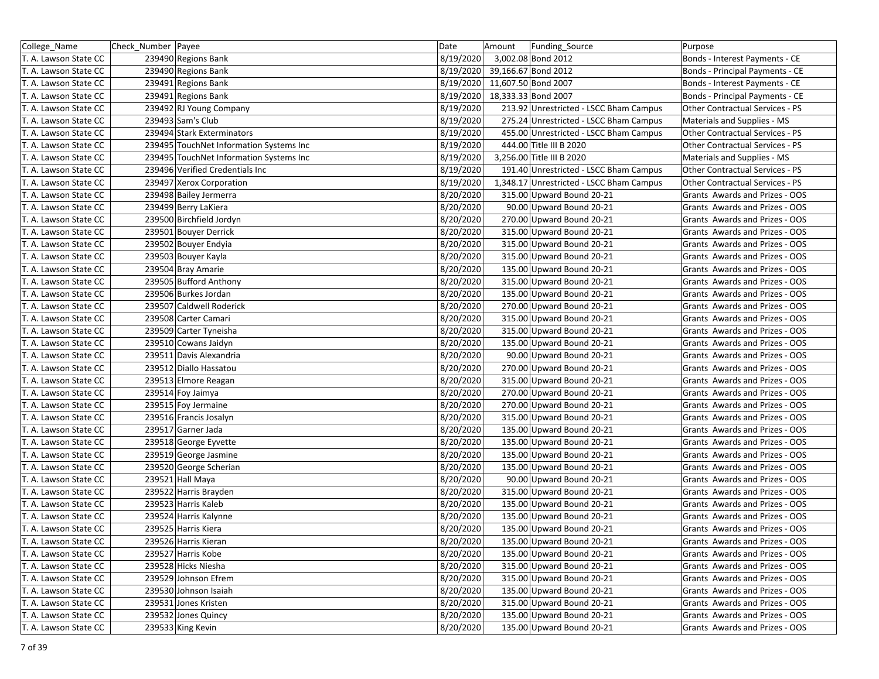| College_Name          | Check_Number Payee |                                         | Date      | Amount              | Funding Source                           | Purpose                                |
|-----------------------|--------------------|-----------------------------------------|-----------|---------------------|------------------------------------------|----------------------------------------|
| T. A. Lawson State CC |                    | 239490 Regions Bank                     | 8/19/2020 |                     | 3,002.08 Bond 2012                       | Bonds - Interest Payments - CE         |
| T. A. Lawson State CC |                    | 239490 Regions Bank                     | 8/19/2020 | 39,166.67 Bond 2012 |                                          | Bonds - Principal Payments - CE        |
| T. A. Lawson State CC |                    | 239491 Regions Bank                     | 8/19/2020 | 11,607.50 Bond 2007 |                                          | Bonds - Interest Payments - CE         |
| T. A. Lawson State CC |                    | 239491 Regions Bank                     | 8/19/2020 | 18,333.33 Bond 2007 |                                          | Bonds - Principal Payments - CE        |
| T. A. Lawson State CC |                    | 239492 RJ Young Company                 | 8/19/2020 |                     | 213.92 Unrestricted - LSCC Bham Campus   | <b>Other Contractual Services - PS</b> |
| T. A. Lawson State CC |                    | 239493 Sam's Club                       | 8/19/2020 |                     | 275.24 Unrestricted - LSCC Bham Campus   | Materials and Supplies - MS            |
| T. A. Lawson State CC |                    | 239494 Stark Exterminators              | 8/19/2020 |                     | 455.00 Unrestricted - LSCC Bham Campus   | <b>Other Contractual Services - PS</b> |
| T. A. Lawson State CC |                    | 239495 TouchNet Information Systems Inc | 8/19/2020 |                     | 444.00 Title III B 2020                  | <b>Other Contractual Services - PS</b> |
| T. A. Lawson State CC |                    | 239495 TouchNet Information Systems Inc | 8/19/2020 |                     | 3,256.00 Title III B 2020                | Materials and Supplies - MS            |
| T. A. Lawson State CC |                    | 239496 Verified Credentials Inc         | 8/19/2020 |                     | 191.40 Unrestricted - LSCC Bham Campus   | <b>Other Contractual Services - PS</b> |
| T. A. Lawson State CC |                    | 239497 Xerox Corporation                | 8/19/2020 |                     | 1,348.17 Unrestricted - LSCC Bham Campus | Other Contractual Services - PS        |
| T. A. Lawson State CC |                    | 239498 Bailey Jermerra                  | 8/20/2020 |                     | 315.00 Upward Bound 20-21                | Grants Awards and Prizes - OOS         |
| T. A. Lawson State CC |                    | 239499 Berry LaKiera                    | 8/20/2020 |                     | 90.00 Upward Bound 20-21                 | Grants Awards and Prizes - OOS         |
| T. A. Lawson State CC |                    | 239500 Birchfield Jordyn                | 8/20/2020 |                     | 270.00 Upward Bound 20-21                | Grants Awards and Prizes - OOS         |
| T. A. Lawson State CC |                    | 239501 Bouyer Derrick                   | 8/20/2020 |                     | 315.00 Upward Bound 20-21                | Grants Awards and Prizes - OOS         |
| T. A. Lawson State CC |                    | 239502 Bouyer Endyia                    | 8/20/2020 |                     | 315.00 Upward Bound 20-21                | Grants Awards and Prizes - OOS         |
| T. A. Lawson State CC |                    | 239503 Bouyer Kayla                     | 8/20/2020 |                     | 315.00 Upward Bound 20-21                | Grants Awards and Prizes - OOS         |
| T. A. Lawson State CC |                    | 239504 Bray Amarie                      | 8/20/2020 |                     | 135.00 Upward Bound 20-21                | Grants Awards and Prizes - OOS         |
| T. A. Lawson State CC |                    | 239505 Bufford Anthony                  | 8/20/2020 |                     | 315.00 Upward Bound 20-21                | Grants Awards and Prizes - OOS         |
| T. A. Lawson State CC |                    | 239506 Burkes Jordan                    | 8/20/2020 |                     | 135.00 Upward Bound 20-21                | Grants Awards and Prizes - OOS         |
| T. A. Lawson State CC |                    | 239507 Caldwell Roderick                | 8/20/2020 |                     | 270.00 Upward Bound 20-21                | Grants Awards and Prizes - OOS         |
| T. A. Lawson State CC |                    | 239508 Carter Camari                    | 8/20/2020 |                     | 315.00 Upward Bound 20-21                | Grants Awards and Prizes - OOS         |
| T. A. Lawson State CC |                    | 239509 Carter Tyneisha                  | 8/20/2020 |                     | 315.00 Upward Bound 20-21                | Grants Awards and Prizes - OOS         |
| T. A. Lawson State CC |                    | 239510 Cowans Jaidyn                    | 8/20/2020 |                     | 135.00 Upward Bound 20-21                | Grants Awards and Prizes - OOS         |
| T. A. Lawson State CC |                    | 239511 Davis Alexandria                 | 8/20/2020 |                     | 90.00 Upward Bound 20-21                 | Grants Awards and Prizes - OOS         |
| T. A. Lawson State CC |                    | 239512 Diallo Hassatou                  | 8/20/2020 |                     | 270.00 Upward Bound 20-21                | Grants Awards and Prizes - OOS         |
| T. A. Lawson State CC |                    | 239513 Elmore Reagan                    | 8/20/2020 |                     | 315.00 Upward Bound 20-21                | Grants Awards and Prizes - OOS         |
| T. A. Lawson State CC |                    | 239514 Foy Jaimya                       | 8/20/2020 |                     | 270.00 Upward Bound 20-21                | Grants Awards and Prizes - OOS         |
| T. A. Lawson State CC |                    | 239515 Foy Jermaine                     | 8/20/2020 |                     | 270.00 Upward Bound 20-21                | Grants Awards and Prizes - OOS         |
| T. A. Lawson State CC |                    | 239516 Francis Josalyn                  | 8/20/2020 |                     | 315.00 Upward Bound 20-21                | Grants Awards and Prizes - OOS         |
| T. A. Lawson State CC |                    | 239517 Garner Jada                      | 8/20/2020 |                     | 135.00 Upward Bound 20-21                | Grants Awards and Prizes - OOS         |
| T. A. Lawson State CC |                    | 239518 George Eyvette                   | 8/20/2020 |                     | 135.00 Upward Bound 20-21                | Grants Awards and Prizes - OOS         |
| T. A. Lawson State CC |                    | 239519 George Jasmine                   | 8/20/2020 |                     | 135.00 Upward Bound 20-21                | Grants Awards and Prizes - OOS         |
| T. A. Lawson State CC |                    | 239520 George Scherian                  | 8/20/2020 |                     | 135.00 Upward Bound 20-21                | Grants Awards and Prizes - OOS         |
| T. A. Lawson State CC |                    | 239521 Hall Maya                        | 8/20/2020 |                     | 90.00 Upward Bound 20-21                 | Grants Awards and Prizes - OOS         |
| T. A. Lawson State CC |                    | 239522 Harris Brayden                   | 8/20/2020 |                     | 315.00 Upward Bound 20-21                | Grants Awards and Prizes - OOS         |
| T. A. Lawson State CC |                    | 239523 Harris Kaleb                     | 8/20/2020 |                     | 135.00 Upward Bound 20-21                | Grants Awards and Prizes - OOS         |
| T. A. Lawson State CC |                    | 239524 Harris Kalynne                   | 8/20/2020 |                     | 135.00 Upward Bound 20-21                | Grants Awards and Prizes - OOS         |
| T. A. Lawson State CC |                    | 239525 Harris Kiera                     | 8/20/2020 |                     | 135.00 Upward Bound 20-21                | Grants Awards and Prizes - OOS         |
| T. A. Lawson State CC |                    | 239526 Harris Kieran                    | 8/20/2020 |                     | 135.00 Upward Bound 20-21                | Grants Awards and Prizes - OOS         |
| T. A. Lawson State CC |                    | 239527 Harris Kobe                      | 8/20/2020 |                     | 135.00 Upward Bound 20-21                | Grants Awards and Prizes - OOS         |
| T. A. Lawson State CC |                    | 239528 Hicks Niesha                     | 8/20/2020 |                     | 315.00 Upward Bound 20-21                | Grants Awards and Prizes - OOS         |
| T. A. Lawson State CC |                    | 239529 Johnson Efrem                    | 8/20/2020 |                     | 315.00 Upward Bound 20-21                | Grants Awards and Prizes - OOS         |
| T. A. Lawson State CC |                    | 239530 Johnson Isaiah                   | 8/20/2020 |                     | 135.00 Upward Bound 20-21                | Grants Awards and Prizes - OOS         |
| T. A. Lawson State CC |                    | 239531 Jones Kristen                    | 8/20/2020 |                     | 315.00 Upward Bound 20-21                | Grants Awards and Prizes - OOS         |
| T. A. Lawson State CC |                    | 239532 Jones Quincy                     | 8/20/2020 |                     | 135.00 Upward Bound 20-21                | Grants Awards and Prizes - OOS         |
| T. A. Lawson State CC |                    | 239533 King Kevin                       | 8/20/2020 |                     | 135.00 Upward Bound 20-21                | Grants Awards and Prizes - OOS         |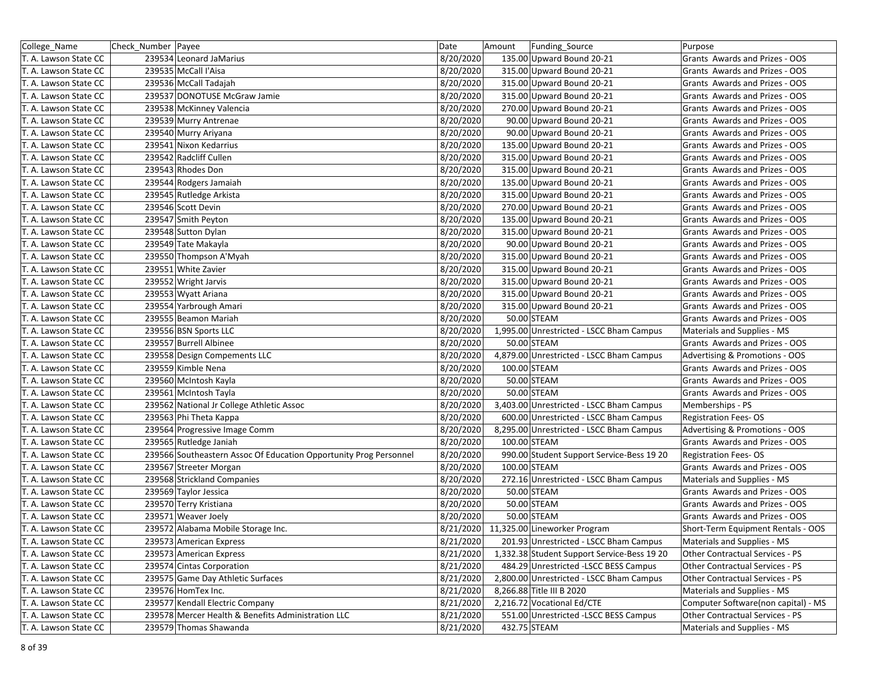| College_Name          | Check Number Payee |                                                                   | Date      | Amount       | Funding Source                              | Purpose                             |
|-----------------------|--------------------|-------------------------------------------------------------------|-----------|--------------|---------------------------------------------|-------------------------------------|
| T. A. Lawson State CC |                    | 239534 Leonard JaMarius                                           | 8/20/2020 |              | 135.00 Upward Bound 20-21                   | Grants Awards and Prizes - OOS      |
| T. A. Lawson State CC |                    | 239535 McCall I'Aisa                                              | 8/20/2020 |              | 315.00 Upward Bound 20-21                   | Grants Awards and Prizes - OOS      |
| T. A. Lawson State CC |                    | 239536 McCall Tadajah                                             | 8/20/2020 |              | 315.00 Upward Bound 20-21                   | Grants Awards and Prizes - OOS      |
| T. A. Lawson State CC |                    | 239537 DONOTUSE McGraw Jamie                                      | 8/20/2020 |              | 315.00 Upward Bound 20-21                   | Grants Awards and Prizes - OOS      |
| T. A. Lawson State CC |                    | 239538 McKinney Valencia                                          | 8/20/2020 |              | 270.00 Upward Bound 20-21                   | Grants Awards and Prizes - OOS      |
| T. A. Lawson State CC |                    | 239539 Murry Antrenae                                             | 8/20/2020 |              | 90.00 Upward Bound 20-21                    | Grants Awards and Prizes - OOS      |
| T. A. Lawson State CC |                    | 239540 Murry Ariyana                                              | 8/20/2020 |              | 90.00 Upward Bound 20-21                    | Grants Awards and Prizes - OOS      |
| T. A. Lawson State CC |                    | 239541 Nixon Kedarrius                                            | 8/20/2020 |              | 135.00 Upward Bound 20-21                   | Grants Awards and Prizes - OOS      |
| T. A. Lawson State CC |                    | 239542 Radcliff Cullen                                            | 8/20/2020 |              | 315.00 Upward Bound 20-21                   | Grants Awards and Prizes - OOS      |
| T. A. Lawson State CC |                    | 239543 Rhodes Don                                                 | 8/20/2020 |              | 315.00 Upward Bound 20-21                   | Grants Awards and Prizes - OOS      |
| T. A. Lawson State CC |                    | 239544 Rodgers Jamaiah                                            | 8/20/2020 |              | 135.00 Upward Bound 20-21                   | Grants Awards and Prizes - OOS      |
| T. A. Lawson State CC |                    | 239545 Rutledge Arkista                                           | 8/20/2020 |              | 315.00 Upward Bound 20-21                   | Grants Awards and Prizes - OOS      |
| T. A. Lawson State CC |                    | 239546 Scott Devin                                                | 8/20/2020 |              | 270.00 Upward Bound 20-21                   | Grants Awards and Prizes - OOS      |
| T. A. Lawson State CC |                    | 239547 Smith Peyton                                               | 8/20/2020 |              | 135.00 Upward Bound 20-21                   | Grants Awards and Prizes - OOS      |
| T. A. Lawson State CC |                    | 239548 Sutton Dylan                                               | 8/20/2020 |              | 315.00 Upward Bound 20-21                   | Grants Awards and Prizes - OOS      |
| T. A. Lawson State CC |                    | 239549 Tate Makayla                                               | 8/20/2020 |              | 90.00 Upward Bound 20-21                    | Grants Awards and Prizes - OOS      |
| T. A. Lawson State CC |                    | 239550 Thompson A'Myah                                            | 8/20/2020 |              | 315.00 Upward Bound 20-21                   | Grants Awards and Prizes - OOS      |
| T. A. Lawson State CC |                    | 239551 White Zavier                                               | 8/20/2020 |              | 315.00 Upward Bound 20-21                   | Grants Awards and Prizes - OOS      |
| T. A. Lawson State CC |                    | 239552 Wright Jarvis                                              | 8/20/2020 |              | 315.00 Upward Bound 20-21                   | Grants Awards and Prizes - OOS      |
| T. A. Lawson State CC |                    | 239553 Wyatt Ariana                                               | 8/20/2020 |              | 315.00 Upward Bound 20-21                   | Grants Awards and Prizes - OOS      |
| T. A. Lawson State CC |                    | 239554 Yarbrough Amari                                            | 8/20/2020 |              | 315.00 Upward Bound 20-21                   | Grants Awards and Prizes - OOS      |
| T. A. Lawson State CC |                    | 239555 Beamon Mariah                                              | 8/20/2020 |              | 50.00 STEAM                                 | Grants Awards and Prizes - OOS      |
| T. A. Lawson State CC |                    | 239556 BSN Sports LLC                                             | 8/20/2020 |              | 1,995.00 Unrestricted - LSCC Bham Campus    | <b>Materials and Supplies - MS</b>  |
| T. A. Lawson State CC |                    | 239557 Burrell Albinee                                            | 8/20/2020 |              | 50.00 STEAM                                 | Grants Awards and Prizes - OOS      |
| T. A. Lawson State CC |                    | 239558 Design Compements LLC                                      | 8/20/2020 |              | 4,879.00 Unrestricted - LSCC Bham Campus    | Advertising & Promotions - OOS      |
| T. A. Lawson State CC |                    | 239559 Kimble Nena                                                | 8/20/2020 | 100.00 STEAM |                                             | Grants Awards and Prizes - OOS      |
| T. A. Lawson State CC |                    | 239560 McIntosh Kayla                                             | 8/20/2020 |              | 50.00 STEAM                                 | Grants Awards and Prizes - OOS      |
| T. A. Lawson State CC |                    | 239561 McIntosh Tayla                                             | 8/20/2020 |              | 50.00 STEAM                                 | Grants Awards and Prizes - OOS      |
| T. A. Lawson State CC |                    | 239562 National Jr College Athletic Assoc                         | 8/20/2020 |              | 3,403.00 Unrestricted - LSCC Bham Campus    | Memberships - PS                    |
| T. A. Lawson State CC |                    | 239563 Phi Theta Kappa                                            | 8/20/2020 |              | 600.00 Unrestricted - LSCC Bham Campus      | <b>Registration Fees-OS</b>         |
| T. A. Lawson State CC |                    | 239564 Progressive Image Comm                                     | 8/20/2020 |              | 8,295.00 Unrestricted - LSCC Bham Campus    | Advertising & Promotions - OOS      |
| T. A. Lawson State CC |                    | 239565 Rutledge Janiah                                            | 8/20/2020 | 100.00 STEAM |                                             | Grants Awards and Prizes - OOS      |
| T. A. Lawson State CC |                    | 239566 Southeastern Assoc Of Education Opportunity Prog Personnel | 8/20/2020 |              | 990.00 Student Support Service-Bess 19 20   | <b>Registration Fees-OS</b>         |
| T. A. Lawson State CC |                    | 239567 Streeter Morgan                                            | 8/20/2020 | 100.00 STEAM |                                             | Grants Awards and Prizes - OOS      |
| T. A. Lawson State CC |                    | 239568 Strickland Companies                                       | 8/20/2020 |              | 272.16 Unrestricted - LSCC Bham Campus      | Materials and Supplies - MS         |
| T. A. Lawson State CC |                    | 239569 Taylor Jessica                                             | 8/20/2020 |              | 50.00 STEAM                                 | Grants Awards and Prizes - OOS      |
| T. A. Lawson State CC |                    | 239570 Terry Kristiana                                            | 8/20/2020 |              | 50.00 STEAM                                 | Grants Awards and Prizes - OOS      |
| T. A. Lawson State CC |                    | 239571 Weaver Joely                                               | 8/20/2020 |              | 50.00 STEAM                                 | Grants Awards and Prizes - OOS      |
| T. A. Lawson State CC |                    | 239572 Alabama Mobile Storage Inc.                                |           |              | 8/21/2020 11,325.00 Lineworker Program      | Short-Term Equipment Rentals - OOS  |
| T. A. Lawson State CC |                    | 239573 American Express                                           | 8/21/2020 |              | 201.93 Unrestricted - LSCC Bham Campus      | Materials and Supplies - MS         |
| T. A. Lawson State CC |                    | 239573 American Express                                           | 8/21/2020 |              | 1,332.38 Student Support Service-Bess 19 20 | Other Contractual Services - PS     |
| T. A. Lawson State CC |                    | 239574 Cintas Corporation                                         | 8/21/2020 |              | 484.29 Unrestricted -LSCC BESS Campus       | Other Contractual Services - PS     |
| T. A. Lawson State CC |                    | 239575 Game Day Athletic Surfaces                                 | 8/21/2020 |              | 2,800.00 Unrestricted - LSCC Bham Campus    | Other Contractual Services - PS     |
| T. A. Lawson State CC |                    | 239576 HomTex Inc.                                                | 8/21/2020 |              | 8,266.88 Title III B 2020                   | Materials and Supplies - MS         |
| T. A. Lawson State CC |                    | 239577 Kendall Electric Company                                   | 8/21/2020 |              | 2,216.72 Vocational Ed/CTE                  | Computer Software(non capital) - MS |
| T. A. Lawson State CC |                    | 239578 Mercer Health & Benefits Administration LLC                | 8/21/2020 |              | 551.00 Unrestricted -LSCC BESS Campus       | Other Contractual Services - PS     |
| T. A. Lawson State CC |                    | 239579 Thomas Shawanda                                            | 8/21/2020 | 432.75 STEAM |                                             | Materials and Supplies - MS         |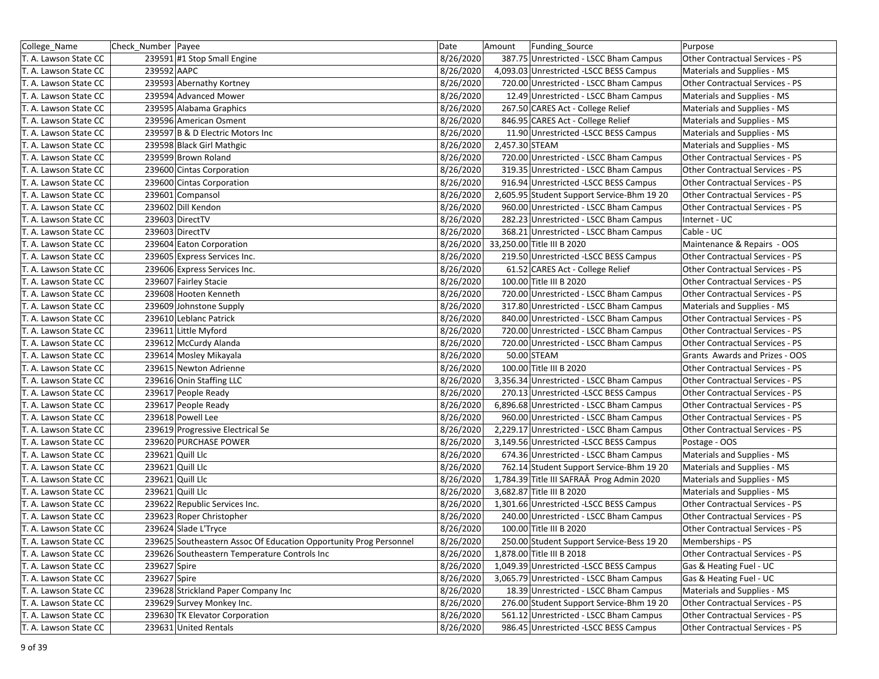| College_Name          | Check_Number   Payee |                                                                   | Date      | Amount         | <b>Funding Source</b>                      | Purpose                                |
|-----------------------|----------------------|-------------------------------------------------------------------|-----------|----------------|--------------------------------------------|----------------------------------------|
| T. A. Lawson State CC |                      | 239591 #1 Stop Small Engine                                       | 8/26/2020 |                | 387.75 Unrestricted - LSCC Bham Campus     | Other Contractual Services - PS        |
| T. A. Lawson State CC | 239592 AAPC          |                                                                   | 8/26/2020 |                | 4,093.03 Unrestricted -LSCC BESS Campus    | Materials and Supplies - MS            |
| T. A. Lawson State CC |                      | 239593 Abernathy Kortney                                          | 8/26/2020 |                | 720.00 Unrestricted - LSCC Bham Campus     | Other Contractual Services - PS        |
| T. A. Lawson State CC |                      | 239594 Advanced Mower                                             | 8/26/2020 |                | 12.49 Unrestricted - LSCC Bham Campus      | Materials and Supplies - MS            |
| T. A. Lawson State CC |                      | 239595 Alabama Graphics                                           | 8/26/2020 |                | 267.50 CARES Act - College Relief          | Materials and Supplies - MS            |
| T. A. Lawson State CC |                      | 239596 American Osment                                            | 8/26/2020 |                | 846.95 CARES Act - College Relief          | Materials and Supplies - MS            |
| T. A. Lawson State CC |                      | 239597 B & D Electric Motors Inc                                  | 8/26/2020 |                | 11.90 Unrestricted - LSCC BESS Campus      | Materials and Supplies - MS            |
| T. A. Lawson State CC |                      | 239598 Black Girl Mathgic                                         | 8/26/2020 | 2,457.30 STEAM |                                            | Materials and Supplies - MS            |
| T. A. Lawson State CC |                      | 239599 Brown Roland                                               | 8/26/2020 |                | 720.00 Unrestricted - LSCC Bham Campus     | Other Contractual Services - PS        |
| T. A. Lawson State CC |                      | 239600 Cintas Corporation                                         | 8/26/2020 |                | 319.35 Unrestricted - LSCC Bham Campus     | <b>Other Contractual Services - PS</b> |
| T. A. Lawson State CC |                      | 239600 Cintas Corporation                                         | 8/26/2020 |                | 916.94 Unrestricted -LSCC BESS Campus      | Other Contractual Services - PS        |
| T. A. Lawson State CC |                      | 239601 Compansol                                                  | 8/26/2020 |                | 2,605.95 Student Support Service-Bhm 19 20 | Other Contractual Services - PS        |
| T. A. Lawson State CC |                      | 239602 Dill Kendon                                                | 8/26/2020 |                | 960.00 Unrestricted - LSCC Bham Campus     | Other Contractual Services - PS        |
| T. A. Lawson State CC |                      | 239603 DirectTV                                                   | 8/26/2020 |                | 282.23 Unrestricted - LSCC Bham Campus     | Internet - UC                          |
| T. A. Lawson State CC |                      | 239603 DirectTV                                                   | 8/26/2020 |                | 368.21 Unrestricted - LSCC Bham Campus     | Cable - UC                             |
| T. A. Lawson State CC |                      | 239604 Eaton Corporation                                          | 8/26/2020 |                | 33,250.00 Title III B 2020                 | Maintenance & Repairs - OOS            |
| T. A. Lawson State CC |                      | 239605 Express Services Inc.                                      | 8/26/2020 |                | 219.50 Unrestricted -LSCC BESS Campus      | Other Contractual Services - PS        |
| T. A. Lawson State CC |                      | 239606 Express Services Inc.                                      | 8/26/2020 |                | 61.52 CARES Act - College Relief           | <b>Other Contractual Services - PS</b> |
| T. A. Lawson State CC |                      | 239607 Fairley Stacie                                             | 8/26/2020 |                | 100.00 Title III B 2020                    | <b>Other Contractual Services - PS</b> |
| T. A. Lawson State CC |                      | 239608 Hooten Kenneth                                             | 8/26/2020 |                | 720.00 Unrestricted - LSCC Bham Campus     | Other Contractual Services - PS        |
| T. A. Lawson State CC |                      | 239609 Johnstone Supply                                           | 8/26/2020 |                | 317.80 Unrestricted - LSCC Bham Campus     | Materials and Supplies - MS            |
| T. A. Lawson State CC |                      | 239610 Leblanc Patrick                                            | 8/26/2020 |                | 840.00 Unrestricted - LSCC Bham Campus     | Other Contractual Services - PS        |
| T. A. Lawson State CC |                      | 239611 Little Myford                                              | 8/26/2020 |                | 720.00 Unrestricted - LSCC Bham Campus     | <b>Other Contractual Services - PS</b> |
| T. A. Lawson State CC |                      | 239612 McCurdy Alanda                                             | 8/26/2020 |                | 720.00 Unrestricted - LSCC Bham Campus     | <b>Other Contractual Services - PS</b> |
| T. A. Lawson State CC |                      | 239614 Mosley Mikayala                                            | 8/26/2020 |                | 50.00 STEAM                                | Grants Awards and Prizes - OOS         |
| T. A. Lawson State CC |                      | 239615 Newton Adrienne                                            | 8/26/2020 |                | 100.00 Title III B 2020                    | Other Contractual Services - PS        |
| T. A. Lawson State CC |                      | 239616 Onin Staffing LLC                                          | 8/26/2020 |                | 3,356.34 Unrestricted - LSCC Bham Campus   | <b>Other Contractual Services - PS</b> |
| T. A. Lawson State CC |                      | 239617 People Ready                                               | 8/26/2020 |                | 270.13 Unrestricted -LSCC BESS Campus      | <b>Other Contractual Services - PS</b> |
| T. A. Lawson State CC |                      | 239617 People Ready                                               | 8/26/2020 |                | 6,896.68 Unrestricted - LSCC Bham Campus   | Other Contractual Services - PS        |
| T. A. Lawson State CC |                      | 239618 Powell Lee                                                 | 8/26/2020 |                | 960.00 Unrestricted - LSCC Bham Campus     | <b>Other Contractual Services - PS</b> |
| T. A. Lawson State CC |                      | 239619 Progressive Electrical Se                                  | 8/26/2020 |                | 2,229.17 Unrestricted - LSCC Bham Campus   | Other Contractual Services - PS        |
| T. A. Lawson State CC |                      | 239620 PURCHASE POWER                                             | 8/26/2020 |                | 3,149.56 Unrestricted -LSCC BESS Campus    | Postage - OOS                          |
| T. A. Lawson State CC |                      | 239621 Quill Llc                                                  | 8/26/2020 |                | 674.36 Unrestricted - LSCC Bham Campus     | Materials and Supplies - MS            |
| T. A. Lawson State CC |                      | 239621 Quill Llc                                                  | 8/26/2020 |                | 762.14 Student Support Service-Bhm 19 20   | Materials and Supplies - MS            |
| T. A. Lawson State CC |                      | 239621 Quill Llc                                                  | 8/26/2020 |                | 1,784.39 Title III SAFRAÂ Prog Admin 2020  | Materials and Supplies - MS            |
| T. A. Lawson State CC |                      | 239621 Quill Llc                                                  | 8/26/2020 |                | 3,682.87 Title III B 2020                  | Materials and Supplies - MS            |
| T. A. Lawson State CC |                      | 239622 Republic Services Inc.                                     | 8/26/2020 |                | 1,301.66 Unrestricted -LSCC BESS Campus    | Other Contractual Services - PS        |
| T. A. Lawson State CC |                      | 239623 Roper Christopher                                          | 8/26/2020 |                | 240.00 Unrestricted - LSCC Bham Campus     | Other Contractual Services - PS        |
| T. A. Lawson State CC |                      | 239624 Slade L'Tryce                                              | 8/26/2020 |                | 100.00 Title III B 2020                    | <b>Other Contractual Services - PS</b> |
| T. A. Lawson State CC |                      | 239625 Southeastern Assoc Of Education Opportunity Prog Personnel | 8/26/2020 |                | 250.00 Student Support Service-Bess 19 20  | Memberships - PS                       |
| T. A. Lawson State CC |                      | 239626 Southeastern Temperature Controls Inc                      | 8/26/2020 |                | 1,878.00 Title III B 2018                  | Other Contractual Services - PS        |
| T. A. Lawson State CC | 239627 Spire         |                                                                   | 8/26/2020 |                | 1,049.39 Unrestricted - LSCC BESS Campus   | Gas & Heating Fuel - UC                |
| T. A. Lawson State CC | 239627 Spire         |                                                                   | 8/26/2020 |                | 3,065.79 Unrestricted - LSCC Bham Campus   | Gas & Heating Fuel - UC                |
| T. A. Lawson State CC |                      | 239628 Strickland Paper Company Inc                               | 8/26/2020 |                | 18.39 Unrestricted - LSCC Bham Campus      | Materials and Supplies - MS            |
| T. A. Lawson State CC |                      | 239629 Survey Monkey Inc.                                         | 8/26/2020 |                | 276.00 Student Support Service-Bhm 19 20   | Other Contractual Services - PS        |
| T. A. Lawson State CC |                      | 239630 TK Elevator Corporation                                    | 8/26/2020 |                | 561.12 Unrestricted - LSCC Bham Campus     | Other Contractual Services - PS        |
| T. A. Lawson State CC |                      | 239631 United Rentals                                             | 8/26/2020 |                | 986.45 Unrestricted -LSCC BESS Campus      | Other Contractual Services - PS        |
|                       |                      |                                                                   |           |                |                                            |                                        |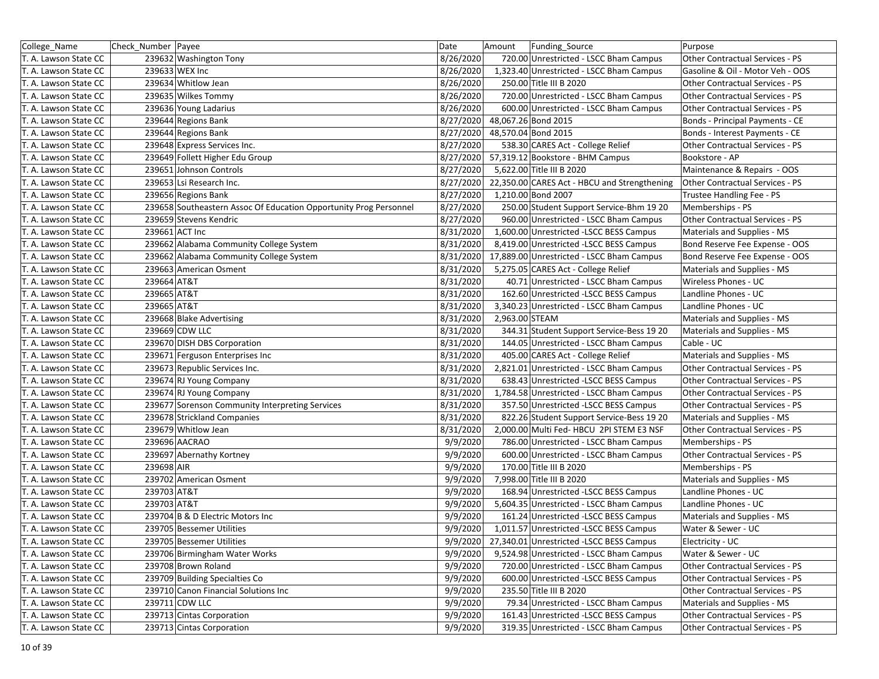| College_Name          | Check_Number   Payee |                                                                   | Date      | Amount         | Funding Source                                     | Purpose                                |
|-----------------------|----------------------|-------------------------------------------------------------------|-----------|----------------|----------------------------------------------------|----------------------------------------|
| T. A. Lawson State CC |                      | 239632 Washington Tony                                            | 8/26/2020 |                | 720.00 Unrestricted - LSCC Bham Campus             | Other Contractual Services - PS        |
| T. A. Lawson State CC |                      | 239633 WEX Inc                                                    | 8/26/2020 |                | 1,323.40 Unrestricted - LSCC Bham Campus           | Gasoline & Oil - Motor Veh - OOS       |
| T. A. Lawson State CC |                      | 239634 Whitlow Jean                                               | 8/26/2020 |                | 250.00 Title III B 2020                            | Other Contractual Services - PS        |
| T. A. Lawson State CC |                      | 239635 Wilkes Tommy                                               | 8/26/2020 |                | 720.00 Unrestricted - LSCC Bham Campus             | Other Contractual Services - PS        |
| T. A. Lawson State CC |                      | 239636 Young Ladarius                                             | 8/26/2020 |                | 600.00 Unrestricted - LSCC Bham Campus             | <b>Other Contractual Services - PS</b> |
| T. A. Lawson State CC |                      | 239644 Regions Bank                                               | 8/27/2020 |                | 48,067.26 Bond 2015                                | Bonds - Principal Payments - CE        |
| T. A. Lawson State CC |                      | 239644 Regions Bank                                               | 8/27/2020 |                | 48,570.04 Bond 2015                                | Bonds - Interest Payments - CE         |
| T. A. Lawson State CC |                      | 239648 Express Services Inc.                                      | 8/27/2020 |                | 538.30 CARES Act - College Relief                  | <b>Other Contractual Services - PS</b> |
| T. A. Lawson State CC |                      | 239649 Follett Higher Edu Group                                   | 8/27/2020 |                | 57,319.12 Bookstore - BHM Campus                   | Bookstore - AP                         |
| T. A. Lawson State CC |                      | 239651 Johnson Controls                                           | 8/27/2020 |                | 5.622.00 Title III B 2020                          | Maintenance & Repairs - OOS            |
| T. A. Lawson State CC |                      | 239653 Lsi Research Inc.                                          | 8/27/2020 |                | 22,350.00 CARES Act - HBCU and Strengthening       | <b>Other Contractual Services - PS</b> |
| T. A. Lawson State CC |                      | 239656 Regions Bank                                               | 8/27/2020 |                | 1,210.00 Bond 2007                                 | Trustee Handling Fee - PS              |
| T. A. Lawson State CC |                      | 239658 Southeastern Assoc Of Education Opportunity Prog Personnel | 8/27/2020 |                | 250.00 Student Support Service-Bhm 19 20           | Memberships - PS                       |
| T. A. Lawson State CC |                      | 239659 Stevens Kendric                                            | 8/27/2020 |                | 960.00 Unrestricted - LSCC Bham Campus             | Other Contractual Services - PS        |
| T. A. Lawson State CC |                      | 239661 ACT Inc                                                    | 8/31/2020 |                | 1,600.00 Unrestricted -LSCC BESS Campus            | Materials and Supplies - MS            |
| T. A. Lawson State CC |                      | 239662 Alabama Community College System                           | 8/31/2020 |                | 8,419.00 Unrestricted -LSCC BESS Campus            | Bond Reserve Fee Expense - OOS         |
| T. A. Lawson State CC |                      | 239662 Alabama Community College System                           | 8/31/2020 |                | 17,889.00 Unrestricted - LSCC Bham Campus          | Bond Reserve Fee Expense - OOS         |
| T. A. Lawson State CC |                      | 239663 American Osment                                            | 8/31/2020 |                | 5,275.05 CARES Act - College Relief                | Materials and Supplies - MS            |
| T. A. Lawson State CC | 239664 AT&T          |                                                                   | 8/31/2020 |                | 40.71 Unrestricted - LSCC Bham Campus              | Wireless Phones - UC                   |
| T. A. Lawson State CC | 239665 AT&T          |                                                                   | 8/31/2020 |                | 162.60 Unrestricted -LSCC BESS Campus              | Landline Phones - UC                   |
| T. A. Lawson State CC | 239665 AT&T          |                                                                   | 8/31/2020 |                | 3,340.23 Unrestricted - LSCC Bham Campus           | Landline Phones - UC                   |
| T. A. Lawson State CC |                      | 239668 Blake Advertising                                          | 8/31/2020 | 2,963.00 STEAM |                                                    | Materials and Supplies - MS            |
| T. A. Lawson State CC |                      | 239669 CDW LLC                                                    | 8/31/2020 |                | 344.31 Student Support Service-Bess 19 20          | Materials and Supplies - MS            |
| T. A. Lawson State CC |                      | 239670 DISH DBS Corporation                                       | 8/31/2020 |                | 144.05 Unrestricted - LSCC Bham Campus             | Cable - UC                             |
| T. A. Lawson State CC |                      | 239671 Ferguson Enterprises Inc                                   | 8/31/2020 |                | 405.00 CARES Act - College Relief                  | Materials and Supplies - MS            |
| T. A. Lawson State CC |                      | 239673 Republic Services Inc.                                     | 8/31/2020 |                | 2,821.01 Unrestricted - LSCC Bham Campus           | Other Contractual Services - PS        |
| T. A. Lawson State CC |                      | 239674 RJ Young Company                                           | 8/31/2020 |                | 638.43 Unrestricted -LSCC BESS Campus              | Other Contractual Services - PS        |
| T. A. Lawson State CC |                      | 239674 RJ Young Company                                           | 8/31/2020 |                | 1,784.58 Unrestricted - LSCC Bham Campus           | Other Contractual Services - PS        |
| T. A. Lawson State CC |                      | 239677 Sorenson Community Interpreting Services                   | 8/31/2020 |                | 357.50 Unrestricted -LSCC BESS Campus              | Other Contractual Services - PS        |
| T. A. Lawson State CC |                      | 239678 Strickland Companies                                       | 8/31/2020 |                | 822.26 Student Support Service-Bess 19 20          | Materials and Supplies - MS            |
| T. A. Lawson State CC |                      | 239679 Whitlow Jean                                               | 8/31/2020 |                | 2,000.00 Multi Fed- HBCU 2PI STEM E3 NSF           | Other Contractual Services - PS        |
| T. A. Lawson State CC |                      | 239696 AACRAO                                                     | 9/9/2020  |                | 786.00 Unrestricted - LSCC Bham Campus             | Memberships - PS                       |
| T. A. Lawson State CC |                      | 239697 Abernathy Kortney                                          | 9/9/2020  |                | 600.00 Unrestricted - LSCC Bham Campus             | Other Contractual Services - PS        |
| T. A. Lawson State CC | 239698 AIR           |                                                                   | 9/9/2020  |                | 170.00 Title III B 2020                            | Memberships - PS                       |
| T. A. Lawson State CC |                      | 239702 American Osment                                            | 9/9/2020  |                | 7.998.00 Title III B 2020                          | Materials and Supplies - MS            |
| T. A. Lawson State CC | 239703 AT&T          |                                                                   | 9/9/2020  |                | 168.94 Unrestricted -LSCC BESS Campus              | Landline Phones - UC                   |
| T. A. Lawson State CC | 239703 AT&T          |                                                                   | 9/9/2020  |                | 5,604.35 Unrestricted - LSCC Bham Campus           | Landline Phones - UC                   |
| T. A. Lawson State CC |                      | 239704 B & D Electric Motors Inc                                  | 9/9/2020  |                | 161.24 Unrestricted -LSCC BESS Campus              | Materials and Supplies - MS            |
| T. A. Lawson State CC |                      | 239705 Bessemer Utilities                                         | 9/9/2020  |                | 1,011.57 Unrestricted -LSCC BESS Campus            | Water & Sewer - UC                     |
| T. A. Lawson State CC |                      | 239705 Bessemer Utilities                                         |           |                | 9/9/2020 27,340.01 Unrestricted - LSCC BESS Campus | Electricity - UC                       |
| T. A. Lawson State CC |                      | 239706 Birmingham Water Works                                     | 9/9/2020  |                | 9,524.98 Unrestricted - LSCC Bham Campus           | Water & Sewer - UC                     |
| T. A. Lawson State CC |                      | 239708 Brown Roland                                               | 9/9/2020  |                | 720.00 Unrestricted - LSCC Bham Campus             | Other Contractual Services - PS        |
| T. A. Lawson State CC |                      | 239709 Building Specialties Co                                    | 9/9/2020  |                | 600.00 Unrestricted -LSCC BESS Campus              | Other Contractual Services - PS        |
| T. A. Lawson State CC |                      | 239710 Canon Financial Solutions Inc                              | 9/9/2020  |                | 235.50 Title III B 2020                            | Other Contractual Services - PS        |
| T. A. Lawson State CC |                      | 239711 CDW LLC                                                    | 9/9/2020  |                | 79.34 Unrestricted - LSCC Bham Campus              | Materials and Supplies - MS            |
| T. A. Lawson State CC |                      | 239713 Cintas Corporation                                         | 9/9/2020  |                | 161.43 Unrestricted -LSCC BESS Campus              | Other Contractual Services - PS        |
| T. A. Lawson State CC |                      | 239713 Cintas Corporation                                         | 9/9/2020  |                | 319.35 Unrestricted - LSCC Bham Campus             | Other Contractual Services - PS        |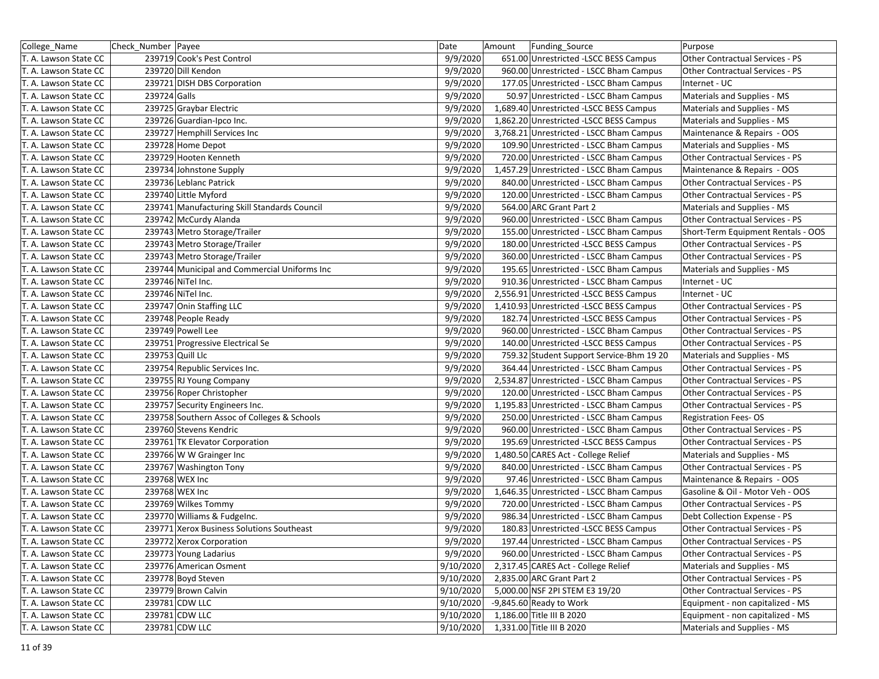| College_Name          | Check Number Payee                           | Date      | Amount | <b>Funding Source</b>                    | Purpose                                |
|-----------------------|----------------------------------------------|-----------|--------|------------------------------------------|----------------------------------------|
| T. A. Lawson State CC | 239719 Cook's Pest Control                   | 9/9/2020  |        | 651.00 Unrestricted -LSCC BESS Campus    | Other Contractual Services - PS        |
| T. A. Lawson State CC | 239720 Dill Kendon                           | 9/9/2020  |        | 960.00 Unrestricted - LSCC Bham Campus   | Other Contractual Services - PS        |
| T. A. Lawson State CC | 239721 DISH DBS Corporation                  | 9/9/2020  |        | 177.05 Unrestricted - LSCC Bham Campus   | Internet - UC                          |
| T. A. Lawson State CC | 239724 Galls                                 | 9/9/2020  |        | 50.97 Unrestricted - LSCC Bham Campus    | Materials and Supplies - MS            |
| T. A. Lawson State CC | 239725 Graybar Electric                      | 9/9/2020  |        | 1,689.40 Unrestricted - LSCC BESS Campus | Materials and Supplies - MS            |
| T. A. Lawson State CC | 239726 Guardian-Ipco Inc.                    | 9/9/2020  |        | 1,862.20 Unrestricted -LSCC BESS Campus  | Materials and Supplies - MS            |
| T. A. Lawson State CC | 239727 Hemphill Services Inc                 | 9/9/2020  |        | 3,768.21 Unrestricted - LSCC Bham Campus | Maintenance & Repairs - OOS            |
| T. A. Lawson State CC | 239728 Home Depot                            | 9/9/2020  |        | 109.90 Unrestricted - LSCC Bham Campus   | Materials and Supplies - MS            |
| T. A. Lawson State CC | 239729 Hooten Kenneth                        | 9/9/2020  |        | 720.00 Unrestricted - LSCC Bham Campus   | <b>Other Contractual Services - PS</b> |
| T. A. Lawson State CC | 239734 Johnstone Supply                      | 9/9/2020  |        | 1,457.29 Unrestricted - LSCC Bham Campus | Maintenance & Repairs - OOS            |
| T. A. Lawson State CC | 239736 Leblanc Patrick                       | 9/9/2020  |        | 840.00 Unrestricted - LSCC Bham Campus   | <b>Other Contractual Services - PS</b> |
| T. A. Lawson State CC | 239740 Little Myford                         | 9/9/2020  |        | 120.00 Unrestricted - LSCC Bham Campus   | Other Contractual Services - PS        |
| T. A. Lawson State CC | 239741 Manufacturing Skill Standards Council | 9/9/2020  |        | 564.00 ARC Grant Part 2                  | Materials and Supplies - MS            |
| T. A. Lawson State CC | 239742 McCurdy Alanda                        | 9/9/2020  |        | 960.00 Unrestricted - LSCC Bham Campus   | Other Contractual Services - PS        |
| T. A. Lawson State CC | 239743 Metro Storage/Trailer                 | 9/9/2020  |        | 155.00 Unrestricted - LSCC Bham Campus   | Short-Term Equipment Rentals - OOS     |
| T. A. Lawson State CC | 239743 Metro Storage/Trailer                 | 9/9/2020  |        | 180.00 Unrestricted -LSCC BESS Campus    | Other Contractual Services - PS        |
| T. A. Lawson State CC | 239743 Metro Storage/Trailer                 | 9/9/2020  |        | 360.00 Unrestricted - LSCC Bham Campus   | Other Contractual Services - PS        |
| T. A. Lawson State CC | 239744 Municipal and Commercial Uniforms Inc | 9/9/2020  |        | 195.65 Unrestricted - LSCC Bham Campus   | Materials and Supplies - MS            |
| T. A. Lawson State CC | 239746 NiTel Inc.                            | 9/9/2020  |        | 910.36 Unrestricted - LSCC Bham Campus   | Internet - UC                          |
| T. A. Lawson State CC | 239746 NiTel Inc.                            | 9/9/2020  |        | 2,556.91 Unrestricted - LSCC BESS Campus | Internet - UC                          |
| T. A. Lawson State CC | 239747 Onin Staffing LLC                     | 9/9/2020  |        | 1,410.93 Unrestricted -LSCC BESS Campus  | Other Contractual Services - PS        |
| T. A. Lawson State CC | 239748 People Ready                          | 9/9/2020  |        | 182.74 Unrestricted -LSCC BESS Campus    | Other Contractual Services - PS        |
| T. A. Lawson State CC | 239749 Powell Lee                            | 9/9/2020  |        | 960.00 Unrestricted - LSCC Bham Campus   | Other Contractual Services - PS        |
| T. A. Lawson State CC | 239751 Progressive Electrical Se             | 9/9/2020  |        | 140.00 Unrestricted -LSCC BESS Campus    | Other Contractual Services - PS        |
| T. A. Lawson State CC | 239753 Quill Llc                             | 9/9/2020  |        | 759.32 Student Support Service-Bhm 19 20 | Materials and Supplies - MS            |
| T. A. Lawson State CC | 239754 Republic Services Inc.                | 9/9/2020  |        | 364.44 Unrestricted - LSCC Bham Campus   | Other Contractual Services - PS        |
| T. A. Lawson State CC | 239755 RJ Young Company                      | 9/9/2020  |        | 2,534.87 Unrestricted - LSCC Bham Campus | <b>Other Contractual Services - PS</b> |
| T. A. Lawson State CC | 239756 Roper Christopher                     | 9/9/2020  |        | 120.00 Unrestricted - LSCC Bham Campus   | <b>Other Contractual Services - PS</b> |
| T. A. Lawson State CC | 239757 Security Engineers Inc.               | 9/9/2020  |        | 1,195.83 Unrestricted - LSCC Bham Campus | <b>Other Contractual Services - PS</b> |
| T. A. Lawson State CC | 239758 Southern Assoc of Colleges & Schools  | 9/9/2020  |        | 250.00 Unrestricted - LSCC Bham Campus   | Registration Fees-OS                   |
| T. A. Lawson State CC | 239760 Stevens Kendric                       | 9/9/2020  |        | 960.00 Unrestricted - LSCC Bham Campus   | Other Contractual Services - PS        |
| T. A. Lawson State CC | 239761 TK Elevator Corporation               | 9/9/2020  |        | 195.69 Unrestricted -LSCC BESS Campus    | Other Contractual Services - PS        |
| T. A. Lawson State CC | 239766 W W Grainger Inc                      | 9/9/2020  |        | 1,480.50 CARES Act - College Relief      | Materials and Supplies - MS            |
| T. A. Lawson State CC | 239767 Washington Tony                       | 9/9/2020  |        | 840.00 Unrestricted - LSCC Bham Campus   | <b>Other Contractual Services - PS</b> |
| T. A. Lawson State CC | 239768 WEX Inc                               | 9/9/2020  |        | 97.46 Unrestricted - LSCC Bham Campus    | Maintenance & Repairs - OOS            |
| T. A. Lawson State CC | 239768 WEX Inc                               | 9/9/2020  |        | 1,646.35 Unrestricted - LSCC Bham Campus | Gasoline & Oil - Motor Veh - OOS       |
| T. A. Lawson State CC | 239769 Wilkes Tommy                          | 9/9/2020  |        | 720.00 Unrestricted - LSCC Bham Campus   | Other Contractual Services - PS        |
| T. A. Lawson State CC | 239770 Williams & Fudgelnc.                  | 9/9/2020  |        | 986.34 Unrestricted - LSCC Bham Campus   | Debt Collection Expense - PS           |
| T. A. Lawson State CC | 239771 Xerox Business Solutions Southeast    | 9/9/2020  |        | 180.83 Unrestricted - LSCC BESS Campus   | <b>Other Contractual Services - PS</b> |
| T. A. Lawson State CC | 239772 Xerox Corporation                     | 9/9/2020  |        | 197.44 Unrestricted - LSCC Bham Campus   | Other Contractual Services - PS        |
| T. A. Lawson State CC | 239773 Young Ladarius                        | 9/9/2020  |        | 960.00 Unrestricted - LSCC Bham Campus   | Other Contractual Services - PS        |
| T. A. Lawson State CC | 239776 American Osment                       | 9/10/2020 |        | 2,317.45 CARES Act - College Relief      | Materials and Supplies - MS            |
| T. A. Lawson State CC | 239778 Boyd Steven                           | 9/10/2020 |        | 2,835.00 ARC Grant Part 2                | Other Contractual Services - PS        |
| T. A. Lawson State CC | 239779 Brown Calvin                          | 9/10/2020 |        | 5,000.00 NSF 2PI STEM E3 19/20           | Other Contractual Services - PS        |
| T. A. Lawson State CC | 239781 CDW LLC                               | 9/10/2020 |        | $-9,845.60$ Ready to Work                | Equipment - non capitalized - MS       |
| T. A. Lawson State CC | 239781 CDW LLC                               | 9/10/2020 |        | 1,186.00 Title III B 2020                | Equipment - non capitalized - MS       |
| T. A. Lawson State CC | 239781 CDW LLC                               | 9/10/2020 |        | 1,331.00 Title III B 2020                | Materials and Supplies - MS            |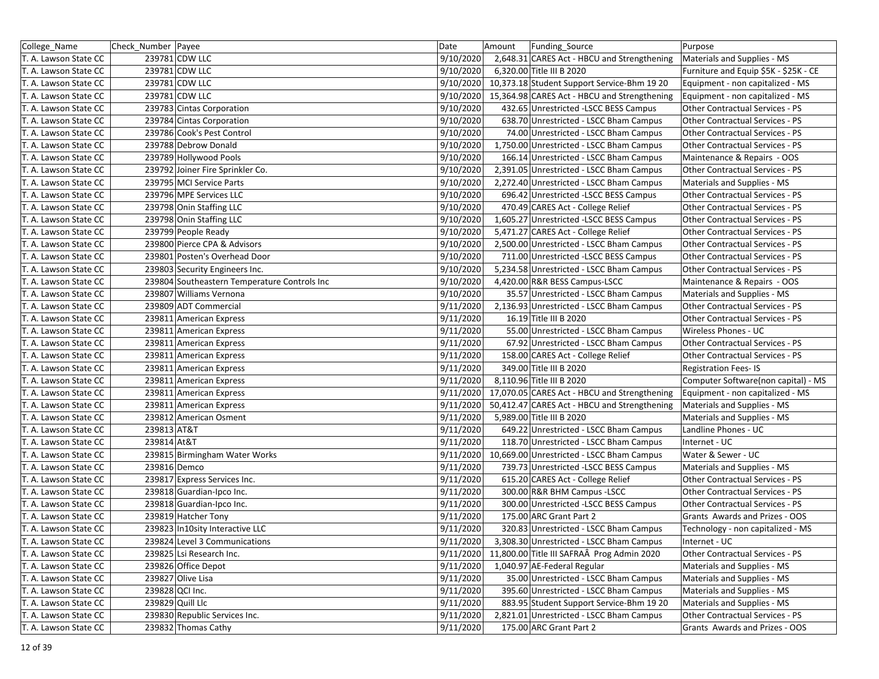| 239781 CDW LLC<br>9/10/2020<br>2,648.31 CARES Act - HBCU and Strengthening<br>T. A. Lawson State CC<br>Materials and Supplies - MS<br>239781 CDW LLC<br>9/10/2020<br>6,320.00 Title III B 2020<br>T. A. Lawson State CC<br>Furniture and Equip \$5K - \$25K - CE<br>239781 CDW LLC<br>9/10/2020<br>10,373.18 Student Support Service-Bhm 19 20<br>Equipment - non capitalized - MS<br>239781 CDW LLC<br>9/10/2020<br>T. A. Lawson State CC<br>15,364.98 CARES Act - HBCU and Strengthening<br>Equipment - non capitalized - MS<br>9/10/2020<br>T. A. Lawson State CC<br>239783 Cintas Corporation<br>432.65 Unrestricted -LSCC BESS Campus<br>Other Contractual Services - PS<br>T. A. Lawson State CC<br>239784 Cintas Corporation<br>9/10/2020<br>638.70 Unrestricted - LSCC Bham Campus<br>Other Contractual Services - PS<br>239786 Cook's Pest Control<br>9/10/2020<br>T. A. Lawson State CC<br>74.00 Unrestricted - LSCC Bham Campus<br>Other Contractual Services - PS<br>239788 Debrow Donald<br>9/10/2020<br>Other Contractual Services - PS<br>T. A. Lawson State CC<br>1,750.00 Unrestricted - LSCC Bham Campus<br>9/10/2020<br>239789 Hollywood Pools<br>166.14 Unrestricted - LSCC Bham Campus<br>Maintenance & Repairs - OOS<br>9/10/2020<br>239792 Joiner Fire Sprinkler Co.<br>2,391.05 Unrestricted - LSCC Bham Campus<br>Other Contractual Services - PS<br>9/10/2020<br>T. A. Lawson State CC<br>239795 MCI Service Parts<br>2,272.40 Unrestricted - LSCC Bham Campus<br>Materials and Supplies - MS<br>9/10/2020<br>239796 MPE Services LLC<br>696.42 Unrestricted -LSCC BESS Campus<br>Other Contractual Services - PS<br>T. A. Lawson State CC<br>T. A. Lawson State CC<br>239798 Onin Staffing LLC<br>9/10/2020<br>470.49 CARES Act - College Relief<br>Other Contractual Services - PS<br>239798 Onin Staffing LLC<br>9/10/2020<br>1,605.27 Unrestricted -LSCC BESS Campus<br>Other Contractual Services - PS<br>T. A. Lawson State CC<br>9/10/2020<br>5,471.27 CARES Act - College Relief<br>Other Contractual Services - PS<br>T. A. Lawson State CC<br>239799 People Ready<br>9/10/2020<br>T. A. Lawson State CC<br>239800 Pierce CPA & Advisors<br>2,500.00 Unrestricted - LSCC Bham Campus<br>Other Contractual Services - PS<br>9/10/2020<br>239801 Posten's Overhead Door<br>711.00 Unrestricted -LSCC BESS Campus<br>Other Contractual Services - PS<br>9/10/2020<br>239803 Security Engineers Inc.<br>5,234.58 Unrestricted - LSCC Bham Campus<br><b>Other Contractual Services - PS</b><br>9/10/2020<br>4,420.00 R&R BESS Campus-LSCC<br>Maintenance & Repairs - OOS<br>239804 Southeastern Temperature Controls Inc<br>T. A. Lawson State CC<br>239807 Williams Vernona<br>9/10/2020<br>Materials and Supplies - MS<br>35.57 Unrestricted - LSCC Bham Campus<br>239809 ADT Commercial<br>9/11/2020<br>Other Contractual Services - PS<br>T. A. Lawson State CC<br>2,136.93 Unrestricted - LSCC Bham Campus<br>239811 American Express<br>9/11/2020<br>16.19 Title III B 2020<br>Other Contractual Services - PS<br>9/11/2020<br>239811 American Express<br>55.00 Unrestricted - LSCC Bham Campus<br>Wireless Phones - UC<br>T. A. Lawson State CC<br>9/11/2020<br>67.92 Unrestricted - LSCC Bham Campus<br>Other Contractual Services - PS<br>239811 American Express<br>9/11/2020<br>239811 American Express<br>158.00 CARES Act - College Relief<br>Other Contractual Services - PS<br>T. A. Lawson State CC<br>239811 American Express<br>9/11/2020<br>349.00 Title III B 2020<br><b>Registration Fees-IS</b><br>9/11/2020<br>T. A. Lawson State CC<br>239811 American Express<br>8,110.96 Title III B 2020<br>Computer Software(non capital) - MS<br>9/11/2020<br>17,070.05 CARES Act - HBCU and Strengthening<br>T. A. Lawson State CC<br>239811 American Express<br>Equipment - non capitalized - MS<br>239811 American Express<br>9/11/2020<br>50,412.47 CARES Act - HBCU and Strengthening<br>T. A. Lawson State CC<br>Materials and Supplies - MS<br>9/11/2020<br>5,989.00 Title III B 2020<br>T. A. Lawson State CC<br>239812 American Osment<br>Materials and Supplies - MS<br>239813 AT&T<br>9/11/2020<br>649.22 Unrestricted - LSCC Bham Campus<br>Landline Phones - UC<br>239814 At&T<br>9/11/2020<br>118.70 Unrestricted - LSCC Bham Campus<br>Internet - UC<br>239815 Birmingham Water Works<br>9/11/2020<br>10,669.00 Unrestricted - LSCC Bham Campus<br>Water & Sewer - UC<br>T. A. Lawson State CC<br>239816 Demco<br>9/11/2020<br>T. A. Lawson State CC<br>739.73 Unrestricted -LSCC BESS Campus<br>Materials and Supplies - MS<br>239817 Express Services Inc.<br>9/11/2020<br>615.20 CARES Act - College Relief<br>Other Contractual Services - PS<br>T. A. Lawson State CC<br>9/11/2020<br>300.00 R&R BHM Campus - LSCC<br>Other Contractual Services - PS<br>T. A. Lawson State CC<br>239818 Guardian-Ipco Inc.<br>9/11/2020<br>300.00 Unrestricted -LSCC BESS Campus<br>Other Contractual Services - PS<br>T. A. Lawson State CC<br>239818 Guardian-Ipco Inc.<br>239819 Hatcher Tony<br>9/11/2020<br>175.00 ARC Grant Part 2<br>Grants Awards and Prizes - OOS<br>T. A. Lawson State CC<br>9/11/2020<br>320.83 Unrestricted - LSCC Bham Campus<br>239823 In10sity Interactive LLC<br>Technology - non capitalized - MS<br>9/11/2020<br>T. A. Lawson State CC<br>239824 Level 3 Communications<br>3,308.30 Unrestricted - LSCC Bham Campus<br>Internet - UC<br>T. A. Lawson State CC<br>239825 Lsi Research Inc.<br>9/11/2020<br>11,800.00 Title III SAFRAÂ Prog Admin 2020<br>Other Contractual Services - PS<br>T. A. Lawson State CC<br>9/11/2020<br>Materials and Supplies - MS<br>239826 Office Depot<br>1,040.97 AE-Federal Regular<br>239827 Olive Lisa<br>9/11/2020<br>35.00 Unrestricted - LSCC Bham Campus<br>T. A. Lawson State CC<br>Materials and Supplies - MS<br>9/11/2020<br>T. A. Lawson State CC<br>239828 QCI Inc.<br>395.60 Unrestricted - LSCC Bham Campus<br>Materials and Supplies - MS<br>239829 Quill Llc<br>9/11/2020<br>T. A. Lawson State CC<br>883.95 Student Support Service-Bhm 19 20<br>Materials and Supplies - MS<br>9/11/2020<br>2,821.01 Unrestricted - LSCC Bham Campus<br>T. A. Lawson State CC<br>239830 Republic Services Inc.<br>Other Contractual Services - PS<br>239832 Thomas Cathy<br>9/11/2020<br>175.00 ARC Grant Part 2<br>Grants Awards and Prizes - OOS | College_Name          | Check Number Payee | Date | Amount | Funding Source | Purpose |
|-----------------------------------------------------------------------------------------------------------------------------------------------------------------------------------------------------------------------------------------------------------------------------------------------------------------------------------------------------------------------------------------------------------------------------------------------------------------------------------------------------------------------------------------------------------------------------------------------------------------------------------------------------------------------------------------------------------------------------------------------------------------------------------------------------------------------------------------------------------------------------------------------------------------------------------------------------------------------------------------------------------------------------------------------------------------------------------------------------------------------------------------------------------------------------------------------------------------------------------------------------------------------------------------------------------------------------------------------------------------------------------------------------------------------------------------------------------------------------------------------------------------------------------------------------------------------------------------------------------------------------------------------------------------------------------------------------------------------------------------------------------------------------------------------------------------------------------------------------------------------------------------------------------------------------------------------------------------------------------------------------------------------------------------------------------------------------------------------------------------------------------------------------------------------------------------------------------------------------------------------------------------------------------------------------------------------------------------------------------------------------------------------------------------------------------------------------------------------------------------------------------------------------------------------------------------------------------------------------------------------------------------------------------------------------------------------------------------------------------------------------------------------------------------------------------------------------------------------------------------------------------------------------------------------------------------------------------------------------------------------------------------------------------------------------------------------------------------------------------------------------------------------------------------------------------------------------------------------------------------------------------------------------------------------------------------------------------------------------------------------------------------------------------------------------------------------------------------------------------------------------------------------------------------------------------------------------------------------------------------------------------------------------------------------------------------------------------------------------------------------------------------------------------------------------------------------------------------------------------------------------------------------------------------------------------------------------------------------------------------------------------------------------------------------------------------------------------------------------------------------------------------------------------------------------------------------------------------------------------------------------------------------------------------------------------------------------------------------------------------------------------------------------------------------------------------------------------------------------------------------------------------------------------------------------------------------------------------------------------------------------------------------------------------------------------------------------------------------------------------------------------------------------------------------------------------------------------------------------------------------------------------------------------------------------------------------------------------------------------------------------------------------------------------------------------------------------------------------------------------------------------------------------------------------------------------------------------------------------------------------------------------------------------------------------------------------------------------------------------------------------------------------------------------------------------------------------------------------------------------------------------------------------------------------------------------------------------------------------------------------------------------------------------------------------------------------------------------------------------------------------------------------------------------------------------------------------------------------------------------------------------------------------------------------------------------------------------------------------------------------------------------------------------------------------------------------------------------------------------------------------------------------------------------------------------------------------------------------------------------------------------------------------------------------------------------------------------------------------------------------|-----------------------|--------------------|------|--------|----------------|---------|
|                                                                                                                                                                                                                                                                                                                                                                                                                                                                                                                                                                                                                                                                                                                                                                                                                                                                                                                                                                                                                                                                                                                                                                                                                                                                                                                                                                                                                                                                                                                                                                                                                                                                                                                                                                                                                                                                                                                                                                                                                                                                                                                                                                                                                                                                                                                                                                                                                                                                                                                                                                                                                                                                                                                                                                                                                                                                                                                                                                                                                                                                                                                                                                                                                                                                                                                                                                                                                                                                                                                                                                                                                                                                                                                                                                                                                                                                                                                                                                                                                                                                                                                                                                                                                                                                                                                                                                                                                                                                                                                                                                                                                                                                                                                                                                                                                                                                                                                                                                                                                                                                                                                                                                                                                                                                                                                                                                                                                                                                                                                                                                                                                                                                                                                                                                                                                                                                                                                                                                                                                                                                                                                                                                                                                                                                                                                                                                       |                       |                    |      |        |                |         |
|                                                                                                                                                                                                                                                                                                                                                                                                                                                                                                                                                                                                                                                                                                                                                                                                                                                                                                                                                                                                                                                                                                                                                                                                                                                                                                                                                                                                                                                                                                                                                                                                                                                                                                                                                                                                                                                                                                                                                                                                                                                                                                                                                                                                                                                                                                                                                                                                                                                                                                                                                                                                                                                                                                                                                                                                                                                                                                                                                                                                                                                                                                                                                                                                                                                                                                                                                                                                                                                                                                                                                                                                                                                                                                                                                                                                                                                                                                                                                                                                                                                                                                                                                                                                                                                                                                                                                                                                                                                                                                                                                                                                                                                                                                                                                                                                                                                                                                                                                                                                                                                                                                                                                                                                                                                                                                                                                                                                                                                                                                                                                                                                                                                                                                                                                                                                                                                                                                                                                                                                                                                                                                                                                                                                                                                                                                                                                                       |                       |                    |      |        |                |         |
|                                                                                                                                                                                                                                                                                                                                                                                                                                                                                                                                                                                                                                                                                                                                                                                                                                                                                                                                                                                                                                                                                                                                                                                                                                                                                                                                                                                                                                                                                                                                                                                                                                                                                                                                                                                                                                                                                                                                                                                                                                                                                                                                                                                                                                                                                                                                                                                                                                                                                                                                                                                                                                                                                                                                                                                                                                                                                                                                                                                                                                                                                                                                                                                                                                                                                                                                                                                                                                                                                                                                                                                                                                                                                                                                                                                                                                                                                                                                                                                                                                                                                                                                                                                                                                                                                                                                                                                                                                                                                                                                                                                                                                                                                                                                                                                                                                                                                                                                                                                                                                                                                                                                                                                                                                                                                                                                                                                                                                                                                                                                                                                                                                                                                                                                                                                                                                                                                                                                                                                                                                                                                                                                                                                                                                                                                                                                                                       | T. A. Lawson State CC |                    |      |        |                |         |
|                                                                                                                                                                                                                                                                                                                                                                                                                                                                                                                                                                                                                                                                                                                                                                                                                                                                                                                                                                                                                                                                                                                                                                                                                                                                                                                                                                                                                                                                                                                                                                                                                                                                                                                                                                                                                                                                                                                                                                                                                                                                                                                                                                                                                                                                                                                                                                                                                                                                                                                                                                                                                                                                                                                                                                                                                                                                                                                                                                                                                                                                                                                                                                                                                                                                                                                                                                                                                                                                                                                                                                                                                                                                                                                                                                                                                                                                                                                                                                                                                                                                                                                                                                                                                                                                                                                                                                                                                                                                                                                                                                                                                                                                                                                                                                                                                                                                                                                                                                                                                                                                                                                                                                                                                                                                                                                                                                                                                                                                                                                                                                                                                                                                                                                                                                                                                                                                                                                                                                                                                                                                                                                                                                                                                                                                                                                                                                       |                       |                    |      |        |                |         |
|                                                                                                                                                                                                                                                                                                                                                                                                                                                                                                                                                                                                                                                                                                                                                                                                                                                                                                                                                                                                                                                                                                                                                                                                                                                                                                                                                                                                                                                                                                                                                                                                                                                                                                                                                                                                                                                                                                                                                                                                                                                                                                                                                                                                                                                                                                                                                                                                                                                                                                                                                                                                                                                                                                                                                                                                                                                                                                                                                                                                                                                                                                                                                                                                                                                                                                                                                                                                                                                                                                                                                                                                                                                                                                                                                                                                                                                                                                                                                                                                                                                                                                                                                                                                                                                                                                                                                                                                                                                                                                                                                                                                                                                                                                                                                                                                                                                                                                                                                                                                                                                                                                                                                                                                                                                                                                                                                                                                                                                                                                                                                                                                                                                                                                                                                                                                                                                                                                                                                                                                                                                                                                                                                                                                                                                                                                                                                                       |                       |                    |      |        |                |         |
|                                                                                                                                                                                                                                                                                                                                                                                                                                                                                                                                                                                                                                                                                                                                                                                                                                                                                                                                                                                                                                                                                                                                                                                                                                                                                                                                                                                                                                                                                                                                                                                                                                                                                                                                                                                                                                                                                                                                                                                                                                                                                                                                                                                                                                                                                                                                                                                                                                                                                                                                                                                                                                                                                                                                                                                                                                                                                                                                                                                                                                                                                                                                                                                                                                                                                                                                                                                                                                                                                                                                                                                                                                                                                                                                                                                                                                                                                                                                                                                                                                                                                                                                                                                                                                                                                                                                                                                                                                                                                                                                                                                                                                                                                                                                                                                                                                                                                                                                                                                                                                                                                                                                                                                                                                                                                                                                                                                                                                                                                                                                                                                                                                                                                                                                                                                                                                                                                                                                                                                                                                                                                                                                                                                                                                                                                                                                                                       |                       |                    |      |        |                |         |
|                                                                                                                                                                                                                                                                                                                                                                                                                                                                                                                                                                                                                                                                                                                                                                                                                                                                                                                                                                                                                                                                                                                                                                                                                                                                                                                                                                                                                                                                                                                                                                                                                                                                                                                                                                                                                                                                                                                                                                                                                                                                                                                                                                                                                                                                                                                                                                                                                                                                                                                                                                                                                                                                                                                                                                                                                                                                                                                                                                                                                                                                                                                                                                                                                                                                                                                                                                                                                                                                                                                                                                                                                                                                                                                                                                                                                                                                                                                                                                                                                                                                                                                                                                                                                                                                                                                                                                                                                                                                                                                                                                                                                                                                                                                                                                                                                                                                                                                                                                                                                                                                                                                                                                                                                                                                                                                                                                                                                                                                                                                                                                                                                                                                                                                                                                                                                                                                                                                                                                                                                                                                                                                                                                                                                                                                                                                                                                       |                       |                    |      |        |                |         |
|                                                                                                                                                                                                                                                                                                                                                                                                                                                                                                                                                                                                                                                                                                                                                                                                                                                                                                                                                                                                                                                                                                                                                                                                                                                                                                                                                                                                                                                                                                                                                                                                                                                                                                                                                                                                                                                                                                                                                                                                                                                                                                                                                                                                                                                                                                                                                                                                                                                                                                                                                                                                                                                                                                                                                                                                                                                                                                                                                                                                                                                                                                                                                                                                                                                                                                                                                                                                                                                                                                                                                                                                                                                                                                                                                                                                                                                                                                                                                                                                                                                                                                                                                                                                                                                                                                                                                                                                                                                                                                                                                                                                                                                                                                                                                                                                                                                                                                                                                                                                                                                                                                                                                                                                                                                                                                                                                                                                                                                                                                                                                                                                                                                                                                                                                                                                                                                                                                                                                                                                                                                                                                                                                                                                                                                                                                                                                                       |                       |                    |      |        |                |         |
|                                                                                                                                                                                                                                                                                                                                                                                                                                                                                                                                                                                                                                                                                                                                                                                                                                                                                                                                                                                                                                                                                                                                                                                                                                                                                                                                                                                                                                                                                                                                                                                                                                                                                                                                                                                                                                                                                                                                                                                                                                                                                                                                                                                                                                                                                                                                                                                                                                                                                                                                                                                                                                                                                                                                                                                                                                                                                                                                                                                                                                                                                                                                                                                                                                                                                                                                                                                                                                                                                                                                                                                                                                                                                                                                                                                                                                                                                                                                                                                                                                                                                                                                                                                                                                                                                                                                                                                                                                                                                                                                                                                                                                                                                                                                                                                                                                                                                                                                                                                                                                                                                                                                                                                                                                                                                                                                                                                                                                                                                                                                                                                                                                                                                                                                                                                                                                                                                                                                                                                                                                                                                                                                                                                                                                                                                                                                                                       | T. A. Lawson State CC |                    |      |        |                |         |
|                                                                                                                                                                                                                                                                                                                                                                                                                                                                                                                                                                                                                                                                                                                                                                                                                                                                                                                                                                                                                                                                                                                                                                                                                                                                                                                                                                                                                                                                                                                                                                                                                                                                                                                                                                                                                                                                                                                                                                                                                                                                                                                                                                                                                                                                                                                                                                                                                                                                                                                                                                                                                                                                                                                                                                                                                                                                                                                                                                                                                                                                                                                                                                                                                                                                                                                                                                                                                                                                                                                                                                                                                                                                                                                                                                                                                                                                                                                                                                                                                                                                                                                                                                                                                                                                                                                                                                                                                                                                                                                                                                                                                                                                                                                                                                                                                                                                                                                                                                                                                                                                                                                                                                                                                                                                                                                                                                                                                                                                                                                                                                                                                                                                                                                                                                                                                                                                                                                                                                                                                                                                                                                                                                                                                                                                                                                                                                       | T. A. Lawson State CC |                    |      |        |                |         |
|                                                                                                                                                                                                                                                                                                                                                                                                                                                                                                                                                                                                                                                                                                                                                                                                                                                                                                                                                                                                                                                                                                                                                                                                                                                                                                                                                                                                                                                                                                                                                                                                                                                                                                                                                                                                                                                                                                                                                                                                                                                                                                                                                                                                                                                                                                                                                                                                                                                                                                                                                                                                                                                                                                                                                                                                                                                                                                                                                                                                                                                                                                                                                                                                                                                                                                                                                                                                                                                                                                                                                                                                                                                                                                                                                                                                                                                                                                                                                                                                                                                                                                                                                                                                                                                                                                                                                                                                                                                                                                                                                                                                                                                                                                                                                                                                                                                                                                                                                                                                                                                                                                                                                                                                                                                                                                                                                                                                                                                                                                                                                                                                                                                                                                                                                                                                                                                                                                                                                                                                                                                                                                                                                                                                                                                                                                                                                                       |                       |                    |      |        |                |         |
|                                                                                                                                                                                                                                                                                                                                                                                                                                                                                                                                                                                                                                                                                                                                                                                                                                                                                                                                                                                                                                                                                                                                                                                                                                                                                                                                                                                                                                                                                                                                                                                                                                                                                                                                                                                                                                                                                                                                                                                                                                                                                                                                                                                                                                                                                                                                                                                                                                                                                                                                                                                                                                                                                                                                                                                                                                                                                                                                                                                                                                                                                                                                                                                                                                                                                                                                                                                                                                                                                                                                                                                                                                                                                                                                                                                                                                                                                                                                                                                                                                                                                                                                                                                                                                                                                                                                                                                                                                                                                                                                                                                                                                                                                                                                                                                                                                                                                                                                                                                                                                                                                                                                                                                                                                                                                                                                                                                                                                                                                                                                                                                                                                                                                                                                                                                                                                                                                                                                                                                                                                                                                                                                                                                                                                                                                                                                                                       |                       |                    |      |        |                |         |
|                                                                                                                                                                                                                                                                                                                                                                                                                                                                                                                                                                                                                                                                                                                                                                                                                                                                                                                                                                                                                                                                                                                                                                                                                                                                                                                                                                                                                                                                                                                                                                                                                                                                                                                                                                                                                                                                                                                                                                                                                                                                                                                                                                                                                                                                                                                                                                                                                                                                                                                                                                                                                                                                                                                                                                                                                                                                                                                                                                                                                                                                                                                                                                                                                                                                                                                                                                                                                                                                                                                                                                                                                                                                                                                                                                                                                                                                                                                                                                                                                                                                                                                                                                                                                                                                                                                                                                                                                                                                                                                                                                                                                                                                                                                                                                                                                                                                                                                                                                                                                                                                                                                                                                                                                                                                                                                                                                                                                                                                                                                                                                                                                                                                                                                                                                                                                                                                                                                                                                                                                                                                                                                                                                                                                                                                                                                                                                       |                       |                    |      |        |                |         |
|                                                                                                                                                                                                                                                                                                                                                                                                                                                                                                                                                                                                                                                                                                                                                                                                                                                                                                                                                                                                                                                                                                                                                                                                                                                                                                                                                                                                                                                                                                                                                                                                                                                                                                                                                                                                                                                                                                                                                                                                                                                                                                                                                                                                                                                                                                                                                                                                                                                                                                                                                                                                                                                                                                                                                                                                                                                                                                                                                                                                                                                                                                                                                                                                                                                                                                                                                                                                                                                                                                                                                                                                                                                                                                                                                                                                                                                                                                                                                                                                                                                                                                                                                                                                                                                                                                                                                                                                                                                                                                                                                                                                                                                                                                                                                                                                                                                                                                                                                                                                                                                                                                                                                                                                                                                                                                                                                                                                                                                                                                                                                                                                                                                                                                                                                                                                                                                                                                                                                                                                                                                                                                                                                                                                                                                                                                                                                                       |                       |                    |      |        |                |         |
|                                                                                                                                                                                                                                                                                                                                                                                                                                                                                                                                                                                                                                                                                                                                                                                                                                                                                                                                                                                                                                                                                                                                                                                                                                                                                                                                                                                                                                                                                                                                                                                                                                                                                                                                                                                                                                                                                                                                                                                                                                                                                                                                                                                                                                                                                                                                                                                                                                                                                                                                                                                                                                                                                                                                                                                                                                                                                                                                                                                                                                                                                                                                                                                                                                                                                                                                                                                                                                                                                                                                                                                                                                                                                                                                                                                                                                                                                                                                                                                                                                                                                                                                                                                                                                                                                                                                                                                                                                                                                                                                                                                                                                                                                                                                                                                                                                                                                                                                                                                                                                                                                                                                                                                                                                                                                                                                                                                                                                                                                                                                                                                                                                                                                                                                                                                                                                                                                                                                                                                                                                                                                                                                                                                                                                                                                                                                                                       |                       |                    |      |        |                |         |
|                                                                                                                                                                                                                                                                                                                                                                                                                                                                                                                                                                                                                                                                                                                                                                                                                                                                                                                                                                                                                                                                                                                                                                                                                                                                                                                                                                                                                                                                                                                                                                                                                                                                                                                                                                                                                                                                                                                                                                                                                                                                                                                                                                                                                                                                                                                                                                                                                                                                                                                                                                                                                                                                                                                                                                                                                                                                                                                                                                                                                                                                                                                                                                                                                                                                                                                                                                                                                                                                                                                                                                                                                                                                                                                                                                                                                                                                                                                                                                                                                                                                                                                                                                                                                                                                                                                                                                                                                                                                                                                                                                                                                                                                                                                                                                                                                                                                                                                                                                                                                                                                                                                                                                                                                                                                                                                                                                                                                                                                                                                                                                                                                                                                                                                                                                                                                                                                                                                                                                                                                                                                                                                                                                                                                                                                                                                                                                       |                       |                    |      |        |                |         |
|                                                                                                                                                                                                                                                                                                                                                                                                                                                                                                                                                                                                                                                                                                                                                                                                                                                                                                                                                                                                                                                                                                                                                                                                                                                                                                                                                                                                                                                                                                                                                                                                                                                                                                                                                                                                                                                                                                                                                                                                                                                                                                                                                                                                                                                                                                                                                                                                                                                                                                                                                                                                                                                                                                                                                                                                                                                                                                                                                                                                                                                                                                                                                                                                                                                                                                                                                                                                                                                                                                                                                                                                                                                                                                                                                                                                                                                                                                                                                                                                                                                                                                                                                                                                                                                                                                                                                                                                                                                                                                                                                                                                                                                                                                                                                                                                                                                                                                                                                                                                                                                                                                                                                                                                                                                                                                                                                                                                                                                                                                                                                                                                                                                                                                                                                                                                                                                                                                                                                                                                                                                                                                                                                                                                                                                                                                                                                                       | T. A. Lawson State CC |                    |      |        |                |         |
|                                                                                                                                                                                                                                                                                                                                                                                                                                                                                                                                                                                                                                                                                                                                                                                                                                                                                                                                                                                                                                                                                                                                                                                                                                                                                                                                                                                                                                                                                                                                                                                                                                                                                                                                                                                                                                                                                                                                                                                                                                                                                                                                                                                                                                                                                                                                                                                                                                                                                                                                                                                                                                                                                                                                                                                                                                                                                                                                                                                                                                                                                                                                                                                                                                                                                                                                                                                                                                                                                                                                                                                                                                                                                                                                                                                                                                                                                                                                                                                                                                                                                                                                                                                                                                                                                                                                                                                                                                                                                                                                                                                                                                                                                                                                                                                                                                                                                                                                                                                                                                                                                                                                                                                                                                                                                                                                                                                                                                                                                                                                                                                                                                                                                                                                                                                                                                                                                                                                                                                                                                                                                                                                                                                                                                                                                                                                                                       | T. A. Lawson State CC |                    |      |        |                |         |
|                                                                                                                                                                                                                                                                                                                                                                                                                                                                                                                                                                                                                                                                                                                                                                                                                                                                                                                                                                                                                                                                                                                                                                                                                                                                                                                                                                                                                                                                                                                                                                                                                                                                                                                                                                                                                                                                                                                                                                                                                                                                                                                                                                                                                                                                                                                                                                                                                                                                                                                                                                                                                                                                                                                                                                                                                                                                                                                                                                                                                                                                                                                                                                                                                                                                                                                                                                                                                                                                                                                                                                                                                                                                                                                                                                                                                                                                                                                                                                                                                                                                                                                                                                                                                                                                                                                                                                                                                                                                                                                                                                                                                                                                                                                                                                                                                                                                                                                                                                                                                                                                                                                                                                                                                                                                                                                                                                                                                                                                                                                                                                                                                                                                                                                                                                                                                                                                                                                                                                                                                                                                                                                                                                                                                                                                                                                                                                       | T. A. Lawson State CC |                    |      |        |                |         |
|                                                                                                                                                                                                                                                                                                                                                                                                                                                                                                                                                                                                                                                                                                                                                                                                                                                                                                                                                                                                                                                                                                                                                                                                                                                                                                                                                                                                                                                                                                                                                                                                                                                                                                                                                                                                                                                                                                                                                                                                                                                                                                                                                                                                                                                                                                                                                                                                                                                                                                                                                                                                                                                                                                                                                                                                                                                                                                                                                                                                                                                                                                                                                                                                                                                                                                                                                                                                                                                                                                                                                                                                                                                                                                                                                                                                                                                                                                                                                                                                                                                                                                                                                                                                                                                                                                                                                                                                                                                                                                                                                                                                                                                                                                                                                                                                                                                                                                                                                                                                                                                                                                                                                                                                                                                                                                                                                                                                                                                                                                                                                                                                                                                                                                                                                                                                                                                                                                                                                                                                                                                                                                                                                                                                                                                                                                                                                                       |                       |                    |      |        |                |         |
|                                                                                                                                                                                                                                                                                                                                                                                                                                                                                                                                                                                                                                                                                                                                                                                                                                                                                                                                                                                                                                                                                                                                                                                                                                                                                                                                                                                                                                                                                                                                                                                                                                                                                                                                                                                                                                                                                                                                                                                                                                                                                                                                                                                                                                                                                                                                                                                                                                                                                                                                                                                                                                                                                                                                                                                                                                                                                                                                                                                                                                                                                                                                                                                                                                                                                                                                                                                                                                                                                                                                                                                                                                                                                                                                                                                                                                                                                                                                                                                                                                                                                                                                                                                                                                                                                                                                                                                                                                                                                                                                                                                                                                                                                                                                                                                                                                                                                                                                                                                                                                                                                                                                                                                                                                                                                                                                                                                                                                                                                                                                                                                                                                                                                                                                                                                                                                                                                                                                                                                                                                                                                                                                                                                                                                                                                                                                                                       |                       |                    |      |        |                |         |
|                                                                                                                                                                                                                                                                                                                                                                                                                                                                                                                                                                                                                                                                                                                                                                                                                                                                                                                                                                                                                                                                                                                                                                                                                                                                                                                                                                                                                                                                                                                                                                                                                                                                                                                                                                                                                                                                                                                                                                                                                                                                                                                                                                                                                                                                                                                                                                                                                                                                                                                                                                                                                                                                                                                                                                                                                                                                                                                                                                                                                                                                                                                                                                                                                                                                                                                                                                                                                                                                                                                                                                                                                                                                                                                                                                                                                                                                                                                                                                                                                                                                                                                                                                                                                                                                                                                                                                                                                                                                                                                                                                                                                                                                                                                                                                                                                                                                                                                                                                                                                                                                                                                                                                                                                                                                                                                                                                                                                                                                                                                                                                                                                                                                                                                                                                                                                                                                                                                                                                                                                                                                                                                                                                                                                                                                                                                                                                       | T. A. Lawson State CC |                    |      |        |                |         |
|                                                                                                                                                                                                                                                                                                                                                                                                                                                                                                                                                                                                                                                                                                                                                                                                                                                                                                                                                                                                                                                                                                                                                                                                                                                                                                                                                                                                                                                                                                                                                                                                                                                                                                                                                                                                                                                                                                                                                                                                                                                                                                                                                                                                                                                                                                                                                                                                                                                                                                                                                                                                                                                                                                                                                                                                                                                                                                                                                                                                                                                                                                                                                                                                                                                                                                                                                                                                                                                                                                                                                                                                                                                                                                                                                                                                                                                                                                                                                                                                                                                                                                                                                                                                                                                                                                                                                                                                                                                                                                                                                                                                                                                                                                                                                                                                                                                                                                                                                                                                                                                                                                                                                                                                                                                                                                                                                                                                                                                                                                                                                                                                                                                                                                                                                                                                                                                                                                                                                                                                                                                                                                                                                                                                                                                                                                                                                                       |                       |                    |      |        |                |         |
|                                                                                                                                                                                                                                                                                                                                                                                                                                                                                                                                                                                                                                                                                                                                                                                                                                                                                                                                                                                                                                                                                                                                                                                                                                                                                                                                                                                                                                                                                                                                                                                                                                                                                                                                                                                                                                                                                                                                                                                                                                                                                                                                                                                                                                                                                                                                                                                                                                                                                                                                                                                                                                                                                                                                                                                                                                                                                                                                                                                                                                                                                                                                                                                                                                                                                                                                                                                                                                                                                                                                                                                                                                                                                                                                                                                                                                                                                                                                                                                                                                                                                                                                                                                                                                                                                                                                                                                                                                                                                                                                                                                                                                                                                                                                                                                                                                                                                                                                                                                                                                                                                                                                                                                                                                                                                                                                                                                                                                                                                                                                                                                                                                                                                                                                                                                                                                                                                                                                                                                                                                                                                                                                                                                                                                                                                                                                                                       | T. A. Lawson State CC |                    |      |        |                |         |
|                                                                                                                                                                                                                                                                                                                                                                                                                                                                                                                                                                                                                                                                                                                                                                                                                                                                                                                                                                                                                                                                                                                                                                                                                                                                                                                                                                                                                                                                                                                                                                                                                                                                                                                                                                                                                                                                                                                                                                                                                                                                                                                                                                                                                                                                                                                                                                                                                                                                                                                                                                                                                                                                                                                                                                                                                                                                                                                                                                                                                                                                                                                                                                                                                                                                                                                                                                                                                                                                                                                                                                                                                                                                                                                                                                                                                                                                                                                                                                                                                                                                                                                                                                                                                                                                                                                                                                                                                                                                                                                                                                                                                                                                                                                                                                                                                                                                                                                                                                                                                                                                                                                                                                                                                                                                                                                                                                                                                                                                                                                                                                                                                                                                                                                                                                                                                                                                                                                                                                                                                                                                                                                                                                                                                                                                                                                                                                       | T. A. Lawson State CC |                    |      |        |                |         |
|                                                                                                                                                                                                                                                                                                                                                                                                                                                                                                                                                                                                                                                                                                                                                                                                                                                                                                                                                                                                                                                                                                                                                                                                                                                                                                                                                                                                                                                                                                                                                                                                                                                                                                                                                                                                                                                                                                                                                                                                                                                                                                                                                                                                                                                                                                                                                                                                                                                                                                                                                                                                                                                                                                                                                                                                                                                                                                                                                                                                                                                                                                                                                                                                                                                                                                                                                                                                                                                                                                                                                                                                                                                                                                                                                                                                                                                                                                                                                                                                                                                                                                                                                                                                                                                                                                                                                                                                                                                                                                                                                                                                                                                                                                                                                                                                                                                                                                                                                                                                                                                                                                                                                                                                                                                                                                                                                                                                                                                                                                                                                                                                                                                                                                                                                                                                                                                                                                                                                                                                                                                                                                                                                                                                                                                                                                                                                                       |                       |                    |      |        |                |         |
|                                                                                                                                                                                                                                                                                                                                                                                                                                                                                                                                                                                                                                                                                                                                                                                                                                                                                                                                                                                                                                                                                                                                                                                                                                                                                                                                                                                                                                                                                                                                                                                                                                                                                                                                                                                                                                                                                                                                                                                                                                                                                                                                                                                                                                                                                                                                                                                                                                                                                                                                                                                                                                                                                                                                                                                                                                                                                                                                                                                                                                                                                                                                                                                                                                                                                                                                                                                                                                                                                                                                                                                                                                                                                                                                                                                                                                                                                                                                                                                                                                                                                                                                                                                                                                                                                                                                                                                                                                                                                                                                                                                                                                                                                                                                                                                                                                                                                                                                                                                                                                                                                                                                                                                                                                                                                                                                                                                                                                                                                                                                                                                                                                                                                                                                                                                                                                                                                                                                                                                                                                                                                                                                                                                                                                                                                                                                                                       |                       |                    |      |        |                |         |
|                                                                                                                                                                                                                                                                                                                                                                                                                                                                                                                                                                                                                                                                                                                                                                                                                                                                                                                                                                                                                                                                                                                                                                                                                                                                                                                                                                                                                                                                                                                                                                                                                                                                                                                                                                                                                                                                                                                                                                                                                                                                                                                                                                                                                                                                                                                                                                                                                                                                                                                                                                                                                                                                                                                                                                                                                                                                                                                                                                                                                                                                                                                                                                                                                                                                                                                                                                                                                                                                                                                                                                                                                                                                                                                                                                                                                                                                                                                                                                                                                                                                                                                                                                                                                                                                                                                                                                                                                                                                                                                                                                                                                                                                                                                                                                                                                                                                                                                                                                                                                                                                                                                                                                                                                                                                                                                                                                                                                                                                                                                                                                                                                                                                                                                                                                                                                                                                                                                                                                                                                                                                                                                                                                                                                                                                                                                                                                       |                       |                    |      |        |                |         |
|                                                                                                                                                                                                                                                                                                                                                                                                                                                                                                                                                                                                                                                                                                                                                                                                                                                                                                                                                                                                                                                                                                                                                                                                                                                                                                                                                                                                                                                                                                                                                                                                                                                                                                                                                                                                                                                                                                                                                                                                                                                                                                                                                                                                                                                                                                                                                                                                                                                                                                                                                                                                                                                                                                                                                                                                                                                                                                                                                                                                                                                                                                                                                                                                                                                                                                                                                                                                                                                                                                                                                                                                                                                                                                                                                                                                                                                                                                                                                                                                                                                                                                                                                                                                                                                                                                                                                                                                                                                                                                                                                                                                                                                                                                                                                                                                                                                                                                                                                                                                                                                                                                                                                                                                                                                                                                                                                                                                                                                                                                                                                                                                                                                                                                                                                                                                                                                                                                                                                                                                                                                                                                                                                                                                                                                                                                                                                                       |                       |                    |      |        |                |         |
|                                                                                                                                                                                                                                                                                                                                                                                                                                                                                                                                                                                                                                                                                                                                                                                                                                                                                                                                                                                                                                                                                                                                                                                                                                                                                                                                                                                                                                                                                                                                                                                                                                                                                                                                                                                                                                                                                                                                                                                                                                                                                                                                                                                                                                                                                                                                                                                                                                                                                                                                                                                                                                                                                                                                                                                                                                                                                                                                                                                                                                                                                                                                                                                                                                                                                                                                                                                                                                                                                                                                                                                                                                                                                                                                                                                                                                                                                                                                                                                                                                                                                                                                                                                                                                                                                                                                                                                                                                                                                                                                                                                                                                                                                                                                                                                                                                                                                                                                                                                                                                                                                                                                                                                                                                                                                                                                                                                                                                                                                                                                                                                                                                                                                                                                                                                                                                                                                                                                                                                                                                                                                                                                                                                                                                                                                                                                                                       |                       |                    |      |        |                |         |
|                                                                                                                                                                                                                                                                                                                                                                                                                                                                                                                                                                                                                                                                                                                                                                                                                                                                                                                                                                                                                                                                                                                                                                                                                                                                                                                                                                                                                                                                                                                                                                                                                                                                                                                                                                                                                                                                                                                                                                                                                                                                                                                                                                                                                                                                                                                                                                                                                                                                                                                                                                                                                                                                                                                                                                                                                                                                                                                                                                                                                                                                                                                                                                                                                                                                                                                                                                                                                                                                                                                                                                                                                                                                                                                                                                                                                                                                                                                                                                                                                                                                                                                                                                                                                                                                                                                                                                                                                                                                                                                                                                                                                                                                                                                                                                                                                                                                                                                                                                                                                                                                                                                                                                                                                                                                                                                                                                                                                                                                                                                                                                                                                                                                                                                                                                                                                                                                                                                                                                                                                                                                                                                                                                                                                                                                                                                                                                       | T. A. Lawson State CC |                    |      |        |                |         |
|                                                                                                                                                                                                                                                                                                                                                                                                                                                                                                                                                                                                                                                                                                                                                                                                                                                                                                                                                                                                                                                                                                                                                                                                                                                                                                                                                                                                                                                                                                                                                                                                                                                                                                                                                                                                                                                                                                                                                                                                                                                                                                                                                                                                                                                                                                                                                                                                                                                                                                                                                                                                                                                                                                                                                                                                                                                                                                                                                                                                                                                                                                                                                                                                                                                                                                                                                                                                                                                                                                                                                                                                                                                                                                                                                                                                                                                                                                                                                                                                                                                                                                                                                                                                                                                                                                                                                                                                                                                                                                                                                                                                                                                                                                                                                                                                                                                                                                                                                                                                                                                                                                                                                                                                                                                                                                                                                                                                                                                                                                                                                                                                                                                                                                                                                                                                                                                                                                                                                                                                                                                                                                                                                                                                                                                                                                                                                                       | T. A. Lawson State CC |                    |      |        |                |         |
|                                                                                                                                                                                                                                                                                                                                                                                                                                                                                                                                                                                                                                                                                                                                                                                                                                                                                                                                                                                                                                                                                                                                                                                                                                                                                                                                                                                                                                                                                                                                                                                                                                                                                                                                                                                                                                                                                                                                                                                                                                                                                                                                                                                                                                                                                                                                                                                                                                                                                                                                                                                                                                                                                                                                                                                                                                                                                                                                                                                                                                                                                                                                                                                                                                                                                                                                                                                                                                                                                                                                                                                                                                                                                                                                                                                                                                                                                                                                                                                                                                                                                                                                                                                                                                                                                                                                                                                                                                                                                                                                                                                                                                                                                                                                                                                                                                                                                                                                                                                                                                                                                                                                                                                                                                                                                                                                                                                                                                                                                                                                                                                                                                                                                                                                                                                                                                                                                                                                                                                                                                                                                                                                                                                                                                                                                                                                                                       |                       |                    |      |        |                |         |
|                                                                                                                                                                                                                                                                                                                                                                                                                                                                                                                                                                                                                                                                                                                                                                                                                                                                                                                                                                                                                                                                                                                                                                                                                                                                                                                                                                                                                                                                                                                                                                                                                                                                                                                                                                                                                                                                                                                                                                                                                                                                                                                                                                                                                                                                                                                                                                                                                                                                                                                                                                                                                                                                                                                                                                                                                                                                                                                                                                                                                                                                                                                                                                                                                                                                                                                                                                                                                                                                                                                                                                                                                                                                                                                                                                                                                                                                                                                                                                                                                                                                                                                                                                                                                                                                                                                                                                                                                                                                                                                                                                                                                                                                                                                                                                                                                                                                                                                                                                                                                                                                                                                                                                                                                                                                                                                                                                                                                                                                                                                                                                                                                                                                                                                                                                                                                                                                                                                                                                                                                                                                                                                                                                                                                                                                                                                                                                       |                       |                    |      |        |                |         |
|                                                                                                                                                                                                                                                                                                                                                                                                                                                                                                                                                                                                                                                                                                                                                                                                                                                                                                                                                                                                                                                                                                                                                                                                                                                                                                                                                                                                                                                                                                                                                                                                                                                                                                                                                                                                                                                                                                                                                                                                                                                                                                                                                                                                                                                                                                                                                                                                                                                                                                                                                                                                                                                                                                                                                                                                                                                                                                                                                                                                                                                                                                                                                                                                                                                                                                                                                                                                                                                                                                                                                                                                                                                                                                                                                                                                                                                                                                                                                                                                                                                                                                                                                                                                                                                                                                                                                                                                                                                                                                                                                                                                                                                                                                                                                                                                                                                                                                                                                                                                                                                                                                                                                                                                                                                                                                                                                                                                                                                                                                                                                                                                                                                                                                                                                                                                                                                                                                                                                                                                                                                                                                                                                                                                                                                                                                                                                                       |                       |                    |      |        |                |         |
|                                                                                                                                                                                                                                                                                                                                                                                                                                                                                                                                                                                                                                                                                                                                                                                                                                                                                                                                                                                                                                                                                                                                                                                                                                                                                                                                                                                                                                                                                                                                                                                                                                                                                                                                                                                                                                                                                                                                                                                                                                                                                                                                                                                                                                                                                                                                                                                                                                                                                                                                                                                                                                                                                                                                                                                                                                                                                                                                                                                                                                                                                                                                                                                                                                                                                                                                                                                                                                                                                                                                                                                                                                                                                                                                                                                                                                                                                                                                                                                                                                                                                                                                                                                                                                                                                                                                                                                                                                                                                                                                                                                                                                                                                                                                                                                                                                                                                                                                                                                                                                                                                                                                                                                                                                                                                                                                                                                                                                                                                                                                                                                                                                                                                                                                                                                                                                                                                                                                                                                                                                                                                                                                                                                                                                                                                                                                                                       |                       |                    |      |        |                |         |
|                                                                                                                                                                                                                                                                                                                                                                                                                                                                                                                                                                                                                                                                                                                                                                                                                                                                                                                                                                                                                                                                                                                                                                                                                                                                                                                                                                                                                                                                                                                                                                                                                                                                                                                                                                                                                                                                                                                                                                                                                                                                                                                                                                                                                                                                                                                                                                                                                                                                                                                                                                                                                                                                                                                                                                                                                                                                                                                                                                                                                                                                                                                                                                                                                                                                                                                                                                                                                                                                                                                                                                                                                                                                                                                                                                                                                                                                                                                                                                                                                                                                                                                                                                                                                                                                                                                                                                                                                                                                                                                                                                                                                                                                                                                                                                                                                                                                                                                                                                                                                                                                                                                                                                                                                                                                                                                                                                                                                                                                                                                                                                                                                                                                                                                                                                                                                                                                                                                                                                                                                                                                                                                                                                                                                                                                                                                                                                       |                       |                    |      |        |                |         |
|                                                                                                                                                                                                                                                                                                                                                                                                                                                                                                                                                                                                                                                                                                                                                                                                                                                                                                                                                                                                                                                                                                                                                                                                                                                                                                                                                                                                                                                                                                                                                                                                                                                                                                                                                                                                                                                                                                                                                                                                                                                                                                                                                                                                                                                                                                                                                                                                                                                                                                                                                                                                                                                                                                                                                                                                                                                                                                                                                                                                                                                                                                                                                                                                                                                                                                                                                                                                                                                                                                                                                                                                                                                                                                                                                                                                                                                                                                                                                                                                                                                                                                                                                                                                                                                                                                                                                                                                                                                                                                                                                                                                                                                                                                                                                                                                                                                                                                                                                                                                                                                                                                                                                                                                                                                                                                                                                                                                                                                                                                                                                                                                                                                                                                                                                                                                                                                                                                                                                                                                                                                                                                                                                                                                                                                                                                                                                                       |                       |                    |      |        |                |         |
|                                                                                                                                                                                                                                                                                                                                                                                                                                                                                                                                                                                                                                                                                                                                                                                                                                                                                                                                                                                                                                                                                                                                                                                                                                                                                                                                                                                                                                                                                                                                                                                                                                                                                                                                                                                                                                                                                                                                                                                                                                                                                                                                                                                                                                                                                                                                                                                                                                                                                                                                                                                                                                                                                                                                                                                                                                                                                                                                                                                                                                                                                                                                                                                                                                                                                                                                                                                                                                                                                                                                                                                                                                                                                                                                                                                                                                                                                                                                                                                                                                                                                                                                                                                                                                                                                                                                                                                                                                                                                                                                                                                                                                                                                                                                                                                                                                                                                                                                                                                                                                                                                                                                                                                                                                                                                                                                                                                                                                                                                                                                                                                                                                                                                                                                                                                                                                                                                                                                                                                                                                                                                                                                                                                                                                                                                                                                                                       | T. A. Lawson State CC |                    |      |        |                |         |
|                                                                                                                                                                                                                                                                                                                                                                                                                                                                                                                                                                                                                                                                                                                                                                                                                                                                                                                                                                                                                                                                                                                                                                                                                                                                                                                                                                                                                                                                                                                                                                                                                                                                                                                                                                                                                                                                                                                                                                                                                                                                                                                                                                                                                                                                                                                                                                                                                                                                                                                                                                                                                                                                                                                                                                                                                                                                                                                                                                                                                                                                                                                                                                                                                                                                                                                                                                                                                                                                                                                                                                                                                                                                                                                                                                                                                                                                                                                                                                                                                                                                                                                                                                                                                                                                                                                                                                                                                                                                                                                                                                                                                                                                                                                                                                                                                                                                                                                                                                                                                                                                                                                                                                                                                                                                                                                                                                                                                                                                                                                                                                                                                                                                                                                                                                                                                                                                                                                                                                                                                                                                                                                                                                                                                                                                                                                                                                       |                       |                    |      |        |                |         |
|                                                                                                                                                                                                                                                                                                                                                                                                                                                                                                                                                                                                                                                                                                                                                                                                                                                                                                                                                                                                                                                                                                                                                                                                                                                                                                                                                                                                                                                                                                                                                                                                                                                                                                                                                                                                                                                                                                                                                                                                                                                                                                                                                                                                                                                                                                                                                                                                                                                                                                                                                                                                                                                                                                                                                                                                                                                                                                                                                                                                                                                                                                                                                                                                                                                                                                                                                                                                                                                                                                                                                                                                                                                                                                                                                                                                                                                                                                                                                                                                                                                                                                                                                                                                                                                                                                                                                                                                                                                                                                                                                                                                                                                                                                                                                                                                                                                                                                                                                                                                                                                                                                                                                                                                                                                                                                                                                                                                                                                                                                                                                                                                                                                                                                                                                                                                                                                                                                                                                                                                                                                                                                                                                                                                                                                                                                                                                                       |                       |                    |      |        |                |         |
|                                                                                                                                                                                                                                                                                                                                                                                                                                                                                                                                                                                                                                                                                                                                                                                                                                                                                                                                                                                                                                                                                                                                                                                                                                                                                                                                                                                                                                                                                                                                                                                                                                                                                                                                                                                                                                                                                                                                                                                                                                                                                                                                                                                                                                                                                                                                                                                                                                                                                                                                                                                                                                                                                                                                                                                                                                                                                                                                                                                                                                                                                                                                                                                                                                                                                                                                                                                                                                                                                                                                                                                                                                                                                                                                                                                                                                                                                                                                                                                                                                                                                                                                                                                                                                                                                                                                                                                                                                                                                                                                                                                                                                                                                                                                                                                                                                                                                                                                                                                                                                                                                                                                                                                                                                                                                                                                                                                                                                                                                                                                                                                                                                                                                                                                                                                                                                                                                                                                                                                                                                                                                                                                                                                                                                                                                                                                                                       |                       |                    |      |        |                |         |
|                                                                                                                                                                                                                                                                                                                                                                                                                                                                                                                                                                                                                                                                                                                                                                                                                                                                                                                                                                                                                                                                                                                                                                                                                                                                                                                                                                                                                                                                                                                                                                                                                                                                                                                                                                                                                                                                                                                                                                                                                                                                                                                                                                                                                                                                                                                                                                                                                                                                                                                                                                                                                                                                                                                                                                                                                                                                                                                                                                                                                                                                                                                                                                                                                                                                                                                                                                                                                                                                                                                                                                                                                                                                                                                                                                                                                                                                                                                                                                                                                                                                                                                                                                                                                                                                                                                                                                                                                                                                                                                                                                                                                                                                                                                                                                                                                                                                                                                                                                                                                                                                                                                                                                                                                                                                                                                                                                                                                                                                                                                                                                                                                                                                                                                                                                                                                                                                                                                                                                                                                                                                                                                                                                                                                                                                                                                                                                       |                       |                    |      |        |                |         |
|                                                                                                                                                                                                                                                                                                                                                                                                                                                                                                                                                                                                                                                                                                                                                                                                                                                                                                                                                                                                                                                                                                                                                                                                                                                                                                                                                                                                                                                                                                                                                                                                                                                                                                                                                                                                                                                                                                                                                                                                                                                                                                                                                                                                                                                                                                                                                                                                                                                                                                                                                                                                                                                                                                                                                                                                                                                                                                                                                                                                                                                                                                                                                                                                                                                                                                                                                                                                                                                                                                                                                                                                                                                                                                                                                                                                                                                                                                                                                                                                                                                                                                                                                                                                                                                                                                                                                                                                                                                                                                                                                                                                                                                                                                                                                                                                                                                                                                                                                                                                                                                                                                                                                                                                                                                                                                                                                                                                                                                                                                                                                                                                                                                                                                                                                                                                                                                                                                                                                                                                                                                                                                                                                                                                                                                                                                                                                                       |                       |                    |      |        |                |         |
|                                                                                                                                                                                                                                                                                                                                                                                                                                                                                                                                                                                                                                                                                                                                                                                                                                                                                                                                                                                                                                                                                                                                                                                                                                                                                                                                                                                                                                                                                                                                                                                                                                                                                                                                                                                                                                                                                                                                                                                                                                                                                                                                                                                                                                                                                                                                                                                                                                                                                                                                                                                                                                                                                                                                                                                                                                                                                                                                                                                                                                                                                                                                                                                                                                                                                                                                                                                                                                                                                                                                                                                                                                                                                                                                                                                                                                                                                                                                                                                                                                                                                                                                                                                                                                                                                                                                                                                                                                                                                                                                                                                                                                                                                                                                                                                                                                                                                                                                                                                                                                                                                                                                                                                                                                                                                                                                                                                                                                                                                                                                                                                                                                                                                                                                                                                                                                                                                                                                                                                                                                                                                                                                                                                                                                                                                                                                                                       |                       |                    |      |        |                |         |
|                                                                                                                                                                                                                                                                                                                                                                                                                                                                                                                                                                                                                                                                                                                                                                                                                                                                                                                                                                                                                                                                                                                                                                                                                                                                                                                                                                                                                                                                                                                                                                                                                                                                                                                                                                                                                                                                                                                                                                                                                                                                                                                                                                                                                                                                                                                                                                                                                                                                                                                                                                                                                                                                                                                                                                                                                                                                                                                                                                                                                                                                                                                                                                                                                                                                                                                                                                                                                                                                                                                                                                                                                                                                                                                                                                                                                                                                                                                                                                                                                                                                                                                                                                                                                                                                                                                                                                                                                                                                                                                                                                                                                                                                                                                                                                                                                                                                                                                                                                                                                                                                                                                                                                                                                                                                                                                                                                                                                                                                                                                                                                                                                                                                                                                                                                                                                                                                                                                                                                                                                                                                                                                                                                                                                                                                                                                                                                       |                       |                    |      |        |                |         |
|                                                                                                                                                                                                                                                                                                                                                                                                                                                                                                                                                                                                                                                                                                                                                                                                                                                                                                                                                                                                                                                                                                                                                                                                                                                                                                                                                                                                                                                                                                                                                                                                                                                                                                                                                                                                                                                                                                                                                                                                                                                                                                                                                                                                                                                                                                                                                                                                                                                                                                                                                                                                                                                                                                                                                                                                                                                                                                                                                                                                                                                                                                                                                                                                                                                                                                                                                                                                                                                                                                                                                                                                                                                                                                                                                                                                                                                                                                                                                                                                                                                                                                                                                                                                                                                                                                                                                                                                                                                                                                                                                                                                                                                                                                                                                                                                                                                                                                                                                                                                                                                                                                                                                                                                                                                                                                                                                                                                                                                                                                                                                                                                                                                                                                                                                                                                                                                                                                                                                                                                                                                                                                                                                                                                                                                                                                                                                                       | T. A. Lawson State CC |                    |      |        |                |         |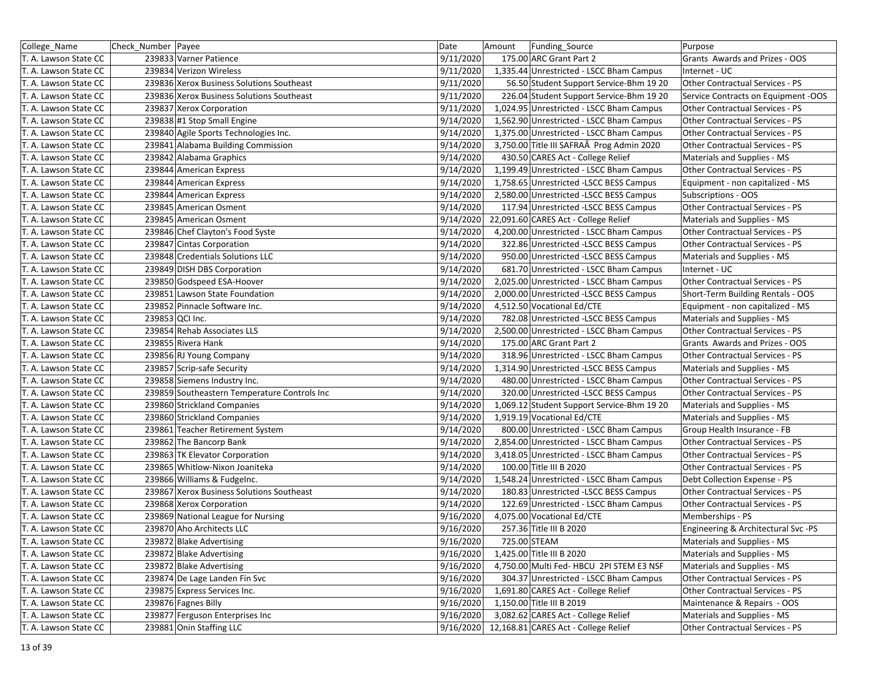| 9/11/2020<br>175.00 ARC Grant Part 2<br>T. A. Lawson State CC<br>239833 Varner Patience<br>Grants Awards and Prizes - OOS<br>9/11/2020<br>239834 Verizon Wireless<br>1,335.44 Unrestricted - LSCC Bham Campus<br>Internet - UC<br>T. A. Lawson State CC<br>9/11/2020<br>239836 Xerox Business Solutions Southeast<br>Other Contractual Services - PS<br>T. A. Lawson State CC<br>56.50 Student Support Service-Bhm 19 20<br>9/11/2020<br>239836 Xerox Business Solutions Southeast<br>226.04 Student Support Service-Bhm 19 20<br>T. A. Lawson State CC<br>Service Contracts on Equipment -OOS<br>9/11/2020<br>239837 Xerox Corporation<br>1,024.95 Unrestricted - LSCC Bham Campus<br>Other Contractual Services - PS<br>T. A. Lawson State CC<br>T. A. Lawson State CC<br>239838 #1 Stop Small Engine<br>9/14/2020<br>1,562.90 Unrestricted - LSCC Bham Campus<br>Other Contractual Services - PS<br>9/14/2020<br>Other Contractual Services - PS<br>T. A. Lawson State CC<br>239840 Agile Sports Technologies Inc.<br>1,375.00 Unrestricted - LSCC Bham Campus<br>9/14/2020<br>3,750.00 Title III SAFRAÂ Prog Admin 2020<br>Other Contractual Services - PS<br>T. A. Lawson State CC<br>239841 Alabama Building Commission<br>9/14/2020<br>239842 Alabama Graphics<br>430.50 CARES Act - College Relief<br>T. A. Lawson State CC<br>Materials and Supplies - MS<br>9/14/2020<br>1,199.49 Unrestricted - LSCC Bham Campus<br><b>Other Contractual Services - PS</b><br>T. A. Lawson State CC<br>239844 American Express<br>9/14/2020<br>1,758.65 Unrestricted - LSCC BESS Campus<br>T. A. Lawson State CC<br>239844 American Express<br>Equipment - non capitalized - MS<br>9/14/2020<br>T. A. Lawson State CC<br>239844 American Express<br>2,580.00 Unrestricted -LSCC BESS Campus<br>Subscriptions - OOS<br>T. A. Lawson State CC<br>239845 American Osment<br>9/14/2020<br>117.94 Unrestricted - LSCC BESS Campus<br>Other Contractual Services - PS<br>239845 American Osment<br>9/14/2020<br>22,091.60 CARES Act - College Relief<br>T. A. Lawson State CC<br>Materials and Supplies - MS<br>9/14/2020<br>4,200.00 Unrestricted - LSCC Bham Campus<br>T. A. Lawson State CC<br>239846 Chef Clayton's Food Syste<br>Other Contractual Services - PS<br>9/14/2020<br>239847 Cintas Corporation<br>Other Contractual Services - PS<br>T. A. Lawson State CC<br>322.86 Unrestricted - LSCC BESS Campus<br>9/14/2020<br>239848 Credentials Solutions LLC<br>950.00 Unrestricted -LSCC BESS Campus<br>T. A. Lawson State CC<br>Materials and Supplies - MS<br>9/14/2020<br>239849 DISH DBS Corporation<br>681.70 Unrestricted - LSCC Bham Campus<br>Internet - UC<br>T. A. Lawson State CC<br>9/14/2020<br>Other Contractual Services - PS<br>T. A. Lawson State CC<br>239850 Godspeed ESA-Hoover<br>2,025.00 Unrestricted - LSCC Bham Campus<br>T. A. Lawson State CC<br>239851 Lawson State Foundation<br>9/14/2020<br>2,000.00 Unrestricted -LSCC BESS Campus<br>Short-Term Building Rentals - OOS<br>239852 Pinnacle Software Inc.<br>9/14/2020<br>4,512.50 Vocational Ed/CTE<br>T. A. Lawson State CC<br>Equipment - non capitalized - MS<br>239853 QCI Inc.<br>9/14/2020<br>782.08 Unrestricted -LSCC BESS Campus<br>T. A. Lawson State CC<br>Materials and Supplies - MS<br>9/14/2020<br>239854 Rehab Associates LLS<br>T. A. Lawson State CC<br>2,500.00 Unrestricted - LSCC Bham Campus<br>Other Contractual Services - PS<br>9/14/2020<br>239855 Rivera Hank<br>Grants Awards and Prizes - OOS<br>T. A. Lawson State CC<br>175.00 ARC Grant Part 2<br>9/14/2020<br>239856 RJ Young Company<br>318.96 Unrestricted - LSCC Bham Campus<br>T. A. Lawson State CC<br>Other Contractual Services - PS<br>9/14/2020<br>239857 Scrip-safe Security<br>1,314.90 Unrestricted -LSCC BESS Campus<br>Materials and Supplies - MS<br>T. A. Lawson State CC<br>239858 Siemens Industry Inc.<br>9/14/2020<br>480.00 Unrestricted - LSCC Bham Campus<br><b>Other Contractual Services - PS</b><br>T. A. Lawson State CC | College Name          | Check_Number   Payee                         | Date      | Amount | Funding_Source                        | Purpose                         |
|----------------------------------------------------------------------------------------------------------------------------------------------------------------------------------------------------------------------------------------------------------------------------------------------------------------------------------------------------------------------------------------------------------------------------------------------------------------------------------------------------------------------------------------------------------------------------------------------------------------------------------------------------------------------------------------------------------------------------------------------------------------------------------------------------------------------------------------------------------------------------------------------------------------------------------------------------------------------------------------------------------------------------------------------------------------------------------------------------------------------------------------------------------------------------------------------------------------------------------------------------------------------------------------------------------------------------------------------------------------------------------------------------------------------------------------------------------------------------------------------------------------------------------------------------------------------------------------------------------------------------------------------------------------------------------------------------------------------------------------------------------------------------------------------------------------------------------------------------------------------------------------------------------------------------------------------------------------------------------------------------------------------------------------------------------------------------------------------------------------------------------------------------------------------------------------------------------------------------------------------------------------------------------------------------------------------------------------------------------------------------------------------------------------------------------------------------------------------------------------------------------------------------------------------------------------------------------------------------------------------------------------------------------------------------------------------------------------------------------------------------------------------------------------------------------------------------------------------------------------------------------------------------------------------------------------------------------------------------------------------------------------------------------------------------------------------------------------------------------------------------------------------------------------------------------------------------------------------------------------------------------------------------------------------------------------------------------------------------------------------------------------------------------------------------------------------------------------------------------------------------------------------------------------------------------------------------------------------------------------------------------------------------------------------------------------------------------------------------------------------------------------------------------------------------------------------------------------------------------------------------------------------------------------------------------------------------------------------------------------------------------------------|-----------------------|----------------------------------------------|-----------|--------|---------------------------------------|---------------------------------|
|                                                                                                                                                                                                                                                                                                                                                                                                                                                                                                                                                                                                                                                                                                                                                                                                                                                                                                                                                                                                                                                                                                                                                                                                                                                                                                                                                                                                                                                                                                                                                                                                                                                                                                                                                                                                                                                                                                                                                                                                                                                                                                                                                                                                                                                                                                                                                                                                                                                                                                                                                                                                                                                                                                                                                                                                                                                                                                                                                                                                                                                                                                                                                                                                                                                                                                                                                                                                                                                                                                                                                                                                                                                                                                                                                                                                                                                                                                                                                                                                                      |                       |                                              |           |        |                                       |                                 |
|                                                                                                                                                                                                                                                                                                                                                                                                                                                                                                                                                                                                                                                                                                                                                                                                                                                                                                                                                                                                                                                                                                                                                                                                                                                                                                                                                                                                                                                                                                                                                                                                                                                                                                                                                                                                                                                                                                                                                                                                                                                                                                                                                                                                                                                                                                                                                                                                                                                                                                                                                                                                                                                                                                                                                                                                                                                                                                                                                                                                                                                                                                                                                                                                                                                                                                                                                                                                                                                                                                                                                                                                                                                                                                                                                                                                                                                                                                                                                                                                                      |                       |                                              |           |        |                                       |                                 |
|                                                                                                                                                                                                                                                                                                                                                                                                                                                                                                                                                                                                                                                                                                                                                                                                                                                                                                                                                                                                                                                                                                                                                                                                                                                                                                                                                                                                                                                                                                                                                                                                                                                                                                                                                                                                                                                                                                                                                                                                                                                                                                                                                                                                                                                                                                                                                                                                                                                                                                                                                                                                                                                                                                                                                                                                                                                                                                                                                                                                                                                                                                                                                                                                                                                                                                                                                                                                                                                                                                                                                                                                                                                                                                                                                                                                                                                                                                                                                                                                                      |                       |                                              |           |        |                                       |                                 |
|                                                                                                                                                                                                                                                                                                                                                                                                                                                                                                                                                                                                                                                                                                                                                                                                                                                                                                                                                                                                                                                                                                                                                                                                                                                                                                                                                                                                                                                                                                                                                                                                                                                                                                                                                                                                                                                                                                                                                                                                                                                                                                                                                                                                                                                                                                                                                                                                                                                                                                                                                                                                                                                                                                                                                                                                                                                                                                                                                                                                                                                                                                                                                                                                                                                                                                                                                                                                                                                                                                                                                                                                                                                                                                                                                                                                                                                                                                                                                                                                                      |                       |                                              |           |        |                                       |                                 |
|                                                                                                                                                                                                                                                                                                                                                                                                                                                                                                                                                                                                                                                                                                                                                                                                                                                                                                                                                                                                                                                                                                                                                                                                                                                                                                                                                                                                                                                                                                                                                                                                                                                                                                                                                                                                                                                                                                                                                                                                                                                                                                                                                                                                                                                                                                                                                                                                                                                                                                                                                                                                                                                                                                                                                                                                                                                                                                                                                                                                                                                                                                                                                                                                                                                                                                                                                                                                                                                                                                                                                                                                                                                                                                                                                                                                                                                                                                                                                                                                                      |                       |                                              |           |        |                                       |                                 |
|                                                                                                                                                                                                                                                                                                                                                                                                                                                                                                                                                                                                                                                                                                                                                                                                                                                                                                                                                                                                                                                                                                                                                                                                                                                                                                                                                                                                                                                                                                                                                                                                                                                                                                                                                                                                                                                                                                                                                                                                                                                                                                                                                                                                                                                                                                                                                                                                                                                                                                                                                                                                                                                                                                                                                                                                                                                                                                                                                                                                                                                                                                                                                                                                                                                                                                                                                                                                                                                                                                                                                                                                                                                                                                                                                                                                                                                                                                                                                                                                                      |                       |                                              |           |        |                                       |                                 |
|                                                                                                                                                                                                                                                                                                                                                                                                                                                                                                                                                                                                                                                                                                                                                                                                                                                                                                                                                                                                                                                                                                                                                                                                                                                                                                                                                                                                                                                                                                                                                                                                                                                                                                                                                                                                                                                                                                                                                                                                                                                                                                                                                                                                                                                                                                                                                                                                                                                                                                                                                                                                                                                                                                                                                                                                                                                                                                                                                                                                                                                                                                                                                                                                                                                                                                                                                                                                                                                                                                                                                                                                                                                                                                                                                                                                                                                                                                                                                                                                                      |                       |                                              |           |        |                                       |                                 |
|                                                                                                                                                                                                                                                                                                                                                                                                                                                                                                                                                                                                                                                                                                                                                                                                                                                                                                                                                                                                                                                                                                                                                                                                                                                                                                                                                                                                                                                                                                                                                                                                                                                                                                                                                                                                                                                                                                                                                                                                                                                                                                                                                                                                                                                                                                                                                                                                                                                                                                                                                                                                                                                                                                                                                                                                                                                                                                                                                                                                                                                                                                                                                                                                                                                                                                                                                                                                                                                                                                                                                                                                                                                                                                                                                                                                                                                                                                                                                                                                                      |                       |                                              |           |        |                                       |                                 |
|                                                                                                                                                                                                                                                                                                                                                                                                                                                                                                                                                                                                                                                                                                                                                                                                                                                                                                                                                                                                                                                                                                                                                                                                                                                                                                                                                                                                                                                                                                                                                                                                                                                                                                                                                                                                                                                                                                                                                                                                                                                                                                                                                                                                                                                                                                                                                                                                                                                                                                                                                                                                                                                                                                                                                                                                                                                                                                                                                                                                                                                                                                                                                                                                                                                                                                                                                                                                                                                                                                                                                                                                                                                                                                                                                                                                                                                                                                                                                                                                                      |                       |                                              |           |        |                                       |                                 |
|                                                                                                                                                                                                                                                                                                                                                                                                                                                                                                                                                                                                                                                                                                                                                                                                                                                                                                                                                                                                                                                                                                                                                                                                                                                                                                                                                                                                                                                                                                                                                                                                                                                                                                                                                                                                                                                                                                                                                                                                                                                                                                                                                                                                                                                                                                                                                                                                                                                                                                                                                                                                                                                                                                                                                                                                                                                                                                                                                                                                                                                                                                                                                                                                                                                                                                                                                                                                                                                                                                                                                                                                                                                                                                                                                                                                                                                                                                                                                                                                                      |                       |                                              |           |        |                                       |                                 |
|                                                                                                                                                                                                                                                                                                                                                                                                                                                                                                                                                                                                                                                                                                                                                                                                                                                                                                                                                                                                                                                                                                                                                                                                                                                                                                                                                                                                                                                                                                                                                                                                                                                                                                                                                                                                                                                                                                                                                                                                                                                                                                                                                                                                                                                                                                                                                                                                                                                                                                                                                                                                                                                                                                                                                                                                                                                                                                                                                                                                                                                                                                                                                                                                                                                                                                                                                                                                                                                                                                                                                                                                                                                                                                                                                                                                                                                                                                                                                                                                                      |                       |                                              |           |        |                                       |                                 |
|                                                                                                                                                                                                                                                                                                                                                                                                                                                                                                                                                                                                                                                                                                                                                                                                                                                                                                                                                                                                                                                                                                                                                                                                                                                                                                                                                                                                                                                                                                                                                                                                                                                                                                                                                                                                                                                                                                                                                                                                                                                                                                                                                                                                                                                                                                                                                                                                                                                                                                                                                                                                                                                                                                                                                                                                                                                                                                                                                                                                                                                                                                                                                                                                                                                                                                                                                                                                                                                                                                                                                                                                                                                                                                                                                                                                                                                                                                                                                                                                                      |                       |                                              |           |        |                                       |                                 |
|                                                                                                                                                                                                                                                                                                                                                                                                                                                                                                                                                                                                                                                                                                                                                                                                                                                                                                                                                                                                                                                                                                                                                                                                                                                                                                                                                                                                                                                                                                                                                                                                                                                                                                                                                                                                                                                                                                                                                                                                                                                                                                                                                                                                                                                                                                                                                                                                                                                                                                                                                                                                                                                                                                                                                                                                                                                                                                                                                                                                                                                                                                                                                                                                                                                                                                                                                                                                                                                                                                                                                                                                                                                                                                                                                                                                                                                                                                                                                                                                                      |                       |                                              |           |        |                                       |                                 |
|                                                                                                                                                                                                                                                                                                                                                                                                                                                                                                                                                                                                                                                                                                                                                                                                                                                                                                                                                                                                                                                                                                                                                                                                                                                                                                                                                                                                                                                                                                                                                                                                                                                                                                                                                                                                                                                                                                                                                                                                                                                                                                                                                                                                                                                                                                                                                                                                                                                                                                                                                                                                                                                                                                                                                                                                                                                                                                                                                                                                                                                                                                                                                                                                                                                                                                                                                                                                                                                                                                                                                                                                                                                                                                                                                                                                                                                                                                                                                                                                                      |                       |                                              |           |        |                                       |                                 |
|                                                                                                                                                                                                                                                                                                                                                                                                                                                                                                                                                                                                                                                                                                                                                                                                                                                                                                                                                                                                                                                                                                                                                                                                                                                                                                                                                                                                                                                                                                                                                                                                                                                                                                                                                                                                                                                                                                                                                                                                                                                                                                                                                                                                                                                                                                                                                                                                                                                                                                                                                                                                                                                                                                                                                                                                                                                                                                                                                                                                                                                                                                                                                                                                                                                                                                                                                                                                                                                                                                                                                                                                                                                                                                                                                                                                                                                                                                                                                                                                                      |                       |                                              |           |        |                                       |                                 |
|                                                                                                                                                                                                                                                                                                                                                                                                                                                                                                                                                                                                                                                                                                                                                                                                                                                                                                                                                                                                                                                                                                                                                                                                                                                                                                                                                                                                                                                                                                                                                                                                                                                                                                                                                                                                                                                                                                                                                                                                                                                                                                                                                                                                                                                                                                                                                                                                                                                                                                                                                                                                                                                                                                                                                                                                                                                                                                                                                                                                                                                                                                                                                                                                                                                                                                                                                                                                                                                                                                                                                                                                                                                                                                                                                                                                                                                                                                                                                                                                                      |                       |                                              |           |        |                                       |                                 |
|                                                                                                                                                                                                                                                                                                                                                                                                                                                                                                                                                                                                                                                                                                                                                                                                                                                                                                                                                                                                                                                                                                                                                                                                                                                                                                                                                                                                                                                                                                                                                                                                                                                                                                                                                                                                                                                                                                                                                                                                                                                                                                                                                                                                                                                                                                                                                                                                                                                                                                                                                                                                                                                                                                                                                                                                                                                                                                                                                                                                                                                                                                                                                                                                                                                                                                                                                                                                                                                                                                                                                                                                                                                                                                                                                                                                                                                                                                                                                                                                                      |                       |                                              |           |        |                                       |                                 |
|                                                                                                                                                                                                                                                                                                                                                                                                                                                                                                                                                                                                                                                                                                                                                                                                                                                                                                                                                                                                                                                                                                                                                                                                                                                                                                                                                                                                                                                                                                                                                                                                                                                                                                                                                                                                                                                                                                                                                                                                                                                                                                                                                                                                                                                                                                                                                                                                                                                                                                                                                                                                                                                                                                                                                                                                                                                                                                                                                                                                                                                                                                                                                                                                                                                                                                                                                                                                                                                                                                                                                                                                                                                                                                                                                                                                                                                                                                                                                                                                                      |                       |                                              |           |        |                                       |                                 |
|                                                                                                                                                                                                                                                                                                                                                                                                                                                                                                                                                                                                                                                                                                                                                                                                                                                                                                                                                                                                                                                                                                                                                                                                                                                                                                                                                                                                                                                                                                                                                                                                                                                                                                                                                                                                                                                                                                                                                                                                                                                                                                                                                                                                                                                                                                                                                                                                                                                                                                                                                                                                                                                                                                                                                                                                                                                                                                                                                                                                                                                                                                                                                                                                                                                                                                                                                                                                                                                                                                                                                                                                                                                                                                                                                                                                                                                                                                                                                                                                                      |                       |                                              |           |        |                                       |                                 |
|                                                                                                                                                                                                                                                                                                                                                                                                                                                                                                                                                                                                                                                                                                                                                                                                                                                                                                                                                                                                                                                                                                                                                                                                                                                                                                                                                                                                                                                                                                                                                                                                                                                                                                                                                                                                                                                                                                                                                                                                                                                                                                                                                                                                                                                                                                                                                                                                                                                                                                                                                                                                                                                                                                                                                                                                                                                                                                                                                                                                                                                                                                                                                                                                                                                                                                                                                                                                                                                                                                                                                                                                                                                                                                                                                                                                                                                                                                                                                                                                                      |                       |                                              |           |        |                                       |                                 |
|                                                                                                                                                                                                                                                                                                                                                                                                                                                                                                                                                                                                                                                                                                                                                                                                                                                                                                                                                                                                                                                                                                                                                                                                                                                                                                                                                                                                                                                                                                                                                                                                                                                                                                                                                                                                                                                                                                                                                                                                                                                                                                                                                                                                                                                                                                                                                                                                                                                                                                                                                                                                                                                                                                                                                                                                                                                                                                                                                                                                                                                                                                                                                                                                                                                                                                                                                                                                                                                                                                                                                                                                                                                                                                                                                                                                                                                                                                                                                                                                                      |                       |                                              |           |        |                                       |                                 |
|                                                                                                                                                                                                                                                                                                                                                                                                                                                                                                                                                                                                                                                                                                                                                                                                                                                                                                                                                                                                                                                                                                                                                                                                                                                                                                                                                                                                                                                                                                                                                                                                                                                                                                                                                                                                                                                                                                                                                                                                                                                                                                                                                                                                                                                                                                                                                                                                                                                                                                                                                                                                                                                                                                                                                                                                                                                                                                                                                                                                                                                                                                                                                                                                                                                                                                                                                                                                                                                                                                                                                                                                                                                                                                                                                                                                                                                                                                                                                                                                                      |                       |                                              |           |        |                                       |                                 |
|                                                                                                                                                                                                                                                                                                                                                                                                                                                                                                                                                                                                                                                                                                                                                                                                                                                                                                                                                                                                                                                                                                                                                                                                                                                                                                                                                                                                                                                                                                                                                                                                                                                                                                                                                                                                                                                                                                                                                                                                                                                                                                                                                                                                                                                                                                                                                                                                                                                                                                                                                                                                                                                                                                                                                                                                                                                                                                                                                                                                                                                                                                                                                                                                                                                                                                                                                                                                                                                                                                                                                                                                                                                                                                                                                                                                                                                                                                                                                                                                                      |                       |                                              |           |        |                                       |                                 |
|                                                                                                                                                                                                                                                                                                                                                                                                                                                                                                                                                                                                                                                                                                                                                                                                                                                                                                                                                                                                                                                                                                                                                                                                                                                                                                                                                                                                                                                                                                                                                                                                                                                                                                                                                                                                                                                                                                                                                                                                                                                                                                                                                                                                                                                                                                                                                                                                                                                                                                                                                                                                                                                                                                                                                                                                                                                                                                                                                                                                                                                                                                                                                                                                                                                                                                                                                                                                                                                                                                                                                                                                                                                                                                                                                                                                                                                                                                                                                                                                                      |                       |                                              |           |        |                                       |                                 |
|                                                                                                                                                                                                                                                                                                                                                                                                                                                                                                                                                                                                                                                                                                                                                                                                                                                                                                                                                                                                                                                                                                                                                                                                                                                                                                                                                                                                                                                                                                                                                                                                                                                                                                                                                                                                                                                                                                                                                                                                                                                                                                                                                                                                                                                                                                                                                                                                                                                                                                                                                                                                                                                                                                                                                                                                                                                                                                                                                                                                                                                                                                                                                                                                                                                                                                                                                                                                                                                                                                                                                                                                                                                                                                                                                                                                                                                                                                                                                                                                                      |                       |                                              |           |        |                                       |                                 |
|                                                                                                                                                                                                                                                                                                                                                                                                                                                                                                                                                                                                                                                                                                                                                                                                                                                                                                                                                                                                                                                                                                                                                                                                                                                                                                                                                                                                                                                                                                                                                                                                                                                                                                                                                                                                                                                                                                                                                                                                                                                                                                                                                                                                                                                                                                                                                                                                                                                                                                                                                                                                                                                                                                                                                                                                                                                                                                                                                                                                                                                                                                                                                                                                                                                                                                                                                                                                                                                                                                                                                                                                                                                                                                                                                                                                                                                                                                                                                                                                                      |                       |                                              |           |        |                                       |                                 |
|                                                                                                                                                                                                                                                                                                                                                                                                                                                                                                                                                                                                                                                                                                                                                                                                                                                                                                                                                                                                                                                                                                                                                                                                                                                                                                                                                                                                                                                                                                                                                                                                                                                                                                                                                                                                                                                                                                                                                                                                                                                                                                                                                                                                                                                                                                                                                                                                                                                                                                                                                                                                                                                                                                                                                                                                                                                                                                                                                                                                                                                                                                                                                                                                                                                                                                                                                                                                                                                                                                                                                                                                                                                                                                                                                                                                                                                                                                                                                                                                                      |                       |                                              |           |        |                                       |                                 |
|                                                                                                                                                                                                                                                                                                                                                                                                                                                                                                                                                                                                                                                                                                                                                                                                                                                                                                                                                                                                                                                                                                                                                                                                                                                                                                                                                                                                                                                                                                                                                                                                                                                                                                                                                                                                                                                                                                                                                                                                                                                                                                                                                                                                                                                                                                                                                                                                                                                                                                                                                                                                                                                                                                                                                                                                                                                                                                                                                                                                                                                                                                                                                                                                                                                                                                                                                                                                                                                                                                                                                                                                                                                                                                                                                                                                                                                                                                                                                                                                                      | T. A. Lawson State CC | 239859 Southeastern Temperature Controls Inc | 9/14/2020 |        | 320.00 Unrestricted -LSCC BESS Campus | Other Contractual Services - PS |
| 239860 Strickland Companies<br>9/14/2020<br>T. A. Lawson State CC<br>1,069.12 Student Support Service-Bhm 19 20<br>Materials and Supplies - MS                                                                                                                                                                                                                                                                                                                                                                                                                                                                                                                                                                                                                                                                                                                                                                                                                                                                                                                                                                                                                                                                                                                                                                                                                                                                                                                                                                                                                                                                                                                                                                                                                                                                                                                                                                                                                                                                                                                                                                                                                                                                                                                                                                                                                                                                                                                                                                                                                                                                                                                                                                                                                                                                                                                                                                                                                                                                                                                                                                                                                                                                                                                                                                                                                                                                                                                                                                                                                                                                                                                                                                                                                                                                                                                                                                                                                                                                       |                       |                                              |           |        |                                       |                                 |
| 9/14/2020<br>239860 Strickland Companies<br>1,919.19 Vocational Ed/CTE<br>T. A. Lawson State CC<br>Materials and Supplies - MS                                                                                                                                                                                                                                                                                                                                                                                                                                                                                                                                                                                                                                                                                                                                                                                                                                                                                                                                                                                                                                                                                                                                                                                                                                                                                                                                                                                                                                                                                                                                                                                                                                                                                                                                                                                                                                                                                                                                                                                                                                                                                                                                                                                                                                                                                                                                                                                                                                                                                                                                                                                                                                                                                                                                                                                                                                                                                                                                                                                                                                                                                                                                                                                                                                                                                                                                                                                                                                                                                                                                                                                                                                                                                                                                                                                                                                                                                       |                       |                                              |           |        |                                       |                                 |
| 9/14/2020<br>239861 Teacher Retirement System<br>800.00 Unrestricted - LSCC Bham Campus<br>Group Health Insurance - FB<br>T. A. Lawson State CC                                                                                                                                                                                                                                                                                                                                                                                                                                                                                                                                                                                                                                                                                                                                                                                                                                                                                                                                                                                                                                                                                                                                                                                                                                                                                                                                                                                                                                                                                                                                                                                                                                                                                                                                                                                                                                                                                                                                                                                                                                                                                                                                                                                                                                                                                                                                                                                                                                                                                                                                                                                                                                                                                                                                                                                                                                                                                                                                                                                                                                                                                                                                                                                                                                                                                                                                                                                                                                                                                                                                                                                                                                                                                                                                                                                                                                                                      |                       |                                              |           |        |                                       |                                 |
| 9/14/2020<br>239862 The Bancorp Bank<br>2,854.00 Unrestricted - LSCC Bham Campus<br>Other Contractual Services - PS<br>T. A. Lawson State CC                                                                                                                                                                                                                                                                                                                                                                                                                                                                                                                                                                                                                                                                                                                                                                                                                                                                                                                                                                                                                                                                                                                                                                                                                                                                                                                                                                                                                                                                                                                                                                                                                                                                                                                                                                                                                                                                                                                                                                                                                                                                                                                                                                                                                                                                                                                                                                                                                                                                                                                                                                                                                                                                                                                                                                                                                                                                                                                                                                                                                                                                                                                                                                                                                                                                                                                                                                                                                                                                                                                                                                                                                                                                                                                                                                                                                                                                         |                       |                                              |           |        |                                       |                                 |
| 9/14/2020<br>239863 TK Elevator Corporation<br>3,418.05 Unrestricted - LSCC Bham Campus<br>Other Contractual Services - PS<br>T. A. Lawson State CC                                                                                                                                                                                                                                                                                                                                                                                                                                                                                                                                                                                                                                                                                                                                                                                                                                                                                                                                                                                                                                                                                                                                                                                                                                                                                                                                                                                                                                                                                                                                                                                                                                                                                                                                                                                                                                                                                                                                                                                                                                                                                                                                                                                                                                                                                                                                                                                                                                                                                                                                                                                                                                                                                                                                                                                                                                                                                                                                                                                                                                                                                                                                                                                                                                                                                                                                                                                                                                                                                                                                                                                                                                                                                                                                                                                                                                                                  |                       |                                              |           |        |                                       |                                 |
| 9/14/2020<br>T. A. Lawson State CC<br>239865 Whitlow-Nixon Joaniteka<br>100.00 Title III B 2020<br>Other Contractual Services - PS                                                                                                                                                                                                                                                                                                                                                                                                                                                                                                                                                                                                                                                                                                                                                                                                                                                                                                                                                                                                                                                                                                                                                                                                                                                                                                                                                                                                                                                                                                                                                                                                                                                                                                                                                                                                                                                                                                                                                                                                                                                                                                                                                                                                                                                                                                                                                                                                                                                                                                                                                                                                                                                                                                                                                                                                                                                                                                                                                                                                                                                                                                                                                                                                                                                                                                                                                                                                                                                                                                                                                                                                                                                                                                                                                                                                                                                                                   |                       |                                              |           |        |                                       |                                 |
| 9/14/2020<br>1,548.24 Unrestricted - LSCC Bham Campus<br>T. A. Lawson State CC<br>239866 Williams & Fudgelnc.<br>Debt Collection Expense - PS                                                                                                                                                                                                                                                                                                                                                                                                                                                                                                                                                                                                                                                                                                                                                                                                                                                                                                                                                                                                                                                                                                                                                                                                                                                                                                                                                                                                                                                                                                                                                                                                                                                                                                                                                                                                                                                                                                                                                                                                                                                                                                                                                                                                                                                                                                                                                                                                                                                                                                                                                                                                                                                                                                                                                                                                                                                                                                                                                                                                                                                                                                                                                                                                                                                                                                                                                                                                                                                                                                                                                                                                                                                                                                                                                                                                                                                                        |                       |                                              |           |        |                                       |                                 |
| 239867 Xerox Business Solutions Southeast<br>9/14/2020<br>Other Contractual Services - PS<br>T. A. Lawson State CC<br>180.83 Unrestricted - LSCC BESS Campus                                                                                                                                                                                                                                                                                                                                                                                                                                                                                                                                                                                                                                                                                                                                                                                                                                                                                                                                                                                                                                                                                                                                                                                                                                                                                                                                                                                                                                                                                                                                                                                                                                                                                                                                                                                                                                                                                                                                                                                                                                                                                                                                                                                                                                                                                                                                                                                                                                                                                                                                                                                                                                                                                                                                                                                                                                                                                                                                                                                                                                                                                                                                                                                                                                                                                                                                                                                                                                                                                                                                                                                                                                                                                                                                                                                                                                                         |                       |                                              |           |        |                                       |                                 |
| 9/14/2020<br>239868 Xerox Corporation<br>T. A. Lawson State CC<br>122.69 Unrestricted - LSCC Bham Campus<br>Other Contractual Services - PS                                                                                                                                                                                                                                                                                                                                                                                                                                                                                                                                                                                                                                                                                                                                                                                                                                                                                                                                                                                                                                                                                                                                                                                                                                                                                                                                                                                                                                                                                                                                                                                                                                                                                                                                                                                                                                                                                                                                                                                                                                                                                                                                                                                                                                                                                                                                                                                                                                                                                                                                                                                                                                                                                                                                                                                                                                                                                                                                                                                                                                                                                                                                                                                                                                                                                                                                                                                                                                                                                                                                                                                                                                                                                                                                                                                                                                                                          |                       |                                              |           |        |                                       |                                 |
| 239869 National League for Nursing<br>9/16/2020<br>4,075.00 Vocational Ed/CTE<br>Memberships - PS<br>T. A. Lawson State CC                                                                                                                                                                                                                                                                                                                                                                                                                                                                                                                                                                                                                                                                                                                                                                                                                                                                                                                                                                                                                                                                                                                                                                                                                                                                                                                                                                                                                                                                                                                                                                                                                                                                                                                                                                                                                                                                                                                                                                                                                                                                                                                                                                                                                                                                                                                                                                                                                                                                                                                                                                                                                                                                                                                                                                                                                                                                                                                                                                                                                                                                                                                                                                                                                                                                                                                                                                                                                                                                                                                                                                                                                                                                                                                                                                                                                                                                                           |                       |                                              |           |        |                                       |                                 |
| 9/16/2020<br>239870 Aho Architects LLC<br>257.36 Title III B 2020<br>T. A. Lawson State CC<br>Engineering & Architectural Svc -PS                                                                                                                                                                                                                                                                                                                                                                                                                                                                                                                                                                                                                                                                                                                                                                                                                                                                                                                                                                                                                                                                                                                                                                                                                                                                                                                                                                                                                                                                                                                                                                                                                                                                                                                                                                                                                                                                                                                                                                                                                                                                                                                                                                                                                                                                                                                                                                                                                                                                                                                                                                                                                                                                                                                                                                                                                                                                                                                                                                                                                                                                                                                                                                                                                                                                                                                                                                                                                                                                                                                                                                                                                                                                                                                                                                                                                                                                                    |                       |                                              |           |        |                                       |                                 |
| 9/16/2020<br>Materials and Supplies - MS<br>T. A. Lawson State CC<br>239872 Blake Advertising<br>725.00 STEAM                                                                                                                                                                                                                                                                                                                                                                                                                                                                                                                                                                                                                                                                                                                                                                                                                                                                                                                                                                                                                                                                                                                                                                                                                                                                                                                                                                                                                                                                                                                                                                                                                                                                                                                                                                                                                                                                                                                                                                                                                                                                                                                                                                                                                                                                                                                                                                                                                                                                                                                                                                                                                                                                                                                                                                                                                                                                                                                                                                                                                                                                                                                                                                                                                                                                                                                                                                                                                                                                                                                                                                                                                                                                                                                                                                                                                                                                                                        |                       |                                              |           |        |                                       |                                 |
| 9/16/2020<br>T. A. Lawson State CC<br>239872 Blake Advertising<br>1,425.00 Title III B 2020<br>Materials and Supplies - MS                                                                                                                                                                                                                                                                                                                                                                                                                                                                                                                                                                                                                                                                                                                                                                                                                                                                                                                                                                                                                                                                                                                                                                                                                                                                                                                                                                                                                                                                                                                                                                                                                                                                                                                                                                                                                                                                                                                                                                                                                                                                                                                                                                                                                                                                                                                                                                                                                                                                                                                                                                                                                                                                                                                                                                                                                                                                                                                                                                                                                                                                                                                                                                                                                                                                                                                                                                                                                                                                                                                                                                                                                                                                                                                                                                                                                                                                                           |                       |                                              |           |        |                                       |                                 |
| 239872 Blake Advertising<br>9/16/2020<br>4,750.00 Multi Fed- HBCU 2PI STEM E3 NSF<br>T. A. Lawson State CC<br>Materials and Supplies - MS                                                                                                                                                                                                                                                                                                                                                                                                                                                                                                                                                                                                                                                                                                                                                                                                                                                                                                                                                                                                                                                                                                                                                                                                                                                                                                                                                                                                                                                                                                                                                                                                                                                                                                                                                                                                                                                                                                                                                                                                                                                                                                                                                                                                                                                                                                                                                                                                                                                                                                                                                                                                                                                                                                                                                                                                                                                                                                                                                                                                                                                                                                                                                                                                                                                                                                                                                                                                                                                                                                                                                                                                                                                                                                                                                                                                                                                                            |                       |                                              |           |        |                                       |                                 |
| 9/16/2020<br>T. A. Lawson State CC<br>239874 De Lage Landen Fin Svc<br>304.37 Unrestricted - LSCC Bham Campus<br>Other Contractual Services - PS                                                                                                                                                                                                                                                                                                                                                                                                                                                                                                                                                                                                                                                                                                                                                                                                                                                                                                                                                                                                                                                                                                                                                                                                                                                                                                                                                                                                                                                                                                                                                                                                                                                                                                                                                                                                                                                                                                                                                                                                                                                                                                                                                                                                                                                                                                                                                                                                                                                                                                                                                                                                                                                                                                                                                                                                                                                                                                                                                                                                                                                                                                                                                                                                                                                                                                                                                                                                                                                                                                                                                                                                                                                                                                                                                                                                                                                                     |                       |                                              |           |        |                                       |                                 |
| Other Contractual Services - PS<br>9/16/2020<br>1,691.80 CARES Act - College Relief<br>T. A. Lawson State CC<br>239875 Express Services Inc.                                                                                                                                                                                                                                                                                                                                                                                                                                                                                                                                                                                                                                                                                                                                                                                                                                                                                                                                                                                                                                                                                                                                                                                                                                                                                                                                                                                                                                                                                                                                                                                                                                                                                                                                                                                                                                                                                                                                                                                                                                                                                                                                                                                                                                                                                                                                                                                                                                                                                                                                                                                                                                                                                                                                                                                                                                                                                                                                                                                                                                                                                                                                                                                                                                                                                                                                                                                                                                                                                                                                                                                                                                                                                                                                                                                                                                                                         |                       |                                              |           |        |                                       |                                 |
| 9/16/2020<br>1,150.00 Title III B 2019<br>Maintenance & Repairs - OOS<br>T. A. Lawson State CC<br>239876 Fagnes Billy                                                                                                                                                                                                                                                                                                                                                                                                                                                                                                                                                                                                                                                                                                                                                                                                                                                                                                                                                                                                                                                                                                                                                                                                                                                                                                                                                                                                                                                                                                                                                                                                                                                                                                                                                                                                                                                                                                                                                                                                                                                                                                                                                                                                                                                                                                                                                                                                                                                                                                                                                                                                                                                                                                                                                                                                                                                                                                                                                                                                                                                                                                                                                                                                                                                                                                                                                                                                                                                                                                                                                                                                                                                                                                                                                                                                                                                                                                |                       |                                              |           |        |                                       |                                 |
| 9/16/2020<br>239877 Ferguson Enterprises Inc<br>3,082.62 CARES Act - College Relief<br>T. A. Lawson State CC<br>Materials and Supplies - MS                                                                                                                                                                                                                                                                                                                                                                                                                                                                                                                                                                                                                                                                                                                                                                                                                                                                                                                                                                                                                                                                                                                                                                                                                                                                                                                                                                                                                                                                                                                                                                                                                                                                                                                                                                                                                                                                                                                                                                                                                                                                                                                                                                                                                                                                                                                                                                                                                                                                                                                                                                                                                                                                                                                                                                                                                                                                                                                                                                                                                                                                                                                                                                                                                                                                                                                                                                                                                                                                                                                                                                                                                                                                                                                                                                                                                                                                          |                       |                                              |           |        |                                       |                                 |
| T. A. Lawson State CC<br>9/16/2020 12,168.81 CARES Act - College Relief<br>239881 Onin Staffing LLC<br>Other Contractual Services - PS                                                                                                                                                                                                                                                                                                                                                                                                                                                                                                                                                                                                                                                                                                                                                                                                                                                                                                                                                                                                                                                                                                                                                                                                                                                                                                                                                                                                                                                                                                                                                                                                                                                                                                                                                                                                                                                                                                                                                                                                                                                                                                                                                                                                                                                                                                                                                                                                                                                                                                                                                                                                                                                                                                                                                                                                                                                                                                                                                                                                                                                                                                                                                                                                                                                                                                                                                                                                                                                                                                                                                                                                                                                                                                                                                                                                                                                                               |                       |                                              |           |        |                                       |                                 |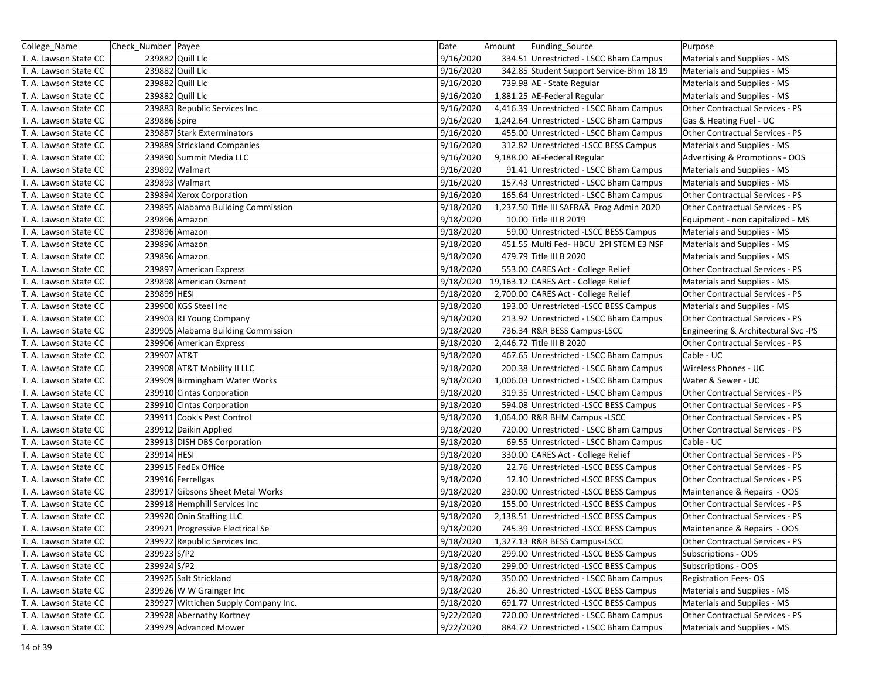| College_Name          | Check_Number   Payee |                                      | Date      | Amount | Funding Source                            | Purpose                                |
|-----------------------|----------------------|--------------------------------------|-----------|--------|-------------------------------------------|----------------------------------------|
| T. A. Lawson State CC |                      | 239882 Quill Llc                     | 9/16/2020 |        | 334.51 Unrestricted - LSCC Bham Campus    | Materials and Supplies - MS            |
| T. A. Lawson State CC |                      | 239882 Quill Llc                     | 9/16/2020 |        | 342.85 Student Support Service-Bhm 18 19  | Materials and Supplies - MS            |
| T. A. Lawson State CC |                      | 239882 Quill Llc                     | 9/16/2020 |        | 739.98 AE - State Regular                 | Materials and Supplies - MS            |
| T. A. Lawson State CC |                      | 239882 Quill Llc                     | 9/16/2020 |        | 1,881.25 AE-Federal Regular               | Materials and Supplies - MS            |
| T. A. Lawson State CC |                      | 239883 Republic Services Inc.        | 9/16/2020 |        | 4,416.39 Unrestricted - LSCC Bham Campus  | <b>Other Contractual Services - PS</b> |
| T. A. Lawson State CC | 239886 Spire         |                                      | 9/16/2020 |        | 1,242.64 Unrestricted - LSCC Bham Campus  | Gas & Heating Fuel - UC                |
| T. A. Lawson State CC |                      | 239887 Stark Exterminators           | 9/16/2020 |        | 455.00 Unrestricted - LSCC Bham Campus    | <b>Other Contractual Services - PS</b> |
| T. A. Lawson State CC |                      | 239889 Strickland Companies          | 9/16/2020 |        | 312.82 Unrestricted -LSCC BESS Campus     | Materials and Supplies - MS            |
| T. A. Lawson State CC |                      | 239890 Summit Media LLC              | 9/16/2020 |        | 9,188.00 AE-Federal Regular               | Advertising & Promotions - OOS         |
| T. A. Lawson State CC |                      | 239892 Walmart                       | 9/16/2020 |        | 91.41 Unrestricted - LSCC Bham Campus     | Materials and Supplies - MS            |
| T. A. Lawson State CC |                      | 239893 Walmart                       | 9/16/2020 |        | 157.43 Unrestricted - LSCC Bham Campus    | Materials and Supplies - MS            |
| T. A. Lawson State CC |                      | 239894 Xerox Corporation             | 9/16/2020 |        | 165.64 Unrestricted - LSCC Bham Campus    | Other Contractual Services - PS        |
| T. A. Lawson State CC |                      | 239895 Alabama Building Commission   | 9/18/2020 |        | 1,237.50 Title III SAFRAÂ Prog Admin 2020 | Other Contractual Services - PS        |
| T. A. Lawson State CC |                      | 239896 Amazon                        | 9/18/2020 |        | 10.00 Title III B 2019                    | Equipment - non capitalized - MS       |
| T. A. Lawson State CC |                      | 239896 Amazon                        | 9/18/2020 |        | 59.00 Unrestricted -LSCC BESS Campus      | Materials and Supplies - MS            |
| T. A. Lawson State CC |                      | 239896 Amazon                        | 9/18/2020 |        | 451.55 Multi Fed- HBCU 2PI STEM E3 NSF    | Materials and Supplies - MS            |
| T. A. Lawson State CC |                      | 239896 Amazon                        | 9/18/2020 |        | 479.79 Title III B 2020                   | Materials and Supplies - MS            |
| T. A. Lawson State CC |                      | 239897 American Express              | 9/18/2020 |        | 553.00 CARES Act - College Relief         | Other Contractual Services - PS        |
| T. A. Lawson State CC |                      | 239898 American Osment               | 9/18/2020 |        | 19,163.12 CARES Act - College Relief      | Materials and Supplies - MS            |
| T. A. Lawson State CC | 239899 HESI          |                                      | 9/18/2020 |        | 2,700.00 CARES Act - College Relief       | Other Contractual Services - PS        |
| T. A. Lawson State CC |                      | 239900 KGS Steel Inc                 | 9/18/2020 |        | 193.00 Unrestricted -LSCC BESS Campus     | Materials and Supplies - MS            |
| T. A. Lawson State CC |                      | 239903 RJ Young Company              | 9/18/2020 |        | 213.92 Unrestricted - LSCC Bham Campus    | Other Contractual Services - PS        |
| T. A. Lawson State CC |                      | 239905 Alabama Building Commission   | 9/18/2020 |        | 736.34 R&R BESS Campus-LSCC               | Engineering & Architectural Svc -PS    |
| T. A. Lawson State CC |                      | 239906 American Express              | 9/18/2020 |        | 2,446.72 Title III B 2020                 | <b>Other Contractual Services - PS</b> |
| T. A. Lawson State CC | 239907 AT&T          |                                      | 9/18/2020 |        | 467.65 Unrestricted - LSCC Bham Campus    | Cable - UC                             |
| T. A. Lawson State CC |                      | 239908 AT&T Mobility II LLC          | 9/18/2020 |        | 200.38 Unrestricted - LSCC Bham Campus    | Wireless Phones - UC                   |
| T. A. Lawson State CC |                      | 239909 Birmingham Water Works        | 9/18/2020 |        | 1,006.03 Unrestricted - LSCC Bham Campus  | Water & Sewer - UC                     |
| T. A. Lawson State CC |                      | 239910 Cintas Corporation            | 9/18/2020 |        | 319.35 Unrestricted - LSCC Bham Campus    | Other Contractual Services - PS        |
| T. A. Lawson State CC |                      | 239910 Cintas Corporation            | 9/18/2020 |        | 594.08 Unrestricted -LSCC BESS Campus     | Other Contractual Services - PS        |
| T. A. Lawson State CC |                      | 239911 Cook's Pest Control           | 9/18/2020 |        | 1,064.00 R&R BHM Campus -LSCC             | <b>Other Contractual Services - PS</b> |
| T. A. Lawson State CC |                      | 239912 Daikin Applied                | 9/18/2020 |        | 720.00 Unrestricted - LSCC Bham Campus    | Other Contractual Services - PS        |
| T. A. Lawson State CC |                      | 239913 DISH DBS Corporation          | 9/18/2020 |        | 69.55 Unrestricted - LSCC Bham Campus     | Cable - UC                             |
| T. A. Lawson State CC | 239914 HESI          |                                      | 9/18/2020 |        | 330.00 CARES Act - College Relief         | Other Contractual Services - PS        |
| T. A. Lawson State CC |                      | 239915 FedEx Office                  | 9/18/2020 |        | 22.76 Unrestricted - LSCC BESS Campus     | Other Contractual Services - PS        |
| T. A. Lawson State CC |                      | 239916 Ferrellgas                    | 9/18/2020 |        | 12.10 Unrestricted - LSCC BESS Campus     | <b>Other Contractual Services - PS</b> |
| T. A. Lawson State CC |                      | 239917 Gibsons Sheet Metal Works     | 9/18/2020 |        | 230.00 Unrestricted - LSCC BESS Campus    | Maintenance & Repairs - OOS            |
| T. A. Lawson State CC |                      | 239918 Hemphill Services Inc         | 9/18/2020 |        | 155.00 Unrestricted -LSCC BESS Campus     | Other Contractual Services - PS        |
| T. A. Lawson State CC |                      | 239920 Onin Staffing LLC             | 9/18/2020 |        | 2,138.51 Unrestricted -LSCC BESS Campus   | Other Contractual Services - PS        |
| T. A. Lawson State CC |                      | 239921 Progressive Electrical Se     | 9/18/2020 |        | 745.39 Unrestricted -LSCC BESS Campus     | Maintenance & Repairs - OOS            |
| T. A. Lawson State CC |                      | 239922 Republic Services Inc.        | 9/18/2020 |        | 1,327.13 R&R BESS Campus-LSCC             | Other Contractual Services - PS        |
| T. A. Lawson State CC | 239923 S/P2          |                                      | 9/18/2020 |        | 299.00 Unrestricted - LSCC BESS Campus    | Subscriptions - OOS                    |
| T. A. Lawson State CC | 239924 S/P2          |                                      | 9/18/2020 |        | 299.00 Unrestricted -LSCC BESS Campus     | Subscriptions - OOS                    |
| T. A. Lawson State CC |                      | 239925 Salt Strickland               | 9/18/2020 |        | 350.00 Unrestricted - LSCC Bham Campus    | <b>Registration Fees-OS</b>            |
| T. A. Lawson State CC |                      | 239926 W W Grainger Inc              | 9/18/2020 |        | 26.30 Unrestricted -LSCC BESS Campus      | Materials and Supplies - MS            |
| T. A. Lawson State CC |                      | 239927 Wittichen Supply Company Inc. | 9/18/2020 |        | 691.77 Unrestricted -LSCC BESS Campus     | Materials and Supplies - MS            |
| T. A. Lawson State CC |                      | 239928 Abernathy Kortney             | 9/22/2020 |        | 720.00 Unrestricted - LSCC Bham Campus    | Other Contractual Services - PS        |
| T. A. Lawson State CC |                      | 239929 Advanced Mower                | 9/22/2020 |        | 884.72 Unrestricted - LSCC Bham Campus    | Materials and Supplies - MS            |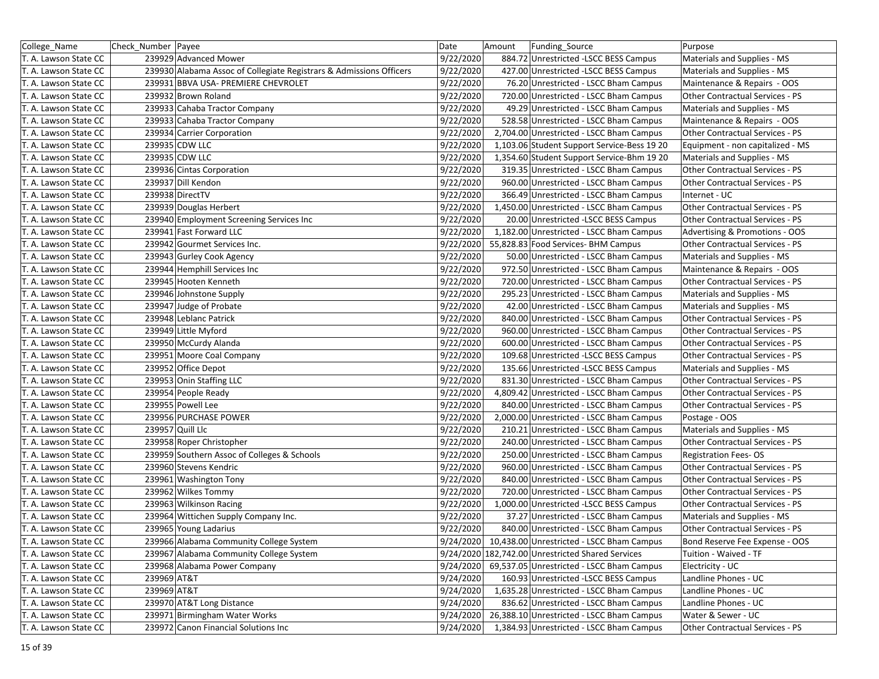| College_Name          | Check_Number   Payee |                                                                     | Date      | Amount | <b>Funding Source</b>                               | Purpose                                |
|-----------------------|----------------------|---------------------------------------------------------------------|-----------|--------|-----------------------------------------------------|----------------------------------------|
| T. A. Lawson State CC |                      | 239929 Advanced Mower                                               | 9/22/2020 |        | 884.72 Unrestricted -LSCC BESS Campus               | Materials and Supplies - MS            |
| T. A. Lawson State CC |                      | 239930 Alabama Assoc of Collegiate Registrars & Admissions Officers | 9/22/2020 |        | 427.00 Unrestricted -LSCC BESS Campus               | Materials and Supplies - MS            |
| T. A. Lawson State CC |                      | 239931 BBVA USA- PREMIERE CHEVROLET                                 | 9/22/2020 |        | 76.20 Unrestricted - LSCC Bham Campus               | Maintenance & Repairs - OOS            |
| T. A. Lawson State CC |                      | 239932 Brown Roland                                                 | 9/22/2020 |        | 720.00 Unrestricted - LSCC Bham Campus              | Other Contractual Services - PS        |
| T. A. Lawson State CC |                      | 239933 Cahaba Tractor Company                                       | 9/22/2020 |        | 49.29 Unrestricted - LSCC Bham Campus               | Materials and Supplies - MS            |
| T. A. Lawson State CC |                      | 239933 Cahaba Tractor Company                                       | 9/22/2020 |        | 528.58 Unrestricted - LSCC Bham Campus              | Maintenance & Repairs - OOS            |
| T. A. Lawson State CC |                      | 239934 Carrier Corporation                                          | 9/22/2020 |        | 2,704.00 Unrestricted - LSCC Bham Campus            | <b>Other Contractual Services - PS</b> |
| T. A. Lawson State CC |                      | 239935 CDW LLC                                                      | 9/22/2020 |        | 1,103.06 Student Support Service-Bess 19 20         | Equipment - non capitalized - MS       |
| T. A. Lawson State CC |                      | 239935 CDW LLC                                                      | 9/22/2020 |        | 1,354.60 Student Support Service-Bhm 19 20          | Materials and Supplies - MS            |
| T. A. Lawson State CC |                      | 239936 Cintas Corporation                                           | 9/22/2020 |        | 319.35 Unrestricted - LSCC Bham Campus              | Other Contractual Services - PS        |
| T. A. Lawson State CC |                      | 239937 Dill Kendon                                                  | 9/22/2020 |        | 960.00 Unrestricted - LSCC Bham Campus              | Other Contractual Services - PS        |
| T. A. Lawson State CC |                      | 239938 DirectTV                                                     | 9/22/2020 |        | 366.49 Unrestricted - LSCC Bham Campus              | Internet - UC                          |
| T. A. Lawson State CC |                      | 239939 Douglas Herbert                                              | 9/22/2020 |        | 1,450.00 Unrestricted - LSCC Bham Campus            | Other Contractual Services - PS        |
| T. A. Lawson State CC |                      | 239940 Employment Screening Services Inc                            | 9/22/2020 |        | 20.00 Unrestricted -LSCC BESS Campus                | Other Contractual Services - PS        |
| T. A. Lawson State CC |                      | 239941 Fast Forward LLC                                             | 9/22/2020 |        | 1,182.00 Unrestricted - LSCC Bham Campus            | Advertising & Promotions - OOS         |
| T. A. Lawson State CC |                      | 239942 Gourmet Services Inc.                                        | 9/22/2020 |        | 55,828.83 Food Services- BHM Campus                 | Other Contractual Services - PS        |
| T. A. Lawson State CC |                      | 239943 Gurley Cook Agency                                           | 9/22/2020 |        | 50.00 Unrestricted - LSCC Bham Campus               | Materials and Supplies - MS            |
| T. A. Lawson State CC |                      | 239944 Hemphill Services Inc                                        | 9/22/2020 |        | 972.50 Unrestricted - LSCC Bham Campus              | Maintenance & Repairs - OOS            |
| T. A. Lawson State CC |                      | 239945 Hooten Kenneth                                               | 9/22/2020 |        | 720.00 Unrestricted - LSCC Bham Campus              | Other Contractual Services - PS        |
| T. A. Lawson State CC |                      | 239946 Johnstone Supply                                             | 9/22/2020 |        | 295.23 Unrestricted - LSCC Bham Campus              | Materials and Supplies - MS            |
| T. A. Lawson State CC |                      | 239947 Judge of Probate                                             | 9/22/2020 |        | 42.00 Unrestricted - LSCC Bham Campus               | Materials and Supplies - MS            |
| T. A. Lawson State CC |                      | 239948 Leblanc Patrick                                              | 9/22/2020 |        | 840.00 Unrestricted - LSCC Bham Campus              | Other Contractual Services - PS        |
| T. A. Lawson State CC |                      | 239949 Little Myford                                                | 9/22/2020 |        | 960.00 Unrestricted - LSCC Bham Campus              | <b>Other Contractual Services - PS</b> |
| T. A. Lawson State CC |                      | 239950 McCurdy Alanda                                               | 9/22/2020 |        | 600.00 Unrestricted - LSCC Bham Campus              | <b>Other Contractual Services - PS</b> |
| T. A. Lawson State CC |                      | 239951 Moore Coal Company                                           | 9/22/2020 |        | 109.68 Unrestricted - LSCC BESS Campus              | Other Contractual Services - PS        |
| T. A. Lawson State CC |                      | 239952 Office Depot                                                 | 9/22/2020 |        | 135.66 Unrestricted -LSCC BESS Campus               | Materials and Supplies - MS            |
| T. A. Lawson State CC |                      | 239953 Onin Staffing LLC                                            | 9/22/2020 |        | 831.30 Unrestricted - LSCC Bham Campus              | <b>Other Contractual Services - PS</b> |
| T. A. Lawson State CC |                      | 239954 People Ready                                                 | 9/22/2020 |        | 4,809.42 Unrestricted - LSCC Bham Campus            | Other Contractual Services - PS        |
| T. A. Lawson State CC |                      | 239955 Powell Lee                                                   | 9/22/2020 |        | 840.00 Unrestricted - LSCC Bham Campus              | Other Contractual Services - PS        |
| T. A. Lawson State CC |                      | 239956 PURCHASE POWER                                               | 9/22/2020 |        | 2,000.00 Unrestricted - LSCC Bham Campus            | Postage - OOS                          |
| T. A. Lawson State CC |                      | 239957 Quill Llc                                                    | 9/22/2020 |        | 210.21 Unrestricted - LSCC Bham Campus              | Materials and Supplies - MS            |
| T. A. Lawson State CC |                      | 239958 Roper Christopher                                            | 9/22/2020 |        | 240.00 Unrestricted - LSCC Bham Campus              | Other Contractual Services - PS        |
| T. A. Lawson State CC |                      | 239959 Southern Assoc of Colleges & Schools                         | 9/22/2020 |        | 250.00 Unrestricted - LSCC Bham Campus              | <b>Registration Fees-OS</b>            |
| T. A. Lawson State CC |                      | 239960 Stevens Kendric                                              | 9/22/2020 |        | 960.00 Unrestricted - LSCC Bham Campus              | Other Contractual Services - PS        |
| T. A. Lawson State CC |                      | 239961 Washington Tony                                              | 9/22/2020 |        | 840.00 Unrestricted - LSCC Bham Campus              | Other Contractual Services - PS        |
| T. A. Lawson State CC |                      | 239962 Wilkes Tommy                                                 | 9/22/2020 |        | 720.00 Unrestricted - LSCC Bham Campus              | <b>Other Contractual Services - PS</b> |
| T. A. Lawson State CC |                      | 239963 Wilkinson Racing                                             | 9/22/2020 |        | 1,000.00 Unrestricted -LSCC BESS Campus             | Other Contractual Services - PS        |
| T. A. Lawson State CC |                      | 239964 Wittichen Supply Company Inc.                                | 9/22/2020 |        | 37.27 Unrestricted - LSCC Bham Campus               | Materials and Supplies - MS            |
| T. A. Lawson State CC |                      | 239965 Young Ladarius                                               | 9/22/2020 |        | 840.00 Unrestricted - LSCC Bham Campus              | <b>Other Contractual Services - PS</b> |
| T. A. Lawson State CC |                      | 239966 Alabama Community College System                             |           |        | 9/24/2020 10,438.00 Unrestricted - LSCC Bham Campus | Bond Reserve Fee Expense - OOS         |
| T. A. Lawson State CC |                      | 239967 Alabama Community College System                             |           |        | 9/24/2020 182,742.00 Unrestricted Shared Services   | Tuition - Waived - TF                  |
| T. A. Lawson State CC |                      | 239968 Alabama Power Company                                        |           |        | 9/24/2020 69,537.05 Unrestricted - LSCC Bham Campus | Electricity - UC                       |
| T. A. Lawson State CC | 239969 AT&T          |                                                                     | 9/24/2020 |        | 160.93 Unrestricted -LSCC BESS Campus               | Landline Phones - UC                   |
| T. A. Lawson State CC | 239969 AT&T          |                                                                     | 9/24/2020 |        | 1,635.28 Unrestricted - LSCC Bham Campus            | Landline Phones - UC                   |
| T. A. Lawson State CC |                      | 239970 AT&T Long Distance                                           | 9/24/2020 |        | 836.62 Unrestricted - LSCC Bham Campus              | Landline Phones - UC                   |
| T. A. Lawson State CC |                      | 239971 Birmingham Water Works                                       | 9/24/2020 |        | 26,388.10 Unrestricted - LSCC Bham Campus           | Water & Sewer - UC                     |
| T. A. Lawson State CC |                      | 239972 Canon Financial Solutions Inc                                | 9/24/2020 |        | 1,384.93 Unrestricted - LSCC Bham Campus            | Other Contractual Services - PS        |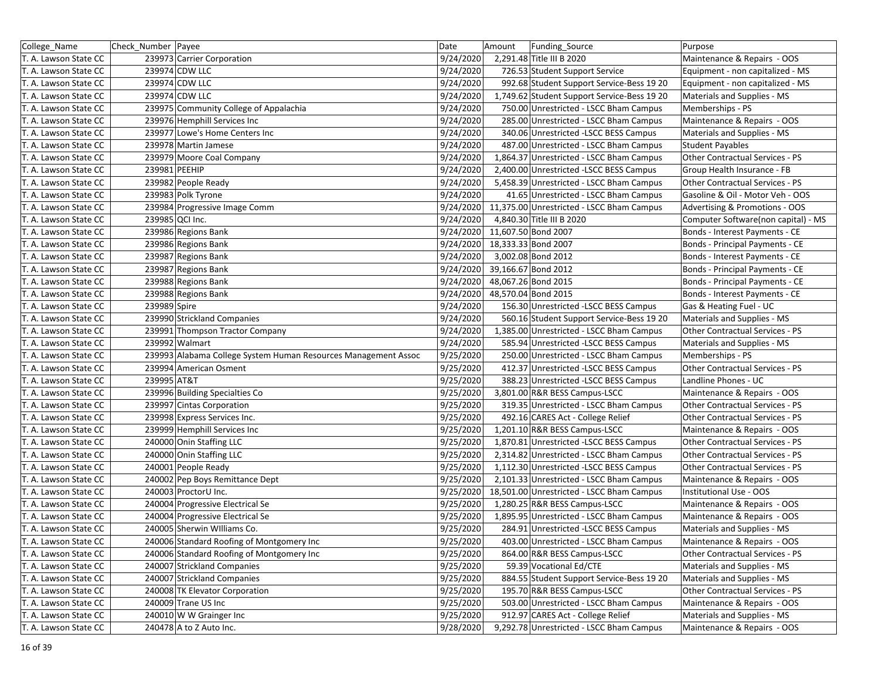| College Name          | Check Number Payee |                                                                | Date      | Amount | <b>Funding Source</b>                       | Purpose                                |
|-----------------------|--------------------|----------------------------------------------------------------|-----------|--------|---------------------------------------------|----------------------------------------|
| T. A. Lawson State CC |                    | 239973 Carrier Corporation                                     | 9/24/2020 |        | 2,291.48 Title III B 2020                   | Maintenance & Repairs - OOS            |
| T. A. Lawson State CC |                    | 239974 CDW LLC                                                 | 9/24/2020 |        | 726.53 Student Support Service              | Equipment - non capitalized - MS       |
| T. A. Lawson State CC |                    | 239974 CDW LLC                                                 | 9/24/2020 |        | 992.68 Student Support Service-Bess 19 20   | Equipment - non capitalized - MS       |
| T. A. Lawson State CC |                    | 239974 CDW LLC                                                 | 9/24/2020 |        | 1,749.62 Student Support Service-Bess 19 20 | Materials and Supplies - MS            |
| T. A. Lawson State CC |                    | 239975 Community College of Appalachia                         | 9/24/2020 |        | 750.00 Unrestricted - LSCC Bham Campus      | Memberships - PS                       |
| T. A. Lawson State CC |                    | 239976 Hemphill Services Inc                                   | 9/24/2020 |        | 285.00 Unrestricted - LSCC Bham Campus      | Maintenance & Repairs - OOS            |
| T. A. Lawson State CC |                    | 239977 Lowe's Home Centers Inc                                 | 9/24/2020 |        | 340.06 Unrestricted -LSCC BESS Campus       | Materials and Supplies - MS            |
| T. A. Lawson State CC |                    | 239978 Martin Jamese                                           | 9/24/2020 |        | 487.00 Unrestricted - LSCC Bham Campus      | Student Payables                       |
| T. A. Lawson State CC |                    | 239979 Moore Coal Company                                      | 9/24/2020 |        | 1,864.37 Unrestricted - LSCC Bham Campus    | <b>Other Contractual Services - PS</b> |
| T. A. Lawson State CC | 239981 PEEHIP      |                                                                | 9/24/2020 |        | 2,400.00 Unrestricted -LSCC BESS Campus     | Group Health Insurance - FB            |
| T. A. Lawson State CC |                    | 239982 People Ready                                            | 9/24/2020 |        | 5,458.39 Unrestricted - LSCC Bham Campus    | Other Contractual Services - PS        |
| T. A. Lawson State CC |                    | 239983 Polk Tyrone                                             | 9/24/2020 |        | 41.65 Unrestricted - LSCC Bham Campus       | Gasoline & Oil - Motor Veh - OOS       |
| T. A. Lawson State CC |                    | 239984 Progressive Image Comm                                  | 9/24/2020 |        | 11,375.00 Unrestricted - LSCC Bham Campus   | Advertising & Promotions - OOS         |
| T. A. Lawson State CC |                    | 239985 QCI Inc.                                                | 9/24/2020 |        | 4,840.30 Title III B 2020                   | Computer Software(non capital) - MS    |
| T. A. Lawson State CC |                    | 239986 Regions Bank                                            | 9/24/2020 |        | 11,607.50 Bond 2007                         | Bonds - Interest Payments - CE         |
| T. A. Lawson State CC |                    | 239986 Regions Bank                                            | 9/24/2020 |        | 18,333.33 Bond 2007                         | Bonds - Principal Payments - CE        |
| T. A. Lawson State CC |                    | 239987 Regions Bank                                            | 9/24/2020 |        | 3,002.08 Bond 2012                          | Bonds - Interest Payments - CE         |
| T. A. Lawson State CC |                    | 239987 Regions Bank                                            | 9/24/2020 |        | 39,166.67 Bond 2012                         | Bonds - Principal Payments - CE        |
| T. A. Lawson State CC |                    | 239988 Regions Bank                                            | 9/24/2020 |        | 48,067.26 Bond 2015                         | Bonds - Principal Payments - CE        |
| T. A. Lawson State CC |                    | 239988 Regions Bank                                            | 9/24/2020 |        | 48,570.04 Bond 2015                         | Bonds - Interest Payments - CE         |
| T. A. Lawson State CC | 239989 Spire       |                                                                | 9/24/2020 |        | 156.30 Unrestricted -LSCC BESS Campus       | Gas & Heating Fuel - UC                |
| T. A. Lawson State CC |                    | 239990 Strickland Companies                                    | 9/24/2020 |        | 560.16 Student Support Service-Bess 19 20   | Materials and Supplies - MS            |
| T. A. Lawson State CC |                    | 239991 Thompson Tractor Company                                | 9/24/2020 |        | 1,385.00 Unrestricted - LSCC Bham Campus    | <b>Other Contractual Services - PS</b> |
| T. A. Lawson State CC |                    | 239992 Walmart                                                 | 9/24/2020 |        | 585.94 Unrestricted -LSCC BESS Campus       | Materials and Supplies - MS            |
| T. A. Lawson State CC |                    | 239993 Alabama College System Human Resources Management Assoc | 9/25/2020 |        | 250.00 Unrestricted - LSCC Bham Campus      | Memberships - PS                       |
| T. A. Lawson State CC |                    | 239994 American Osment                                         | 9/25/2020 |        | 412.37 Unrestricted -LSCC BESS Campus       | Other Contractual Services - PS        |
| T. A. Lawson State CC | 239995 AT&T        |                                                                | 9/25/2020 |        | 388.23 Unrestricted -LSCC BESS Campus       | Landline Phones - UC                   |
| T. A. Lawson State CC |                    | 239996 Building Specialties Co                                 | 9/25/2020 |        | 3,801.00 R&R BESS Campus-LSCC               | Maintenance & Repairs - OOS            |
| T. A. Lawson State CC |                    | 239997 Cintas Corporation                                      | 9/25/2020 |        | 319.35 Unrestricted - LSCC Bham Campus      | Other Contractual Services - PS        |
| T. A. Lawson State CC |                    | 239998 Express Services Inc.                                   | 9/25/2020 |        | 492.16 CARES Act - College Relief           | Other Contractual Services - PS        |
| T. A. Lawson State CC |                    | 239999 Hemphill Services Inc                                   | 9/25/2020 |        | 1,201.10 R&R BESS Campus-LSCC               | Maintenance & Repairs - OOS            |
| T. A. Lawson State CC |                    | 240000 Onin Staffing LLC                                       | 9/25/2020 |        | 1,870.81 Unrestricted -LSCC BESS Campus     | Other Contractual Services - PS        |
| T. A. Lawson State CC |                    | 240000 Onin Staffing LLC                                       | 9/25/2020 |        | 2,314.82 Unrestricted - LSCC Bham Campus    | Other Contractual Services - PS        |
| T. A. Lawson State CC |                    | 240001 People Ready                                            | 9/25/2020 |        | 1,112.30 Unrestricted -LSCC BESS Campus     | Other Contractual Services - PS        |
| T. A. Lawson State CC |                    | 240002 Pep Boys Remittance Dept                                | 9/25/2020 |        | 2,101.33 Unrestricted - LSCC Bham Campus    | Maintenance & Repairs - OOS            |
| T. A. Lawson State CC |                    | 240003 ProctorU Inc.                                           | 9/25/2020 |        | 18,501.00 Unrestricted - LSCC Bham Campus   | Institutional Use - OOS                |
| T. A. Lawson State CC |                    | 240004 Progressive Electrical Se                               | 9/25/2020 |        | 1,280.25 R&R BESS Campus-LSCC               | Maintenance & Repairs - OOS            |
| T. A. Lawson State CC |                    | 240004 Progressive Electrical Se                               | 9/25/2020 |        | 1,895.95 Unrestricted - LSCC Bham Campus    | Maintenance & Repairs - OOS            |
| T. A. Lawson State CC |                    | 240005 Sherwin Williams Co.                                    | 9/25/2020 |        | 284.91 Unrestricted - LSCC BESS Campus      | Materials and Supplies - MS            |
| T. A. Lawson State CC |                    | 240006 Standard Roofing of Montgomery Inc                      | 9/25/2020 |        | 403.00 Unrestricted - LSCC Bham Campus      | Maintenance & Repairs - OOS            |
| T. A. Lawson State CC |                    | 240006 Standard Roofing of Montgomery Inc                      | 9/25/2020 |        | 864.00 R&R BESS Campus-LSCC                 | Other Contractual Services - PS        |
| T. A. Lawson State CC |                    | 240007 Strickland Companies                                    | 9/25/2020 |        | 59.39 Vocational Ed/CTE                     | Materials and Supplies - MS            |
| T. A. Lawson State CC |                    | 240007 Strickland Companies                                    | 9/25/2020 |        | 884.55 Student Support Service-Bess 19 20   | Materials and Supplies - MS            |
| T. A. Lawson State CC |                    | 240008 TK Elevator Corporation                                 | 9/25/2020 |        | 195.70 R&R BESS Campus-LSCC                 | Other Contractual Services - PS        |
| T. A. Lawson State CC |                    | 240009 Trane US Inc                                            | 9/25/2020 |        | 503.00 Unrestricted - LSCC Bham Campus      | Maintenance & Repairs - OOS            |
| T. A. Lawson State CC |                    | 240010 W W Grainger Inc                                        | 9/25/2020 |        | 912.97 CARES Act - College Relief           | Materials and Supplies - MS            |
| T. A. Lawson State CC |                    | 240478 A to Z Auto Inc.                                        | 9/28/2020 |        | 9,292.78 Unrestricted - LSCC Bham Campus    | Maintenance & Repairs - OOS            |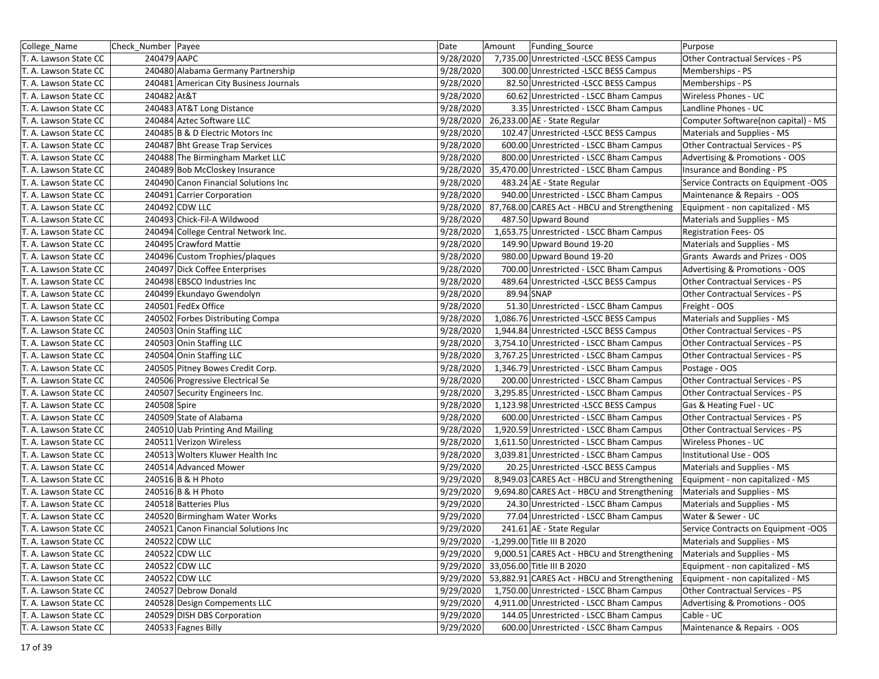| College Name          | Check Number Payee                     | Date      | Amount | Funding Source                               | Purpose                                |
|-----------------------|----------------------------------------|-----------|--------|----------------------------------------------|----------------------------------------|
| T. A. Lawson State CC | 240479 AAPC                            | 9/28/2020 |        | 7,735.00 Unrestricted -LSCC BESS Campus      | Other Contractual Services - PS        |
| T. A. Lawson State CC | 240480 Alabama Germany Partnership     | 9/28/2020 |        | 300.00 Unrestricted -LSCC BESS Campus        | Memberships - PS                       |
| T. A. Lawson State CC | 240481 American City Business Journals | 9/28/2020 |        | 82.50 Unrestricted -LSCC BESS Campus         | Memberships - PS                       |
| T. A. Lawson State CC | 240482 At&T                            | 9/28/2020 |        | 60.62 Unrestricted - LSCC Bham Campus        | Wireless Phones - UC                   |
| T. A. Lawson State CC | 240483 AT&T Long Distance              | 9/28/2020 |        | 3.35 Unrestricted - LSCC Bham Campus         | Landline Phones - UC                   |
| T. A. Lawson State CC | 240484 Aztec Software LLC              | 9/28/2020 |        | 26,233.00 AE - State Regular                 | Computer Software(non capital) - MS    |
| T. A. Lawson State CC | 240485 B & D Electric Motors Inc       | 9/28/2020 |        | 102.47 Unrestricted -LSCC BESS Campus        | Materials and Supplies - MS            |
| T. A. Lawson State CC | 240487 Bht Grease Trap Services        | 9/28/2020 |        | 600.00 Unrestricted - LSCC Bham Campus       | Other Contractual Services - PS        |
| T. A. Lawson State CC | 240488 The Birmingham Market LLC       | 9/28/2020 |        | 800.00 Unrestricted - LSCC Bham Campus       | Advertising & Promotions - OOS         |
| T. A. Lawson State CC | 240489 Bob McCloskey Insurance         | 9/28/2020 |        | 35,470.00 Unrestricted - LSCC Bham Campus    | Insurance and Bonding - PS             |
| T. A. Lawson State CC | 240490 Canon Financial Solutions Inc   | 9/28/2020 |        | 483.24 AE - State Regular                    | Service Contracts on Equipment -OOS    |
| T. A. Lawson State CC | 240491 Carrier Corporation             | 9/28/2020 |        | 940.00 Unrestricted - LSCC Bham Campus       | Maintenance & Repairs - OOS            |
| T. A. Lawson State CC | 240492 CDW LLC                         | 9/28/2020 |        | 87,768.00 CARES Act - HBCU and Strengthening | Equipment - non capitalized - MS       |
| T. A. Lawson State CC | 240493 Chick-Fil-A Wildwood            | 9/28/2020 |        | 487.50 Upward Bound                          | Materials and Supplies - MS            |
| T. A. Lawson State CC | 240494 College Central Network Inc.    | 9/28/2020 |        | 1,653.75 Unrestricted - LSCC Bham Campus     | <b>Registration Fees-OS</b>            |
| T. A. Lawson State CC | 240495 Crawford Mattie                 | 9/28/2020 |        | 149.90 Upward Bound 19-20                    | Materials and Supplies - MS            |
| T. A. Lawson State CC | 240496 Custom Trophies/plaques         | 9/28/2020 |        | 980.00 Upward Bound 19-20                    | Grants Awards and Prizes - OOS         |
| T. A. Lawson State CC | 240497 Dick Coffee Enterprises         | 9/28/2020 |        | 700.00 Unrestricted - LSCC Bham Campus       | Advertising & Promotions - OOS         |
| T. A. Lawson State CC | 240498 EBSCO Industries Inc            | 9/28/2020 |        | 489.64 Unrestricted -LSCC BESS Campus        | Other Contractual Services - PS        |
| T. A. Lawson State CC | 240499 Ekundayo Gwendolyn              | 9/28/2020 |        | 89.94 SNAP                                   | <b>Other Contractual Services - PS</b> |
| T. A. Lawson State CC | 240501 FedEx Office                    | 9/28/2020 |        | 51.30 Unrestricted - LSCC Bham Campus        | Freight - OOS                          |
| T. A. Lawson State CC | 240502 Forbes Distributing Compa       | 9/28/2020 |        | 1,086.76 Unrestricted -LSCC BESS Campus      | Materials and Supplies - MS            |
| T. A. Lawson State CC | 240503 Onin Staffing LLC               | 9/28/2020 |        | 1,944.84 Unrestricted - LSCC BESS Campus     | Other Contractual Services - PS        |
| T. A. Lawson State CC | 240503 Onin Staffing LLC               | 9/28/2020 |        | 3,754.10 Unrestricted - LSCC Bham Campus     | Other Contractual Services - PS        |
| T. A. Lawson State CC | 240504 Onin Staffing LLC               | 9/28/2020 |        | 3,767.25 Unrestricted - LSCC Bham Campus     | Other Contractual Services - PS        |
| T. A. Lawson State CC | 240505 Pitney Bowes Credit Corp.       | 9/28/2020 |        | 1,346.79 Unrestricted - LSCC Bham Campus     | Postage - OOS                          |
| T. A. Lawson State CC | 240506 Progressive Electrical Se       | 9/28/2020 |        | 200.00 Unrestricted - LSCC Bham Campus       | Other Contractual Services - PS        |
| T. A. Lawson State CC | 240507 Security Engineers Inc.         | 9/28/2020 |        | 3,295.85 Unrestricted - LSCC Bham Campus     | Other Contractual Services - PS        |
| T. A. Lawson State CC | 240508 Spire                           | 9/28/2020 |        | 1,123.98 Unrestricted -LSCC BESS Campus      | Gas & Heating Fuel - UC                |
| T. A. Lawson State CC | 240509 State of Alabama                | 9/28/2020 |        | 600.00 Unrestricted - LSCC Bham Campus       | Other Contractual Services - PS        |
| T. A. Lawson State CC | 240510 Uab Printing And Mailing        | 9/28/2020 |        | 1,920.59 Unrestricted - LSCC Bham Campus     | <b>Other Contractual Services - PS</b> |
| T. A. Lawson State CC | 240511 Verizon Wireless                | 9/28/2020 |        | 1,611.50 Unrestricted - LSCC Bham Campus     | Wireless Phones - UC                   |
| T. A. Lawson State CC | 240513 Wolters Kluwer Health Inc       | 9/28/2020 |        | 3,039.81 Unrestricted - LSCC Bham Campus     | Institutional Use - OOS                |
| T. A. Lawson State CC | 240514 Advanced Mower                  | 9/29/2020 |        | 20.25 Unrestricted -LSCC BESS Campus         | Materials and Supplies - MS            |
| T. A. Lawson State CC | 240516 B & H Photo                     | 9/29/2020 |        | 8,949.03 CARES Act - HBCU and Strengthening  | Equipment - non capitalized - MS       |
| T. A. Lawson State CC | 240516 B & H Photo                     | 9/29/2020 |        | 9,694.80 CARES Act - HBCU and Strengthening  | Materials and Supplies - MS            |
| T. A. Lawson State CC | 240518 Batteries Plus                  | 9/29/2020 |        | 24.30 Unrestricted - LSCC Bham Campus        | Materials and Supplies - MS            |
| T. A. Lawson State CC | 240520 Birmingham Water Works          | 9/29/2020 |        | 77.04 Unrestricted - LSCC Bham Campus        | Water & Sewer - UC                     |
| T. A. Lawson State CC | 240521 Canon Financial Solutions Inc   | 9/29/2020 |        | 241.61 AE - State Regular                    | Service Contracts on Equipment -OOS    |
| T. A. Lawson State CC | 240522 CDW LLC                         | 9/29/2020 |        | -1,299.00 Title III B 2020                   | Materials and Supplies - MS            |
| T. A. Lawson State CC | 240522 CDW LLC                         | 9/29/2020 |        | 9,000.51 CARES Act - HBCU and Strengthening  | Materials and Supplies - MS            |
| T. A. Lawson State CC | 240522 CDW LLC                         | 9/29/2020 |        | 33,056.00 Title III B 2020                   | Equipment - non capitalized - MS       |
| T. A. Lawson State CC | 240522 CDW LLC                         | 9/29/2020 |        | 53,882.91 CARES Act - HBCU and Strengthening | Equipment - non capitalized - MS       |
| T. A. Lawson State CC | 240527 Debrow Donald                   | 9/29/2020 |        | 1,750.00 Unrestricted - LSCC Bham Campus     | Other Contractual Services - PS        |
| T. A. Lawson State CC | 240528 Design Compements LLC           | 9/29/2020 |        | 4,911.00 Unrestricted - LSCC Bham Campus     | Advertising & Promotions - OOS         |
| T. A. Lawson State CC | 240529 DISH DBS Corporation            | 9/29/2020 |        | 144.05 Unrestricted - LSCC Bham Campus       | Cable - UC                             |
| T. A. Lawson State CC | 240533 Fagnes Billy                    | 9/29/2020 |        | 600.00 Unrestricted - LSCC Bham Campus       | Maintenance & Repairs - OOS            |
|                       |                                        |           |        |                                              |                                        |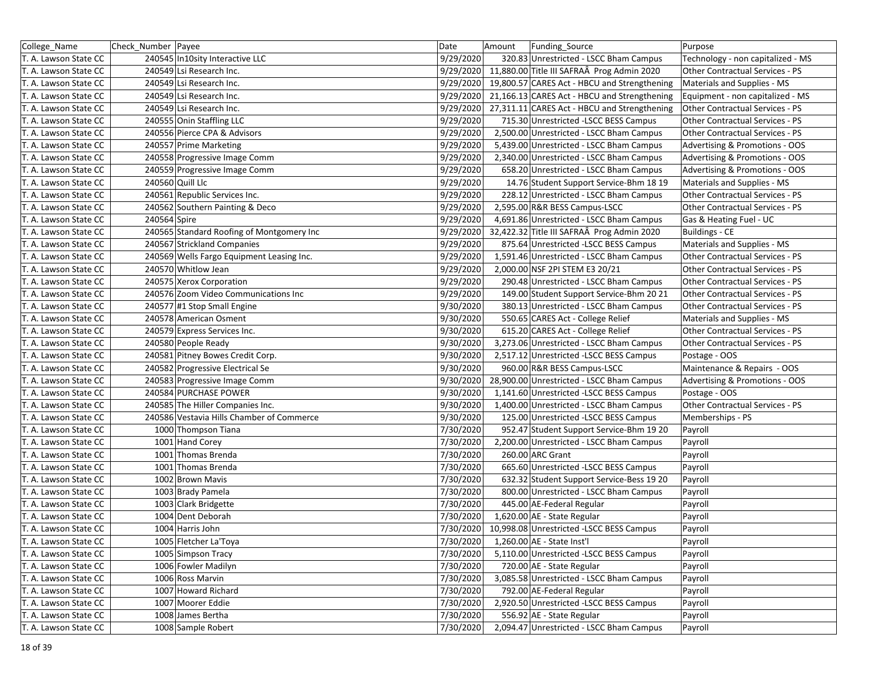| College Name          | Check Number Payee                        | Date      | Amount | Funding Source                               | Purpose                                |
|-----------------------|-------------------------------------------|-----------|--------|----------------------------------------------|----------------------------------------|
| T. A. Lawson State CC | 240545 In10sity Interactive LLC           | 9/29/2020 |        | 320.83 Unrestricted - LSCC Bham Campus       | Technology - non capitalized - MS      |
| T. A. Lawson State CC | 240549 Lsi Research Inc.                  | 9/29/2020 |        | 11,880.00 Title III SAFRAÂ Prog Admin 2020   | Other Contractual Services - PS        |
| T. A. Lawson State CC | 240549 Lsi Research Inc.                  | 9/29/2020 |        | 19,800.57 CARES Act - HBCU and Strengthening | Materials and Supplies - MS            |
| T. A. Lawson State CC | 240549 Lsi Research Inc.                  | 9/29/2020 |        | 21,166.13 CARES Act - HBCU and Strengthening | Equipment - non capitalized - MS       |
| T. A. Lawson State CC | 240549 Lsi Research Inc.                  | 9/29/2020 |        | 27,311.11 CARES Act - HBCU and Strengthening | Other Contractual Services - PS        |
| T. A. Lawson State CC | 240555 Onin Staffling LLC                 | 9/29/2020 |        | 715.30 Unrestricted -LSCC BESS Campus        | Other Contractual Services - PS        |
| T. A. Lawson State CC | 240556 Pierce CPA & Advisors              | 9/29/2020 |        | 2,500.00 Unrestricted - LSCC Bham Campus     | <b>Other Contractual Services - PS</b> |
| T. A. Lawson State CC | 240557 Prime Marketing                    | 9/29/2020 |        | 5,439.00 Unrestricted - LSCC Bham Campus     | Advertising & Promotions - OOS         |
| T. A. Lawson State CC | 240558 Progressive Image Comm             | 9/29/2020 |        | 2,340.00 Unrestricted - LSCC Bham Campus     | Advertising & Promotions - OOS         |
| T. A. Lawson State CC | 240559 Progressive Image Comm             | 9/29/2020 |        | 658.20 Unrestricted - LSCC Bham Campus       | Advertising & Promotions - OOS         |
| T. A. Lawson State CC | 240560 Quill Llc                          | 9/29/2020 |        | 14.76 Student Support Service-Bhm 18 19      | Materials and Supplies - MS            |
| T. A. Lawson State CC | 240561 Republic Services Inc.             | 9/29/2020 |        | 228.12 Unrestricted - LSCC Bham Campus       | Other Contractual Services - PS        |
| T. A. Lawson State CC | 240562 Southern Painting & Deco           | 9/29/2020 |        | 2,595.00 R&R BESS Campus-LSCC                | Other Contractual Services - PS        |
| T. A. Lawson State CC | 240564 Spire                              | 9/29/2020 |        | 4,691.86 Unrestricted - LSCC Bham Campus     | Gas & Heating Fuel - UC                |
| T. A. Lawson State CC | 240565 Standard Roofing of Montgomery Inc | 9/29/2020 |        | 32,422.32 Title III SAFRAÂ Prog Admin 2020   | <b>Buildings - CE</b>                  |
| T. A. Lawson State CC | 240567 Strickland Companies               | 9/29/2020 |        | 875.64 Unrestricted -LSCC BESS Campus        | Materials and Supplies - MS            |
| T. A. Lawson State CC | 240569 Wells Fargo Equipment Leasing Inc. | 9/29/2020 |        | 1,591.46 Unrestricted - LSCC Bham Campus     | Other Contractual Services - PS        |
| T. A. Lawson State CC | 240570 Whitlow Jean                       | 9/29/2020 |        | 2,000.00 NSF 2PI STEM E3 20/21               | Other Contractual Services - PS        |
| T. A. Lawson State CC | 240575 Xerox Corporation                  | 9/29/2020 |        | 290.48 Unrestricted - LSCC Bham Campus       | Other Contractual Services - PS        |
| T. A. Lawson State CC | 240576 Zoom Video Communications Inc      | 9/29/2020 |        | 149.00 Student Support Service-Bhm 20 21     | Other Contractual Services - PS        |
| T. A. Lawson State CC | 240577 #1 Stop Small Engine               | 9/30/2020 |        | 380.13 Unrestricted - LSCC Bham Campus       | Other Contractual Services - PS        |
| T. A. Lawson State CC | 240578 American Osment                    | 9/30/2020 |        | 550.65 CARES Act - College Relief            | Materials and Supplies - MS            |
| T. A. Lawson State CC | 240579 Express Services Inc.              | 9/30/2020 |        | 615.20 CARES Act - College Relief            | Other Contractual Services - PS        |
| T. A. Lawson State CC | 240580 People Ready                       | 9/30/2020 |        | 3,273.06 Unrestricted - LSCC Bham Campus     | <b>Other Contractual Services - PS</b> |
| T. A. Lawson State CC | 240581 Pitney Bowes Credit Corp.          | 9/30/2020 |        | 2,517.12 Unrestricted -LSCC BESS Campus      | Postage - OOS                          |
| T. A. Lawson State CC | 240582 Progressive Electrical Se          | 9/30/2020 |        | 960.00 R&R BESS Campus-LSCC                  | Maintenance & Repairs - OOS            |
| T. A. Lawson State CC | 240583 Progressive Image Comm             | 9/30/2020 |        | 28,900.00 Unrestricted - LSCC Bham Campus    | Advertising & Promotions - OOS         |
| T. A. Lawson State CC | 240584 PURCHASE POWER                     | 9/30/2020 |        | 1,141.60 Unrestricted -LSCC BESS Campus      | Postage - OOS                          |
| T. A. Lawson State CC | 240585 The Hiller Companies Inc.          | 9/30/2020 |        | 1,400.00 Unrestricted - LSCC Bham Campus     | Other Contractual Services - PS        |
| T. A. Lawson State CC | 240586 Vestavia Hills Chamber of Commerce | 9/30/2020 |        | 125.00 Unrestricted -LSCC BESS Campus        | Memberships - PS                       |
| T. A. Lawson State CC | 1000 Thompson Tiana                       | 7/30/2020 |        | 952.47 Student Support Service-Bhm 19 20     | Payroll                                |
| T. A. Lawson State CC | 1001 Hand Corey                           | 7/30/2020 |        | 2,200.00 Unrestricted - LSCC Bham Campus     | Payroll                                |
| T. A. Lawson State CC | 1001 Thomas Brenda                        | 7/30/2020 |        | 260.00 ARC Grant                             | Payroll                                |
| T. A. Lawson State CC | 1001 Thomas Brenda                        | 7/30/2020 |        | 665.60 Unrestricted -LSCC BESS Campus        | Payroll                                |
| T. A. Lawson State CC | 1002 Brown Mavis                          | 7/30/2020 |        | 632.32 Student Support Service-Bess 19 20    | Payroll                                |
| T. A. Lawson State CC | 1003 Brady Pamela                         | 7/30/2020 |        | 800.00 Unrestricted - LSCC Bham Campus       | Payroll                                |
| T. A. Lawson State CC | 1003 Clark Bridgette                      | 7/30/2020 |        | 445.00 AE-Federal Regular                    | Payroll                                |
| T. A. Lawson State CC | 1004 Dent Deborah                         | 7/30/2020 |        | 1,620.00 AE - State Regular                  | Payroll                                |
| T. A. Lawson State CC | 1004 Harris John                          | 7/30/2020 |        | 10,998.08 Unrestricted - LSCC BESS Campus    | Payroll                                |
| T. A. Lawson State CC | 1005 Fletcher La'Toya                     | 7/30/2020 |        | 1,260.00 AE - State Inst'l                   | Payroll                                |
| T. A. Lawson State CC | 1005 Simpson Tracy                        | 7/30/2020 |        | 5,110.00 Unrestricted - LSCC BESS Campus     | Payroll                                |
| T. A. Lawson State CC | 1006 Fowler Madilyn                       | 7/30/2020 |        | 720.00 AE - State Regular                    | Payroll                                |
| T. A. Lawson State CC | 1006 Ross Marvin                          | 7/30/2020 |        | 3,085.58 Unrestricted - LSCC Bham Campus     | Payroll                                |
| T. A. Lawson State CC | 1007 Howard Richard                       | 7/30/2020 |        | 792.00 AE-Federal Regular                    | Payroll                                |
| T. A. Lawson State CC | 1007 Moorer Eddie                         | 7/30/2020 |        | 2,920.50 Unrestricted - LSCC BESS Campus     | Payroll                                |
| T. A. Lawson State CC | 1008 James Bertha                         | 7/30/2020 |        | 556.92 AE - State Regular                    | Payroll                                |
| T. A. Lawson State CC | 1008 Sample Robert                        | 7/30/2020 |        | 2,094.47 Unrestricted - LSCC Bham Campus     | Payroll                                |
|                       |                                           |           |        |                                              |                                        |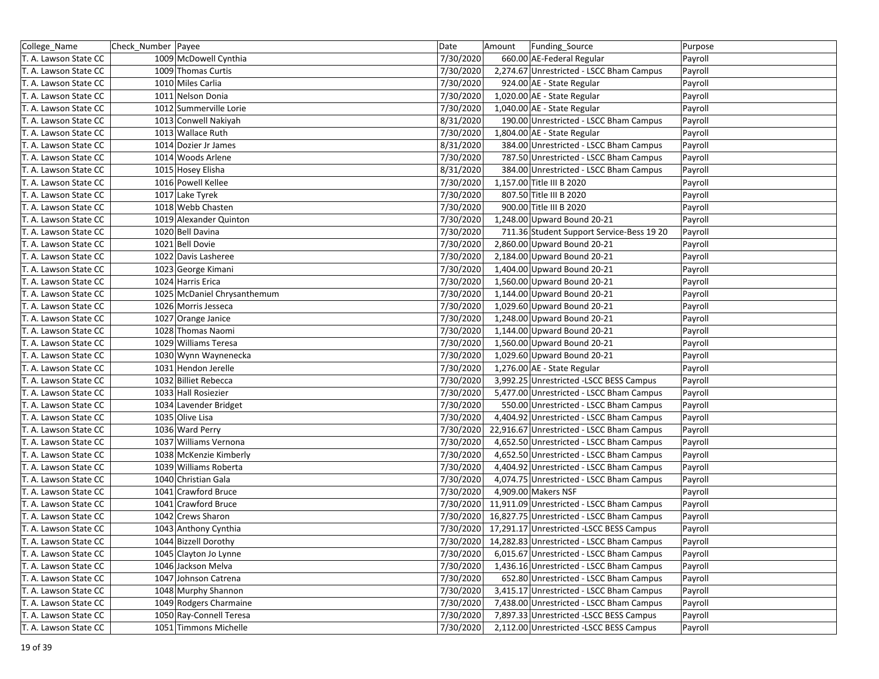| College_Name          | Check Number Payee          | Date      | Amount | Funding Source                                     | Purpose |
|-----------------------|-----------------------------|-----------|--------|----------------------------------------------------|---------|
| T. A. Lawson State CC | 1009 McDowell Cynthia       | 7/30/2020 |        | 660.00 AE-Federal Regular                          | Payroll |
| T. A. Lawson State CC | 1009 Thomas Curtis          | 7/30/2020 |        | 2,274.67 Unrestricted - LSCC Bham Campus           | Payroll |
| T. A. Lawson State CC | 1010 Miles Carlia           | 7/30/2020 |        | 924.00 AE - State Regular                          | Payroll |
| T. A. Lawson State CC | 1011 Nelson Donia           | 7/30/2020 |        | 1,020.00 AE - State Regular                        | Payroll |
| T. A. Lawson State CC | 1012 Summerville Lorie      | 7/30/2020 |        | 1,040.00 AE - State Regular                        | Payroll |
| T. A. Lawson State CC | 1013 Conwell Nakiyah        | 8/31/2020 |        | 190.00 Unrestricted - LSCC Bham Campus             | Payroll |
| T. A. Lawson State CC | 1013 Wallace Ruth           | 7/30/2020 |        | 1,804.00 AE - State Regular                        | Payroll |
| T. A. Lawson State CC | 1014 Dozier Jr James        | 8/31/2020 |        | 384.00 Unrestricted - LSCC Bham Campus             | Payroll |
| T. A. Lawson State CC | 1014 Woods Arlene           | 7/30/2020 |        | 787.50 Unrestricted - LSCC Bham Campus             | Payroll |
| T. A. Lawson State CC | 1015 Hosey Elisha           | 8/31/2020 |        | 384.00 Unrestricted - LSCC Bham Campus             | Payroll |
| T. A. Lawson State CC | 1016 Powell Kellee          | 7/30/2020 |        | 1,157.00 Title III B 2020                          | Payroll |
| T. A. Lawson State CC | 1017 Lake Tyrek             | 7/30/2020 |        | 807.50 Title III B 2020                            | Payroll |
| T. A. Lawson State CC | 1018 Webb Chasten           | 7/30/2020 |        | 900.00 Title III B 2020                            | Payroll |
| T. A. Lawson State CC | 1019 Alexander Quinton      | 7/30/2020 |        | 1,248.00 Upward Bound 20-21                        | Payroll |
| T. A. Lawson State CC | 1020 Bell Davina            | 7/30/2020 |        | 711.36 Student Support Service-Bess 19 20          | Payroll |
| T. A. Lawson State CC | 1021 Bell Dovie             | 7/30/2020 |        | 2,860.00 Upward Bound 20-21                        | Payroll |
| T. A. Lawson State CC | 1022 Davis Lasheree         | 7/30/2020 |        | 2,184.00 Upward Bound 20-21                        | Payroll |
| T. A. Lawson State CC | 1023 George Kimani          | 7/30/2020 |        | 1,404.00 Upward Bound 20-21                        | Payroll |
| T. A. Lawson State CC | 1024 Harris Erica           | 7/30/2020 |        | 1,560.00 Upward Bound 20-21                        | Payroll |
| T. A. Lawson State CC | 1025 McDaniel Chrysanthemum | 7/30/2020 |        | 1,144.00 Upward Bound 20-21                        | Payroll |
| T. A. Lawson State CC | 1026 Morris Jesseca         | 7/30/2020 |        | 1,029.60 Upward Bound 20-21                        | Payroll |
| T. A. Lawson State CC | 1027 Orange Janice          | 7/30/2020 |        | 1,248.00 Upward Bound 20-21                        | Payroll |
| T. A. Lawson State CC | 1028 Thomas Naomi           | 7/30/2020 |        | 1,144.00 Upward Bound 20-21                        | Payroll |
| T. A. Lawson State CC | 1029 Williams Teresa        | 7/30/2020 |        | 1,560.00 Upward Bound 20-21                        | Payroll |
| T. A. Lawson State CC | 1030 Wynn Waynenecka        | 7/30/2020 |        | 1,029.60 Upward Bound 20-21                        | Payroll |
| T. A. Lawson State CC | 1031 Hendon Jerelle         | 7/30/2020 |        | 1,276.00 AE - State Regular                        | Payroll |
| T. A. Lawson State CC | 1032 Billiet Rebecca        | 7/30/2020 |        | 3,992.25 Unrestricted -LSCC BESS Campus            | Payroll |
| T. A. Lawson State CC | 1033 Hall Rosiezier         | 7/30/2020 |        | 5,477.00 Unrestricted - LSCC Bham Campus           | Payroll |
| T. A. Lawson State CC | 1034 Lavender Bridget       | 7/30/2020 |        | 550.00 Unrestricted - LSCC Bham Campus             | Payroll |
| T. A. Lawson State CC | 1035 Olive Lisa             | 7/30/2020 |        | 4,404.92 Unrestricted - LSCC Bham Campus           | Payroll |
| T. A. Lawson State CC | 1036 Ward Perry             | 7/30/2020 |        | 22,916.67 Unrestricted - LSCC Bham Campus          | Payroll |
| T. A. Lawson State CC | 1037 Williams Vernona       | 7/30/2020 |        | 4,652.50 Unrestricted - LSCC Bham Campus           | Payroll |
| T. A. Lawson State CC | 1038 McKenzie Kimberly      | 7/30/2020 |        | 4,652.50 Unrestricted - LSCC Bham Campus           | Payroll |
| T. A. Lawson State CC | 1039 Williams Roberta       | 7/30/2020 |        | 4,404.92 Unrestricted - LSCC Bham Campus           | Payroll |
| T. A. Lawson State CC | 1040 Christian Gala         | 7/30/2020 |        | 4,074.75 Unrestricted - LSCC Bham Campus           | Payroll |
| T. A. Lawson State CC | 1041 Crawford Bruce         | 7/30/2020 |        | 4,909.00 Makers NSF                                | Payroll |
| T. A. Lawson State CC | 1041 Crawford Bruce         | 7/30/2020 |        | 11,911.09 Unrestricted - LSCC Bham Campus          | Payroll |
| T. A. Lawson State CC | 1042 Crews Sharon           | 7/30/2020 |        | 16,827.75 Unrestricted - LSCC Bham Campus          | Payroll |
| T. A. Lawson State CC | 1043 Anthony Cynthia        |           |        | 7/30/2020 17,291.17 Unrestricted -LSCC BESS Campus | Payroll |
| T. A. Lawson State CC | 1044 Bizzell Dorothy        | 7/30/2020 |        | 14,282.83 Unrestricted - LSCC Bham Campus          | Payroll |
| T. A. Lawson State CC | 1045 Clayton Jo Lynne       | 7/30/2020 |        | 6,015.67 Unrestricted - LSCC Bham Campus           | Payroll |
| T. A. Lawson State CC | 1046 Jackson Melva          | 7/30/2020 |        | 1,436.16 Unrestricted - LSCC Bham Campus           | Payroll |
| T. A. Lawson State CC | 1047 Johnson Catrena        | 7/30/2020 |        | 652.80 Unrestricted - LSCC Bham Campus             | Payroll |
| T. A. Lawson State CC | 1048 Murphy Shannon         | 7/30/2020 |        | 3,415.17 Unrestricted - LSCC Bham Campus           | Payroll |
| T. A. Lawson State CC | 1049 Rodgers Charmaine      | 7/30/2020 |        | 7,438.00 Unrestricted - LSCC Bham Campus           | Payroll |
| T. A. Lawson State CC | 1050 Ray-Connell Teresa     | 7/30/2020 |        | 7,897.33 Unrestricted - LSCC BESS Campus           | Payroll |
| T. A. Lawson State CC | 1051 Timmons Michelle       | 7/30/2020 |        | 2,112.00 Unrestricted -LSCC BESS Campus            | Payroll |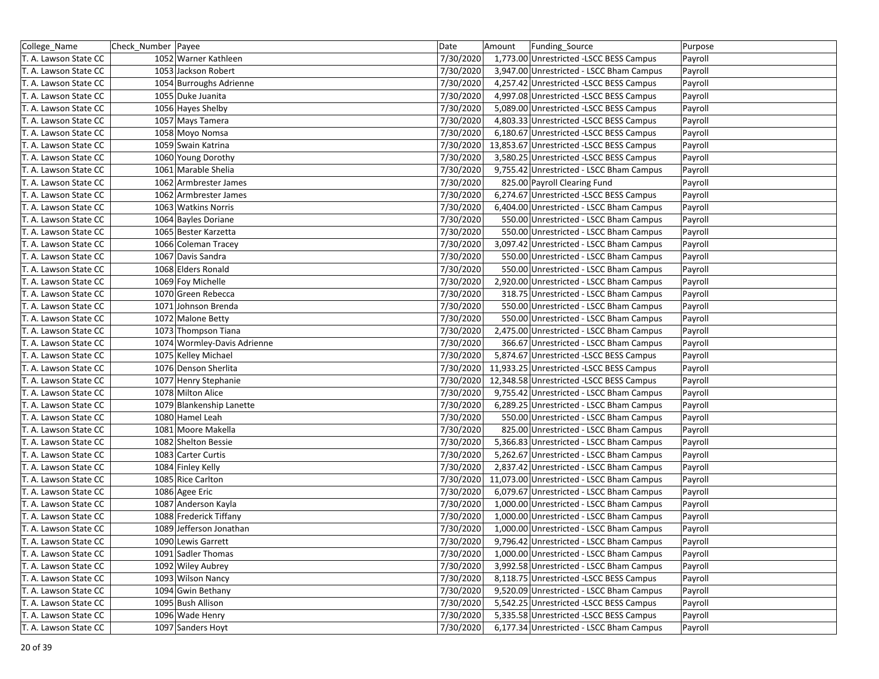| College_Name          | Check_Number   Payee        | Date      | Amount | Funding Source                            | Purpose |
|-----------------------|-----------------------------|-----------|--------|-------------------------------------------|---------|
| T. A. Lawson State CC | 1052 Warner Kathleen        | 7/30/2020 |        | 1,773.00 Unrestricted -LSCC BESS Campus   | Payroll |
| T. A. Lawson State CC | 1053 Jackson Robert         | 7/30/2020 |        | 3,947.00 Unrestricted - LSCC Bham Campus  | Payroll |
| T. A. Lawson State CC | 1054 Burroughs Adrienne     | 7/30/2020 |        | 4,257.42 Unrestricted -LSCC BESS Campus   | Payroll |
| T. A. Lawson State CC | 1055 Duke Juanita           | 7/30/2020 |        | 4,997.08 Unrestricted -LSCC BESS Campus   | Payroll |
| T. A. Lawson State CC | 1056 Hayes Shelby           | 7/30/2020 |        | 5,089.00 Unrestricted -LSCC BESS Campus   | Payroll |
| T. A. Lawson State CC | 1057 Mays Tamera            | 7/30/2020 |        | 4,803.33 Unrestricted -LSCC BESS Campus   | Payroll |
| T. A. Lawson State CC | 1058 Moyo Nomsa             | 7/30/2020 |        | 6,180.67 Unrestricted -LSCC BESS Campus   | Payroll |
| T. A. Lawson State CC | 1059 Swain Katrina          | 7/30/2020 |        | 13,853.67 Unrestricted - LSCC BESS Campus | Payroll |
| T. A. Lawson State CC | 1060 Young Dorothy          | 7/30/2020 |        | 3,580.25 Unrestricted - LSCC BESS Campus  | Payroll |
| T. A. Lawson State CC | 1061 Marable Shelia         | 7/30/2020 |        | 9,755.42 Unrestricted - LSCC Bham Campus  | Payroll |
| T. A. Lawson State CC | 1062 Armbrester James       | 7/30/2020 |        | 825.00 Payroll Clearing Fund              | Payroll |
| T. A. Lawson State CC | 1062 Armbrester James       | 7/30/2020 |        | 6,274.67 Unrestricted -LSCC BESS Campus   | Payroll |
| T. A. Lawson State CC | 1063 Watkins Norris         | 7/30/2020 |        | 6,404.00 Unrestricted - LSCC Bham Campus  | Payroll |
| T. A. Lawson State CC | 1064 Bayles Doriane         | 7/30/2020 |        | 550.00 Unrestricted - LSCC Bham Campus    | Payroll |
| T. A. Lawson State CC | 1065 Bester Karzetta        | 7/30/2020 |        | 550.00 Unrestricted - LSCC Bham Campus    | Payroll |
| T. A. Lawson State CC | 1066 Coleman Tracey         | 7/30/2020 |        | 3,097.42 Unrestricted - LSCC Bham Campus  | Payroll |
| T. A. Lawson State CC | 1067 Davis Sandra           | 7/30/2020 |        | 550.00 Unrestricted - LSCC Bham Campus    | Payroll |
| T. A. Lawson State CC | 1068 Elders Ronald          | 7/30/2020 |        | 550.00 Unrestricted - LSCC Bham Campus    | Payroll |
| T. A. Lawson State CC | 1069 Foy Michelle           | 7/30/2020 |        | 2,920.00 Unrestricted - LSCC Bham Campus  | Payroll |
| T. A. Lawson State CC | 1070 Green Rebecca          | 7/30/2020 |        | 318.75 Unrestricted - LSCC Bham Campus    | Payroll |
| T. A. Lawson State CC | 1071 Johnson Brenda         | 7/30/2020 |        | 550.00 Unrestricted - LSCC Bham Campus    | Payroll |
| T. A. Lawson State CC | 1072 Malone Betty           | 7/30/2020 |        | 550.00 Unrestricted - LSCC Bham Campus    | Payroll |
| T. A. Lawson State CC | 1073 Thompson Tiana         | 7/30/2020 |        | 2,475.00 Unrestricted - LSCC Bham Campus  | Payroll |
| T. A. Lawson State CC | 1074 Wormley-Davis Adrienne | 7/30/2020 |        | 366.67 Unrestricted - LSCC Bham Campus    | Payroll |
| T. A. Lawson State CC | 1075 Kelley Michael         | 7/30/2020 |        | 5,874.67 Unrestricted -LSCC BESS Campus   | Payroll |
| T. A. Lawson State CC | 1076 Denson Sherlita        | 7/30/2020 |        | 11,933.25 Unrestricted - LSCC BESS Campus | Payroll |
| T. A. Lawson State CC | 1077 Henry Stephanie        | 7/30/2020 |        | 12,348.58 Unrestricted -LSCC BESS Campus  | Payroll |
| T. A. Lawson State CC | 1078 Milton Alice           | 7/30/2020 |        | 9,755.42 Unrestricted - LSCC Bham Campus  | Payroll |
| T. A. Lawson State CC | 1079 Blankenship Lanette    | 7/30/2020 |        | 6,289.25 Unrestricted - LSCC Bham Campus  | Payroll |
| T. A. Lawson State CC | 1080 Hamel Leah             | 7/30/2020 |        | 550.00 Unrestricted - LSCC Bham Campus    | Payroll |
| T. A. Lawson State CC | 1081 Moore Makella          | 7/30/2020 |        | 825.00 Unrestricted - LSCC Bham Campus    | Payroll |
| T. A. Lawson State CC | 1082 Shelton Bessie         | 7/30/2020 |        | 5,366.83 Unrestricted - LSCC Bham Campus  | Payroll |
| T. A. Lawson State CC | 1083 Carter Curtis          | 7/30/2020 |        | 5,262.67 Unrestricted - LSCC Bham Campus  | Payroll |
| T. A. Lawson State CC | 1084 Finley Kelly           | 7/30/2020 |        | 2,837.42 Unrestricted - LSCC Bham Campus  | Payroll |
| T. A. Lawson State CC | 1085 Rice Carlton           | 7/30/2020 |        | 11,073.00 Unrestricted - LSCC Bham Campus | Payroll |
| T. A. Lawson State CC | 1086 Agee Eric              | 7/30/2020 |        | 6,079.67 Unrestricted - LSCC Bham Campus  | Payroll |
| T. A. Lawson State CC | 1087 Anderson Kayla         | 7/30/2020 |        | 1,000.00 Unrestricted - LSCC Bham Campus  | Payroll |
| T. A. Lawson State CC | 1088 Frederick Tiffany      | 7/30/2020 |        | 1,000.00 Unrestricted - LSCC Bham Campus  | Payroll |
| T. A. Lawson State CC | 1089 Jefferson Jonathan     | 7/30/2020 |        | 1,000.00 Unrestricted - LSCC Bham Campus  | Payroll |
| T. A. Lawson State CC | 1090 Lewis Garrett          | 7/30/2020 |        | 9,796.42 Unrestricted - LSCC Bham Campus  | Payroll |
| T. A. Lawson State CC | 1091 Sadler Thomas          | 7/30/2020 |        | 1,000.00 Unrestricted - LSCC Bham Campus  | Payroll |
| T. A. Lawson State CC | 1092 Wiley Aubrey           | 7/30/2020 |        | 3,992.58 Unrestricted - LSCC Bham Campus  | Payroll |
| T. A. Lawson State CC | 1093 Wilson Nancy           | 7/30/2020 |        | 8,118.75 Unrestricted -LSCC BESS Campus   | Payroll |
| T. A. Lawson State CC | 1094 Gwin Bethany           | 7/30/2020 |        | 9,520.09 Unrestricted - LSCC Bham Campus  | Payroll |
| T. A. Lawson State CC | 1095 Bush Allison           | 7/30/2020 |        | 5,542.25 Unrestricted -LSCC BESS Campus   | Payroll |
| T. A. Lawson State CC | 1096 Wade Henry             | 7/30/2020 |        | 5,335.58 Unrestricted -LSCC BESS Campus   | Payroll |
| T. A. Lawson State CC | 1097 Sanders Hoyt           | 7/30/2020 |        | 6,177.34 Unrestricted - LSCC Bham Campus  | Payroll |
|                       |                             |           |        |                                           |         |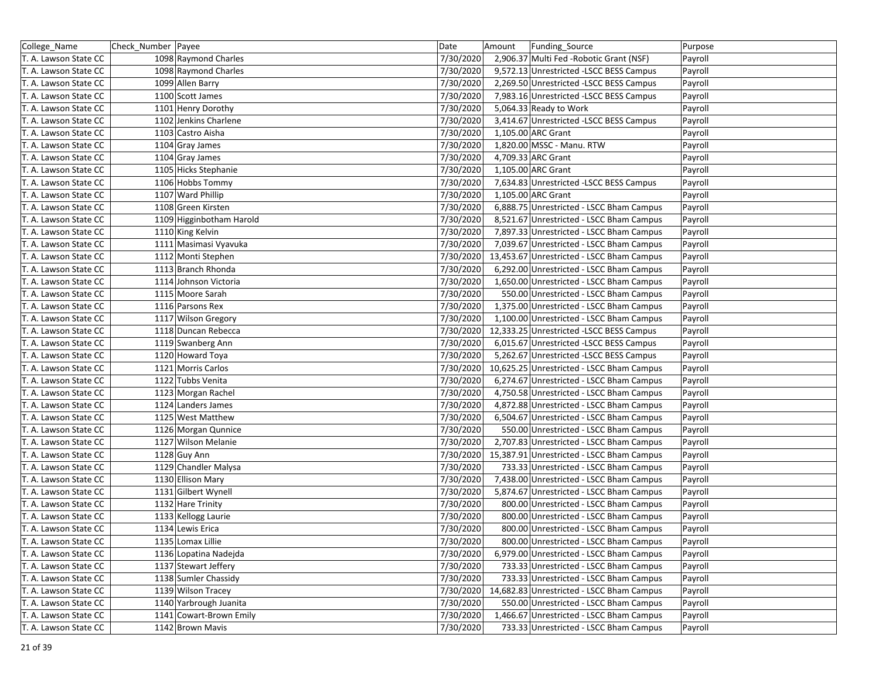| College_Name          | Check_Number   Payee     | Date      | Amount | Funding Source                            | Purpose |
|-----------------------|--------------------------|-----------|--------|-------------------------------------------|---------|
| T. A. Lawson State CC | 1098 Raymond Charles     | 7/30/2020 |        | 2,906.37 Multi Fed - Robotic Grant (NSF)  | Payroll |
| T. A. Lawson State CC | 1098 Raymond Charles     | 7/30/2020 |        | 9,572.13 Unrestricted -LSCC BESS Campus   | Payroll |
| T. A. Lawson State CC | 1099 Allen Barry         | 7/30/2020 |        | 2,269.50 Unrestricted -LSCC BESS Campus   | Payroll |
| T. A. Lawson State CC | 1100 Scott James         | 7/30/2020 |        | 7,983.16 Unrestricted -LSCC BESS Campus   | Payroll |
| T. A. Lawson State CC | 1101 Henry Dorothy       | 7/30/2020 |        | 5,064.33 Ready to Work                    | Payroll |
| T. A. Lawson State CC | 1102 Jenkins Charlene    | 7/30/2020 |        | 3,414.67 Unrestricted -LSCC BESS Campus   | Payroll |
| T. A. Lawson State CC | 1103 Castro Aisha        | 7/30/2020 |        | 1,105.00 ARC Grant                        | Payroll |
| T. A. Lawson State CC | 1104 Gray James          | 7/30/2020 |        | 1,820.00 MSSC - Manu. RTW                 | Payroll |
| T. A. Lawson State CC | 1104 Gray James          | 7/30/2020 |        | 4,709.33 ARC Grant                        | Payroll |
| T. A. Lawson State CC | 1105 Hicks Stephanie     | 7/30/2020 |        | 1,105.00 ARC Grant                        | Payroll |
| T. A. Lawson State CC | 1106 Hobbs Tommy         | 7/30/2020 |        | 7,634.83 Unrestricted -LSCC BESS Campus   | Payroll |
| T. A. Lawson State CC | 1107 Ward Phillip        | 7/30/2020 |        | 1,105.00 ARC Grant                        | Payroll |
| T. A. Lawson State CC | 1108 Green Kirsten       | 7/30/2020 |        | 6,888.75 Unrestricted - LSCC Bham Campus  | Payroll |
| T. A. Lawson State CC | 1109 Higginbotham Harold | 7/30/2020 |        | 8,521.67 Unrestricted - LSCC Bham Campus  | Payroll |
| T. A. Lawson State CC | 1110 King Kelvin         | 7/30/2020 |        | 7,897.33 Unrestricted - LSCC Bham Campus  | Payroll |
| T. A. Lawson State CC | 1111 Masimasi Vyavuka    | 7/30/2020 |        | 7,039.67 Unrestricted - LSCC Bham Campus  | Payroll |
| T. A. Lawson State CC | 1112 Monti Stephen       | 7/30/2020 |        | 13,453.67 Unrestricted - LSCC Bham Campus | Payroll |
| T. A. Lawson State CC | 1113 Branch Rhonda       | 7/30/2020 |        | 6,292.00 Unrestricted - LSCC Bham Campus  | Payroll |
| T. A. Lawson State CC | 1114 Johnson Victoria    | 7/30/2020 |        | 1,650.00 Unrestricted - LSCC Bham Campus  | Payroll |
| T. A. Lawson State CC | 1115 Moore Sarah         | 7/30/2020 |        | 550.00 Unrestricted - LSCC Bham Campus    | Payroll |
| T. A. Lawson State CC | 1116 Parsons Rex         | 7/30/2020 |        | 1,375.00 Unrestricted - LSCC Bham Campus  | Payroll |
| T. A. Lawson State CC | 1117 Wilson Gregory      | 7/30/2020 |        | 1,100.00 Unrestricted - LSCC Bham Campus  | Payroll |
| T. A. Lawson State CC | 1118 Duncan Rebecca      | 7/30/2020 |        | 12,333.25 Unrestricted - LSCC BESS Campus | Payroll |
| T. A. Lawson State CC | 1119 Swanberg Ann        | 7/30/2020 |        | 6,015.67 Unrestricted -LSCC BESS Campus   | Payroll |
| T. A. Lawson State CC | 1120 Howard Toya         | 7/30/2020 |        | 5,262.67 Unrestricted - LSCC BESS Campus  | Payroll |
| T. A. Lawson State CC | 1121 Morris Carlos       | 7/30/2020 |        | 10,625.25 Unrestricted - LSCC Bham Campus | Payroll |
| T. A. Lawson State CC | 1122 Tubbs Venita        | 7/30/2020 |        | 6,274.67 Unrestricted - LSCC Bham Campus  | Payroll |
| T. A. Lawson State CC | 1123 Morgan Rachel       | 7/30/2020 |        | 4,750.58 Unrestricted - LSCC Bham Campus  | Payroll |
| T. A. Lawson State CC | 1124 Landers James       | 7/30/2020 |        | 4,872.88 Unrestricted - LSCC Bham Campus  | Payroll |
| T. A. Lawson State CC | 1125 West Matthew        | 7/30/2020 |        | 6,504.67 Unrestricted - LSCC Bham Campus  | Payroll |
| T. A. Lawson State CC | 1126 Morgan Qunnice      | 7/30/2020 |        | 550.00 Unrestricted - LSCC Bham Campus    | Payroll |
| T. A. Lawson State CC | 1127 Wilson Melanie      | 7/30/2020 |        | 2,707.83 Unrestricted - LSCC Bham Campus  | Payroll |
| T. A. Lawson State CC | 1128 Guy Ann             | 7/30/2020 |        | 15,387.91 Unrestricted - LSCC Bham Campus | Payroll |
| T. A. Lawson State CC | 1129 Chandler Malysa     | 7/30/2020 |        | 733.33 Unrestricted - LSCC Bham Campus    | Payroll |
| T. A. Lawson State CC | 1130 Ellison Mary        | 7/30/2020 |        | 7,438.00 Unrestricted - LSCC Bham Campus  | Payroll |
| T. A. Lawson State CC | 1131 Gilbert Wynell      | 7/30/2020 |        | 5,874.67 Unrestricted - LSCC Bham Campus  | Payroll |
| T. A. Lawson State CC | 1132 Hare Trinity        | 7/30/2020 |        | 800.00 Unrestricted - LSCC Bham Campus    | Payroll |
| T. A. Lawson State CC | 1133 Kellogg Laurie      | 7/30/2020 |        | 800.00 Unrestricted - LSCC Bham Campus    | Payroll |
| T. A. Lawson State CC | 1134 Lewis Erica         | 7/30/2020 |        | 800.00 Unrestricted - LSCC Bham Campus    | Payroll |
| T. A. Lawson State CC | 1135 Lomax Lillie        | 7/30/2020 |        | 800.00 Unrestricted - LSCC Bham Campus    | Payroll |
| T. A. Lawson State CC | 1136 Lopatina Nadejda    | 7/30/2020 |        | 6,979.00 Unrestricted - LSCC Bham Campus  | Payroll |
| T. A. Lawson State CC | 1137 Stewart Jeffery     | 7/30/2020 |        | 733.33 Unrestricted - LSCC Bham Campus    | Payroll |
| T. A. Lawson State CC | 1138 Sumler Chassidy     | 7/30/2020 |        | 733.33 Unrestricted - LSCC Bham Campus    | Payroll |
| T. A. Lawson State CC | 1139 Wilson Tracey       | 7/30/2020 |        | 14,682.83 Unrestricted - LSCC Bham Campus | Payroll |
| T. A. Lawson State CC | 1140 Yarbrough Juanita   | 7/30/2020 |        | 550.00 Unrestricted - LSCC Bham Campus    | Payroll |
| T. A. Lawson State CC | 1141 Cowart-Brown Emily  | 7/30/2020 |        | 1,466.67 Unrestricted - LSCC Bham Campus  | Payroll |
| T. A. Lawson State CC | 1142 Brown Mavis         | 7/30/2020 |        | 733.33 Unrestricted - LSCC Bham Campus    | Payroll |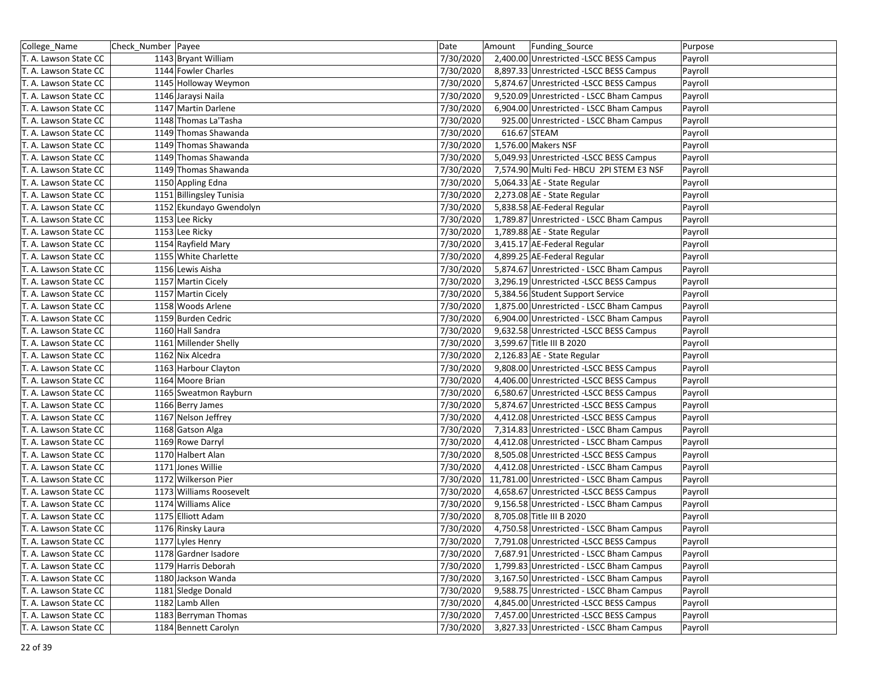| College_Name          | Check_Number   Payee     | Date      | Amount | Funding Source                            | Purpose |
|-----------------------|--------------------------|-----------|--------|-------------------------------------------|---------|
| T. A. Lawson State CC | 1143 Bryant William      | 7/30/2020 |        | 2,400.00 Unrestricted -LSCC BESS Campus   | Payroll |
| T. A. Lawson State CC | 1144 Fowler Charles      | 7/30/2020 |        | 8,897.33 Unrestricted -LSCC BESS Campus   | Payroll |
| T. A. Lawson State CC | 1145 Holloway Weymon     | 7/30/2020 |        | 5,874.67 Unrestricted -LSCC BESS Campus   | Payroll |
| T. A. Lawson State CC | 1146 Jaraysi Naila       | 7/30/2020 |        | 9,520.09 Unrestricted - LSCC Bham Campus  | Payroll |
| T. A. Lawson State CC | 1147 Martin Darlene      | 7/30/2020 |        | 6,904.00 Unrestricted - LSCC Bham Campus  | Payroll |
| T. A. Lawson State CC | 1148 Thomas La'Tasha     | 7/30/2020 |        | 925.00 Unrestricted - LSCC Bham Campus    | Payroll |
| T. A. Lawson State CC | 1149 Thomas Shawanda     | 7/30/2020 |        | 616.67 STEAM                              | Payroll |
| T. A. Lawson State CC | 1149 Thomas Shawanda     | 7/30/2020 |        | 1,576.00 Makers NSF                       | Payroll |
| T. A. Lawson State CC | 1149 Thomas Shawanda     | 7/30/2020 |        | 5,049.93 Unrestricted -LSCC BESS Campus   | Payroll |
| T. A. Lawson State CC | 1149 Thomas Shawanda     | 7/30/2020 |        | 7,574.90 Multi Fed- HBCU 2PI STEM E3 NSF  | Payroll |
| T. A. Lawson State CC | 1150 Appling Edna        | 7/30/2020 |        | 5,064.33 AE - State Regular               | Payroll |
| T. A. Lawson State CC | 1151 Billingsley Tunisia | 7/30/2020 |        | 2,273.08 AE - State Regular               | Payroll |
| T. A. Lawson State CC | 1152 Ekundayo Gwendolyn  | 7/30/2020 |        | 5,838.58 AE-Federal Regular               | Payroll |
| T. A. Lawson State CC | 1153 Lee Ricky           | 7/30/2020 |        | 1,789.87 Unrestricted - LSCC Bham Campus  | Payroll |
| T. A. Lawson State CC | 1153 Lee Ricky           | 7/30/2020 |        | 1,789.88 AE - State Regular               | Payroll |
| T. A. Lawson State CC | 1154 Rayfield Mary       | 7/30/2020 |        | 3,415.17 AE-Federal Regular               | Payroll |
| T. A. Lawson State CC | 1155 White Charlette     | 7/30/2020 |        | 4,899.25 AE-Federal Regular               | Payroll |
| T. A. Lawson State CC | 1156 Lewis Aisha         | 7/30/2020 |        | 5,874.67 Unrestricted - LSCC Bham Campus  | Payroll |
| T. A. Lawson State CC | 1157 Martin Cicely       | 7/30/2020 |        | 3,296.19 Unrestricted - LSCC BESS Campus  | Payroll |
| T. A. Lawson State CC | 1157 Martin Cicely       | 7/30/2020 |        | 5,384.56 Student Support Service          | Payroll |
| T. A. Lawson State CC | 1158 Woods Arlene        | 7/30/2020 |        | 1,875.00 Unrestricted - LSCC Bham Campus  | Payroll |
| T. A. Lawson State CC | 1159 Burden Cedric       | 7/30/2020 |        | 6,904.00 Unrestricted - LSCC Bham Campus  | Payroll |
| T. A. Lawson State CC | 1160 Hall Sandra         | 7/30/2020 |        | 9,632.58 Unrestricted -LSCC BESS Campus   | Payroll |
| T. A. Lawson State CC | 1161 Millender Shelly    | 7/30/2020 |        | 3,599.67 Title III B 2020                 | Payroll |
| T. A. Lawson State CC | 1162 Nix Alcedra         | 7/30/2020 |        | 2,126.83 AE - State Regular               | Payroll |
| T. A. Lawson State CC | 1163 Harbour Clayton     | 7/30/2020 |        | 9,808.00 Unrestricted -LSCC BESS Campus   | Payroll |
| T. A. Lawson State CC | 1164 Moore Brian         | 7/30/2020 |        | 4,406.00 Unrestricted -LSCC BESS Campus   | Payroll |
| T. A. Lawson State CC | 1165 Sweatmon Rayburn    | 7/30/2020 |        | 6,580.67 Unrestricted -LSCC BESS Campus   | Payroll |
| T. A. Lawson State CC | 1166 Berry James         | 7/30/2020 |        | 5,874.67 Unrestricted -LSCC BESS Campus   | Payroll |
| T. A. Lawson State CC | 1167 Nelson Jeffrey      | 7/30/2020 |        | 4,412.08 Unrestricted -LSCC BESS Campus   | Payroll |
| T. A. Lawson State CC | 1168 Gatson Alga         | 7/30/2020 |        | 7,314.83 Unrestricted - LSCC Bham Campus  | Payroll |
| T. A. Lawson State CC | 1169 Rowe Darryl         | 7/30/2020 |        | 4,412.08 Unrestricted - LSCC Bham Campus  | Payroll |
| T. A. Lawson State CC | 1170 Halbert Alan        | 7/30/2020 |        | 8,505.08 Unrestricted -LSCC BESS Campus   | Payroll |
| T. A. Lawson State CC | 1171 Jones Willie        | 7/30/2020 |        | 4,412.08 Unrestricted - LSCC Bham Campus  | Payroll |
| T. A. Lawson State CC | 1172 Wilkerson Pier      | 7/30/2020 |        | 11,781.00 Unrestricted - LSCC Bham Campus | Payroll |
| T. A. Lawson State CC | 1173 Williams Roosevelt  | 7/30/2020 |        | 4,658.67 Unrestricted -LSCC BESS Campus   | Payroll |
| T. A. Lawson State CC | 1174 Williams Alice      | 7/30/2020 |        | 9,156.58 Unrestricted - LSCC Bham Campus  | Payroll |
| T. A. Lawson State CC | 1175 Elliott Adam        | 7/30/2020 |        | 8,705.08 Title III B 2020                 | Payroll |
| T. A. Lawson State CC | 1176 Rinsky Laura        | 7/30/2020 |        | 4,750.58 Unrestricted - LSCC Bham Campus  | Payroll |
| T. A. Lawson State CC | 1177 Lyles Henry         | 7/30/2020 |        | 7,791.08 Unrestricted -LSCC BESS Campus   | Payroll |
| T. A. Lawson State CC | 1178 Gardner Isadore     | 7/30/2020 |        | 7,687.91 Unrestricted - LSCC Bham Campus  | Payroll |
| T. A. Lawson State CC | 1179 Harris Deborah      | 7/30/2020 |        | 1,799.83 Unrestricted - LSCC Bham Campus  | Payroll |
| T. A. Lawson State CC | 1180 Jackson Wanda       | 7/30/2020 |        | 3,167.50 Unrestricted - LSCC Bham Campus  | Payroll |
| T. A. Lawson State CC | 1181 Sledge Donald       | 7/30/2020 |        | 9,588.75 Unrestricted - LSCC Bham Campus  | Payroll |
| T. A. Lawson State CC | 1182 Lamb Allen          | 7/30/2020 |        | 4,845.00 Unrestricted -LSCC BESS Campus   | Payroll |
| T. A. Lawson State CC | 1183 Berryman Thomas     | 7/30/2020 |        | 7,457.00 Unrestricted -LSCC BESS Campus   | Payroll |
| T. A. Lawson State CC | 1184 Bennett Carolyn     | 7/30/2020 |        | 3,827.33 Unrestricted - LSCC Bham Campus  | Payroll |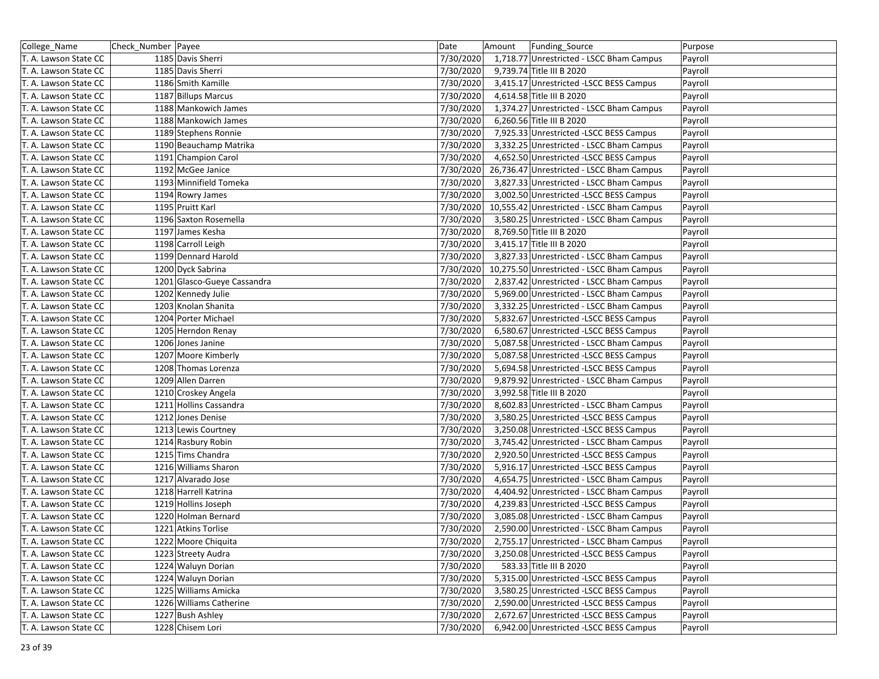| College_Name          | Check Number   Payee        | Date      | Amount | Funding Source                            | Purpose |
|-----------------------|-----------------------------|-----------|--------|-------------------------------------------|---------|
| T. A. Lawson State CC | 1185 Davis Sherri           | 7/30/2020 |        | 1,718.77 Unrestricted - LSCC Bham Campus  | Payroll |
| T. A. Lawson State CC | 1185 Davis Sherri           | 7/30/2020 |        | 9,739.74 Title III B 2020                 | Payroll |
| T. A. Lawson State CC | 1186 Smith Kamille          | 7/30/2020 |        | 3,415.17 Unrestricted -LSCC BESS Campus   | Payroll |
| T. A. Lawson State CC | 1187 Billups Marcus         | 7/30/2020 |        | 4,614.58 Title III B 2020                 | Payroll |
| T. A. Lawson State CC | 1188 Mankowich James        | 7/30/2020 |        | 1,374.27 Unrestricted - LSCC Bham Campus  | Payroll |
| T. A. Lawson State CC | 1188 Mankowich James        | 7/30/2020 |        | 6,260.56 Title III B 2020                 | Payroll |
| T. A. Lawson State CC | 1189 Stephens Ronnie        | 7/30/2020 |        | 7,925.33 Unrestricted - LSCC BESS Campus  | Payroll |
| T. A. Lawson State CC | 1190 Beauchamp Matrika      | 7/30/2020 |        | 3,332.25 Unrestricted - LSCC Bham Campus  | Payroll |
| T. A. Lawson State CC | 1191 Champion Carol         | 7/30/2020 |        | 4,652.50 Unrestricted - LSCC BESS Campus  | Payroll |
| T. A. Lawson State CC | 1192 McGee Janice           | 7/30/2020 |        | 26,736.47 Unrestricted - LSCC Bham Campus | Payroll |
| T. A. Lawson State CC | 1193 Minnifield Tomeka      | 7/30/2020 |        | 3,827.33 Unrestricted - LSCC Bham Campus  | Payroll |
| T. A. Lawson State CC | 1194 Rowry James            | 7/30/2020 |        | 3,002.50 Unrestricted -LSCC BESS Campus   | Payroll |
| T. A. Lawson State CC | 1195 Pruitt Karl            | 7/30/2020 |        | 10,555.42 Unrestricted - LSCC Bham Campus | Payroll |
| T. A. Lawson State CC | 1196 Saxton Rosemella       | 7/30/2020 |        | 3,580.25 Unrestricted - LSCC Bham Campus  | Payroll |
| T. A. Lawson State CC | 1197 James Kesha            | 7/30/2020 |        | 8,769.50 Title III B 2020                 | Payroll |
| T. A. Lawson State CC | 1198 Carroll Leigh          | 7/30/2020 |        | 3,415.17 Title III B 2020                 | Payroll |
| T. A. Lawson State CC | 1199 Dennard Harold         | 7/30/2020 |        | 3,827.33 Unrestricted - LSCC Bham Campus  | Payroll |
| T. A. Lawson State CC | 1200 Dyck Sabrina           | 7/30/2020 |        | 10,275.50 Unrestricted - LSCC Bham Campus | Payroll |
| T. A. Lawson State CC | 1201 Glasco-Gueye Cassandra | 7/30/2020 |        | 2,837.42 Unrestricted - LSCC Bham Campus  | Payroll |
| T. A. Lawson State CC | 1202 Kennedy Julie          | 7/30/2020 |        | 5,969.00 Unrestricted - LSCC Bham Campus  | Payroll |
| T. A. Lawson State CC | 1203 Knolan Shanita         | 7/30/2020 |        | 3,332.25 Unrestricted - LSCC Bham Campus  | Payroll |
| T. A. Lawson State CC | 1204 Porter Michael         | 7/30/2020 |        | 5,832.67 Unrestricted -LSCC BESS Campus   | Payroll |
| T. A. Lawson State CC | 1205 Herndon Renay          | 7/30/2020 |        | 6,580.67 Unrestricted - LSCC BESS Campus  | Payroll |
| T. A. Lawson State CC | 1206 Jones Janine           | 7/30/2020 |        | 5,087.58 Unrestricted - LSCC Bham Campus  | Payroll |
| T. A. Lawson State CC | 1207 Moore Kimberly         | 7/30/2020 |        | 5,087.58 Unrestricted -LSCC BESS Campus   | Payroll |
| T. A. Lawson State CC | 1208 Thomas Lorenza         | 7/30/2020 |        | 5,694.58 Unrestricted - LSCC BESS Campus  | Payroll |
| T. A. Lawson State CC | 1209 Allen Darren           | 7/30/2020 |        | 9,879.92 Unrestricted - LSCC Bham Campus  | Payroll |
| T. A. Lawson State CC | 1210 Croskey Angela         | 7/30/2020 |        | 3,992.58 Title III B 2020                 | Payroll |
| T. A. Lawson State CC | 1211 Hollins Cassandra      | 7/30/2020 |        | 8,602.83 Unrestricted - LSCC Bham Campus  | Payroll |
| T. A. Lawson State CC | 1212 Jones Denise           | 7/30/2020 |        | 3,580.25 Unrestricted - LSCC BESS Campus  | Payroll |
| T. A. Lawson State CC | 1213 Lewis Courtney         | 7/30/2020 |        | 3,250.08 Unrestricted -LSCC BESS Campus   | Payroll |
| T. A. Lawson State CC | 1214 Rasbury Robin          | 7/30/2020 |        | 3,745.42 Unrestricted - LSCC Bham Campus  | Payroll |
| T. A. Lawson State CC | 1215 Tims Chandra           | 7/30/2020 |        | 2,920.50 Unrestricted -LSCC BESS Campus   | Payroll |
| T. A. Lawson State CC | 1216 Williams Sharon        | 7/30/2020 |        | 5,916.17 Unrestricted - LSCC BESS Campus  | Payroll |
| T. A. Lawson State CC | 1217 Alvarado Jose          | 7/30/2020 |        | 4,654.75 Unrestricted - LSCC Bham Campus  | Payroll |
| T. A. Lawson State CC | 1218 Harrell Katrina        | 7/30/2020 |        | 4,404.92 Unrestricted - LSCC Bham Campus  | Payroll |
| T. A. Lawson State CC | 1219 Hollins Joseph         | 7/30/2020 |        | 4,239.83 Unrestricted -LSCC BESS Campus   | Payroll |
| T. A. Lawson State CC | 1220 Holman Bernard         | 7/30/2020 |        | 3,085.08 Unrestricted - LSCC Bham Campus  | Payroll |
| T. A. Lawson State CC | 1221 Atkins Torlise         | 7/30/2020 |        | 2,590.00 Unrestricted - LSCC Bham Campus  | Payroll |
| T. A. Lawson State CC | 1222 Moore Chiquita         | 7/30/2020 |        | 2,755.17 Unrestricted - LSCC Bham Campus  | Payroll |
| T. A. Lawson State CC | 1223 Streety Audra          | 7/30/2020 |        | 3,250.08 Unrestricted -LSCC BESS Campus   | Payroll |
| T. A. Lawson State CC | 1224 Waluyn Dorian          | 7/30/2020 |        | 583.33 Title III B 2020                   | Payroll |
| T. A. Lawson State CC | 1224 Waluyn Dorian          | 7/30/2020 |        | 5,315.00 Unrestricted -LSCC BESS Campus   | Payroll |
| T. A. Lawson State CC | 1225 Williams Amicka        | 7/30/2020 |        | 3,580.25 Unrestricted -LSCC BESS Campus   | Payroll |
| T. A. Lawson State CC | 1226 Williams Catherine     | 7/30/2020 |        | 2,590.00 Unrestricted -LSCC BESS Campus   | Payroll |
| T. A. Lawson State CC | 1227 Bush Ashley            | 7/30/2020 |        | 2,672.67 Unrestricted - LSCC BESS Campus  | Payroll |
| T. A. Lawson State CC | 1228 Chisem Lori            | 7/30/2020 |        | 6,942.00 Unrestricted -LSCC BESS Campus   | Payroll |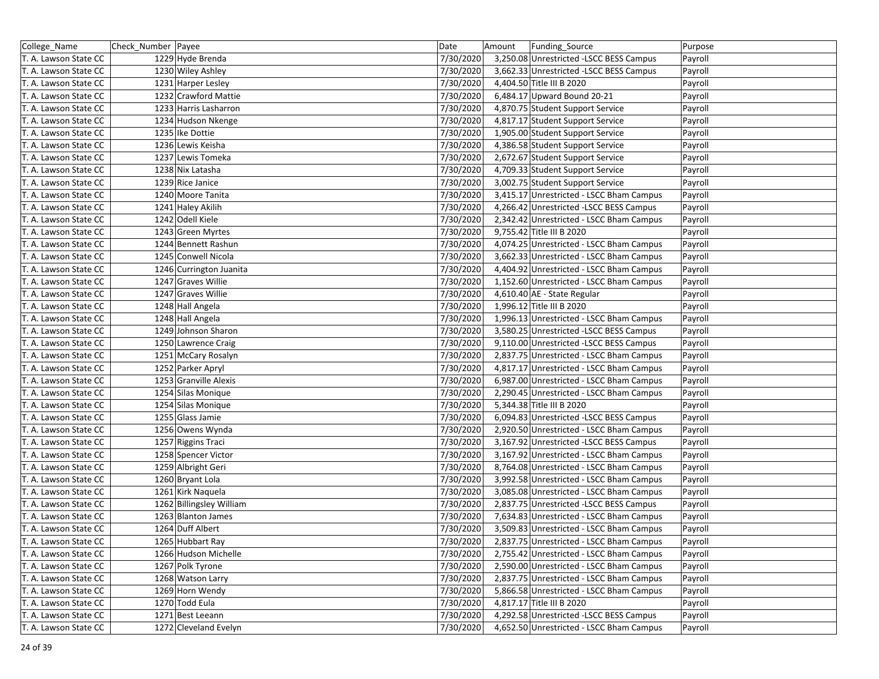| College_Name          | Check Number Payee       | Date      | Amount | Funding Source                           | Purpose |
|-----------------------|--------------------------|-----------|--------|------------------------------------------|---------|
| T. A. Lawson State CC | 1229 Hyde Brenda         | 7/30/2020 |        | 3,250.08 Unrestricted -LSCC BESS Campus  | Payroll |
| T. A. Lawson State CC | 1230 Wiley Ashley        | 7/30/2020 |        | 3,662.33 Unrestricted -LSCC BESS Campus  | Payroll |
| T. A. Lawson State CC | 1231 Harper Lesley       | 7/30/2020 |        | 4,404.50 Title III B 2020                | Payroll |
| T. A. Lawson State CC | 1232 Crawford Mattie     | 7/30/2020 |        | 6,484.17 Upward Bound 20-21              | Payroll |
| T. A. Lawson State CC | 1233 Harris Lasharron    | 7/30/2020 |        | 4,870.75 Student Support Service         | Payroll |
| T. A. Lawson State CC | 1234 Hudson Nkenge       | 7/30/2020 |        | 4,817.17 Student Support Service         | Payroll |
| T. A. Lawson State CC | 1235 Ike Dottie          | 7/30/2020 |        | 1,905.00 Student Support Service         | Payroll |
| T. A. Lawson State CC | 1236 Lewis Keisha        | 7/30/2020 |        | 4,386.58 Student Support Service         | Payroll |
| T. A. Lawson State CC | 1237 Lewis Tomeka        | 7/30/2020 |        | 2,672.67 Student Support Service         | Payroll |
| T. A. Lawson State CC | 1238 Nix Latasha         | 7/30/2020 |        | 4,709.33 Student Support Service         | Payroll |
| T. A. Lawson State CC | 1239 Rice Janice         | 7/30/2020 |        | 3,002.75 Student Support Service         | Payroll |
| T. A. Lawson State CC | 1240 Moore Tanita        | 7/30/2020 |        | 3,415.17 Unrestricted - LSCC Bham Campus | Payroll |
| T. A. Lawson State CC | 1241 Haley Akilih        | 7/30/2020 |        | 4,266.42 Unrestricted - LSCC BESS Campus | Payroll |
| T. A. Lawson State CC | 1242 Odell Kiele         | 7/30/2020 |        | 2,342.42 Unrestricted - LSCC Bham Campus | Payroll |
| T. A. Lawson State CC | 1243 Green Myrtes        | 7/30/2020 |        | 9,755.42 Title III B 2020                | Payroll |
| T. A. Lawson State CC | 1244 Bennett Rashun      | 7/30/2020 |        | 4,074.25 Unrestricted - LSCC Bham Campus | Payroll |
| T. A. Lawson State CC | 1245 Conwell Nicola      | 7/30/2020 |        | 3,662.33 Unrestricted - LSCC Bham Campus | Payroll |
| T. A. Lawson State CC | 1246 Currington Juanita  | 7/30/2020 |        | 4,404.92 Unrestricted - LSCC Bham Campus | Payroll |
| T. A. Lawson State CC | 1247 Graves Willie       | 7/30/2020 |        | 1,152.60 Unrestricted - LSCC Bham Campus | Payroll |
| T. A. Lawson State CC | 1247 Graves Willie       | 7/30/2020 |        | 4,610.40 AE - State Regular              | Payroll |
| T. A. Lawson State CC | 1248 Hall Angela         | 7/30/2020 |        | 1,996.12 Title III B 2020                | Payroll |
| T. A. Lawson State CC | 1248 Hall Angela         | 7/30/2020 |        | 1,996.13 Unrestricted - LSCC Bham Campus | Payroll |
| T. A. Lawson State CC | 1249 Johnson Sharon      | 7/30/2020 |        | 3,580.25 Unrestricted -LSCC BESS Campus  | Payroll |
| T. A. Lawson State CC | 1250 Lawrence Craig      | 7/30/2020 |        | 9,110.00 Unrestricted -LSCC BESS Campus  | Payroll |
| T. A. Lawson State CC | 1251 McCary Rosalyn      | 7/30/2020 |        | 2,837.75 Unrestricted - LSCC Bham Campus | Payroll |
| T. A. Lawson State CC | 1252 Parker Apryl        | 7/30/2020 |        | 4,817.17 Unrestricted - LSCC Bham Campus | Payroll |
| T. A. Lawson State CC | 1253 Granville Alexis    | 7/30/2020 |        | 6,987.00 Unrestricted - LSCC Bham Campus | Payroll |
| T. A. Lawson State CC | 1254 Silas Monique       | 7/30/2020 |        | 2,290.45 Unrestricted - LSCC Bham Campus | Payroll |
| T. A. Lawson State CC | 1254 Silas Monique       | 7/30/2020 |        | 5,344.38 Title III B 2020                | Payroll |
| T. A. Lawson State CC | 1255 Glass Jamie         | 7/30/2020 |        | 6,094.83 Unrestricted -LSCC BESS Campus  | Payroll |
| T. A. Lawson State CC | 1256 Owens Wynda         | 7/30/2020 |        | 2,920.50 Unrestricted - LSCC Bham Campus | Payroll |
| T. A. Lawson State CC | 1257 Riggins Traci       | 7/30/2020 |        | 3,167.92 Unrestricted -LSCC BESS Campus  | Payroll |
| T. A. Lawson State CC | 1258 Spencer Victor      | 7/30/2020 |        | 3,167.92 Unrestricted - LSCC Bham Campus | Payroll |
| T. A. Lawson State CC | 1259 Albright Geri       | 7/30/2020 |        | 8,764.08 Unrestricted - LSCC Bham Campus | Payroll |
| T. A. Lawson State CC | 1260 Bryant Lola         | 7/30/2020 |        | 3,992.58 Unrestricted - LSCC Bham Campus | Payroll |
| T. A. Lawson State CC | 1261 Kirk Naquela        | 7/30/2020 |        | 3,085.08 Unrestricted - LSCC Bham Campus | Payroll |
| T. A. Lawson State CC | 1262 Billingsley William | 7/30/2020 |        | 2,837.75 Unrestricted -LSCC BESS Campus  | Payroll |
| T. A. Lawson State CC | 1263 Blanton James       | 7/30/2020 |        | 7,634.83 Unrestricted - LSCC Bham Campus | Payroll |
| T. A. Lawson State CC | 1264 Duff Albert         | 7/30/2020 |        | 3,509.83 Unrestricted - LSCC Bham Campus | Payroll |
| T. A. Lawson State CC | 1265 Hubbart Ray         | 7/30/2020 |        | 2,837.75 Unrestricted - LSCC Bham Campus | Payroll |
| T. A. Lawson State CC | 1266 Hudson Michelle     | 7/30/2020 |        | 2,755.42 Unrestricted - LSCC Bham Campus | Payroll |
| T. A. Lawson State CC | 1267 Polk Tyrone         | 7/30/2020 |        | 2,590.00 Unrestricted - LSCC Bham Campus | Payroll |
| T. A. Lawson State CC | 1268 Watson Larry        | 7/30/2020 |        | 2,837.75 Unrestricted - LSCC Bham Campus | Payroll |
| T. A. Lawson State CC | 1269 Horn Wendy          | 7/30/2020 |        | 5,866.58 Unrestricted - LSCC Bham Campus | Payroll |
| T. A. Lawson State CC | 1270 Todd Eula           | 7/30/2020 |        | 4,817.17 Title III B 2020                | Payroll |
| T. A. Lawson State CC | 1271 Best Leeann         | 7/30/2020 |        | 4,292.58 Unrestricted -LSCC BESS Campus  | Payroll |
| T. A. Lawson State CC | 1272 Cleveland Evelyn    | 7/30/2020 |        | 4,652.50 Unrestricted - LSCC Bham Campus | Payroll |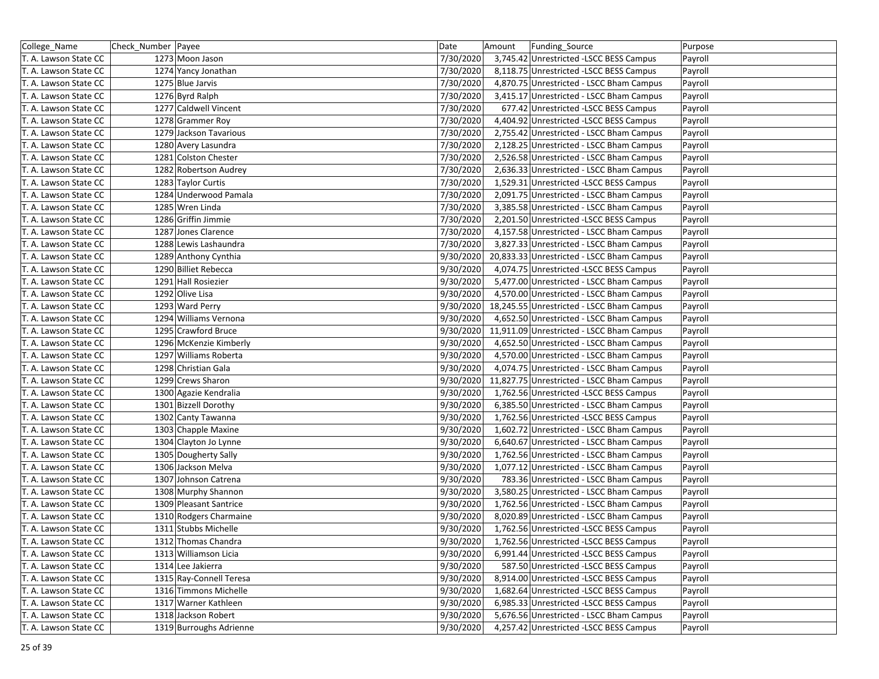| College_Name          | Check Number   Payee    | Date      | Amount | Funding Source                            | Purpose |
|-----------------------|-------------------------|-----------|--------|-------------------------------------------|---------|
| T. A. Lawson State CC | 1273 Moon Jason         | 7/30/2020 |        | 3,745.42 Unrestricted -LSCC BESS Campus   | Payroll |
| T. A. Lawson State CC | 1274 Yancy Jonathan     | 7/30/2020 |        | 8,118.75 Unrestricted -LSCC BESS Campus   | Payroll |
| T. A. Lawson State CC | 1275 Blue Jarvis        | 7/30/2020 |        | 4,870.75 Unrestricted - LSCC Bham Campus  | Payroll |
| T. A. Lawson State CC | 1276 Byrd Ralph         | 7/30/2020 |        | 3,415.17 Unrestricted - LSCC Bham Campus  | Payroll |
| T. A. Lawson State CC | 1277 Caldwell Vincent   | 7/30/2020 |        | 677.42 Unrestricted -LSCC BESS Campus     | Payroll |
| T. A. Lawson State CC | 1278 Grammer Roy        | 7/30/2020 |        | 4,404.92 Unrestricted -LSCC BESS Campus   | Payroll |
| T. A. Lawson State CC | 1279 Jackson Tavarious  | 7/30/2020 |        | 2,755.42 Unrestricted - LSCC Bham Campus  | Payroll |
| T. A. Lawson State CC | 1280 Avery Lasundra     | 7/30/2020 |        | 2,128.25 Unrestricted - LSCC Bham Campus  | Payroll |
| T. A. Lawson State CC | 1281 Colston Chester    | 7/30/2020 |        | 2,526.58 Unrestricted - LSCC Bham Campus  | Payroll |
| T. A. Lawson State CC | 1282 Robertson Audrey   | 7/30/2020 |        | 2,636.33 Unrestricted - LSCC Bham Campus  | Payroll |
| T. A. Lawson State CC | 1283 Taylor Curtis      | 7/30/2020 |        | 1,529.31 Unrestricted - LSCC BESS Campus  | Payroll |
| T. A. Lawson State CC | 1284 Underwood Pamala   | 7/30/2020 |        | 2,091.75 Unrestricted - LSCC Bham Campus  | Payroll |
| T. A. Lawson State CC | 1285 Wren Linda         | 7/30/2020 |        | 3,385.58 Unrestricted - LSCC Bham Campus  | Payroll |
| T. A. Lawson State CC | 1286 Griffin Jimmie     | 7/30/2020 |        | 2,201.50 Unrestricted -LSCC BESS Campus   | Payroll |
| T. A. Lawson State CC | 1287 Jones Clarence     | 7/30/2020 |        | 4,157.58 Unrestricted - LSCC Bham Campus  | Payroll |
| T. A. Lawson State CC | 1288 Lewis Lashaundra   | 7/30/2020 |        | 3,827.33 Unrestricted - LSCC Bham Campus  | Payroll |
| T. A. Lawson State CC | 1289 Anthony Cynthia    | 9/30/2020 |        | 20,833.33 Unrestricted - LSCC Bham Campus | Payroll |
| T. A. Lawson State CC | 1290 Billiet Rebecca    | 9/30/2020 |        | 4,074.75 Unrestricted -LSCC BESS Campus   | Payroll |
| T. A. Lawson State CC | 1291 Hall Rosiezier     | 9/30/2020 |        | 5,477.00 Unrestricted - LSCC Bham Campus  | Payroll |
| T. A. Lawson State CC | 1292 Olive Lisa         | 9/30/2020 |        | 4,570.00 Unrestricted - LSCC Bham Campus  | Payroll |
| T. A. Lawson State CC | 1293 Ward Perry         | 9/30/2020 |        | 18,245.55 Unrestricted - LSCC Bham Campus | Payroll |
| T. A. Lawson State CC | 1294 Williams Vernona   | 9/30/2020 |        | 4,652.50 Unrestricted - LSCC Bham Campus  | Payroll |
| T. A. Lawson State CC | 1295 Crawford Bruce     | 9/30/2020 |        | 11,911.09 Unrestricted - LSCC Bham Campus | Payroll |
| T. A. Lawson State CC | 1296 McKenzie Kimberly  | 9/30/2020 |        | 4,652.50 Unrestricted - LSCC Bham Campus  | Payroll |
| T. A. Lawson State CC | 1297 Williams Roberta   | 9/30/2020 |        | 4,570.00 Unrestricted - LSCC Bham Campus  | Payroll |
| T. A. Lawson State CC | 1298 Christian Gala     | 9/30/2020 |        | 4,074.75 Unrestricted - LSCC Bham Campus  | Payroll |
| T. A. Lawson State CC | 1299 Crews Sharon       | 9/30/2020 |        | 11,827.75 Unrestricted - LSCC Bham Campus | Payroll |
| T. A. Lawson State CC | 1300 Agazie Kendralia   | 9/30/2020 |        | 1,762.56 Unrestricted - LSCC BESS Campus  | Payroll |
| T. A. Lawson State CC | 1301 Bizzell Dorothy    | 9/30/2020 |        | 6,385.50 Unrestricted - LSCC Bham Campus  | Payroll |
| T. A. Lawson State CC | 1302 Canty Tawanna      | 9/30/2020 |        | 1,762.56 Unrestricted - LSCC BESS Campus  | Payroll |
| T. A. Lawson State CC | 1303 Chapple Maxine     | 9/30/2020 |        | 1,602.72 Unrestricted - LSCC Bham Campus  | Payroll |
| T. A. Lawson State CC | 1304 Clayton Jo Lynne   | 9/30/2020 |        | 6,640.67 Unrestricted - LSCC Bham Campus  | Payroll |
| T. A. Lawson State CC | 1305 Dougherty Sally    | 9/30/2020 |        | 1,762.56 Unrestricted - LSCC Bham Campus  | Payroll |
| T. A. Lawson State CC | 1306 Jackson Melva      | 9/30/2020 |        | 1,077.12 Unrestricted - LSCC Bham Campus  | Payroll |
| T. A. Lawson State CC | 1307 Johnson Catrena    | 9/30/2020 |        | 783.36 Unrestricted - LSCC Bham Campus    | Payroll |
| T. A. Lawson State CC | 1308 Murphy Shannon     | 9/30/2020 |        | 3,580.25 Unrestricted - LSCC Bham Campus  | Payroll |
| T. A. Lawson State CC | 1309 Pleasant Santrice  | 9/30/2020 |        | 1,762.56 Unrestricted - LSCC Bham Campus  | Payroll |
| T. A. Lawson State CC | 1310 Rodgers Charmaine  | 9/30/2020 |        | 8,020.89 Unrestricted - LSCC Bham Campus  | Payroll |
| T. A. Lawson State CC | 1311 Stubbs Michelle    | 9/30/2020 |        | 1,762.56 Unrestricted -LSCC BESS Campus   | Payroll |
| T. A. Lawson State CC | 1312 Thomas Chandra     | 9/30/2020 |        | 1,762.56 Unrestricted -LSCC BESS Campus   | Payroll |
| T. A. Lawson State CC | 1313 Williamson Licia   | 9/30/2020 |        | 6,991.44 Unrestricted -LSCC BESS Campus   | Payroll |
| T. A. Lawson State CC | 1314 Lee Jakierra       | 9/30/2020 |        | 587.50 Unrestricted -LSCC BESS Campus     | Payroll |
| T. A. Lawson State CC | 1315 Ray-Connell Teresa | 9/30/2020 |        | 8,914.00 Unrestricted -LSCC BESS Campus   | Payroll |
| T. A. Lawson State CC | 1316 Timmons Michelle   | 9/30/2020 |        | 1,682.64 Unrestricted - LSCC BESS Campus  | Payroll |
| T. A. Lawson State CC | 1317 Warner Kathleen    | 9/30/2020 |        | 6,985.33 Unrestricted -LSCC BESS Campus   | Payroll |
| T. A. Lawson State CC | 1318 Jackson Robert     | 9/30/2020 |        | 5,676.56 Unrestricted - LSCC Bham Campus  | Payroll |
| T. A. Lawson State CC | 1319 Burroughs Adrienne | 9/30/2020 |        | 4,257.42 Unrestricted -LSCC BESS Campus   | Payroll |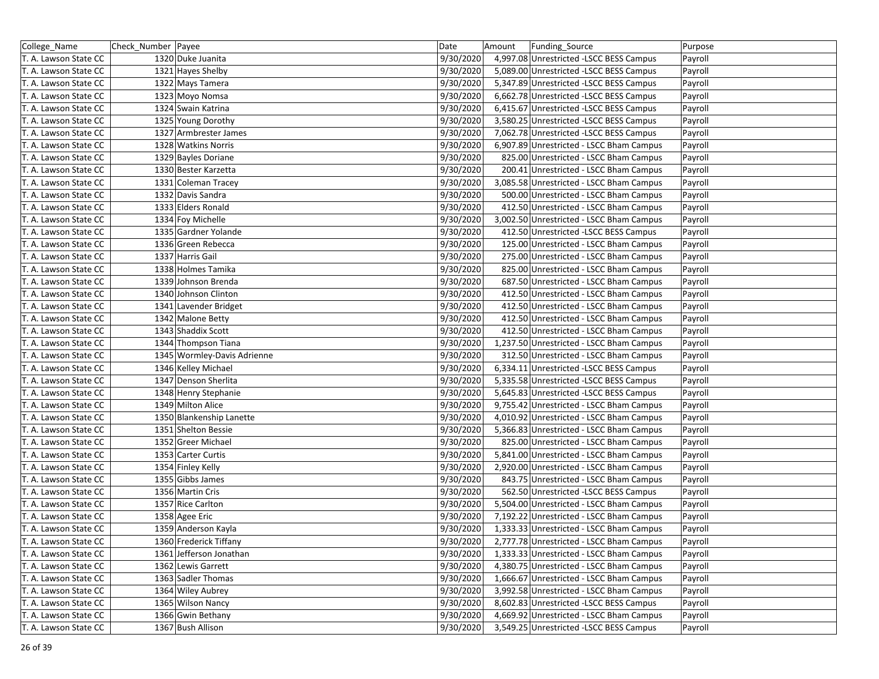| College_Name          | Check Number  Payee         | Date      | Amount | Funding Source                           | Purpose |
|-----------------------|-----------------------------|-----------|--------|------------------------------------------|---------|
| T. A. Lawson State CC | 1320 Duke Juanita           | 9/30/2020 |        | 4,997.08 Unrestricted -LSCC BESS Campus  | Payroll |
| T. A. Lawson State CC | 1321 Hayes Shelby           | 9/30/2020 |        | 5,089.00 Unrestricted -LSCC BESS Campus  | Payroll |
| T. A. Lawson State CC | 1322 Mays Tamera            | 9/30/2020 |        | 5,347.89 Unrestricted -LSCC BESS Campus  | Payroll |
| T. A. Lawson State CC | 1323 Moyo Nomsa             | 9/30/2020 |        | 6,662.78 Unrestricted -LSCC BESS Campus  | Payroll |
| T. A. Lawson State CC | 1324 Swain Katrina          | 9/30/2020 |        | 6,415.67 Unrestricted -LSCC BESS Campus  | Payroll |
| T. A. Lawson State CC | 1325 Young Dorothy          | 9/30/2020 |        | 3,580.25 Unrestricted -LSCC BESS Campus  | Payroll |
| T. A. Lawson State CC | 1327 Armbrester James       | 9/30/2020 |        | 7,062.78 Unrestricted -LSCC BESS Campus  | Payroll |
| T. A. Lawson State CC | 1328 Watkins Norris         | 9/30/2020 |        | 6,907.89 Unrestricted - LSCC Bham Campus | Payroll |
| T. A. Lawson State CC | 1329 Bayles Doriane         | 9/30/2020 |        | 825.00 Unrestricted - LSCC Bham Campus   | Payroll |
| T. A. Lawson State CC | 1330 Bester Karzetta        | 9/30/2020 |        | 200.41 Unrestricted - LSCC Bham Campus   | Payroll |
| T. A. Lawson State CC | 1331 Coleman Tracey         | 9/30/2020 |        | 3,085.58 Unrestricted - LSCC Bham Campus | Payroll |
| T. A. Lawson State CC | 1332 Davis Sandra           | 9/30/2020 |        | 500.00 Unrestricted - LSCC Bham Campus   | Payroll |
| T. A. Lawson State CC | 1333 Elders Ronald          | 9/30/2020 |        | 412.50 Unrestricted - LSCC Bham Campus   | Payroll |
| T. A. Lawson State CC | 1334 Foy Michelle           | 9/30/2020 |        | 3,002.50 Unrestricted - LSCC Bham Campus | Payroll |
| T. A. Lawson State CC | 1335 Gardner Yolande        | 9/30/2020 |        | 412.50 Unrestricted -LSCC BESS Campus    | Payroll |
| T. A. Lawson State CC | 1336 Green Rebecca          | 9/30/2020 |        | 125.00 Unrestricted - LSCC Bham Campus   | Payroll |
| T. A. Lawson State CC | 1337 Harris Gail            | 9/30/2020 |        | 275.00 Unrestricted - LSCC Bham Campus   | Payroll |
| T. A. Lawson State CC | 1338 Holmes Tamika          | 9/30/2020 |        | 825.00 Unrestricted - LSCC Bham Campus   | Payroll |
| T. A. Lawson State CC | 1339 Johnson Brenda         | 9/30/2020 |        | 687.50 Unrestricted - LSCC Bham Campus   | Payroll |
| T. A. Lawson State CC | 1340 Johnson Clinton        | 9/30/2020 |        | 412.50 Unrestricted - LSCC Bham Campus   | Payroll |
| T. A. Lawson State CC | 1341 Lavender Bridget       | 9/30/2020 |        | 412.50 Unrestricted - LSCC Bham Campus   | Payroll |
| T. A. Lawson State CC | 1342 Malone Betty           | 9/30/2020 |        | 412.50 Unrestricted - LSCC Bham Campus   | Payroll |
| T. A. Lawson State CC | 1343 Shaddix Scott          | 9/30/2020 |        | 412.50 Unrestricted - LSCC Bham Campus   | Payroll |
| T. A. Lawson State CC | 1344 Thompson Tiana         | 9/30/2020 |        | 1,237.50 Unrestricted - LSCC Bham Campus | Payroll |
| T. A. Lawson State CC | 1345 Wormley-Davis Adrienne | 9/30/2020 |        | 312.50 Unrestricted - LSCC Bham Campus   | Payroll |
| T. A. Lawson State CC | 1346 Kelley Michael         | 9/30/2020 |        | 6,334.11 Unrestricted - LSCC BESS Campus | Payroll |
| T. A. Lawson State CC | 1347 Denson Sherlita        | 9/30/2020 |        | 5,335.58 Unrestricted -LSCC BESS Campus  | Payroll |
| T. A. Lawson State CC | 1348 Henry Stephanie        | 9/30/2020 |        | 5,645.83 Unrestricted -LSCC BESS Campus  | Payroll |
| T. A. Lawson State CC | 1349 Milton Alice           | 9/30/2020 |        | 9,755.42 Unrestricted - LSCC Bham Campus | Payroll |
| T. A. Lawson State CC | 1350 Blankenship Lanette    | 9/30/2020 |        | 4,010.92 Unrestricted - LSCC Bham Campus | Payroll |
| T. A. Lawson State CC | 1351 Shelton Bessie         | 9/30/2020 |        | 5,366.83 Unrestricted - LSCC Bham Campus | Payroll |
| T. A. Lawson State CC | 1352 Greer Michael          | 9/30/2020 |        | 825.00 Unrestricted - LSCC Bham Campus   | Payroll |
| T. A. Lawson State CC | 1353 Carter Curtis          | 9/30/2020 |        | 5,841.00 Unrestricted - LSCC Bham Campus | Payroll |
| T. A. Lawson State CC | 1354 Finley Kelly           | 9/30/2020 |        | 2,920.00 Unrestricted - LSCC Bham Campus | Payroll |
| T. A. Lawson State CC | 1355 Gibbs James            | 9/30/2020 |        | 843.75 Unrestricted - LSCC Bham Campus   | Payroll |
| T. A. Lawson State CC | 1356 Martin Cris            | 9/30/2020 |        | 562.50 Unrestricted -LSCC BESS Campus    | Payroll |
| T. A. Lawson State CC | 1357 Rice Carlton           | 9/30/2020 |        | 5,504.00 Unrestricted - LSCC Bham Campus | Payroll |
| T. A. Lawson State CC | 1358 Agee Eric              | 9/30/2020 |        | 7,192.22 Unrestricted - LSCC Bham Campus | Payroll |
| T. A. Lawson State CC | 1359 Anderson Kayla         | 9/30/2020 |        | 1,333.33 Unrestricted - LSCC Bham Campus | Payroll |
| T. A. Lawson State CC | 1360 Frederick Tiffany      | 9/30/2020 |        | 2,777.78 Unrestricted - LSCC Bham Campus | Payroll |
| T. A. Lawson State CC | 1361 Jefferson Jonathan     | 9/30/2020 |        | 1,333.33 Unrestricted - LSCC Bham Campus | Payroll |
| T. A. Lawson State CC | 1362 Lewis Garrett          | 9/30/2020 |        | 4,380.75 Unrestricted - LSCC Bham Campus | Payroll |
| T. A. Lawson State CC | 1363 Sadler Thomas          | 9/30/2020 |        | 1,666.67 Unrestricted - LSCC Bham Campus | Payroll |
| T. A. Lawson State CC | 1364 Wiley Aubrey           | 9/30/2020 |        | 3,992.58 Unrestricted - LSCC Bham Campus | Payroll |
| T. A. Lawson State CC | 1365 Wilson Nancy           | 9/30/2020 |        | 8,602.83 Unrestricted -LSCC BESS Campus  | Payroll |
| T. A. Lawson State CC | 1366 Gwin Bethany           | 9/30/2020 |        | 4,669.92 Unrestricted - LSCC Bham Campus | Payroll |
| T. A. Lawson State CC | 1367 Bush Allison           | 9/30/2020 |        | 3,549.25 Unrestricted -LSCC BESS Campus  | Payroll |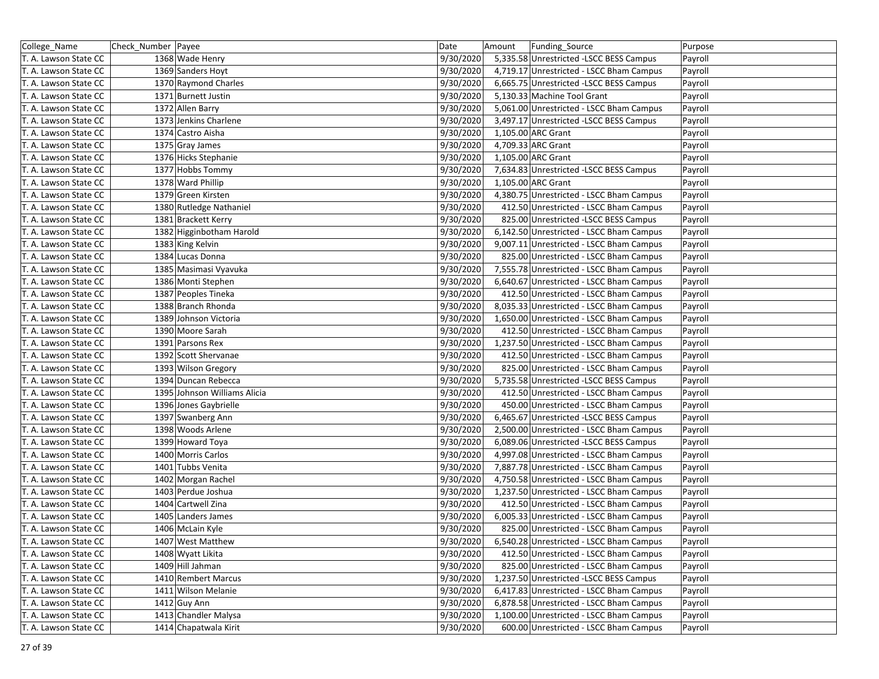| College_Name          | Check_Number Payee           | Date      | Amount | Funding Source                           | Purpose |
|-----------------------|------------------------------|-----------|--------|------------------------------------------|---------|
| T. A. Lawson State CC | 1368 Wade Henry              | 9/30/2020 |        | 5,335.58 Unrestricted - LSCC BESS Campus | Payroll |
| T. A. Lawson State CC | 1369 Sanders Hoyt            | 9/30/2020 |        | 4,719.17 Unrestricted - LSCC Bham Campus | Payroll |
| T. A. Lawson State CC | 1370 Raymond Charles         | 9/30/2020 |        | 6,665.75 Unrestricted -LSCC BESS Campus  | Payroll |
| T. A. Lawson State CC | 1371 Burnett Justin          | 9/30/2020 |        | 5,130.33 Machine Tool Grant              | Payroll |
| T. A. Lawson State CC | 1372 Allen Barry             | 9/30/2020 |        | 5,061.00 Unrestricted - LSCC Bham Campus | Payroll |
| T. A. Lawson State CC | 1373 Jenkins Charlene        | 9/30/2020 |        | 3,497.17 Unrestricted - LSCC BESS Campus | Payroll |
| T. A. Lawson State CC | 1374 Castro Aisha            | 9/30/2020 |        | 1,105.00 ARC Grant                       | Payroll |
| T. A. Lawson State CC | 1375 Gray James              | 9/30/2020 |        | 4,709.33 ARC Grant                       | Payroll |
| T. A. Lawson State CC | 1376 Hicks Stephanie         | 9/30/2020 |        | 1,105.00 ARC Grant                       | Payroll |
| T. A. Lawson State CC | 1377 Hobbs Tommy             | 9/30/2020 |        | 7,634.83 Unrestricted -LSCC BESS Campus  | Payroll |
| T. A. Lawson State CC | 1378 Ward Phillip            | 9/30/2020 |        | 1,105.00 ARC Grant                       | Payroll |
| T. A. Lawson State CC | 1379 Green Kirsten           | 9/30/2020 |        | 4,380.75 Unrestricted - LSCC Bham Campus | Payroll |
| T. A. Lawson State CC | 1380 Rutledge Nathaniel      | 9/30/2020 |        | 412.50 Unrestricted - LSCC Bham Campus   | Payroll |
| T. A. Lawson State CC | 1381 Brackett Kerry          | 9/30/2020 |        | 825.00 Unrestricted -LSCC BESS Campus    | Payroll |
| T. A. Lawson State CC | 1382 Higginbotham Harold     | 9/30/2020 |        | 6,142.50 Unrestricted - LSCC Bham Campus | Payroll |
| T. A. Lawson State CC | 1383 King Kelvin             | 9/30/2020 |        | 9,007.11 Unrestricted - LSCC Bham Campus | Payroll |
| T. A. Lawson State CC | 1384 Lucas Donna             | 9/30/2020 |        | 825.00 Unrestricted - LSCC Bham Campus   | Payroll |
| T. A. Lawson State CC | 1385 Masimasi Vyavuka        | 9/30/2020 |        | 7,555.78 Unrestricted - LSCC Bham Campus | Payroll |
| T. A. Lawson State CC | 1386 Monti Stephen           | 9/30/2020 |        | 6,640.67 Unrestricted - LSCC Bham Campus | Payroll |
| T. A. Lawson State CC | 1387 Peoples Tineka          | 9/30/2020 |        | 412.50 Unrestricted - LSCC Bham Campus   | Payroll |
| T. A. Lawson State CC | 1388 Branch Rhonda           | 9/30/2020 |        | 8,035.33 Unrestricted - LSCC Bham Campus | Payroll |
| T. A. Lawson State CC | 1389 Johnson Victoria        | 9/30/2020 |        | 1,650.00 Unrestricted - LSCC Bham Campus | Payroll |
| T. A. Lawson State CC | 1390 Moore Sarah             | 9/30/2020 |        | 412.50 Unrestricted - LSCC Bham Campus   | Payroll |
| T. A. Lawson State CC | 1391 Parsons Rex             | 9/30/2020 |        | 1,237.50 Unrestricted - LSCC Bham Campus | Payroll |
| T. A. Lawson State CC | 1392 Scott Shervanae         | 9/30/2020 |        | 412.50 Unrestricted - LSCC Bham Campus   | Payroll |
| T. A. Lawson State CC | 1393 Wilson Gregory          | 9/30/2020 |        | 825.00 Unrestricted - LSCC Bham Campus   | Payroll |
| T. A. Lawson State CC | 1394 Duncan Rebecca          | 9/30/2020 |        | 5,735.58 Unrestricted -LSCC BESS Campus  | Payroll |
| T. A. Lawson State CC | 1395 Johnson Williams Alicia | 9/30/2020 |        | 412.50 Unrestricted - LSCC Bham Campus   | Payroll |
| T. A. Lawson State CC | 1396 Jones Gaybrielle        | 9/30/2020 |        | 450.00 Unrestricted - LSCC Bham Campus   | Payroll |
| T. A. Lawson State CC | 1397 Swanberg Ann            | 9/30/2020 |        | 6,465.67 Unrestricted -LSCC BESS Campus  | Payroll |
| T. A. Lawson State CC | 1398 Woods Arlene            | 9/30/2020 |        | 2,500.00 Unrestricted - LSCC Bham Campus | Payroll |
| T. A. Lawson State CC | 1399 Howard Toya             | 9/30/2020 |        | 6,089.06 Unrestricted -LSCC BESS Campus  | Payroll |
| T. A. Lawson State CC | 1400 Morris Carlos           | 9/30/2020 |        | 4,997.08 Unrestricted - LSCC Bham Campus | Payroll |
| T. A. Lawson State CC | 1401 Tubbs Venita            | 9/30/2020 |        | 7,887.78 Unrestricted - LSCC Bham Campus | Payroll |
| T. A. Lawson State CC | 1402 Morgan Rachel           | 9/30/2020 |        | 4,750.58 Unrestricted - LSCC Bham Campus | Payroll |
| T. A. Lawson State CC | 1403 Perdue Joshua           | 9/30/2020 |        | 1,237.50 Unrestricted - LSCC Bham Campus | Payroll |
| T. A. Lawson State CC | 1404 Cartwell Zina           | 9/30/2020 |        | 412.50 Unrestricted - LSCC Bham Campus   | Payroll |
| T. A. Lawson State CC | 1405 Landers James           | 9/30/2020 |        | 6,005.33 Unrestricted - LSCC Bham Campus | Payroll |
| T. A. Lawson State CC | 1406 McLain Kyle             | 9/30/2020 |        | 825.00 Unrestricted - LSCC Bham Campus   | Payroll |
| T. A. Lawson State CC | 1407 West Matthew            | 9/30/2020 |        | 6,540.28 Unrestricted - LSCC Bham Campus | Payroll |
| T. A. Lawson State CC | 1408 Wyatt Likita            | 9/30/2020 |        | 412.50 Unrestricted - LSCC Bham Campus   | Payroll |
| T. A. Lawson State CC | 1409 Hill Jahman             | 9/30/2020 |        | 825.00 Unrestricted - LSCC Bham Campus   | Payroll |
| T. A. Lawson State CC | 1410 Rembert Marcus          | 9/30/2020 |        | 1,237.50 Unrestricted -LSCC BESS Campus  | Payroll |
| T. A. Lawson State CC | 1411 Wilson Melanie          | 9/30/2020 |        | 6,417.83 Unrestricted - LSCC Bham Campus | Payroll |
| T. A. Lawson State CC | 1412 Guy Ann                 | 9/30/2020 |        | 6,878.58 Unrestricted - LSCC Bham Campus | Payroll |
| T. A. Lawson State CC | 1413 Chandler Malysa         | 9/30/2020 |        | 1,100.00 Unrestricted - LSCC Bham Campus | Payroll |
| T. A. Lawson State CC | 1414 Chapatwala Kirit        | 9/30/2020 |        | 600.00 Unrestricted - LSCC Bham Campus   | Payroll |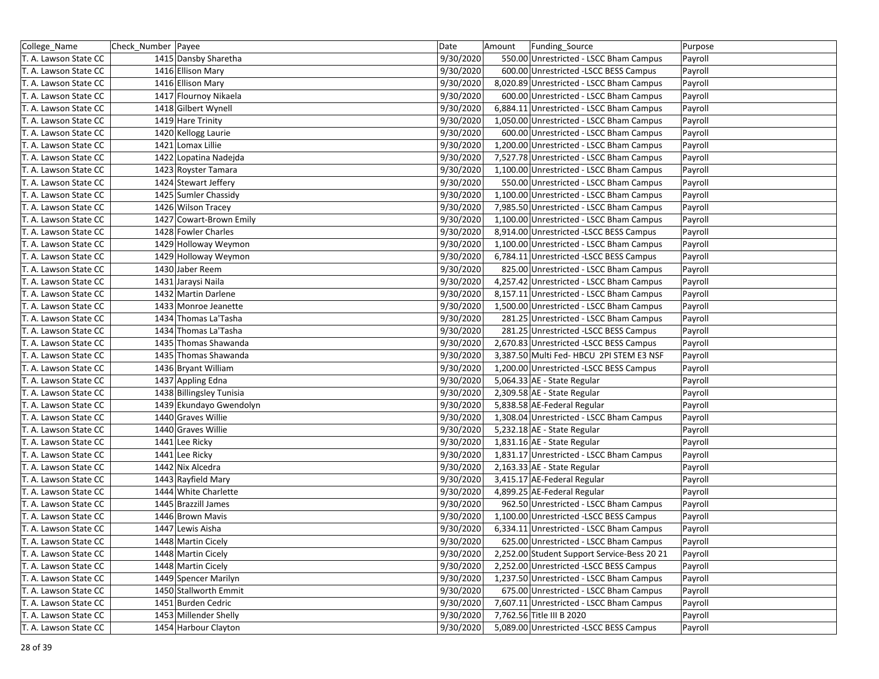| College_Name          | Check Number Payee       | Date      | Amount | Funding Source                              | Purpose |
|-----------------------|--------------------------|-----------|--------|---------------------------------------------|---------|
| T. A. Lawson State CC | 1415 Dansby Sharetha     | 9/30/2020 |        | 550.00 Unrestricted - LSCC Bham Campus      | Payroll |
| T. A. Lawson State CC | 1416 Ellison Mary        | 9/30/2020 |        | 600.00 Unrestricted -LSCC BESS Campus       | Payroll |
| T. A. Lawson State CC | 1416 Ellison Mary        | 9/30/2020 |        | 8,020.89 Unrestricted - LSCC Bham Campus    | Payroll |
| T. A. Lawson State CC | 1417 Flournoy Nikaela    | 9/30/2020 |        | 600.00 Unrestricted - LSCC Bham Campus      | Payroll |
| T. A. Lawson State CC | 1418 Gilbert Wynell      | 9/30/2020 |        | 6,884.11 Unrestricted - LSCC Bham Campus    | Payroll |
| T. A. Lawson State CC | 1419 Hare Trinity        | 9/30/2020 |        | 1,050.00 Unrestricted - LSCC Bham Campus    | Payroll |
| T. A. Lawson State CC | 1420 Kellogg Laurie      | 9/30/2020 |        | 600.00 Unrestricted - LSCC Bham Campus      | Payroll |
| T. A. Lawson State CC | 1421 Lomax Lillie        | 9/30/2020 |        | 1,200.00 Unrestricted - LSCC Bham Campus    | Payroll |
| T. A. Lawson State CC | 1422 Lopatina Nadejda    | 9/30/2020 |        | 7,527.78 Unrestricted - LSCC Bham Campus    | Payroll |
| T. A. Lawson State CC | 1423 Royster Tamara      | 9/30/2020 |        | 1,100.00 Unrestricted - LSCC Bham Campus    | Payroll |
| T. A. Lawson State CC | 1424 Stewart Jeffery     | 9/30/2020 |        | 550.00 Unrestricted - LSCC Bham Campus      | Payroll |
| T. A. Lawson State CC | 1425 Sumler Chassidy     | 9/30/2020 |        | 1,100.00 Unrestricted - LSCC Bham Campus    | Payroll |
| T. A. Lawson State CC | 1426 Wilson Tracey       | 9/30/2020 |        | 7,985.50 Unrestricted - LSCC Bham Campus    | Payroll |
| T. A. Lawson State CC | 1427 Cowart-Brown Emily  | 9/30/2020 |        | 1,100.00 Unrestricted - LSCC Bham Campus    | Payroll |
| T. A. Lawson State CC | 1428 Fowler Charles      | 9/30/2020 |        | 8,914.00 Unrestricted -LSCC BESS Campus     | Payroll |
| T. A. Lawson State CC | 1429 Holloway Weymon     | 9/30/2020 |        | 1,100.00 Unrestricted - LSCC Bham Campus    | Payroll |
| T. A. Lawson State CC | 1429 Holloway Weymon     | 9/30/2020 |        | 6,784.11 Unrestricted -LSCC BESS Campus     | Payroll |
| T. A. Lawson State CC | 1430 Jaber Reem          | 9/30/2020 |        | 825.00 Unrestricted - LSCC Bham Campus      | Payroll |
| T. A. Lawson State CC | 1431 Jaraysi Naila       | 9/30/2020 |        | 4,257.42 Unrestricted - LSCC Bham Campus    | Payroll |
| T. A. Lawson State CC | 1432 Martin Darlene      | 9/30/2020 |        | 8,157.11 Unrestricted - LSCC Bham Campus    | Payroll |
| T. A. Lawson State CC | 1433 Monroe Jeanette     | 9/30/2020 |        | 1,500.00 Unrestricted - LSCC Bham Campus    | Payroll |
| T. A. Lawson State CC | 1434 Thomas La'Tasha     | 9/30/2020 |        | 281.25 Unrestricted - LSCC Bham Campus      | Payroll |
| T. A. Lawson State CC | 1434 Thomas La'Tasha     | 9/30/2020 |        | 281.25 Unrestricted - LSCC BESS Campus      | Payroll |
| T. A. Lawson State CC | 1435 Thomas Shawanda     | 9/30/2020 |        | 2,670.83 Unrestricted -LSCC BESS Campus     | Payroll |
| T. A. Lawson State CC | 1435 Thomas Shawanda     | 9/30/2020 |        | 3,387.50 Multi Fed- HBCU 2PI STEM E3 NSF    | Payroll |
| T. A. Lawson State CC | 1436 Bryant William      | 9/30/2020 |        | 1,200.00 Unrestricted -LSCC BESS Campus     | Payroll |
| T. A. Lawson State CC | 1437 Appling Edna        | 9/30/2020 |        | 5,064.33 AE - State Regular                 | Payroll |
| T. A. Lawson State CC | 1438 Billingsley Tunisia | 9/30/2020 |        | 2,309.58 AE - State Regular                 | Payroll |
| T. A. Lawson State CC | 1439 Ekundayo Gwendolyn  | 9/30/2020 |        | 5,838.58 AE-Federal Regular                 | Payroll |
| T. A. Lawson State CC | 1440 Graves Willie       | 9/30/2020 |        | 1,308.04 Unrestricted - LSCC Bham Campus    | Payroll |
| T. A. Lawson State CC | 1440 Graves Willie       | 9/30/2020 |        | 5,232.18 AE - State Regular                 | Payroll |
| T. A. Lawson State CC | 1441 Lee Ricky           | 9/30/2020 |        | 1,831.16 AE - State Regular                 | Payroll |
| T. A. Lawson State CC | 1441 Lee Ricky           | 9/30/2020 |        | 1,831.17 Unrestricted - LSCC Bham Campus    | Payroll |
| T. A. Lawson State CC | 1442 Nix Alcedra         | 9/30/2020 |        | 2,163.33 AE - State Regular                 | Payroll |
| T. A. Lawson State CC | 1443 Rayfield Mary       | 9/30/2020 |        | 3,415.17 AE-Federal Regular                 | Payroll |
| T. A. Lawson State CC | 1444 White Charlette     | 9/30/2020 |        | 4,899.25 AE-Federal Regular                 | Payroll |
| T. A. Lawson State CC | 1445 Brazzill James      | 9/30/2020 |        | 962.50 Unrestricted - LSCC Bham Campus      | Payroll |
| T. A. Lawson State CC | 1446 Brown Mavis         | 9/30/2020 |        | 1,100.00 Unrestricted - LSCC BESS Campus    | Payroll |
| T. A. Lawson State CC | 1447 Lewis Aisha         | 9/30/2020 |        | 6,334.11 Unrestricted - LSCC Bham Campus    | Payroll |
| T. A. Lawson State CC | 1448 Martin Cicely       | 9/30/2020 |        | 625.00 Unrestricted - LSCC Bham Campus      | Payroll |
| T. A. Lawson State CC | 1448 Martin Cicely       | 9/30/2020 |        | 2,252.00 Student Support Service-Bess 20 21 | Payroll |
| T. A. Lawson State CC | 1448 Martin Cicely       | 9/30/2020 |        | 2,252.00 Unrestricted -LSCC BESS Campus     | Payroll |
| T. A. Lawson State CC | 1449 Spencer Marilyn     | 9/30/2020 |        | 1,237.50 Unrestricted - LSCC Bham Campus    | Payroll |
| T. A. Lawson State CC | 1450 Stallworth Emmit    | 9/30/2020 |        | 675.00 Unrestricted - LSCC Bham Campus      | Payroll |
| T. A. Lawson State CC | 1451 Burden Cedric       | 9/30/2020 |        | 7,607.11 Unrestricted - LSCC Bham Campus    | Payroll |
| T. A. Lawson State CC | 1453 Millender Shelly    | 9/30/2020 |        | 7,762.56 Title III B 2020                   | Payroll |
| T. A. Lawson State CC | 1454 Harbour Clayton     | 9/30/2020 |        | 5,089.00 Unrestricted -LSCC BESS Campus     | Payroll |
|                       |                          |           |        |                                             |         |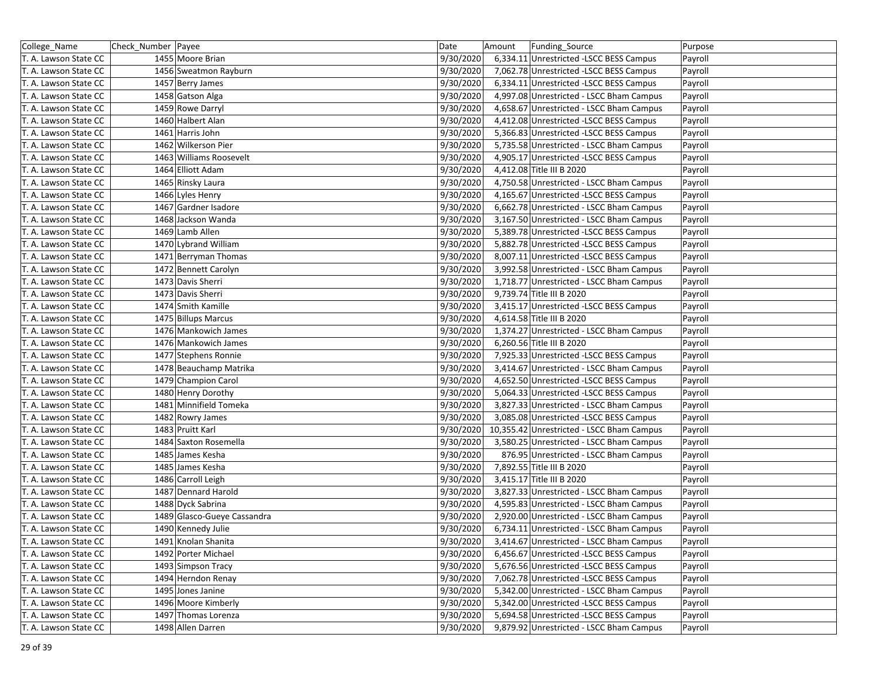| College_Name          | Check Number  Payee         | Date      | Amount | Funding Source                            | Purpose |
|-----------------------|-----------------------------|-----------|--------|-------------------------------------------|---------|
| T. A. Lawson State CC | 1455 Moore Brian            | 9/30/2020 |        | 6,334.11 Unrestricted -LSCC BESS Campus   | Payroll |
| T. A. Lawson State CC | 1456 Sweatmon Rayburn       | 9/30/2020 |        | 7,062.78 Unrestricted -LSCC BESS Campus   | Payroll |
| T. A. Lawson State CC | 1457 Berry James            | 9/30/2020 |        | 6,334.11 Unrestricted - LSCC BESS Campus  | Payroll |
| T. A. Lawson State CC | 1458 Gatson Alga            | 9/30/2020 |        | 4,997.08 Unrestricted - LSCC Bham Campus  | Payroll |
| T. A. Lawson State CC | 1459 Rowe Darryl            | 9/30/2020 |        | 4,658.67 Unrestricted - LSCC Bham Campus  | Payroll |
| T. A. Lawson State CC | 1460 Halbert Alan           | 9/30/2020 |        | 4,412.08 Unrestricted -LSCC BESS Campus   | Payroll |
| T. A. Lawson State CC | 1461 Harris John            | 9/30/2020 |        | 5,366.83 Unrestricted -LSCC BESS Campus   | Payroll |
| T. A. Lawson State CC | 1462 Wilkerson Pier         | 9/30/2020 |        | 5,735.58 Unrestricted - LSCC Bham Campus  | Payroll |
| T. A. Lawson State CC | 1463 Williams Roosevelt     | 9/30/2020 |        | 4,905.17 Unrestricted -LSCC BESS Campus   | Payroll |
| T. A. Lawson State CC | 1464 Elliott Adam           | 9/30/2020 |        | 4,412.08 Title III B 2020                 | Payroll |
| T. A. Lawson State CC | 1465 Rinsky Laura           | 9/30/2020 |        | 4,750.58 Unrestricted - LSCC Bham Campus  | Payroll |
| T. A. Lawson State CC | 1466 Lyles Henry            | 9/30/2020 |        | 4,165.67 Unrestricted -LSCC BESS Campus   | Payroll |
| T. A. Lawson State CC | 1467 Gardner Isadore        | 9/30/2020 |        | 6,662.78 Unrestricted - LSCC Bham Campus  | Payroll |
| T. A. Lawson State CC | 1468 Jackson Wanda          | 9/30/2020 |        | 3,167.50 Unrestricted - LSCC Bham Campus  | Payroll |
| T. A. Lawson State CC | 1469 Lamb Allen             | 9/30/2020 |        | 5,389.78 Unrestricted -LSCC BESS Campus   | Payroll |
| T. A. Lawson State CC | 1470 Lybrand William        | 9/30/2020 |        | 5,882.78 Unrestricted -LSCC BESS Campus   | Payroll |
| T. A. Lawson State CC | 1471 Berryman Thomas        | 9/30/2020 |        | 8,007.11 Unrestricted -LSCC BESS Campus   | Payroll |
| T. A. Lawson State CC | 1472 Bennett Carolyn        | 9/30/2020 |        | 3,992.58 Unrestricted - LSCC Bham Campus  | Payroll |
| T. A. Lawson State CC | 1473 Davis Sherri           | 9/30/2020 |        | 1,718.77 Unrestricted - LSCC Bham Campus  | Payroll |
| T. A. Lawson State CC | 1473 Davis Sherri           | 9/30/2020 |        | 9,739.74 Title III B 2020                 | Payroll |
| T. A. Lawson State CC | 1474 Smith Kamille          | 9/30/2020 |        | 3,415.17 Unrestricted -LSCC BESS Campus   | Payroll |
| T. A. Lawson State CC | 1475 Billups Marcus         | 9/30/2020 |        | 4,614.58 Title III B 2020                 | Payroll |
| T. A. Lawson State CC | 1476 Mankowich James        | 9/30/2020 |        | 1,374.27 Unrestricted - LSCC Bham Campus  | Payroll |
| T. A. Lawson State CC | 1476 Mankowich James        | 9/30/2020 |        | 6,260.56 Title III B 2020                 | Payroll |
| T. A. Lawson State CC | 1477 Stephens Ronnie        | 9/30/2020 |        | 7,925.33 Unrestricted -LSCC BESS Campus   | Payroll |
| T. A. Lawson State CC | 1478 Beauchamp Matrika      | 9/30/2020 |        | 3,414.67 Unrestricted - LSCC Bham Campus  | Payroll |
| T. A. Lawson State CC | 1479 Champion Carol         | 9/30/2020 |        | 4,652.50 Unrestricted -LSCC BESS Campus   | Payroll |
| T. A. Lawson State CC | 1480 Henry Dorothy          | 9/30/2020 |        | 5,064.33 Unrestricted -LSCC BESS Campus   | Payroll |
| T. A. Lawson State CC | 1481 Minnifield Tomeka      | 9/30/2020 |        | 3,827.33 Unrestricted - LSCC Bham Campus  | Payroll |
| T. A. Lawson State CC | 1482 Rowry James            | 9/30/2020 |        | 3,085.08 Unrestricted -LSCC BESS Campus   | Payroll |
| T. A. Lawson State CC | 1483 Pruitt Karl            | 9/30/2020 |        | 10,355.42 Unrestricted - LSCC Bham Campus | Payroll |
| T. A. Lawson State CC | 1484 Saxton Rosemella       | 9/30/2020 |        | 3,580.25 Unrestricted - LSCC Bham Campus  | Payroll |
| T. A. Lawson State CC | 1485 James Kesha            | 9/30/2020 |        | 876.95 Unrestricted - LSCC Bham Campus    | Payroll |
| T. A. Lawson State CC | 1485 James Kesha            | 9/30/2020 |        | 7,892.55 Title III B 2020                 | Payroll |
| T. A. Lawson State CC | 1486 Carroll Leigh          | 9/30/2020 |        | 3,415.17 Title III B 2020                 | Payroll |
| T. A. Lawson State CC | 1487 Dennard Harold         | 9/30/2020 |        | 3,827.33 Unrestricted - LSCC Bham Campus  | Payroll |
| T. A. Lawson State CC | 1488 Dyck Sabrina           | 9/30/2020 |        | 4,595.83 Unrestricted - LSCC Bham Campus  | Payroll |
| T. A. Lawson State CC | 1489 Glasco-Gueye Cassandra | 9/30/2020 |        | 2,920.00 Unrestricted - LSCC Bham Campus  | Payroll |
| T. A. Lawson State CC | 1490 Kennedy Julie          | 9/30/2020 |        | 6,734.11 Unrestricted - LSCC Bham Campus  | Payroll |
| T. A. Lawson State CC | 1491 Knolan Shanita         | 9/30/2020 |        | 3,414.67 Unrestricted - LSCC Bham Campus  | Payroll |
| T. A. Lawson State CC | 1492 Porter Michael         | 9/30/2020 |        | 6,456.67 Unrestricted -LSCC BESS Campus   | Payroll |
| T. A. Lawson State CC | 1493 Simpson Tracy          | 9/30/2020 |        | 5,676.56 Unrestricted -LSCC BESS Campus   | Payroll |
| T. A. Lawson State CC | 1494 Herndon Renay          | 9/30/2020 |        | 7,062.78 Unrestricted -LSCC BESS Campus   | Payroll |
| T. A. Lawson State CC | 1495 Jones Janine           | 9/30/2020 |        | 5,342.00 Unrestricted - LSCC Bham Campus  | Payroll |
| T. A. Lawson State CC | 1496 Moore Kimberly         | 9/30/2020 |        | 5,342.00 Unrestricted -LSCC BESS Campus   | Payroll |
| T. A. Lawson State CC | 1497 Thomas Lorenza         | 9/30/2020 |        | 5,694.58 Unrestricted -LSCC BESS Campus   | Payroll |
| T. A. Lawson State CC | 1498 Allen Darren           | 9/30/2020 |        | 9,879.92 Unrestricted - LSCC Bham Campus  | Payroll |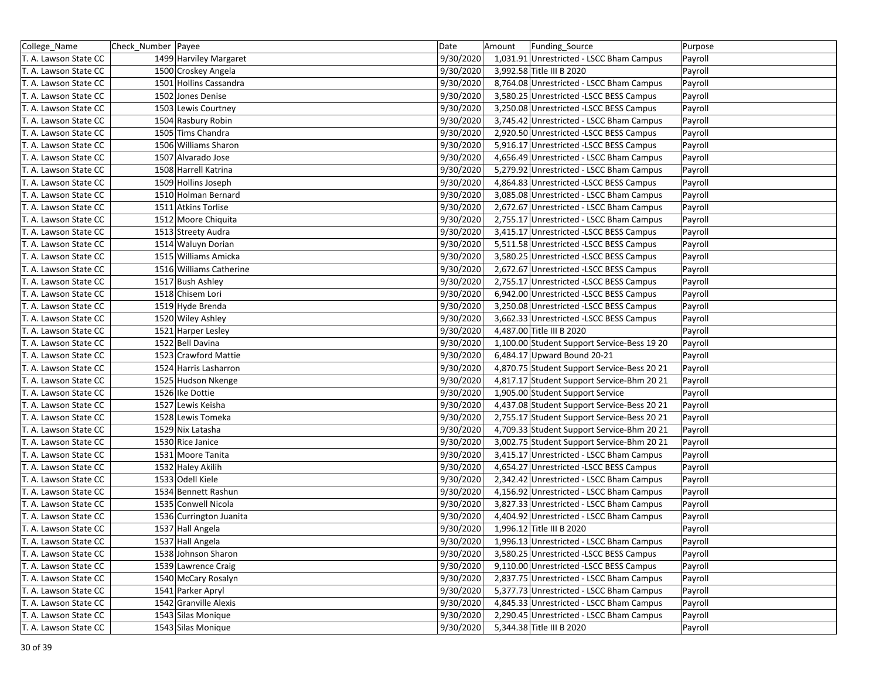| College_Name          | Check Number Payee      | Date      | Amount | Funding Source                              | Purpose |
|-----------------------|-------------------------|-----------|--------|---------------------------------------------|---------|
| T. A. Lawson State CC | 1499 Harviley Margaret  | 9/30/2020 |        | 1,031.91 Unrestricted - LSCC Bham Campus    | Payroll |
| T. A. Lawson State CC | 1500 Croskey Angela     | 9/30/2020 |        | 3,992.58 Title III B 2020                   | Payroll |
| T. A. Lawson State CC | 1501 Hollins Cassandra  | 9/30/2020 |        | 8,764.08 Unrestricted - LSCC Bham Campus    | Payroll |
| T. A. Lawson State CC | 1502 Jones Denise       | 9/30/2020 |        | 3,580.25 Unrestricted -LSCC BESS Campus     | Payroll |
| T. A. Lawson State CC | 1503 Lewis Courtney     | 9/30/2020 |        | 3,250.08 Unrestricted -LSCC BESS Campus     | Payroll |
| T. A. Lawson State CC | 1504 Rasbury Robin      | 9/30/2020 |        | 3,745.42 Unrestricted - LSCC Bham Campus    | Payroll |
| T. A. Lawson State CC | 1505 Tims Chandra       | 9/30/2020 |        | 2,920.50 Unrestricted -LSCC BESS Campus     | Payroll |
| T. A. Lawson State CC | 1506 Williams Sharon    | 9/30/2020 |        | 5,916.17 Unrestricted -LSCC BESS Campus     | Payroll |
| T. A. Lawson State CC | 1507 Alvarado Jose      | 9/30/2020 |        | 4,656.49 Unrestricted - LSCC Bham Campus    | Payroll |
| T. A. Lawson State CC | 1508 Harrell Katrina    | 9/30/2020 |        | 5,279.92 Unrestricted - LSCC Bham Campus    | Payroll |
| T. A. Lawson State CC | 1509 Hollins Joseph     | 9/30/2020 |        | 4,864.83 Unrestricted -LSCC BESS Campus     | Payroll |
| T. A. Lawson State CC | 1510 Holman Bernard     | 9/30/2020 |        | 3,085.08 Unrestricted - LSCC Bham Campus    | Payroll |
| T. A. Lawson State CC | 1511 Atkins Torlise     | 9/30/2020 |        | 2,672.67 Unrestricted - LSCC Bham Campus    | Payroll |
| T. A. Lawson State CC | 1512 Moore Chiquita     | 9/30/2020 |        | 2,755.17 Unrestricted - LSCC Bham Campus    | Payroll |
| T. A. Lawson State CC | 1513 Streety Audra      | 9/30/2020 |        | 3,415.17 Unrestricted -LSCC BESS Campus     | Payroll |
| T. A. Lawson State CC | 1514 Waluyn Dorian      | 9/30/2020 |        | 5,511.58 Unrestricted -LSCC BESS Campus     | Payroll |
| T. A. Lawson State CC | 1515 Williams Amicka    | 9/30/2020 |        | 3,580.25 Unrestricted -LSCC BESS Campus     | Payroll |
| T. A. Lawson State CC | 1516 Williams Catherine | 9/30/2020 |        | 2,672.67 Unrestricted - LSCC BESS Campus    | Payroll |
| T. A. Lawson State CC | 1517 Bush Ashley        | 9/30/2020 |        | 2,755.17 Unrestricted -LSCC BESS Campus     | Payroll |
| T. A. Lawson State CC | 1518 Chisem Lori        | 9/30/2020 |        | 6,942.00 Unrestricted -LSCC BESS Campus     | Payroll |
| T. A. Lawson State CC | 1519 Hyde Brenda        | 9/30/2020 |        | 3,250.08 Unrestricted - LSCC BESS Campus    | Payroll |
| T. A. Lawson State CC | 1520 Wiley Ashley       | 9/30/2020 |        | 3,662.33 Unrestricted -LSCC BESS Campus     | Payroll |
| T. A. Lawson State CC | 1521 Harper Lesley      | 9/30/2020 |        | 4,487.00 Title III B 2020                   | Payroll |
| T. A. Lawson State CC | 1522 Bell Davina        | 9/30/2020 |        | 1,100.00 Student Support Service-Bess 19 20 | Payroll |
| T. A. Lawson State CC | 1523 Crawford Mattie    | 9/30/2020 |        | 6,484.17 Upward Bound 20-21                 | Payroll |
| T. A. Lawson State CC | 1524 Harris Lasharron   | 9/30/2020 |        | 4,870.75 Student Support Service-Bess 20 21 | Payroll |
| T. A. Lawson State CC | 1525 Hudson Nkenge      | 9/30/2020 |        | 4,817.17 Student Support Service-Bhm 20 21  | Payroll |
| T. A. Lawson State CC | 1526 Ike Dottie         | 9/30/2020 |        | 1,905.00 Student Support Service            | Payroll |
| T. A. Lawson State CC | 1527 Lewis Keisha       | 9/30/2020 |        | 4,437.08 Student Support Service-Bess 20 21 | Payroll |
| T. A. Lawson State CC | 1528 Lewis Tomeka       | 9/30/2020 |        | 2,755.17 Student Support Service-Bess 20 21 | Payroll |
| T. A. Lawson State CC | 1529 Nix Latasha        | 9/30/2020 |        | 4,709.33 Student Support Service-Bhm 20 21  | Payroll |
| T. A. Lawson State CC | 1530 Rice Janice        | 9/30/2020 |        | 3,002.75 Student Support Service-Bhm 20 21  | Payroll |
| T. A. Lawson State CC | 1531 Moore Tanita       | 9/30/2020 |        | 3,415.17 Unrestricted - LSCC Bham Campus    | Payroll |
| T. A. Lawson State CC | 1532 Haley Akilih       | 9/30/2020 |        | 4,654.27 Unrestricted -LSCC BESS Campus     | Payroll |
| T. A. Lawson State CC | 1533 Odell Kiele        | 9/30/2020 |        | 2,342.42 Unrestricted - LSCC Bham Campus    | Payroll |
| T. A. Lawson State CC | 1534 Bennett Rashun     | 9/30/2020 |        | 4,156.92 Unrestricted - LSCC Bham Campus    | Payroll |
| T. A. Lawson State CC | 1535 Conwell Nicola     | 9/30/2020 |        | 3,827.33 Unrestricted - LSCC Bham Campus    | Payroll |
| T. A. Lawson State CC | 1536 Currington Juanita | 9/30/2020 |        | 4,404.92 Unrestricted - LSCC Bham Campus    | Payroll |
| T. A. Lawson State CC | 1537 Hall Angela        | 9/30/2020 |        | 1,996.12 Title III B 2020                   | Payroll |
| T. A. Lawson State CC | 1537 Hall Angela        | 9/30/2020 |        | 1,996.13 Unrestricted - LSCC Bham Campus    | Payroll |
| T. A. Lawson State CC | 1538 Johnson Sharon     | 9/30/2020 |        | 3,580.25 Unrestricted -LSCC BESS Campus     | Payroll |
| T. A. Lawson State CC | 1539 Lawrence Craig     | 9/30/2020 |        | 9,110.00 Unrestricted -LSCC BESS Campus     | Payroll |
| T. A. Lawson State CC | 1540 McCary Rosalyn     | 9/30/2020 |        | 2,837.75 Unrestricted - LSCC Bham Campus    | Payroll |
| T. A. Lawson State CC | 1541 Parker Apryl       | 9/30/2020 |        | 5,377.73 Unrestricted - LSCC Bham Campus    | Payroll |
| T. A. Lawson State CC | 1542 Granville Alexis   | 9/30/2020 |        | 4,845.33 Unrestricted - LSCC Bham Campus    | Payroll |
| T. A. Lawson State CC | 1543 Silas Monique      | 9/30/2020 |        | 2,290.45 Unrestricted - LSCC Bham Campus    | Payroll |
| T. A. Lawson State CC | 1543 Silas Monique      | 9/30/2020 |        | 5,344.38 Title III B 2020                   | Payroll |
|                       |                         |           |        |                                             |         |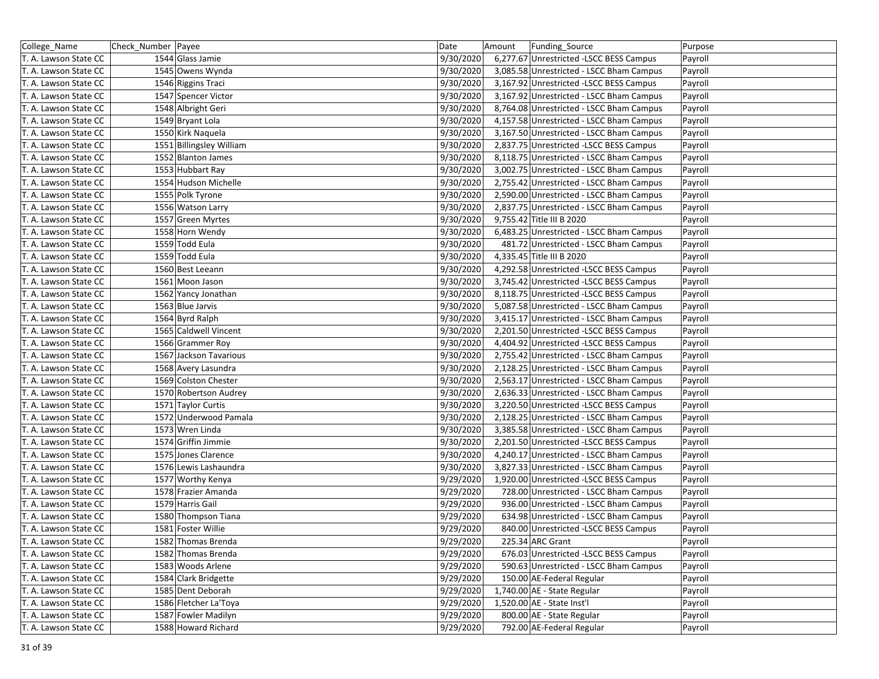| College_Name          | Check Number  Payee      | Date      | Amount | Funding Source                           | Purpose |
|-----------------------|--------------------------|-----------|--------|------------------------------------------|---------|
| T. A. Lawson State CC | 1544 Glass Jamie         | 9/30/2020 |        | 6,277.67 Unrestricted -LSCC BESS Campus  | Payroll |
| T. A. Lawson State CC | 1545 Owens Wynda         | 9/30/2020 |        | 3,085.58 Unrestricted - LSCC Bham Campus | Payroll |
| T. A. Lawson State CC | 1546 Riggins Traci       | 9/30/2020 |        | 3,167.92 Unrestricted - LSCC BESS Campus | Payroll |
| T. A. Lawson State CC | 1547 Spencer Victor      | 9/30/2020 |        | 3,167.92 Unrestricted - LSCC Bham Campus | Payroll |
| T. A. Lawson State CC | 1548 Albright Geri       | 9/30/2020 |        | 8,764.08 Unrestricted - LSCC Bham Campus | Payroll |
| T. A. Lawson State CC | 1549 Bryant Lola         | 9/30/2020 |        | 4,157.58 Unrestricted - LSCC Bham Campus | Payroll |
| T. A. Lawson State CC | 1550 Kirk Naquela        | 9/30/2020 |        | 3,167.50 Unrestricted - LSCC Bham Campus | Payroll |
| T. A. Lawson State CC | 1551 Billingsley William | 9/30/2020 |        | 2,837.75 Unrestricted -LSCC BESS Campus  | Payroll |
| T. A. Lawson State CC | 1552 Blanton James       | 9/30/2020 |        | 8,118.75 Unrestricted - LSCC Bham Campus | Payroll |
| T. A. Lawson State CC | 1553 Hubbart Ray         | 9/30/2020 |        | 3,002.75 Unrestricted - LSCC Bham Campus | Payroll |
| T. A. Lawson State CC | 1554 Hudson Michelle     | 9/30/2020 |        | 2,755.42 Unrestricted - LSCC Bham Campus | Payroll |
| T. A. Lawson State CC | 1555 Polk Tyrone         | 9/30/2020 |        | 2,590.00 Unrestricted - LSCC Bham Campus | Payroll |
| T. A. Lawson State CC | 1556 Watson Larry        | 9/30/2020 |        | 2,837.75 Unrestricted - LSCC Bham Campus | Payroll |
| T. A. Lawson State CC | 1557 Green Myrtes        | 9/30/2020 |        | 9,755.42 Title III B 2020                | Payroll |
| T. A. Lawson State CC | 1558 Horn Wendy          | 9/30/2020 |        | 6,483.25 Unrestricted - LSCC Bham Campus | Payroll |
| T. A. Lawson State CC | 1559 Todd Eula           | 9/30/2020 |        | 481.72 Unrestricted - LSCC Bham Campus   | Payroll |
| T. A. Lawson State CC | 1559 Todd Eula           | 9/30/2020 |        | 4,335.45 Title III B 2020                | Payroll |
| T. A. Lawson State CC | 1560 Best Leeann         | 9/30/2020 |        | 4,292.58 Unrestricted - LSCC BESS Campus | Payroll |
| T. A. Lawson State CC | 1561 Moon Jason          | 9/30/2020 |        | 3,745.42 Unrestricted -LSCC BESS Campus  | Payroll |
| T. A. Lawson State CC | 1562 Yancy Jonathan      | 9/30/2020 |        | 8,118.75 Unrestricted -LSCC BESS Campus  | Payroll |
| T. A. Lawson State CC | 1563 Blue Jarvis         | 9/30/2020 |        | 5,087.58 Unrestricted - LSCC Bham Campus | Payroll |
| T. A. Lawson State CC | 1564 Byrd Ralph          | 9/30/2020 |        | 3,415.17 Unrestricted - LSCC Bham Campus | Payroll |
| T. A. Lawson State CC | 1565 Caldwell Vincent    | 9/30/2020 |        | 2,201.50 Unrestricted - LSCC BESS Campus | Payroll |
| T. A. Lawson State CC | 1566 Grammer Roy         | 9/30/2020 |        | 4,404.92 Unrestricted -LSCC BESS Campus  | Payroll |
| T. A. Lawson State CC | 1567 Jackson Tavarious   | 9/30/2020 |        | 2,755.42 Unrestricted - LSCC Bham Campus | Payroll |
| T. A. Lawson State CC | 1568 Avery Lasundra      | 9/30/2020 |        | 2,128.25 Unrestricted - LSCC Bham Campus | Payroll |
| T. A. Lawson State CC | 1569 Colston Chester     | 9/30/2020 |        | 2,563.17 Unrestricted - LSCC Bham Campus | Payroll |
| T. A. Lawson State CC | 1570 Robertson Audrey    | 9/30/2020 |        | 2,636.33 Unrestricted - LSCC Bham Campus | Payroll |
| T. A. Lawson State CC | 1571 Taylor Curtis       | 9/30/2020 |        | 3,220.50 Unrestricted -LSCC BESS Campus  | Payroll |
| T. A. Lawson State CC | 1572 Underwood Pamala    | 9/30/2020 |        | 2,128.25 Unrestricted - LSCC Bham Campus | Payroll |
| T. A. Lawson State CC | 1573 Wren Linda          | 9/30/2020 |        | 3,385.58 Unrestricted - LSCC Bham Campus | Payroll |
| T. A. Lawson State CC | 1574 Griffin Jimmie      | 9/30/2020 |        | 2,201.50 Unrestricted -LSCC BESS Campus  | Payroll |
| T. A. Lawson State CC | 1575 Jones Clarence      | 9/30/2020 |        | 4,240.17 Unrestricted - LSCC Bham Campus | Payroll |
| T. A. Lawson State CC | 1576 Lewis Lashaundra    | 9/30/2020 |        | 3,827.33 Unrestricted - LSCC Bham Campus | Payroll |
| T. A. Lawson State CC | 1577 Worthy Kenya        | 9/29/2020 |        | 1,920.00 Unrestricted - LSCC BESS Campus | Payroll |
| T. A. Lawson State CC | 1578 Frazier Amanda      | 9/29/2020 |        | 728.00 Unrestricted - LSCC Bham Campus   | Payroll |
| T. A. Lawson State CC | 1579 Harris Gail         | 9/29/2020 |        | 936.00 Unrestricted - LSCC Bham Campus   | Payroll |
| T. A. Lawson State CC | 1580 Thompson Tiana      | 9/29/2020 |        | 634.98 Unrestricted - LSCC Bham Campus   | Payroll |
| T. A. Lawson State CC | 1581 Foster Willie       | 9/29/2020 |        | 840.00 Unrestricted -LSCC BESS Campus    | Payroll |
| T. A. Lawson State CC | 1582 Thomas Brenda       | 9/29/2020 |        | 225.34 ARC Grant                         | Payroll |
| T. A. Lawson State CC | 1582 Thomas Brenda       | 9/29/2020 |        | 676.03 Unrestricted -LSCC BESS Campus    | Payroll |
| T. A. Lawson State CC | 1583 Woods Arlene        | 9/29/2020 |        | 590.63 Unrestricted - LSCC Bham Campus   | Payroll |
| T. A. Lawson State CC | 1584 Clark Bridgette     | 9/29/2020 |        | 150.00 AE-Federal Regular                | Payroll |
| T. A. Lawson State CC | 1585 Dent Deborah        | 9/29/2020 |        | 1,740.00 AE - State Regular              | Payroll |
| T. A. Lawson State CC | 1586 Fletcher La'Toya    | 9/29/2020 |        | 1,520.00 AE - State Inst'l               | Payroll |
| T. A. Lawson State CC | 1587 Fowler Madilyn      | 9/29/2020 |        | 800.00 AE - State Regular                | Payroll |
| T. A. Lawson State CC | 1588 Howard Richard      | 9/29/2020 |        | 792.00 AE-Federal Regular                | Payroll |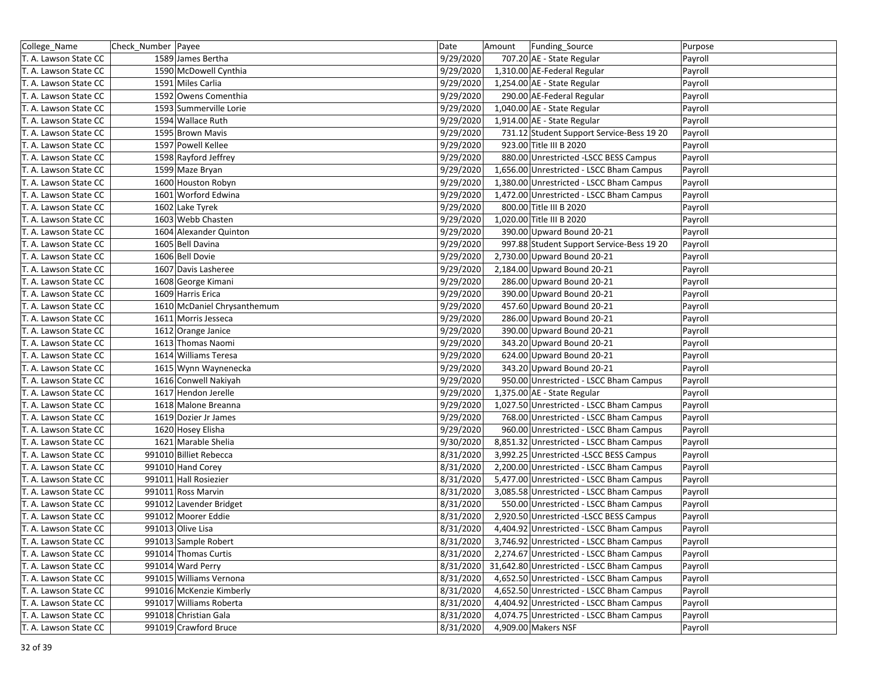| College_Name          | Check Number Payee          | Date      | Amount | Funding_Source                            | Purpose |
|-----------------------|-----------------------------|-----------|--------|-------------------------------------------|---------|
| T. A. Lawson State CC | 1589 James Bertha           | 9/29/2020 |        | 707.20 AE - State Regular                 | Payroll |
| T. A. Lawson State CC | 1590 McDowell Cynthia       | 9/29/2020 |        | 1,310.00 AE-Federal Regular               | Payroll |
| T. A. Lawson State CC | 1591 Miles Carlia           | 9/29/2020 |        | 1,254.00 AE - State Regular               | Payroll |
| T. A. Lawson State CC | 1592 Owens Comenthia        | 9/29/2020 |        | 290.00 AE-Federal Regular                 | Payroll |
| T. A. Lawson State CC | 1593 Summerville Lorie      | 9/29/2020 |        | 1,040.00 AE - State Regular               | Payroll |
| T. A. Lawson State CC | 1594 Wallace Ruth           | 9/29/2020 |        | 1,914.00 AE - State Regular               | Payroll |
| T. A. Lawson State CC | 1595 Brown Mavis            | 9/29/2020 |        | 731.12 Student Support Service-Bess 19 20 | Payroll |
| T. A. Lawson State CC | 1597 Powell Kellee          | 9/29/2020 |        | 923.00 Title III B 2020                   | Payroll |
| T. A. Lawson State CC | 1598 Rayford Jeffrey        | 9/29/2020 |        | 880.00 Unrestricted - LSCC BESS Campus    | Payroll |
| T. A. Lawson State CC | 1599 Maze Bryan             | 9/29/2020 |        | 1,656.00 Unrestricted - LSCC Bham Campus  | Payroll |
| T. A. Lawson State CC | 1600 Houston Robyn          | 9/29/2020 |        | 1,380.00 Unrestricted - LSCC Bham Campus  | Payroll |
| T. A. Lawson State CC | 1601 Worford Edwina         | 9/29/2020 |        | 1,472.00 Unrestricted - LSCC Bham Campus  | Payroll |
| T. A. Lawson State CC | 1602 Lake Tyrek             | 9/29/2020 |        | 800.00 Title III B 2020                   | Payroll |
| T. A. Lawson State CC | 1603 Webb Chasten           | 9/29/2020 |        | 1,020.00 Title III B 2020                 | Payroll |
| T. A. Lawson State CC | 1604 Alexander Quinton      | 9/29/2020 |        | 390.00 Upward Bound 20-21                 | Payroll |
| T. A. Lawson State CC | 1605 Bell Davina            | 9/29/2020 |        | 997.88 Student Support Service-Bess 19 20 | Payroll |
| T. A. Lawson State CC | 1606 Bell Dovie             | 9/29/2020 |        | 2,730.00 Upward Bound 20-21               | Payroll |
| T. A. Lawson State CC | 1607 Davis Lasheree         | 9/29/2020 |        | 2,184.00 Upward Bound 20-21               | Payroll |
| T. A. Lawson State CC | 1608 George Kimani          | 9/29/2020 |        | 286.00 Upward Bound 20-21                 | Payroll |
| T. A. Lawson State CC | 1609 Harris Erica           | 9/29/2020 |        | 390.00 Upward Bound 20-21                 | Payroll |
| T. A. Lawson State CC | 1610 McDaniel Chrysanthemum | 9/29/2020 |        | 457.60 Upward Bound 20-21                 | Payroll |
| T. A. Lawson State CC | 1611 Morris Jesseca         | 9/29/2020 |        | 286.00 Upward Bound 20-21                 | Payroll |
| T. A. Lawson State CC | 1612 Orange Janice          | 9/29/2020 |        | 390.00 Upward Bound 20-21                 | Payroll |
| T. A. Lawson State CC | 1613 Thomas Naomi           | 9/29/2020 |        | 343.20 Upward Bound 20-21                 | Payroll |
| T. A. Lawson State CC | 1614 Williams Teresa        | 9/29/2020 |        | 624.00 Upward Bound 20-21                 | Payroll |
| T. A. Lawson State CC | 1615 Wynn Waynenecka        | 9/29/2020 |        | 343.20 Upward Bound 20-21                 | Payroll |
| T. A. Lawson State CC | 1616 Conwell Nakiyah        | 9/29/2020 |        | 950.00 Unrestricted - LSCC Bham Campus    | Payroll |
| T. A. Lawson State CC | 1617 Hendon Jerelle         | 9/29/2020 |        | 1,375.00 AE - State Regular               | Payroll |
| T. A. Lawson State CC | 1618 Malone Breanna         | 9/29/2020 |        | 1,027.50 Unrestricted - LSCC Bham Campus  | Payroll |
| T. A. Lawson State CC | 1619 Dozier Jr James        | 9/29/2020 |        | 768.00 Unrestricted - LSCC Bham Campus    | Payroll |
| T. A. Lawson State CC | 1620 Hosey Elisha           | 9/29/2020 |        | 960.00 Unrestricted - LSCC Bham Campus    | Payroll |
| T. A. Lawson State CC | 1621 Marable Shelia         | 9/30/2020 |        | 8,851.32 Unrestricted - LSCC Bham Campus  | Payroll |
| T. A. Lawson State CC | 991010 Billiet Rebecca      | 8/31/2020 |        | 3,992.25 Unrestricted -LSCC BESS Campus   | Payroll |
| T. A. Lawson State CC | 991010 Hand Corey           | 8/31/2020 |        | 2,200.00 Unrestricted - LSCC Bham Campus  | Payroll |
| T. A. Lawson State CC | 991011 Hall Rosiezier       | 8/31/2020 |        | 5,477.00 Unrestricted - LSCC Bham Campus  | Payroll |
| T. A. Lawson State CC | 991011 Ross Marvin          | 8/31/2020 |        | 3,085.58 Unrestricted - LSCC Bham Campus  | Payroll |
| T. A. Lawson State CC | 991012 Lavender Bridget     | 8/31/2020 |        | 550.00 Unrestricted - LSCC Bham Campus    | Payroll |
| T. A. Lawson State CC | 991012 Moorer Eddie         | 8/31/2020 |        | 2,920.50 Unrestricted -LSCC BESS Campus   | Payroll |
| T. A. Lawson State CC | 991013 Olive Lisa           | 8/31/2020 |        | 4,404.92 Unrestricted - LSCC Bham Campus  | Payroll |
| T. A. Lawson State CC | 991013 Sample Robert        | 8/31/2020 |        | 3,746.92 Unrestricted - LSCC Bham Campus  | Payroll |
| T. A. Lawson State CC | 991014 Thomas Curtis        | 8/31/2020 |        | 2,274.67 Unrestricted - LSCC Bham Campus  | Payroll |
| T. A. Lawson State CC | 991014 Ward Perry           | 8/31/2020 |        | 31,642.80 Unrestricted - LSCC Bham Campus | Payroll |
| T. A. Lawson State CC | 991015 Williams Vernona     | 8/31/2020 |        | 4,652.50 Unrestricted - LSCC Bham Campus  | Payroll |
| T. A. Lawson State CC | 991016 McKenzie Kimberly    | 8/31/2020 |        | 4,652.50 Unrestricted - LSCC Bham Campus  | Payroll |
| T. A. Lawson State CC | 991017 Williams Roberta     | 8/31/2020 |        | 4,404.92 Unrestricted - LSCC Bham Campus  | Payroll |
| T. A. Lawson State CC | 991018 Christian Gala       | 8/31/2020 |        | 4,074.75 Unrestricted - LSCC Bham Campus  | Payroll |
| T. A. Lawson State CC | 991019 Crawford Bruce       | 8/31/2020 |        | 4,909.00 Makers NSF                       | Payroll |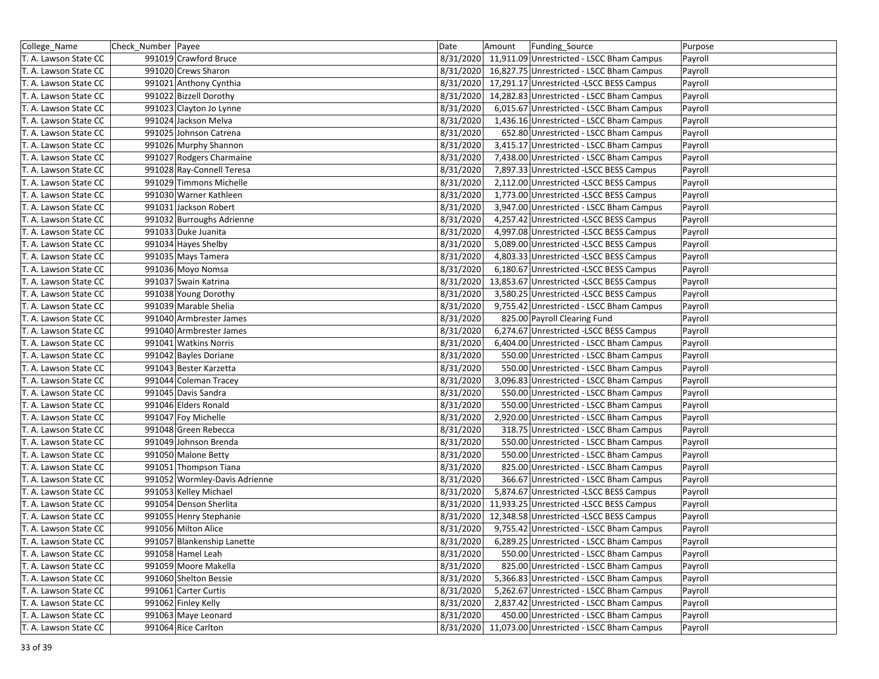| College_Name          | Check Number Payee            | Date      | Amount | Funding Source                                      | Purpose |
|-----------------------|-------------------------------|-----------|--------|-----------------------------------------------------|---------|
| T. A. Lawson State CC | 991019 Crawford Bruce         | 8/31/2020 |        | 11,911.09 Unrestricted - LSCC Bham Campus           | Payroll |
| T. A. Lawson State CC | 991020 Crews Sharon           | 8/31/2020 |        | 16,827.75 Unrestricted - LSCC Bham Campus           | Payroll |
| T. A. Lawson State CC | 991021 Anthony Cynthia        | 8/31/2020 |        | 17,291.17 Unrestricted - LSCC BESS Campus           | Payroll |
| T. A. Lawson State CC | 991022 Bizzell Dorothy        | 8/31/2020 |        | 14,282.83 Unrestricted - LSCC Bham Campus           | Payroll |
| T. A. Lawson State CC | 991023 Clayton Jo Lynne       | 8/31/2020 |        | 6,015.67 Unrestricted - LSCC Bham Campus            | Payroll |
| T. A. Lawson State CC | 991024 Jackson Melva          | 8/31/2020 |        | 1,436.16 Unrestricted - LSCC Bham Campus            | Payroll |
| T. A. Lawson State CC | 991025 Johnson Catrena        | 8/31/2020 |        | 652.80 Unrestricted - LSCC Bham Campus              | Payroll |
| T. A. Lawson State CC | 991026 Murphy Shannon         | 8/31/2020 |        | 3,415.17 Unrestricted - LSCC Bham Campus            | Payroll |
| T. A. Lawson State CC | 991027 Rodgers Charmaine      | 8/31/2020 |        | 7,438.00 Unrestricted - LSCC Bham Campus            | Payroll |
| T. A. Lawson State CC | 991028 Ray-Connell Teresa     | 8/31/2020 |        | 7,897.33 Unrestricted - LSCC BESS Campus            | Payroll |
| T. A. Lawson State CC | 991029 Timmons Michelle       | 8/31/2020 |        | 2,112.00 Unrestricted -LSCC BESS Campus             | Payroll |
| T. A. Lawson State CC | 991030 Warner Kathleen        | 8/31/2020 |        | 1,773.00 Unrestricted -LSCC BESS Campus             | Payroll |
| T. A. Lawson State CC | 991031 Jackson Robert         | 8/31/2020 |        | 3,947.00 Unrestricted - LSCC Bham Campus            | Payroll |
| T. A. Lawson State CC | 991032 Burroughs Adrienne     | 8/31/2020 |        | 4,257.42 Unrestricted -LSCC BESS Campus             | Payroll |
| T. A. Lawson State CC | 991033 Duke Juanita           | 8/31/2020 |        | 4,997.08 Unrestricted -LSCC BESS Campus             | Payroll |
| T. A. Lawson State CC | 991034 Hayes Shelby           | 8/31/2020 |        | 5,089.00 Unrestricted -LSCC BESS Campus             | Payroll |
| T. A. Lawson State CC | 991035 Mays Tamera            | 8/31/2020 |        | 4,803.33 Unrestricted -LSCC BESS Campus             | Payroll |
| T. A. Lawson State CC | 991036 Moyo Nomsa             | 8/31/2020 |        | 6,180.67 Unrestricted -LSCC BESS Campus             | Payroll |
| T. A. Lawson State CC | 991037 Swain Katrina          | 8/31/2020 |        | 13,853.67 Unrestricted - LSCC BESS Campus           | Payroll |
| T. A. Lawson State CC | 991038 Young Dorothy          | 8/31/2020 |        | 3,580.25 Unrestricted -LSCC BESS Campus             | Payroll |
| T. A. Lawson State CC | 991039 Marable Shelia         | 8/31/2020 |        | 9,755.42 Unrestricted - LSCC Bham Campus            | Payroll |
| T. A. Lawson State CC | 991040 Armbrester James       | 8/31/2020 |        | 825.00 Payroll Clearing Fund                        | Payroll |
| T. A. Lawson State CC | 991040 Armbrester James       | 8/31/2020 |        | 6,274.67 Unrestricted -LSCC BESS Campus             | Payroll |
| T. A. Lawson State CC | 991041 Watkins Norris         | 8/31/2020 |        | 6,404.00 Unrestricted - LSCC Bham Campus            | Payroll |
| T. A. Lawson State CC | 991042 Bayles Doriane         | 8/31/2020 |        | 550.00 Unrestricted - LSCC Bham Campus              | Payroll |
| T. A. Lawson State CC | 991043 Bester Karzetta        | 8/31/2020 |        | 550.00 Unrestricted - LSCC Bham Campus              | Payroll |
| T. A. Lawson State CC | 991044 Coleman Tracey         | 8/31/2020 |        | 3,096.83 Unrestricted - LSCC Bham Campus            | Payroll |
| T. A. Lawson State CC | 991045 Davis Sandra           | 8/31/2020 |        | 550.00 Unrestricted - LSCC Bham Campus              | Payroll |
| T. A. Lawson State CC | 991046 Elders Ronald          | 8/31/2020 |        | 550.00 Unrestricted - LSCC Bham Campus              | Payroll |
| T. A. Lawson State CC | 991047 Foy Michelle           | 8/31/2020 |        | 2,920.00 Unrestricted - LSCC Bham Campus            | Payroll |
| T. A. Lawson State CC | 991048 Green Rebecca          | 8/31/2020 |        | 318.75 Unrestricted - LSCC Bham Campus              | Payroll |
| T. A. Lawson State CC | 991049 Johnson Brenda         | 8/31/2020 |        | 550.00 Unrestricted - LSCC Bham Campus              | Payroll |
| T. A. Lawson State CC | 991050 Malone Betty           | 8/31/2020 |        | 550.00 Unrestricted - LSCC Bham Campus              | Payroll |
| T. A. Lawson State CC | 991051 Thompson Tiana         | 8/31/2020 |        | 825.00 Unrestricted - LSCC Bham Campus              | Payroll |
| T. A. Lawson State CC | 991052 Wormley-Davis Adrienne | 8/31/2020 |        | 366.67 Unrestricted - LSCC Bham Campus              | Payroll |
| T. A. Lawson State CC | 991053 Kelley Michael         | 8/31/2020 |        | 5,874.67 Unrestricted -LSCC BESS Campus             | Payroll |
| T. A. Lawson State CC | 991054 Denson Sherlita        | 8/31/2020 |        | 11,933.25 Unrestricted - LSCC BESS Campus           | Payroll |
| T. A. Lawson State CC | 991055 Henry Stephanie        | 8/31/2020 |        | 12,348.58 Unrestricted - LSCC BESS Campus           | Payroll |
| T. A. Lawson State CC | 991056 Milton Alice           | 8/31/2020 |        | 9,755.42 Unrestricted - LSCC Bham Campus            | Payroll |
| T. A. Lawson State CC | 991057 Blankenship Lanette    | 8/31/2020 |        | 6,289.25 Unrestricted - LSCC Bham Campus            | Payroll |
| T. A. Lawson State CC | 991058 Hamel Leah             | 8/31/2020 |        | 550.00 Unrestricted - LSCC Bham Campus              | Payroll |
| T. A. Lawson State CC | 991059 Moore Makella          | 8/31/2020 |        | 825.00 Unrestricted - LSCC Bham Campus              | Payroll |
| T. A. Lawson State CC | 991060 Shelton Bessie         | 8/31/2020 |        | 5,366.83 Unrestricted - LSCC Bham Campus            | Payroll |
| T. A. Lawson State CC | 991061 Carter Curtis          | 8/31/2020 |        | 5,262.67 Unrestricted - LSCC Bham Campus            | Payroll |
| T. A. Lawson State CC | 991062 Finley Kelly           | 8/31/2020 |        | 2,837.42 Unrestricted - LSCC Bham Campus            | Payroll |
| T. A. Lawson State CC | 991063 Maye Leonard           | 8/31/2020 |        | 450.00 Unrestricted - LSCC Bham Campus              | Payroll |
| T. A. Lawson State CC | 991064 Rice Carlton           |           |        | 8/31/2020 11,073.00 Unrestricted - LSCC Bham Campus | Payroll |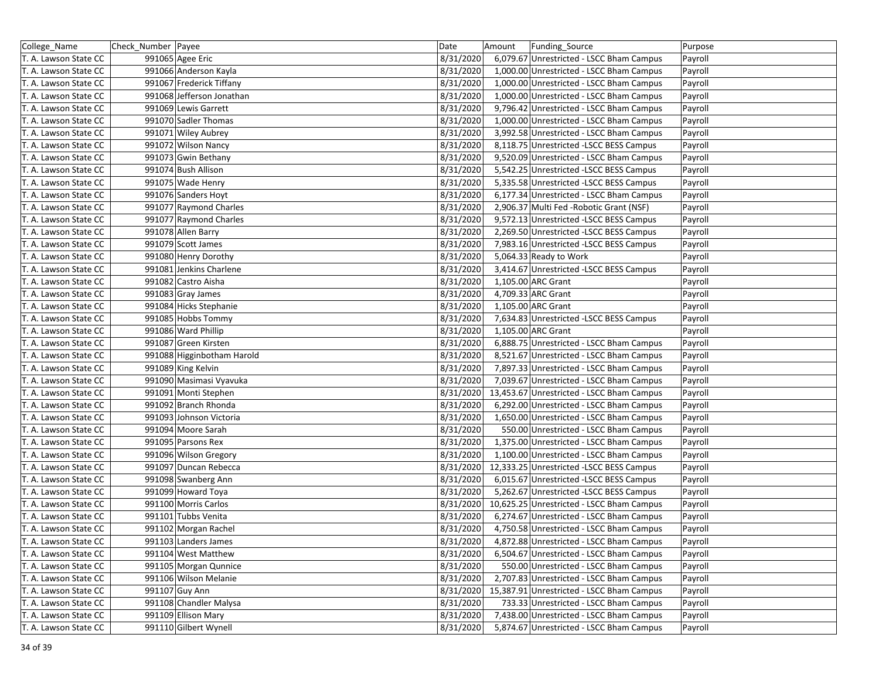| College_Name          | Check Number  Payee        | Date      | Amount | Funding Source                            | Purpose |
|-----------------------|----------------------------|-----------|--------|-------------------------------------------|---------|
| T. A. Lawson State CC | 991065 Agee Eric           | 8/31/2020 |        | 6,079.67 Unrestricted - LSCC Bham Campus  | Payroll |
| T. A. Lawson State CC | 991066 Anderson Kayla      | 8/31/2020 |        | 1,000.00 Unrestricted - LSCC Bham Campus  | Payroll |
| T. A. Lawson State CC | 991067 Frederick Tiffany   | 8/31/2020 |        | 1,000.00 Unrestricted - LSCC Bham Campus  | Payroll |
| T. A. Lawson State CC | 991068 Jefferson Jonathan  | 8/31/2020 |        | 1,000.00 Unrestricted - LSCC Bham Campus  | Payroll |
| T. A. Lawson State CC | 991069 Lewis Garrett       | 8/31/2020 |        | 9,796.42 Unrestricted - LSCC Bham Campus  | Payroll |
| T. A. Lawson State CC | 991070 Sadler Thomas       | 8/31/2020 |        | 1,000.00 Unrestricted - LSCC Bham Campus  | Payroll |
| T. A. Lawson State CC | 991071 Wiley Aubrey        | 8/31/2020 |        | 3,992.58 Unrestricted - LSCC Bham Campus  | Payroll |
| T. A. Lawson State CC | 991072 Wilson Nancy        | 8/31/2020 |        | 8,118.75 Unrestricted -LSCC BESS Campus   | Payroll |
| T. A. Lawson State CC | 991073 Gwin Bethany        | 8/31/2020 |        | 9,520.09 Unrestricted - LSCC Bham Campus  | Payroll |
| T. A. Lawson State CC | 991074 Bush Allison        | 8/31/2020 |        | 5,542.25 Unrestricted -LSCC BESS Campus   | Payroll |
| T. A. Lawson State CC | 991075 Wade Henry          | 8/31/2020 |        | 5,335.58 Unrestricted -LSCC BESS Campus   | Payroll |
| T. A. Lawson State CC | 991076 Sanders Hoyt        | 8/31/2020 |        | 6,177.34 Unrestricted - LSCC Bham Campus  | Payroll |
| T. A. Lawson State CC | 991077 Raymond Charles     | 8/31/2020 |        | 2,906.37 Multi Fed - Robotic Grant (NSF)  | Payroll |
| T. A. Lawson State CC | 991077 Raymond Charles     | 8/31/2020 |        | 9,572.13 Unrestricted -LSCC BESS Campus   | Payroll |
| T. A. Lawson State CC | 991078 Allen Barry         | 8/31/2020 |        | 2,269.50 Unrestricted -LSCC BESS Campus   | Payroll |
| T. A. Lawson State CC | 991079 Scott James         | 8/31/2020 |        | 7,983.16 Unrestricted -LSCC BESS Campus   | Payroll |
| T. A. Lawson State CC | 991080 Henry Dorothy       | 8/31/2020 |        | 5,064.33 Ready to Work                    | Payroll |
| T. A. Lawson State CC | 991081 Jenkins Charlene    | 8/31/2020 |        | 3,414.67 Unrestricted -LSCC BESS Campus   | Payroll |
| T. A. Lawson State CC | 991082 Castro Aisha        | 8/31/2020 |        | 1,105.00 ARC Grant                        | Payroll |
| T. A. Lawson State CC | 991083 Gray James          | 8/31/2020 |        | 4,709.33 ARC Grant                        | Payroll |
| T. A. Lawson State CC | 991084 Hicks Stephanie     | 8/31/2020 |        | 1,105.00 ARC Grant                        | Payroll |
| T. A. Lawson State CC | 991085 Hobbs Tommy         | 8/31/2020 |        | 7,634.83 Unrestricted -LSCC BESS Campus   | Payroll |
| T. A. Lawson State CC | 991086 Ward Phillip        | 8/31/2020 |        | 1,105.00 ARC Grant                        | Payroll |
| T. A. Lawson State CC | 991087 Green Kirsten       | 8/31/2020 |        | 6,888.75 Unrestricted - LSCC Bham Campus  | Payroll |
| T. A. Lawson State CC | 991088 Higginbotham Harold | 8/31/2020 |        | 8,521.67 Unrestricted - LSCC Bham Campus  | Payroll |
| T. A. Lawson State CC | 991089 King Kelvin         | 8/31/2020 |        | 7,897.33 Unrestricted - LSCC Bham Campus  | Payroll |
| T. A. Lawson State CC | 991090 Masimasi Vyavuka    | 8/31/2020 |        | 7,039.67 Unrestricted - LSCC Bham Campus  | Payroll |
| T. A. Lawson State CC | 991091 Monti Stephen       | 8/31/2020 |        | 13,453.67 Unrestricted - LSCC Bham Campus | Payroll |
| T. A. Lawson State CC | 991092 Branch Rhonda       | 8/31/2020 |        | 6,292.00 Unrestricted - LSCC Bham Campus  | Payroll |
| T. A. Lawson State CC | 991093 Johnson Victoria    | 8/31/2020 |        | 1,650.00 Unrestricted - LSCC Bham Campus  | Payroll |
| T. A. Lawson State CC | 991094 Moore Sarah         | 8/31/2020 |        | 550.00 Unrestricted - LSCC Bham Campus    | Payroll |
| T. A. Lawson State CC | 991095 Parsons Rex         | 8/31/2020 |        | 1,375.00 Unrestricted - LSCC Bham Campus  | Payroll |
| T. A. Lawson State CC | 991096 Wilson Gregory      | 8/31/2020 |        | 1,100.00 Unrestricted - LSCC Bham Campus  | Payroll |
| T. A. Lawson State CC | 991097 Duncan Rebecca      | 8/31/2020 |        | 12,333.25 Unrestricted - LSCC BESS Campus | Payroll |
| T. A. Lawson State CC | 991098 Swanberg Ann        | 8/31/2020 |        | 6,015.67 Unrestricted -LSCC BESS Campus   | Payroll |
| T. A. Lawson State CC | 991099 Howard Toya         | 8/31/2020 |        | 5,262.67 Unrestricted -LSCC BESS Campus   | Payroll |
| T. A. Lawson State CC | 991100 Morris Carlos       | 8/31/2020 |        | 10,625.25 Unrestricted - LSCC Bham Campus | Payroll |
| T. A. Lawson State CC | 991101 Tubbs Venita        | 8/31/2020 |        | 6,274.67 Unrestricted - LSCC Bham Campus  | Payroll |
| T. A. Lawson State CC | 991102 Morgan Rachel       | 8/31/2020 |        | 4,750.58 Unrestricted - LSCC Bham Campus  | Payroll |
| T. A. Lawson State CC | 991103 Landers James       | 8/31/2020 |        | 4,872.88 Unrestricted - LSCC Bham Campus  | Payroll |
| T. A. Lawson State CC | 991104 West Matthew        | 8/31/2020 |        | 6,504.67 Unrestricted - LSCC Bham Campus  | Payroll |
| T. A. Lawson State CC | 991105 Morgan Qunnice      | 8/31/2020 |        | 550.00 Unrestricted - LSCC Bham Campus    | Payroll |
| T. A. Lawson State CC | 991106 Wilson Melanie      | 8/31/2020 |        | 2,707.83 Unrestricted - LSCC Bham Campus  | Payroll |
| T. A. Lawson State CC | 991107 Guy Ann             | 8/31/2020 |        | 15,387.91 Unrestricted - LSCC Bham Campus | Payroll |
| T. A. Lawson State CC | 991108 Chandler Malysa     | 8/31/2020 |        | 733.33 Unrestricted - LSCC Bham Campus    | Payroll |
| T. A. Lawson State CC | 991109 Ellison Mary        | 8/31/2020 |        | 7,438.00 Unrestricted - LSCC Bham Campus  | Payroll |
| T. A. Lawson State CC | 991110 Gilbert Wynell      | 8/31/2020 |        | 5,874.67 Unrestricted - LSCC Bham Campus  | Payroll |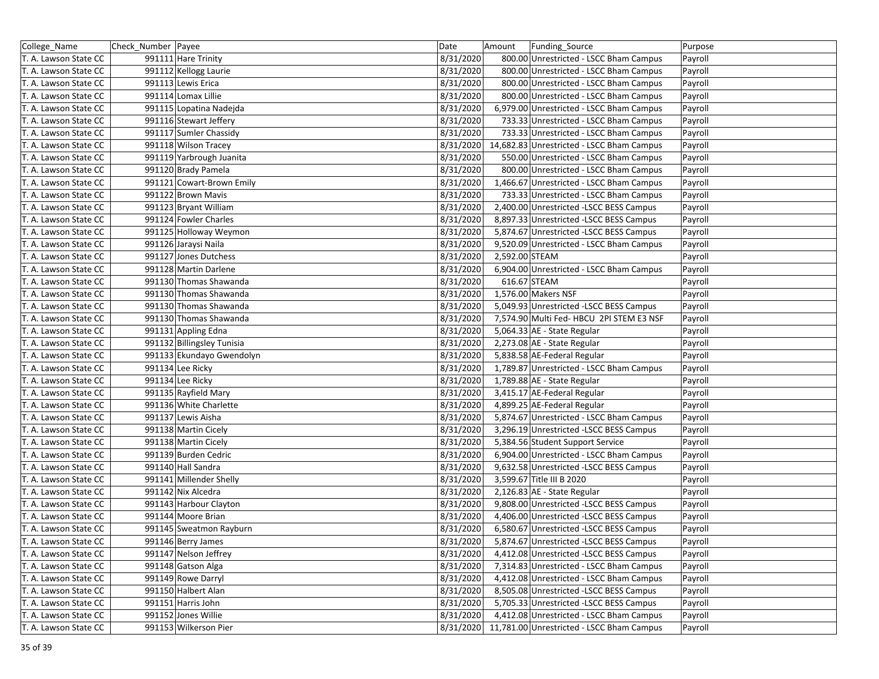| College_Name          | Check Number Payee         | Date      | Amount | Funding Source                           |                                                     | Purpose |
|-----------------------|----------------------------|-----------|--------|------------------------------------------|-----------------------------------------------------|---------|
| T. A. Lawson State CC | 991111 Hare Trinity        | 8/31/2020 |        |                                          | 800.00 Unrestricted - LSCC Bham Campus              | Payroll |
| T. A. Lawson State CC | 991112 Kellogg Laurie      | 8/31/2020 |        |                                          | 800.00 Unrestricted - LSCC Bham Campus              | Payroll |
| T. A. Lawson State CC | 991113 Lewis Erica         | 8/31/2020 |        |                                          | 800.00 Unrestricted - LSCC Bham Campus              | Payroll |
| T. A. Lawson State CC | 991114 Lomax Lillie        | 8/31/2020 |        |                                          | 800.00 Unrestricted - LSCC Bham Campus              | Payroll |
| T. A. Lawson State CC | 991115 Lopatina Nadejda    | 8/31/2020 |        |                                          | 6,979.00 Unrestricted - LSCC Bham Campus            | Payroll |
| T. A. Lawson State CC | 991116 Stewart Jeffery     | 8/31/2020 |        |                                          | 733.33 Unrestricted - LSCC Bham Campus              | Payroll |
| T. A. Lawson State CC | 991117 Sumler Chassidy     | 8/31/2020 |        |                                          | 733.33 Unrestricted - LSCC Bham Campus              | Payroll |
| T. A. Lawson State CC | 991118 Wilson Tracey       | 8/31/2020 |        |                                          | 14,682.83 Unrestricted - LSCC Bham Campus           | Payroll |
| T. A. Lawson State CC | 991119 Yarbrough Juanita   | 8/31/2020 |        |                                          | 550.00 Unrestricted - LSCC Bham Campus              | Payroll |
| T. A. Lawson State CC | 991120 Brady Pamela        | 8/31/2020 |        |                                          | 800.00 Unrestricted - LSCC Bham Campus              | Payroll |
| T. A. Lawson State CC | 991121 Cowart-Brown Emily  | 8/31/2020 |        |                                          | 1,466.67 Unrestricted - LSCC Bham Campus            | Payroll |
| T. A. Lawson State CC | 991122 Brown Mavis         | 8/31/2020 |        |                                          | 733.33 Unrestricted - LSCC Bham Campus              | Payroll |
| T. A. Lawson State CC | 991123 Bryant William      | 8/31/2020 |        | 2,400.00 Unrestricted -LSCC BESS Campus  |                                                     | Payroll |
| T. A. Lawson State CC | 991124 Fowler Charles      | 8/31/2020 |        | 8,897.33 Unrestricted -LSCC BESS Campus  |                                                     | Payroll |
| T. A. Lawson State CC | 991125 Holloway Weymon     | 8/31/2020 |        | 5,874.67 Unrestricted -LSCC BESS Campus  |                                                     | Payroll |
| T. A. Lawson State CC | 991126 Jaraysi Naila       | 8/31/2020 |        |                                          | 9,520.09 Unrestricted - LSCC Bham Campus            | Payroll |
| T. A. Lawson State CC | 991127 Jones Dutchess      | 8/31/2020 |        | 2,592.00 STEAM                           |                                                     | Payroll |
| T. A. Lawson State CC | 991128 Martin Darlene      | 8/31/2020 |        |                                          | 6,904.00 Unrestricted - LSCC Bham Campus            | Payroll |
| T. A. Lawson State CC | 991130 Thomas Shawanda     | 8/31/2020 |        | 616.67 STEAM                             |                                                     | Payroll |
| T. A. Lawson State CC | 991130 Thomas Shawanda     | 8/31/2020 |        | 1,576.00 Makers NSF                      |                                                     | Payroll |
| T. A. Lawson State CC | 991130 Thomas Shawanda     | 8/31/2020 |        | 5,049.93 Unrestricted -LSCC BESS Campus  |                                                     | Payroll |
| T. A. Lawson State CC | 991130 Thomas Shawanda     | 8/31/2020 |        |                                          | 7,574.90 Multi Fed- HBCU 2PI STEM E3 NSF            | Payroll |
| T. A. Lawson State CC | 991131 Appling Edna        | 8/31/2020 |        | 5,064.33 AE - State Regular              |                                                     | Payroll |
| T. A. Lawson State CC | 991132 Billingsley Tunisia | 8/31/2020 |        | 2,273.08 AE - State Regular              |                                                     | Payroll |
| T. A. Lawson State CC | 991133 Ekundayo Gwendolyn  | 8/31/2020 |        | 5,838.58 AE-Federal Regular              |                                                     | Payroll |
| T. A. Lawson State CC | 991134 Lee Ricky           | 8/31/2020 |        |                                          | 1,789.87 Unrestricted - LSCC Bham Campus            | Payroll |
| T. A. Lawson State CC | 991134 Lee Ricky           | 8/31/2020 |        | 1,789.88 AE - State Regular              |                                                     | Payroll |
| T. A. Lawson State CC | 991135 Rayfield Mary       | 8/31/2020 |        | 3,415.17 AE-Federal Regular              |                                                     | Payroll |
| T. A. Lawson State CC | 991136 White Charlette     | 8/31/2020 |        | 4,899.25 AE-Federal Regular              |                                                     | Payroll |
| T. A. Lawson State CC | 991137 Lewis Aisha         | 8/31/2020 |        |                                          | 5,874.67 Unrestricted - LSCC Bham Campus            | Payroll |
| T. A. Lawson State CC | 991138 Martin Cicely       | 8/31/2020 |        | 3,296.19 Unrestricted -LSCC BESS Campus  |                                                     | Payroll |
| T. A. Lawson State CC | 991138 Martin Cicely       | 8/31/2020 |        | 5,384.56 Student Support Service         |                                                     | Payroll |
| T. A. Lawson State CC | 991139 Burden Cedric       | 8/31/2020 |        |                                          | 6,904.00 Unrestricted - LSCC Bham Campus            | Payroll |
| T. A. Lawson State CC | 991140 Hall Sandra         | 8/31/2020 |        | 9,632.58 Unrestricted - LSCC BESS Campus |                                                     | Payroll |
| T. A. Lawson State CC | 991141 Millender Shelly    | 8/31/2020 |        | 3,599.67 Title III B 2020                |                                                     | Payroll |
| T. A. Lawson State CC | 991142 Nix Alcedra         | 8/31/2020 |        | 2,126.83 AE - State Regular              |                                                     | Payroll |
| T. A. Lawson State CC | 991143 Harbour Clayton     | 8/31/2020 |        | 9,808.00 Unrestricted -LSCC BESS Campus  |                                                     | Payroll |
| T. A. Lawson State CC | 991144 Moore Brian         | 8/31/2020 |        | 4,406.00 Unrestricted -LSCC BESS Campus  |                                                     | Payroll |
| T. A. Lawson State CC | 991145 Sweatmon Rayburn    | 8/31/2020 |        | 6,580.67 Unrestricted -LSCC BESS Campus  |                                                     | Payroll |
| T. A. Lawson State CC | 991146 Berry James         | 8/31/2020 |        | 5,874.67 Unrestricted -LSCC BESS Campus  |                                                     | Payroll |
| T. A. Lawson State CC | 991147 Nelson Jeffrey      | 8/31/2020 |        | 4,412.08 Unrestricted -LSCC BESS Campus  |                                                     | Payroll |
| T. A. Lawson State CC | 991148 Gatson Alga         | 8/31/2020 |        |                                          | 7,314.83 Unrestricted - LSCC Bham Campus            | Payroll |
| T. A. Lawson State CC | 991149 Rowe Darryl         | 8/31/2020 |        |                                          | 4,412.08 Unrestricted - LSCC Bham Campus            | Payroll |
| T. A. Lawson State CC | 991150 Halbert Alan        | 8/31/2020 |        | 8,505.08 Unrestricted -LSCC BESS Campus  |                                                     | Payroll |
| T. A. Lawson State CC | 991151 Harris John         | 8/31/2020 |        | 5,705.33 Unrestricted -LSCC BESS Campus  |                                                     | Payroll |
| T. A. Lawson State CC | 991152 Jones Willie        | 8/31/2020 |        |                                          | 4,412.08 Unrestricted - LSCC Bham Campus            | Payroll |
| T. A. Lawson State CC | 991153 Wilkerson Pier      |           |        |                                          | 8/31/2020 11,781.00 Unrestricted - LSCC Bham Campus | Payroll |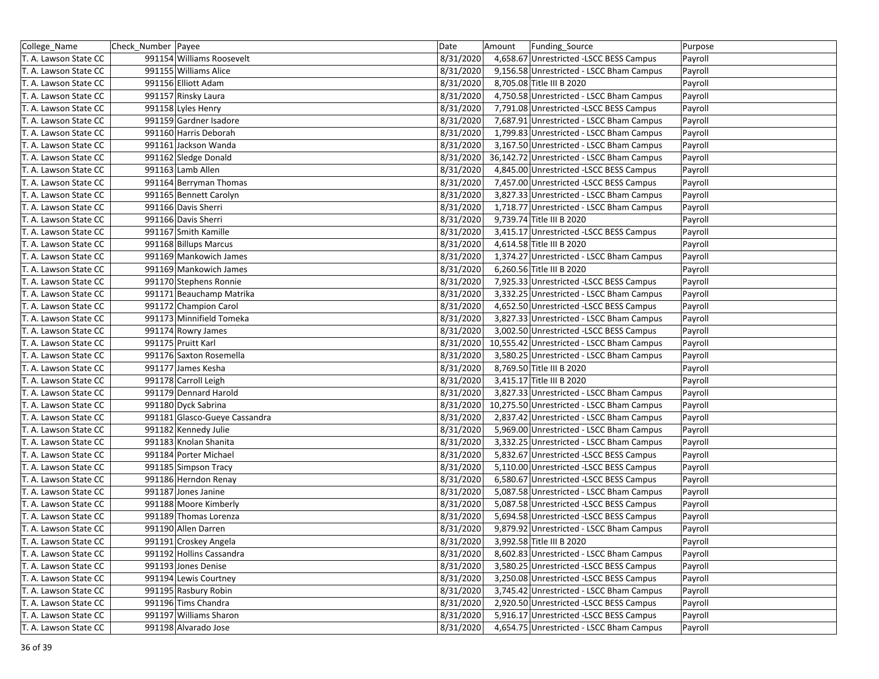| College_Name          | Check Number  Payee           | Date      | Amount | Funding Source                            | Purpose |
|-----------------------|-------------------------------|-----------|--------|-------------------------------------------|---------|
| T. A. Lawson State CC | 991154 Williams Roosevelt     | 8/31/2020 |        | 4,658.67 Unrestricted -LSCC BESS Campus   | Payroll |
| T. A. Lawson State CC | 991155 Williams Alice         | 8/31/2020 |        | 9,156.58 Unrestricted - LSCC Bham Campus  | Payroll |
| T. A. Lawson State CC | 991156 Elliott Adam           | 8/31/2020 |        | 8,705.08 Title III B 2020                 | Payroll |
| T. A. Lawson State CC | 991157 Rinsky Laura           | 8/31/2020 |        | 4,750.58 Unrestricted - LSCC Bham Campus  | Payroll |
| T. A. Lawson State CC | 991158 Lyles Henry            | 8/31/2020 |        | 7,791.08 Unrestricted -LSCC BESS Campus   | Payroll |
| T. A. Lawson State CC | 991159 Gardner Isadore        | 8/31/2020 |        | 7,687.91 Unrestricted - LSCC Bham Campus  | Payroll |
| T. A. Lawson State CC | 991160 Harris Deborah         | 8/31/2020 |        | 1,799.83 Unrestricted - LSCC Bham Campus  | Payroll |
| T. A. Lawson State CC | 991161 Jackson Wanda          | 8/31/2020 |        | 3,167.50 Unrestricted - LSCC Bham Campus  | Payroll |
| T. A. Lawson State CC | 991162 Sledge Donald          | 8/31/2020 |        | 36,142.72 Unrestricted - LSCC Bham Campus | Payroll |
| T. A. Lawson State CC | 991163 Lamb Allen             | 8/31/2020 |        | 4,845.00 Unrestricted -LSCC BESS Campus   | Payroll |
| T. A. Lawson State CC | 991164 Berryman Thomas        | 8/31/2020 |        | 7,457.00 Unrestricted -LSCC BESS Campus   | Payroll |
| T. A. Lawson State CC | 991165 Bennett Carolyn        | 8/31/2020 |        | 3,827.33 Unrestricted - LSCC Bham Campus  | Payroll |
| T. A. Lawson State CC | 991166 Davis Sherri           | 8/31/2020 |        | 1,718.77 Unrestricted - LSCC Bham Campus  | Payroll |
| T. A. Lawson State CC | 991166 Davis Sherri           | 8/31/2020 |        | 9,739.74 Title III B 2020                 | Payroll |
| T. A. Lawson State CC | 991167 Smith Kamille          | 8/31/2020 |        | 3,415.17 Unrestricted -LSCC BESS Campus   | Payroll |
| T. A. Lawson State CC | 991168 Billups Marcus         | 8/31/2020 |        | 4,614.58 Title III B 2020                 | Payroll |
| T. A. Lawson State CC | 991169 Mankowich James        | 8/31/2020 |        | 1,374.27 Unrestricted - LSCC Bham Campus  | Payroll |
| T. A. Lawson State CC | 991169 Mankowich James        | 8/31/2020 |        | 6,260.56 Title III B 2020                 | Payroll |
| T. A. Lawson State CC | 991170 Stephens Ronnie        | 8/31/2020 |        | 7,925.33 Unrestricted -LSCC BESS Campus   | Payroll |
| T. A. Lawson State CC | 991171 Beauchamp Matrika      | 8/31/2020 |        | 3,332.25 Unrestricted - LSCC Bham Campus  | Payroll |
| T. A. Lawson State CC | 991172 Champion Carol         | 8/31/2020 |        | 4,652.50 Unrestricted - LSCC BESS Campus  | Payroll |
| T. A. Lawson State CC | 991173 Minnifield Tomeka      | 8/31/2020 |        | 3,827.33 Unrestricted - LSCC Bham Campus  | Payroll |
| T. A. Lawson State CC | 991174 Rowry James            | 8/31/2020 |        | 3,002.50 Unrestricted - LSCC BESS Campus  | Payroll |
| T. A. Lawson State CC | 991175 Pruitt Karl            | 8/31/2020 |        | 10,555.42 Unrestricted - LSCC Bham Campus | Payroll |
| T. A. Lawson State CC | 991176 Saxton Rosemella       | 8/31/2020 |        | 3,580.25 Unrestricted - LSCC Bham Campus  | Payroll |
| T. A. Lawson State CC | 991177 James Kesha            | 8/31/2020 |        | 8,769.50 Title III B 2020                 | Payroll |
| T. A. Lawson State CC | 991178 Carroll Leigh          | 8/31/2020 |        | 3,415.17 Title III B 2020                 | Payroll |
| T. A. Lawson State CC | 991179 Dennard Harold         | 8/31/2020 |        | 3,827.33 Unrestricted - LSCC Bham Campus  | Payroll |
| T. A. Lawson State CC | 991180 Dyck Sabrina           | 8/31/2020 |        | 10,275.50 Unrestricted - LSCC Bham Campus | Payroll |
| T. A. Lawson State CC | 991181 Glasco-Gueye Cassandra | 8/31/2020 |        | 2,837.42 Unrestricted - LSCC Bham Campus  | Payroll |
| T. A. Lawson State CC | 991182 Kennedy Julie          | 8/31/2020 |        | 5,969.00 Unrestricted - LSCC Bham Campus  | Payroll |
| T. A. Lawson State CC | 991183 Knolan Shanita         | 8/31/2020 |        | 3,332.25 Unrestricted - LSCC Bham Campus  | Payroll |
| T. A. Lawson State CC | 991184 Porter Michael         | 8/31/2020 |        | 5,832.67 Unrestricted -LSCC BESS Campus   | Payroll |
| T. A. Lawson State CC | 991185 Simpson Tracy          | 8/31/2020 |        | 5,110.00 Unrestricted -LSCC BESS Campus   | Payroll |
| T. A. Lawson State CC | 991186 Herndon Renay          | 8/31/2020 |        | 6,580.67 Unrestricted - LSCC BESS Campus  | Payroll |
| T. A. Lawson State CC | 991187 Jones Janine           | 8/31/2020 |        | 5,087.58 Unrestricted - LSCC Bham Campus  | Payroll |
| T. A. Lawson State CC | 991188 Moore Kimberly         | 8/31/2020 |        | 5,087.58 Unrestricted -LSCC BESS Campus   | Payroll |
| T. A. Lawson State CC | 991189 Thomas Lorenza         | 8/31/2020 |        | 5,694.58 Unrestricted -LSCC BESS Campus   | Payroll |
| T. A. Lawson State CC | 991190 Allen Darren           | 8/31/2020 |        | 9,879.92 Unrestricted - LSCC Bham Campus  | Payroll |
| T. A. Lawson State CC | 991191 Croskey Angela         | 8/31/2020 |        | 3,992.58 Title III B 2020                 | Payroll |
| T. A. Lawson State CC | 991192 Hollins Cassandra      | 8/31/2020 |        | 8,602.83 Unrestricted - LSCC Bham Campus  | Payroll |
| T. A. Lawson State CC | 991193 Jones Denise           | 8/31/2020 |        | 3,580.25 Unrestricted -LSCC BESS Campus   | Payroll |
| T. A. Lawson State CC | 991194 Lewis Courtney         | 8/31/2020 |        | 3,250.08 Unrestricted -LSCC BESS Campus   | Payroll |
| T. A. Lawson State CC | 991195 Rasbury Robin          | 8/31/2020 |        | 3,745.42 Unrestricted - LSCC Bham Campus  | Payroll |
| T. A. Lawson State CC | 991196 Tims Chandra           | 8/31/2020 |        | 2,920.50 Unrestricted -LSCC BESS Campus   | Payroll |
| T. A. Lawson State CC | 991197 Williams Sharon        | 8/31/2020 |        | 5,916.17 Unrestricted -LSCC BESS Campus   | Payroll |
| T. A. Lawson State CC | 991198 Alvarado Jose          | 8/31/2020 |        | 4,654.75 Unrestricted - LSCC Bham Campus  | Payroll |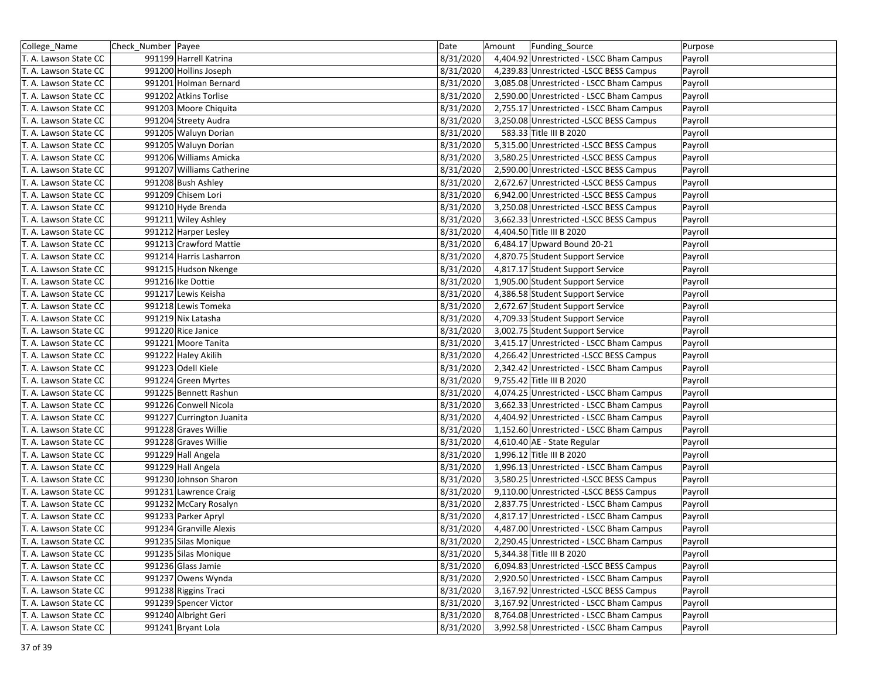| College_Name          | Check Number  Payee       | Date      | Amount | Funding Source                           | Purpose |
|-----------------------|---------------------------|-----------|--------|------------------------------------------|---------|
| T. A. Lawson State CC | 991199 Harrell Katrina    | 8/31/2020 |        | 4,404.92 Unrestricted - LSCC Bham Campus | Payroll |
| T. A. Lawson State CC | 991200 Hollins Joseph     | 8/31/2020 |        | 4,239.83 Unrestricted -LSCC BESS Campus  | Payroll |
| T. A. Lawson State CC | 991201 Holman Bernard     | 8/31/2020 |        | 3,085.08 Unrestricted - LSCC Bham Campus | Payroll |
| T. A. Lawson State CC | 991202 Atkins Torlise     | 8/31/2020 |        | 2,590.00 Unrestricted - LSCC Bham Campus | Payroll |
| T. A. Lawson State CC | 991203 Moore Chiquita     | 8/31/2020 |        | 2,755.17 Unrestricted - LSCC Bham Campus | Payroll |
| T. A. Lawson State CC | 991204 Streety Audra      | 8/31/2020 |        | 3,250.08 Unrestricted -LSCC BESS Campus  | Payroll |
| T. A. Lawson State CC | 991205 Waluyn Dorian      | 8/31/2020 |        | 583.33 Title III B 2020                  | Payroll |
| T. A. Lawson State CC | 991205 Waluyn Dorian      | 8/31/2020 |        | 5,315.00 Unrestricted -LSCC BESS Campus  | Payroll |
| T. A. Lawson State CC | 991206 Williams Amicka    | 8/31/2020 |        | 3,580.25 Unrestricted -LSCC BESS Campus  | Payroll |
| T. A. Lawson State CC | 991207 Williams Catherine | 8/31/2020 |        | 2,590.00 Unrestricted -LSCC BESS Campus  | Payroll |
| T. A. Lawson State CC | 991208 Bush Ashley        | 8/31/2020 |        | 2,672.67 Unrestricted -LSCC BESS Campus  | Payroll |
| T. A. Lawson State CC | 991209 Chisem Lori        | 8/31/2020 |        | 6,942.00 Unrestricted -LSCC BESS Campus  | Payroll |
| T. A. Lawson State CC | 991210 Hyde Brenda        | 8/31/2020 |        | 3,250.08 Unrestricted -LSCC BESS Campus  | Payroll |
| T. A. Lawson State CC | 991211 Wiley Ashley       | 8/31/2020 |        | 3,662.33 Unrestricted -LSCC BESS Campus  | Payroll |
| T. A. Lawson State CC | 991212 Harper Lesley      | 8/31/2020 |        | 4,404.50 Title III B 2020                | Payroll |
| T. A. Lawson State CC | 991213 Crawford Mattie    | 8/31/2020 |        | 6,484.17 Upward Bound 20-21              | Payroll |
| T. A. Lawson State CC | 991214 Harris Lasharron   | 8/31/2020 |        | 4,870.75 Student Support Service         | Payroll |
| T. A. Lawson State CC | 991215 Hudson Nkenge      | 8/31/2020 |        | 4,817.17 Student Support Service         | Payroll |
| T. A. Lawson State CC | 991216 Ike Dottie         | 8/31/2020 |        | 1,905.00 Student Support Service         | Payroll |
| T. A. Lawson State CC | 991217 Lewis Keisha       | 8/31/2020 |        | 4,386.58 Student Support Service         | Payroll |
| T. A. Lawson State CC | 991218 Lewis Tomeka       | 8/31/2020 |        | 2,672.67 Student Support Service         | Payroll |
| T. A. Lawson State CC | 991219 Nix Latasha        | 8/31/2020 |        | 4,709.33 Student Support Service         | Payroll |
| T. A. Lawson State CC | 991220 Rice Janice        | 8/31/2020 |        | 3,002.75 Student Support Service         | Payroll |
| T. A. Lawson State CC | 991221 Moore Tanita       | 8/31/2020 |        | 3,415.17 Unrestricted - LSCC Bham Campus | Payroll |
| T. A. Lawson State CC | 991222 Haley Akilih       | 8/31/2020 |        | 4,266.42 Unrestricted -LSCC BESS Campus  | Payroll |
| T. A. Lawson State CC | 991223 Odell Kiele        | 8/31/2020 |        | 2,342.42 Unrestricted - LSCC Bham Campus | Payroll |
| T. A. Lawson State CC | 991224 Green Myrtes       | 8/31/2020 |        | 9,755.42 Title III B 2020                | Payroll |
| T. A. Lawson State CC | 991225 Bennett Rashun     | 8/31/2020 |        | 4,074.25 Unrestricted - LSCC Bham Campus | Payroll |
| T. A. Lawson State CC | 991226 Conwell Nicola     | 8/31/2020 |        | 3,662.33 Unrestricted - LSCC Bham Campus | Payroll |
| T. A. Lawson State CC | 991227 Currington Juanita | 8/31/2020 |        | 4,404.92 Unrestricted - LSCC Bham Campus | Payroll |
| T. A. Lawson State CC | 991228 Graves Willie      | 8/31/2020 |        | 1,152.60 Unrestricted - LSCC Bham Campus | Payroll |
| T. A. Lawson State CC | 991228 Graves Willie      | 8/31/2020 |        | 4,610.40 AE - State Regular              | Payroll |
| T. A. Lawson State CC | 991229 Hall Angela        | 8/31/2020 |        | 1,996.12 Title III B 2020                | Payroll |
| T. A. Lawson State CC | 991229 Hall Angela        | 8/31/2020 |        | 1,996.13 Unrestricted - LSCC Bham Campus | Payroll |
| T. A. Lawson State CC | 991230 Johnson Sharon     | 8/31/2020 |        | 3,580.25 Unrestricted -LSCC BESS Campus  | Payroll |
| T. A. Lawson State CC | 991231 Lawrence Craig     | 8/31/2020 |        | 9,110.00 Unrestricted -LSCC BESS Campus  | Payroll |
| T. A. Lawson State CC | 991232 McCary Rosalyn     | 8/31/2020 |        | 2,837.75 Unrestricted - LSCC Bham Campus | Payroll |
| T. A. Lawson State CC | 991233 Parker Apryl       | 8/31/2020 |        | 4,817.17 Unrestricted - LSCC Bham Campus | Payroll |
| T. A. Lawson State CC | 991234 Granville Alexis   | 8/31/2020 |        | 4,487.00 Unrestricted - LSCC Bham Campus | Payroll |
| T. A. Lawson State CC | 991235 Silas Monique      | 8/31/2020 |        | 2,290.45 Unrestricted - LSCC Bham Campus | Payroll |
| T. A. Lawson State CC | 991235 Silas Monique      | 8/31/2020 |        | 5,344.38 Title III B 2020                | Payroll |
| T. A. Lawson State CC | 991236 Glass Jamie        | 8/31/2020 |        | 6,094.83 Unrestricted -LSCC BESS Campus  | Payroll |
| T. A. Lawson State CC | 991237 Owens Wynda        | 8/31/2020 |        | 2,920.50 Unrestricted - LSCC Bham Campus | Payroll |
| T. A. Lawson State CC | 991238 Riggins Traci      | 8/31/2020 |        | 3,167.92 Unrestricted -LSCC BESS Campus  | Payroll |
| T. A. Lawson State CC | 991239 Spencer Victor     | 8/31/2020 |        | 3,167.92 Unrestricted - LSCC Bham Campus | Payroll |
| T. A. Lawson State CC | 991240 Albright Geri      | 8/31/2020 |        | 8,764.08 Unrestricted - LSCC Bham Campus | Payroll |
| T. A. Lawson State CC | 991241 Bryant Lola        | 8/31/2020 |        | 3,992.58 Unrestricted - LSCC Bham Campus | Payroll |
|                       |                           |           |        |                                          |         |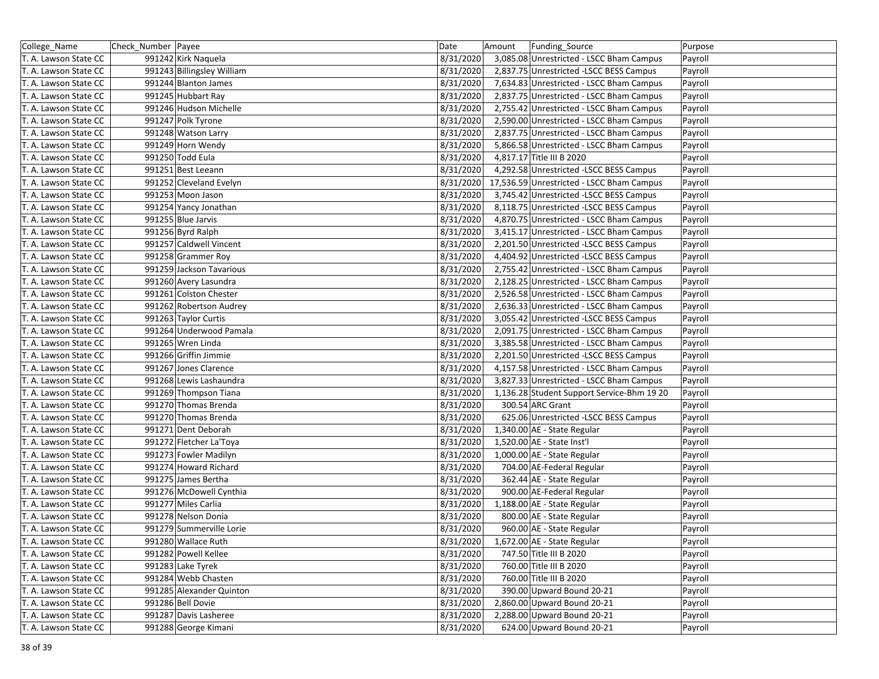| College_Name          | Check Number Payee |                            | Date      | Amount | <b>Funding Source</b>                      | Purpose |
|-----------------------|--------------------|----------------------------|-----------|--------|--------------------------------------------|---------|
| T. A. Lawson State CC |                    | 991242 Kirk Naquela        | 8/31/2020 |        | 3,085.08 Unrestricted - LSCC Bham Campus   | Payroll |
| T. A. Lawson State CC |                    | 991243 Billingsley William | 8/31/2020 |        | 2,837.75 Unrestricted -LSCC BESS Campus    | Payroll |
| T. A. Lawson State CC |                    | 991244 Blanton James       | 8/31/2020 |        | 7,634.83 Unrestricted - LSCC Bham Campus   | Payroll |
| T. A. Lawson State CC |                    | 991245 Hubbart Ray         | 8/31/2020 |        | 2,837.75 Unrestricted - LSCC Bham Campus   | Payroll |
| T. A. Lawson State CC |                    | 991246 Hudson Michelle     | 8/31/2020 |        | 2,755.42 Unrestricted - LSCC Bham Campus   | Payroll |
| T. A. Lawson State CC |                    | 991247 Polk Tyrone         | 8/31/2020 |        | 2,590.00 Unrestricted - LSCC Bham Campus   | Payroll |
| T. A. Lawson State CC |                    | 991248 Watson Larry        | 8/31/2020 |        | 2,837.75 Unrestricted - LSCC Bham Campus   | Payroll |
| T. A. Lawson State CC |                    | 991249 Horn Wendy          | 8/31/2020 |        | 5,866.58 Unrestricted - LSCC Bham Campus   | Payroll |
| T. A. Lawson State CC |                    | 991250 Todd Eula           | 8/31/2020 |        | 4,817.17 Title III B 2020                  | Payroll |
| T. A. Lawson State CC |                    | 991251 Best Leeann         | 8/31/2020 |        | 4,292.58 Unrestricted - LSCC BESS Campus   | Payroll |
| T. A. Lawson State CC |                    | 991252 Cleveland Evelyn    | 8/31/2020 |        | 17,536.59 Unrestricted - LSCC Bham Campus  | Payroll |
| T. A. Lawson State CC |                    | 991253 Moon Jason          | 8/31/2020 |        | 3,745.42 Unrestricted -LSCC BESS Campus    | Payroll |
| T. A. Lawson State CC |                    | 991254 Yancy Jonathan      | 8/31/2020 |        | 8,118.75 Unrestricted -LSCC BESS Campus    | Payroll |
| T. A. Lawson State CC |                    | 991255 Blue Jarvis         | 8/31/2020 |        | 4,870.75 Unrestricted - LSCC Bham Campus   | Payroll |
| T. A. Lawson State CC |                    | 991256 Byrd Ralph          | 8/31/2020 |        | 3,415.17 Unrestricted - LSCC Bham Campus   | Payroll |
| T. A. Lawson State CC |                    | 991257 Caldwell Vincent    | 8/31/2020 |        | 2,201.50 Unrestricted -LSCC BESS Campus    | Payroll |
| T. A. Lawson State CC |                    | 991258 Grammer Roy         | 8/31/2020 |        | 4,404.92 Unrestricted - LSCC BESS Campus   | Payroll |
| T. A. Lawson State CC |                    | 991259 Jackson Tavarious   | 8/31/2020 |        | 2,755.42 Unrestricted - LSCC Bham Campus   | Payroll |
| T. A. Lawson State CC |                    | 991260 Avery Lasundra      | 8/31/2020 |        | 2,128.25 Unrestricted - LSCC Bham Campus   | Payroll |
| T. A. Lawson State CC |                    | 991261 Colston Chester     | 8/31/2020 |        | 2,526.58 Unrestricted - LSCC Bham Campus   | Payroll |
| T. A. Lawson State CC |                    | 991262 Robertson Audrey    | 8/31/2020 |        | 2,636.33 Unrestricted - LSCC Bham Campus   | Payroll |
| T. A. Lawson State CC |                    | 991263 Taylor Curtis       | 8/31/2020 |        | 3,055.42 Unrestricted -LSCC BESS Campus    | Payroll |
| T. A. Lawson State CC |                    | 991264 Underwood Pamala    | 8/31/2020 |        | 2,091.75 Unrestricted - LSCC Bham Campus   | Payroll |
| T. A. Lawson State CC |                    | 991265 Wren Linda          | 8/31/2020 |        | 3,385.58 Unrestricted - LSCC Bham Campus   | Payroll |
| T. A. Lawson State CC |                    | 991266 Griffin Jimmie      | 8/31/2020 |        | 2,201.50 Unrestricted -LSCC BESS Campus    | Payroll |
| T. A. Lawson State CC |                    | 991267 Jones Clarence      | 8/31/2020 |        | 4,157.58 Unrestricted - LSCC Bham Campus   | Payroll |
| T. A. Lawson State CC |                    | 991268 Lewis Lashaundra    | 8/31/2020 |        | 3,827.33 Unrestricted - LSCC Bham Campus   | Payroll |
| T. A. Lawson State CC |                    | 991269 Thompson Tiana      | 8/31/2020 |        | 1,136.28 Student Support Service-Bhm 19 20 | Payroll |
| T. A. Lawson State CC |                    | 991270 Thomas Brenda       | 8/31/2020 |        | 300.54 ARC Grant                           | Payroll |
| T. A. Lawson State CC |                    | 991270 Thomas Brenda       | 8/31/2020 |        | 625.06 Unrestricted -LSCC BESS Campus      | Payroll |
| T. A. Lawson State CC |                    | 991271 Dent Deborah        | 8/31/2020 |        | 1,340.00 AE - State Regular                | Payroll |
| T. A. Lawson State CC |                    | 991272 Fletcher La'Toya    | 8/31/2020 |        | 1,520.00 AE - State Inst'l                 | Payroll |
| T. A. Lawson State CC |                    | 991273 Fowler Madilyn      | 8/31/2020 |        | 1,000.00 AE - State Regular                | Payroll |
| T. A. Lawson State CC |                    | 991274 Howard Richard      | 8/31/2020 |        | 704.00 AE-Federal Regular                  | Payroll |
| T. A. Lawson State CC |                    | 991275 James Bertha        | 8/31/2020 |        | 362.44 AE - State Regular                  | Payroll |
| T. A. Lawson State CC |                    | 991276 McDowell Cynthia    | 8/31/2020 |        | 900.00 AE-Federal Regular                  | Payroll |
| T. A. Lawson State CC |                    | 991277 Miles Carlia        | 8/31/2020 |        | 1,188.00 AE - State Regular                | Payroll |
| T. A. Lawson State CC |                    | 991278 Nelson Donia        | 8/31/2020 |        | 800.00 AE - State Regular                  | Payroll |
| T. A. Lawson State CC |                    | 991279 Summerville Lorie   | 8/31/2020 |        | 960.00 AE - State Regular                  | Payroll |
| T. A. Lawson State CC |                    | 991280 Wallace Ruth        | 8/31/2020 |        | 1,672.00 AE - State Regular                | Payroll |
| T. A. Lawson State CC |                    | 991282 Powell Kellee       | 8/31/2020 |        | 747.50 Title III B 2020                    | Payroll |
| T. A. Lawson State CC |                    | 991283 Lake Tyrek          | 8/31/2020 |        | 760.00 Title III B 2020                    | Payroll |
| T. A. Lawson State CC |                    | 991284 Webb Chasten        | 8/31/2020 |        | 760.00 Title III B 2020                    | Payroll |
| T. A. Lawson State CC |                    | 991285 Alexander Quinton   | 8/31/2020 |        | 390.00 Upward Bound 20-21                  | Payroll |
| T. A. Lawson State CC |                    | 991286 Bell Dovie          | 8/31/2020 |        | 2,860.00 Upward Bound 20-21                | Payroll |
| T. A. Lawson State CC |                    | 991287 Davis Lasheree      | 8/31/2020 |        | 2,288.00 Upward Bound 20-21                | Payroll |
| T. A. Lawson State CC |                    | 991288 George Kimani       | 8/31/2020 |        | 624.00 Upward Bound 20-21                  | Payroll |